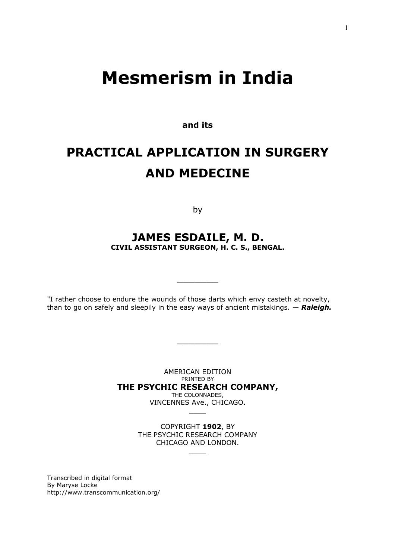# **Mesmerism in India**

and its

# PRACTICAL APPLICATION IN SURGERY **AND MEDECINE**

by

JAMES ESDAILE, M. D.

CIVIL ASSISTANT SURGEON, H. C. S., BENGAL.

"I rather choose to endure the wounds of those darts which envy casteth at novelty, than to go on safely and sleepily in the easy ways of ancient mistakings.  $-$  Raleigh.

> AMERICAN EDITION PRINTED BY THE PSYCHIC RESEARCH COMPANY, THE COLONNADES,

VINCENNES Ave., CHICAGO.

COPYRIGHT 1902, BY THE PSYCHIC RESEARCH COMPANY CHICAGO AND LONDON.

Transcribed in digital format By Maryse Locke http://www.transcommunication.org/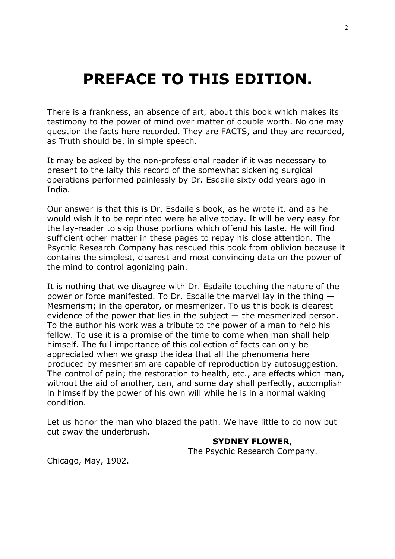# PREFACE TO THIS EDITION.

There is a frankness, an absence of art, about this book which makes its testimony to the power of mind over matter of double worth. No one may question the facts here recorded. They are FACTS, and they are recorded, as Truth should be, in simple speech.

It may be asked by the non-professional reader if it was necessary to present to the laity this record of the somewhat sickening surgical operations performed painlessly by Dr. Esdaile sixty odd years ago in India.

Our answer is that this is Dr. Esdaile's book, as he wrote it, and as he would wish it to be reprinted were he alive today. It will be very easy for the lay-reader to skip those portions which offend his taste. He will find sufficient other matter in these pages to repay his close attention. The Psychic Research Company has rescued this book from oblivion because it contains the simplest, clearest and most convincing data on the power of the mind to control agonizing pain.

It is nothing that we disagree with Dr. Esdaile touching the nature of the power or force manifested. To Dr. Esdaile the marvel lay in the thing -Mesmerism; in the operator, or mesmerizer. To us this book is clearest evidence of the power that lies in the subject  $-$  the mesmerized person. To the author his work was a tribute to the power of a man to help his fellow. To use it is a promise of the time to come when man shall help himself. The full importance of this collection of facts can only be appreciated when we grasp the idea that all the phenomena here produced by mesmerism are capable of reproduction by autosuggestion. The control of pain; the restoration to health, etc., are effects which man, without the aid of another, can, and some day shall perfectly, accomplish in himself by the power of his own will while he is in a normal waking condition.

Let us honor the man who blazed the path. We have little to do now but cut away the underbrush.

**SYDNEY FLOWER.** 

The Psychic Research Company.

Chicago, May, 1902.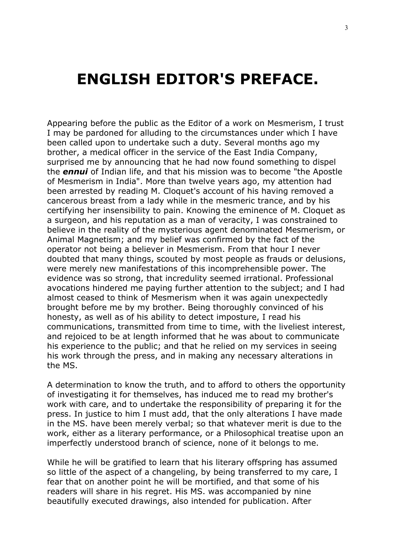# **ENGLISH EDITOR'S PREFACE.**

Appearing before the public as the Editor of a work on Mesmerism, I trust I may be pardoned for alluding to the circumstances under which I have been called upon to undertake such a duty. Several months ago my brother, a medical officer in the service of the East India Company, surprised me by announcing that he had now found something to dispel the **ennui** of Indian life, and that his mission was to become "the Apostle of Mesmerism in India". More than twelve years ago, my attention had been arrested by reading M. Cloquet's account of his having removed a cancerous breast from a lady while in the mesmeric trance, and by his certifying her insensibility to pain. Knowing the eminence of M. Cloquet as a surgeon, and his reputation as a man of veracity, I was constrained to believe in the reality of the mysterious agent denominated Mesmerism, or Animal Magnetism; and my belief was confirmed by the fact of the operator not being a believer in Mesmerism. From that hour I never doubted that many things, scouted by most people as frauds or delusions, were merely new manifestations of this incomprehensible power. The evidence was so strong, that incredulity seemed irrational. Professional avocations hindered me paving further attention to the subject; and I had almost ceased to think of Mesmerism when it was again unexpectedly brought before me by my brother. Being thoroughly convinced of his honesty, as well as of his ability to detect imposture, I read his communications, transmitted from time to time, with the liveliest interest, and rejoiced to be at length informed that he was about to communicate his experience to the public; and that he relied on my services in seeing his work through the press, and in making any necessary alterations in the MS.

A determination to know the truth, and to afford to others the opportunity of investigating it for themselves, has induced me to read my brother's work with care, and to undertake the responsibility of preparing it for the press. In justice to him I must add, that the only alterations I have made in the MS, have been merely verbal; so that whatever merit is due to the work, either as a literary performance, or a Philosophical treatise upon an imperfectly understood branch of science, none of it belongs to me.

While he will be gratified to learn that his literary offspring has assumed so little of the aspect of a changeling, by being transferred to my care, I fear that on another point he will be mortified, and that some of his readers will share in his regret. His MS, was accompanied by nine beautifully executed drawings, also intended for publication. After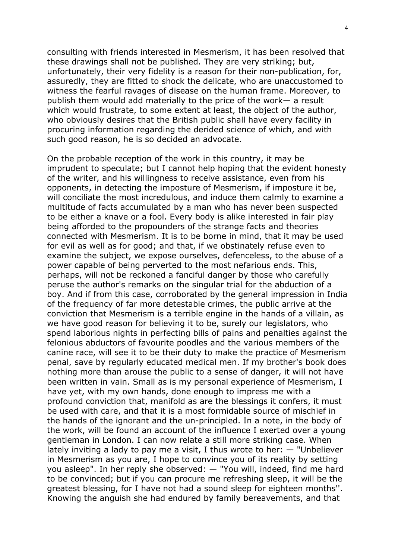consulting with friends interested in Mesmerism, it has been resolved that these drawings shall not be published. They are very striking; but, unfortunately, their very fidelity is a reason for their non-publication, for, assuredly, they are fitted to shock the delicate, who are unaccustomed to witness the fearful ravages of disease on the human frame. Moreover, to publish them would add materially to the price of the work- a result which would frustrate, to some extent at least, the object of the author, who obviously desires that the British public shall have every facility in procuring information regarding the derided science of which, and with such good reason, he is so decided an advocate.

On the probable reception of the work in this country, it may be imprudent to speculate; but I cannot help hoping that the evident honesty of the writer, and his willingness to receive assistance, even from his opponents, in detecting the imposture of Mesmerism, if imposture it be, will conciliate the most incredulous, and induce them calmly to examine a multitude of facts accumulated by a man who has never been suspected to be either a knave or a fool. Every body is alike interested in fair play being afforded to the propounders of the strange facts and theories connected with Mesmerism. It is to be borne in mind, that it may be used for evil as well as for good; and that, if we obstinately refuse even to examine the subject, we expose ourselves, defenceless, to the abuse of a power capable of being perverted to the most nefarious ends. This, perhaps, will not be reckoned a fanciful danger by those who carefully peruse the author's remarks on the singular trial for the abduction of a boy. And if from this case, corroborated by the general impression in India of the frequency of far more detestable crimes, the public arrive at the conviction that Mesmerism is a terrible engine in the hands of a villain, as we have good reason for believing it to be, surely our legislators, who spend laborious nights in perfecting bills of pains and penalties against the felonious abductors of favourite poodles and the various members of the canine race, will see it to be their duty to make the practice of Mesmerism penal, save by regularly educated medical men. If my brother's book does nothing more than arouse the public to a sense of danger, it will not have been written in vain. Small as is my personal experience of Mesmerism, I have yet, with my own hands, done enough to impress me with a profound conviction that, manifold as are the blessings it confers, it must be used with care, and that it is a most formidable source of mischief in the hands of the ignorant and the un-principled. In a note, in the body of the work, will be found an account of the influence I exerted over a young gentleman in London. I can now relate a still more striking case. When lately inviting a lady to pay me a visit, I thus wrote to her:  $-$  "Unbeliever" in Mesmerism as you are, I hope to convince you of its reality by setting you asleep". In her reply she observed: - "You will, indeed, find me hard to be convinced; but if you can procure me refreshing sleep, it will be the greatest blessing, for I have not had a sound sleep for eighteen months". Knowing the anguish she had endured by family bereavements, and that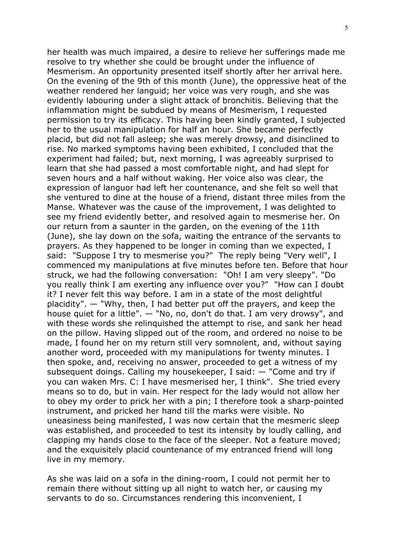her health was much impaired, a desire to relieve her sufferings made me resolve to try whether she could be brought under the influence of Mesmerism. An opportunity presented itself shortly after her arrival here. On the evening of the 9th of this month (June), the oppressive heat of the weather rendered her languid; her voice was very rough, and she was evidently labouring under a slight attack of bronchitis. Believing that the inflammation might be subdued by means of Mesmerism, I requested permission to try its efficacy. This having been kindly granted, I subjected her to the usual manipulation for half an hour. She became perfectly placid, but did not fall asleep; she was merely drowsy, and disinclined to rise. No marked symptoms having been exhibited. I concluded that the experiment had failed; but, next morning, I was agreeably surprised to learn that she had passed a most comfortable night, and had slept for seven hours and a half without waking. Her voice also was clear, the expression of languor had left her countenance, and she felt so well that she ventured to dine at the house of a friend, distant three miles from the Manse. Whatever was the cause of the improvement, I was delighted to see my friend evidently better, and resolved again to mesmerise her. On our return from a saunter in the garden, on the evening of the 11th (June), she lay down on the sofa, waiting the entrance of the servants to prayers. As they happened to be longer in coming than we expected, I said: "Suppose I try to mesmerise you?" The reply being "Very well", I commenced my manipulations at five minutes before ten. Before that hour struck, we had the following conversation: "Oh! I am very sleepy". "Do you really think I am exerting any influence over you?" "How can I doubt it? I never felt this way before. I am in a state of the most delightful placidity".  $-$  "Why, then, I had better put off the prayers, and keep the house quiet for a little". - "No, no, don't do that. I am very drowsy", and with these words she relinguished the attempt to rise, and sank her head on the pillow. Having slipped out of the room, and ordered no noise to be made, I found her on my return still very somnolent, and, without saying another word, proceeded with my manipulations for twenty minutes. I then spoke, and, receiving no answer, proceeded to get a witness of my subsequent doings. Calling my housekeeper, I said: - "Come and try if you can waken Mrs. C: I have mesmerised her, I think". She tried every means so to do, but in vain. Her respect for the lady would not allow her to obey my order to prick her with a pin; I therefore took a sharp-pointed instrument, and pricked her hand till the marks were visible. No uneasiness being manifested, I was now certain that the mesmeric sleep was established, and proceeded to test its intensity by loudly calling, and clapping my hands close to the face of the sleeper. Not a feature moved: and the exquisitely placid countenance of my entranced friend will long live in my memory.

As she was laid on a sofa in the dining-room, I could not permit her to remain there without sitting up all night to watch her, or causing my servants to do so. Circumstances rendering this inconvenient, I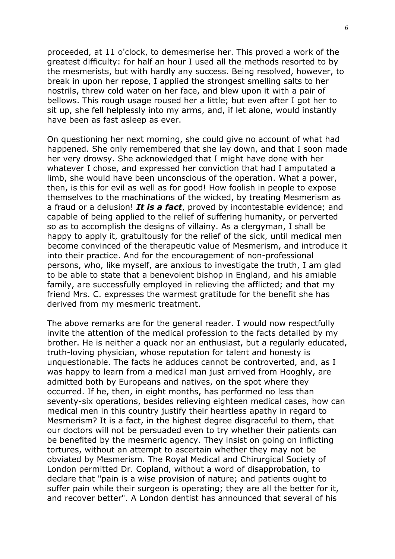proceeded, at 11 o'clock, to demesmerise her. This proved a work of the greatest difficulty: for half an hour I used all the methods resorted to by the mesmerists, but with hardly any success. Being resolved, however, to break in upon her repose, I applied the strongest smelling salts to her nostrils, threw cold water on her face, and blew upon it with a pair of bellows. This rough usage roused her a little; but even after I got her to sit up, she fell helplessly into my arms, and, if let alone, would instantly have been as fast asleep as ever.

On questioning her next morning, she could give no account of what had happened. She only remembered that she lay down, and that I soon made her very drowsy. She acknowledged that I might have done with her whatever I chose, and expressed her conviction that had I amputated a limb, she would have been unconscious of the operation. What a power, then, is this for evil as well as for good! How foolish in people to expose themselves to the machinations of the wicked, by treating Mesmerism as a fraud or a delusion! It is a fact, proved by incontestable evidence; and capable of being applied to the relief of suffering humanity, or perverted so as to accomplish the designs of villainy. As a clergyman, I shall be happy to apply it, gratuitously for the relief of the sick, until medical men become convinced of the therapeutic value of Mesmerism, and introduce it into their practice. And for the encouragement of non-professional persons, who, like myself, are anxious to investigate the truth, I am glad to be able to state that a benevolent bishop in England, and his amiable family, are successfully employed in relieving the afflicted; and that my friend Mrs. C. expresses the warmest gratitude for the benefit she has derived from my mesmeric treatment.

The above remarks are for the general reader. I would now respectfully invite the attention of the medical profession to the facts detailed by my brother. He is neither a quack nor an enthusiast, but a regularly educated, truth-loving physician, whose reputation for talent and honesty is unquestionable. The facts he adduces cannot be controverted, and, as I was happy to learn from a medical man just arrived from Hooghly, are admitted both by Europeans and natives, on the spot where they occurred. If he, then, in eight months, has performed no less than seventy-six operations, besides relieving eighteen medical cases, how can medical men in this country justify their heartless apathy in regard to Mesmerism? It is a fact, in the highest degree disgraceful to them, that our doctors will not be persuaded even to try whether their patients can be benefited by the mesmeric agency. They insist on going on inflicting tortures, without an attempt to ascertain whether they may not be obviated by Mesmerism. The Royal Medical and Chirurgical Society of London permitted Dr. Copland, without a word of disapprobation, to declare that "pain is a wise provision of nature; and patients ought to suffer pain while their surgeon is operating; they are all the better for it, and recover better". A London dentist has announced that several of his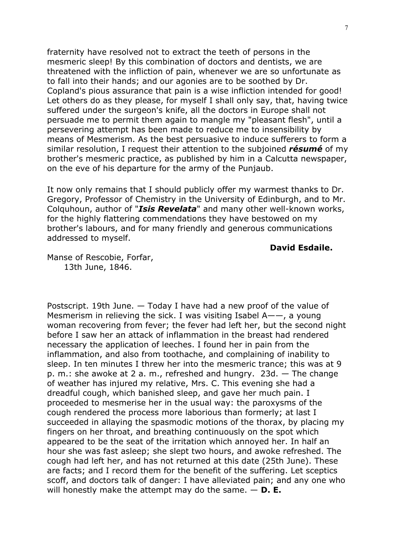fraternity have resolved not to extract the teeth of persons in the mesmeric sleep! By this combination of doctors and dentists, we are threatened with the infliction of pain, whenever we are so unfortunate as to fall into their hands; and our agonies are to be soothed by Dr. Copland's pious assurance that pain is a wise infliction intended for good! Let others do as they please, for myself I shall only say, that, having twice suffered under the surgeon's knife, all the doctors in Europe shall not persuade me to permit them again to mangle my "pleasant flesh", until a persevering attempt has been made to reduce me to insensibility by means of Mesmerism. As the best persuasive to induce sufferers to form a similar resolution. I request their attention to the subioined *résumé* of my brother's mesmeric practice, as published by him in a Calcutta newspaper, on the eve of his departure for the army of the Punjaub.

It now only remains that I should publicly offer my warmest thanks to Dr. Gregory, Professor of Chemistry in the University of Edinburgh, and to Mr. Colquhoun, author of "Isis Revelata" and many other well-known works, for the highly flattering commendations they have bestowed on my brother's labours, and for many friendly and generous communications addressed to myself.

#### **David Esdaile.**

Manse of Rescobie, Forfar, 13th June, 1846.

Postscript. 19th June. - Today I have had a new proof of the value of Mesmerism in relieving the sick. I was visiting Isabel  $A \rightarrow -1$ , a young woman recovering from fever; the fever had left her, but the second night before I saw her an attack of inflammation in the breast had rendered necessary the application of leeches. I found her in pain from the inflammation, and also from toothache, and complaining of inability to sleep. In ten minutes I threw her into the mesmeric trance; this was at 9 p. m.: she awoke at 2 a. m., refreshed and hungry.  $23d$ .  $-$  The change of weather has injured my relative, Mrs. C. This evening she had a dreadful cough, which banished sleep, and gave her much pain. I proceeded to mesmerise her in the usual way: the paroxysms of the cough rendered the process more laborious than formerly; at last I succeeded in allaying the spasmodic motions of the thorax, by placing my fingers on her throat, and breathing continuously on the spot which appeared to be the seat of the irritation which annoyed her. In half an hour she was fast asleep; she slept two hours, and awoke refreshed. The cough had left her, and has not returned at this date (25th June). These are facts; and I record them for the benefit of the suffering. Let sceptics scoff, and doctors talk of danger: I have alleviated pain; and any one who will honestly make the attempt may do the same.  $-$  D. E.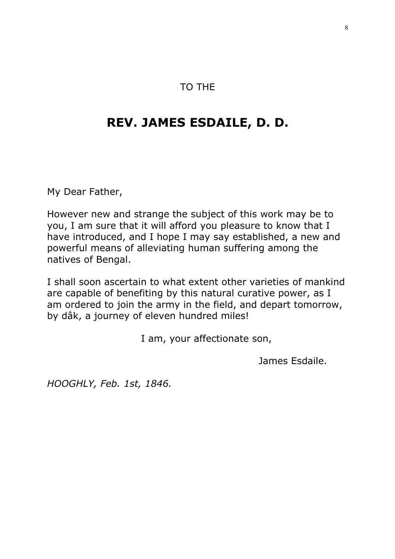#### **TO THE**

## REV. JAMES ESDAILE, D. D.

My Dear Father,

However new and strange the subject of this work may be to you, I am sure that it will afford you pleasure to know that I have introduced, and I hope I may say established, a new and powerful means of alleviating human suffering among the natives of Bengal.

I shall soon ascertain to what extent other varieties of mankind are capable of benefiting by this natural curative power, as I am ordered to join the army in the field, and depart tomorrow, by dâk, a journey of eleven hundred miles!

I am, your affectionate son,

James Esdaile.

HOOGHLY, Feb. 1st, 1846.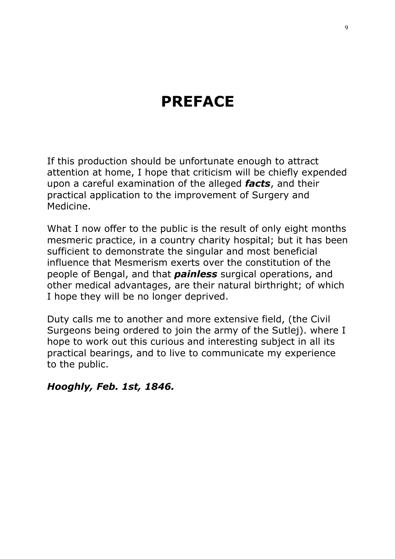# **PREFACE**

If this production should be unfortunate enough to attract attention at home, I hope that criticism will be chiefly expended upon a careful examination of the alleged **facts**, and their practical application to the improvement of Surgery and Medicine.

What I now offer to the public is the result of only eight months mesmeric practice, in a country charity hospital; but it has been sufficient to demonstrate the singular and most beneficial influence that Mesmerism exerts over the constitution of the people of Bengal, and that **painless** surgical operations, and other medical advantages, are their natural birthright; of which I hope they will be no longer deprived.

Duty calls me to another and more extensive field, (the Civil Surgeons being ordered to join the army of the Sutlei), where I hope to work out this curious and interesting subject in all its practical bearings, and to live to communicate my experience to the public.

#### Hooghly, Feb. 1st, 1846.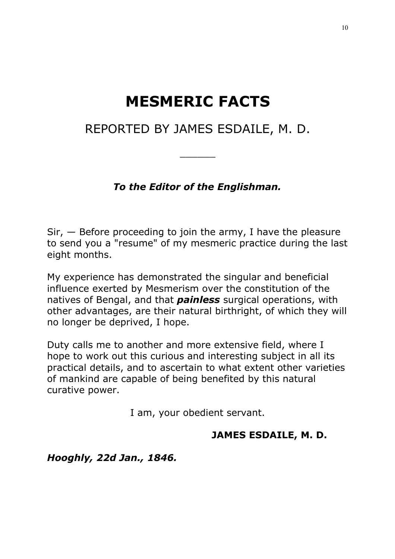# **MESMERIC FACTS**

# REPORTED BY JAMES ESDAILE, M. D.

#### To the Editor of the Englishman.

 $Sir, - Before proceeding to join the army, I have the pleasure$ to send you a "resume" of my mesmeric practice during the last eight months.

My experience has demonstrated the singular and beneficial influence exerted by Mesmerism over the constitution of the natives of Bengal, and that **painless** surgical operations, with other advantages, are their natural birthright, of which they will no longer be deprived, I hope.

Duty calls me to another and more extensive field, where I hope to work out this curious and interesting subject in all its practical details, and to ascertain to what extent other varieties of mankind are capable of being benefited by this natural curative power.

I am, your obedient servant.

#### **JAMES ESDAILE, M. D.**

Hooghly, 22d Jan., 1846.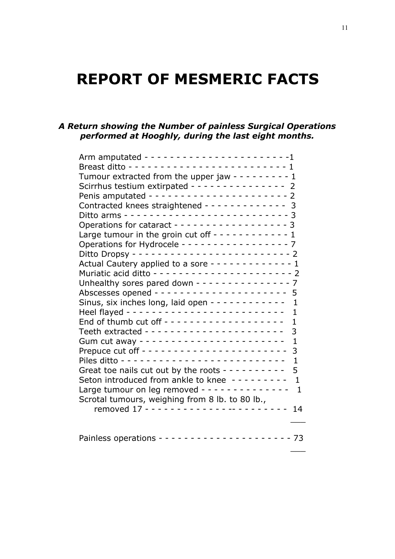# **REPORT OF MESMERIC FACTS**

#### A Return showing the Number of painless Surgical Operations performed at Hooghly, during the last eight months.

| Tumour extracted from the upper jaw - - - - - - - - - 1                   |
|---------------------------------------------------------------------------|
|                                                                           |
|                                                                           |
| Contracted knees straightened - - - - - - - - - - - - - 3                 |
|                                                                           |
| Operations for cataract - - - - - - - - - - - - - - - - - 3               |
| Large tumour in the groin cut off - - - - - - - - - - - - 1               |
| Operations for Hydrocele - - - - - - - - - - - - - - - - 7                |
|                                                                           |
| Actual Cautery applied to a sore - - - - - - - - - - - - - 1              |
|                                                                           |
| Unhealthy sores pared down - - - - - - - - - - - - - - - 7                |
|                                                                           |
| Sinus, six inches long, laid open - - - - - - - - - - - -<br>$\mathbf{1}$ |
| $\mathbf{1}$                                                              |
| $\mathbf{1}$                                                              |
| 3                                                                         |
| $\mathbf{1}$                                                              |
| 3                                                                         |
| $\mathbf{1}$                                                              |
| Great toe nails cut out by the roots - - - - - - - - - -<br>5             |
| Seton introduced from ankle to knee $- - - - - - - -$<br>$\mathbf{1}$     |
| Large tumour on leg removed - - - - - - - - - - - - - -<br>$\mathbf{1}$   |
| Scrotal tumours, weighing from 8 lb. to 80 lb.,                           |
| 14                                                                        |
|                                                                           |
|                                                                           |
|                                                                           |
|                                                                           |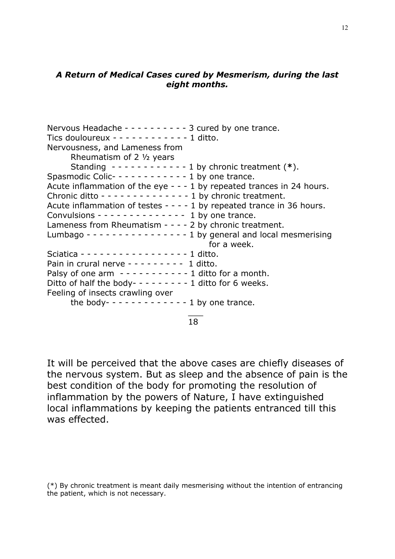#### A Return of Medical Cases cured by Mesmerism, during the last eight months.

18

It will be perceived that the above cases are chiefly diseases of the nervous system. But as sleep and the absence of pain is the best condition of the body for promoting the resolution of inflammation by the powers of Nature, I have extinguished local inflammations by keeping the patients entranced till this was effected.

(\*) By chronic treatment is meant daily mesmerising without the intention of entrancing the patient, which is not necessary.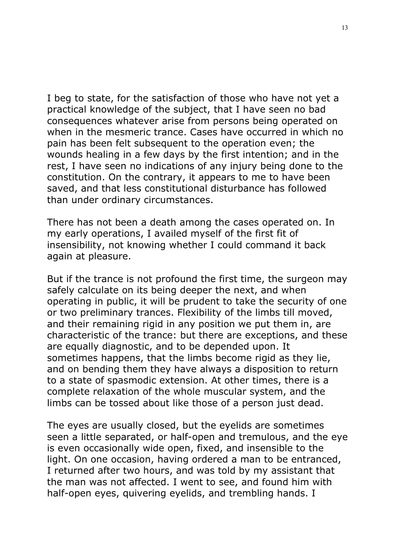I beg to state, for the satisfaction of those who have not yet a practical knowledge of the subject, that I have seen no bad consequences whatever arise from persons being operated on when in the mesmeric trance. Cases have occurred in which no pain has been felt subsequent to the operation even; the wounds healing in a few days by the first intention; and in the rest, I have seen no indications of any injury being done to the constitution. On the contrary, it appears to me to have been saved, and that less constitutional disturbance has followed than under ordinary circumstances.

There has not been a death among the cases operated on. In my early operations, I availed myself of the first fit of insensibility, not knowing whether I could command it back again at pleasure.

But if the trance is not profound the first time, the surgeon may safely calculate on its being deeper the next, and when operating in public, it will be prudent to take the security of one or two preliminary trances. Flexibility of the limbs till moved, and their remaining rigid in any position we put them in, are characteristic of the trance: but there are exceptions, and these are equally diagnostic, and to be depended upon. It sometimes happens, that the limbs become rigid as they lie, and on bending them they have always a disposition to return to a state of spasmodic extension. At other times, there is a complete relaxation of the whole muscular system, and the limbs can be tossed about like those of a person just dead.

The eyes are usually closed, but the eyelids are sometimes seen a little separated, or half-open and tremulous, and the eye is even occasionally wide open, fixed, and insensible to the light. On one occasion, having ordered a man to be entranced, I returned after two hours, and was told by my assistant that the man was not affected. I went to see, and found him with half-open eyes, quivering eyelids, and trembling hands. I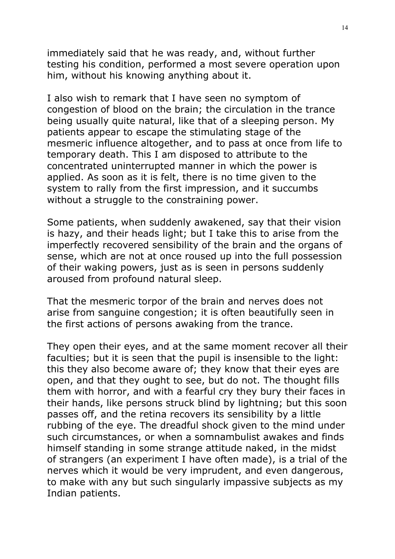immediately said that he was ready, and, without further testing his condition, performed a most severe operation upon him, without his knowing anything about it.

I also wish to remark that I have seen no symptom of congestion of blood on the brain; the circulation in the trance being usually quite natural, like that of a sleeping person. My patients appear to escape the stimulating stage of the mesmeric influence altogether, and to pass at once from life to temporary death. This I am disposed to attribute to the concentrated uninterrupted manner in which the power is applied. As soon as it is felt, there is no time given to the system to rally from the first impression, and it succumbs without a struggle to the constraining power.

Some patients, when suddenly awakened, say that their vision is hazy, and their heads light; but I take this to arise from the imperfectly recovered sensibility of the brain and the organs of sense, which are not at once roused up into the full possession of their waking powers, just as is seen in persons suddenly aroused from profound natural sleep.

That the mesmeric torpor of the brain and nerves does not arise from sanguine congestion; it is often beautifully seen in the first actions of persons awaking from the trance.

They open their eyes, and at the same moment recover all their faculties; but it is seen that the pupil is insensible to the light: this they also become aware of; they know that their eyes are open, and that they ought to see, but do not. The thought fills them with horror, and with a fearful cry they bury their faces in their hands, like persons struck blind by lightning; but this soon passes off, and the retina recovers its sensibility by a little rubbing of the eve. The dreadful shock given to the mind under such circumstances, or when a somnambulist awakes and finds himself standing in some strange attitude naked, in the midst of strangers (an experiment I have often made), is a trial of the nerves which it would be very imprudent, and even dangerous, to make with any but such singularly impassive subjects as my Indian patients.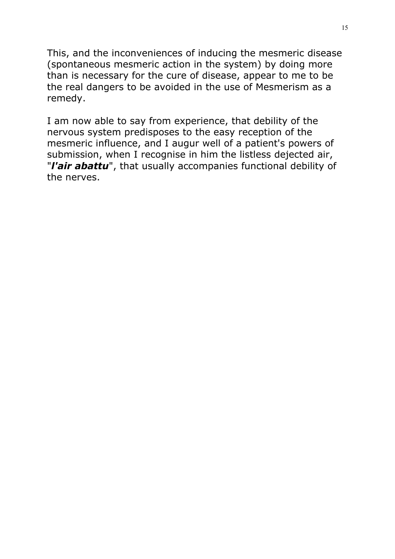This, and the inconveniences of inducing the mesmeric disease (spontaneous mesmeric action in the system) by doing more than is necessary for the cure of disease, appear to me to be the real dangers to be avoided in the use of Mesmerism as a remedy.

I am now able to say from experience, that debility of the nervous system predisposes to the easy reception of the mesmeric influence, and I augur well of a patient's powers of submission, when I recognise in him the listless dejected air, "I'air abattu", that usually accompanies functional debility of the nerves.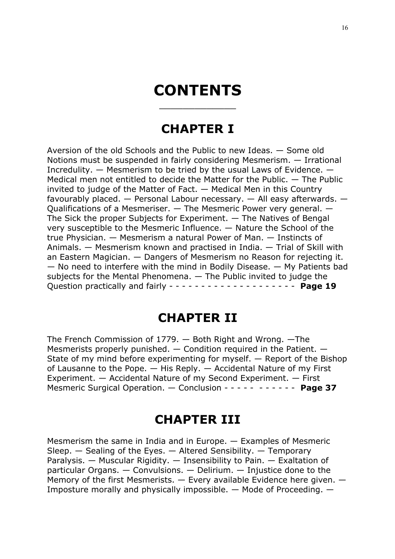# **CONTENTS**

#### **CHAPTER I**

Aversion of the old Schools and the Public to new Ideas. - Some old Notions must be suspended in fairly considering Mesmerism. - Irrational Incredulity.  $-$  Mesmerism to be tried by the usual Laws of Evidence.  $-$ Medical men not entitled to decide the Matter for the Public.  $-$  The Public invited to judge of the Matter of Fact.  $-$  Medical Men in this Country favourably placed. - Personal Labour necessary. - All easy afterwards. -Qualifications of a Mesmeriser. - The Mesmeric Power very general. -The Sick the proper Subjects for Experiment.  $-$  The Natives of Bengal very susceptible to the Mesmeric Influence. - Nature the School of the true Physician. - Mesmerism a natural Power of Man. - Instincts of Animals. — Mesmerism known and practised in India. — Trial of Skill with an Eastern Magician. - Dangers of Mesmerism no Reason for rejecting it.  $-$  No need to interfere with the mind in Bodily Disease.  $-$  My Patients bad subjects for the Mental Phenomena.  $-$  The Public invited to judge the 

#### **CHAPTER II**

The French Commission of 1779.  $-$  Both Right and Wrong.  $-$ The Mesmerists properly punished. - Condition required in the Patient. -State of my mind before experimenting for myself.  $-$  Report of the Bishop of Lausanne to the Pope. - His Reply. - Accidental Nature of my First Experiment. - Accidental Nature of my Second Experiment. - First Mesmeric Surgical Operation. - Conclusion - - - - - - - - - - - Page 37

### **CHAPTER III**

Mesmerism the same in India and in Europe. - Examples of Mesmeric Sleep.  $-$  Sealing of the Eyes.  $-$  Altered Sensibility.  $-$  Temporary Paralysis. - Muscular Rigidity. - Insensibility to Pain. - Exaltation of particular Organs.  $-$  Convulsions.  $-$  Delirium.  $-$  Injustice done to the Memory of the first Mesmerists.  $-$  Every available Evidence here given.  $-$ Imposture morally and physically impossible.  $-$  Mode of Proceeding.  $-$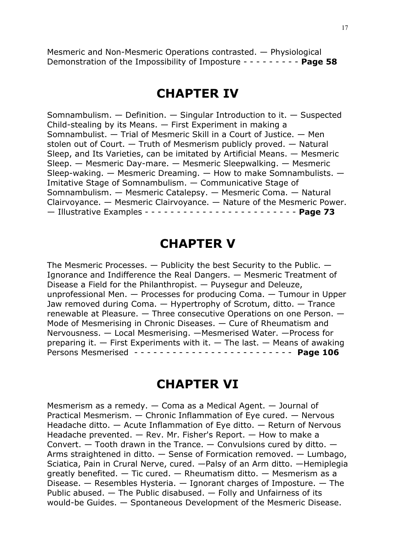Mesmeric and Non-Mesmeric Operations contrasted. — Physiological Demonstration of the Impossibility of Imposture - - - - - - - - - Page 58

## **CHAPTER IV**

Somnambulism.  $-$  Definition.  $-$  Singular Introduction to it.  $-$  Suspected Child-stealing by its Means. - First Experiment in making a Somnambulist. - Trial of Mesmeric Skill in a Court of Justice. - Men stolen out of Court.  $-$  Truth of Mesmerism publicly proved.  $-$  Natural Sleep, and Its Varieties, can be imitated by Artificial Means. - Mesmeric Sleep. - Mesmeric Day-mare. - Mesmeric Sleepwalking. - Mesmeric Sleep-waking.  $-$  Mesmeric Dreaming.  $-$  How to make Somnambulists.  $-$ Imitative Stage of Somnambulism. - Communicative Stage of Somnambulism. — Mesmeric Catalepsy. — Mesmeric Coma. — Natural Clairvoyance. — Mesmeric Clairvoyance. — Nature of the Mesmeric Power. 

#### **CHAPTER V**

The Mesmeric Processes.  $-$  Publicity the best Security to the Public.  $-$ Ignorance and Indifference the Real Dangers. - Mesmeric Treatment of Disease a Field for the Philanthropist. - Puysegur and Deleuze, unprofessional Men. - Processes for producing Coma. - Tumour in Upper Jaw removed during Coma. - Hypertrophy of Scrotum, ditto. - Trance renewable at Pleasure. - Three consecutive Operations on one Person. -Mode of Mesmerising in Chronic Diseases,  $-$  Cure of Rheumatism and Nervousness. - Local Mesmerising. - Mesmerised Water. - Process for preparing it.  $-$  First Experiments with it.  $-$  The last.  $-$  Means of awaking 

#### **CHAPTER VI**

Mesmerism as a remedy.  $-$  Coma as a Medical Agent.  $-$  Journal of Practical Mesmerism. - Chronic Inflammation of Eye cured. - Nervous Headache ditto.  $-$  Acute Inflammation of Eye ditto.  $-$  Return of Nervous Headache prevented.  $-$  Rev. Mr. Fisher's Report.  $-$  How to make a Convert.  $-$  Tooth drawn in the Trance.  $-$  Convulsions cured by ditto.  $-$ Arms straightened in ditto.  $-$  Sense of Formication removed.  $-$  Lumbago, Sciatica, Pain in Crural Nerve, cured. - Palsy of an Arm ditto. - Hemiplegia greatly benefited.  $-$  Tic cured.  $-$  Rheumatism ditto.  $-$  Mesmerism as a Disease.  $-$  Resembles Hysteria.  $-$  Ignorant charges of Imposture.  $-$  The Public abused.  $-$  The Public disabused.  $-$  Folly and Unfairness of its would-be Guides. - Spontaneous Development of the Mesmeric Disease.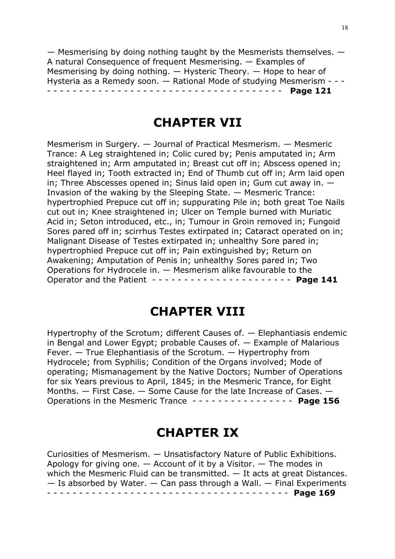$-$  Mesmerising by doing nothing taught by the Mesmerists themselves.  $-$ A natural Consequence of frequent Mesmerising.  $-$  Examples of Mesmerising by doing nothing.  $-$  Hysteric Theory.  $-$  Hope to hear of Hysteria as a Remedy soon.  $-$  Rational Mode of studying Mesmerism - - -3333333333333333333333333333333333333**+-!\$!**

#### **CHAPTER VII**

Mesmerism in Surgery.  $-$  Journal of Practical Mesmerism.  $-$  Mesmeric Trance: A Leg straightened in; Colic cured by; Penis amputated in; Arm straightened in; Arm amputated in; Breast cut off in; Abscess opened in; Heel flayed in; Tooth extracted in; End of Thumb cut off in; Arm laid open in; Three Abscesses opened in; Sinus laid open in; Gum cut away in.  $-$ Invasion of the waking by the Sleeping State.  $-$  Mesmeric Trance: hypertrophied Prepuce cut off in; suppurating Pile in; both great Toe Nails cut out in; Knee straightened in; Ulcer on Temple burned with Muriatic Acid in; Seton introduced, etc., in; Tumour in Groin removed in; Fungoid Sores pared off in; scirrhus Testes extirpated in; Cataract operated on in; Malignant Disease of Testes extirpated in; unhealthy Sore pared in; hypertrophied Prepuce cut off in; Pain extinguished by; Return on Awakening; Amputation of Penis in; unhealthy Sores pared in; Two Operations for Hydrocele in. - Mesmerism alike favourable to the Operator and the Patient --------------------- **Page 141** 

#### **CHAPTER VIII**

Hypertrophy of the Scrotum; different Causes of.  $-$  Elephantiasis endemic in Bengal and Lower Egypt; probable Causes of.  $-$  Example of Malarious Fever.  $-$  True Elephantiasis of the Scrotum.  $-$  Hypertrophy from Hydrocele; from Syphilis; Condition of the Organs involved; Mode of operating; Mismanagement by the Native Doctors; Number of Operations for six Years previous to April, 1845; in the Mesmeric Trance, for Eight Months.  $-$  First Case.  $-$  Some Cause for the late Increase of Cases.  $-$ Operations in the Mesmeric Trance ---------------- **Page 156** 

### **CHAPTER IX**

Curiosities of Mesmerism.  $-$  Unsatisfactory Nature of Public Exhibitions. Apology for giving one.  $-$  Account of it by a Visitor.  $-$  The modes in which the Mesmeric Fluid can be transmitted.  $-$  It acts at great Distances.  $-$  Is absorbed by Water.  $-$  Can pass through a Wall.  $-$  Final Experiments 33333333333333333333333333333333333333**+-!0"**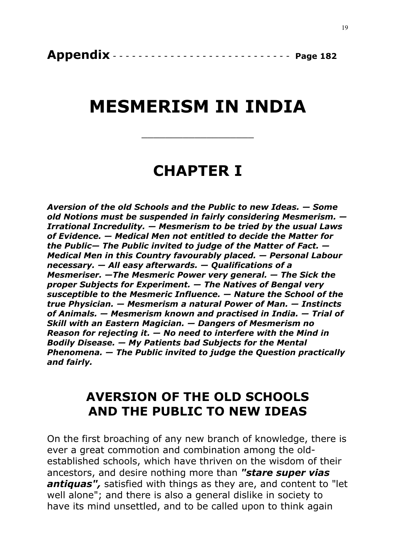# **CHAPTER I**

Aversion of the old Schools and the Public to new Ideas. - Some old Notions must be suspended in fairly considering Mesmerism. Irrational Incredulity. - Mesmerism to be tried by the usual Laws of Evidence. - Medical Men not entitled to decide the Matter for the Public- The Public invited to judge of the Matter of Fact.  $-$ Medical Men in this Country favourably placed. - Personal Labour necessary. - All easy afterwards. - Oualifications of a Mesmeriser. - The Mesmeric Power very general. - The Sick the proper Subjects for Experiment.  $-$  The Natives of Bengal very susceptible to the Mesmeric Influence. - Nature the School of the true Physician. - Mesmerism a natural Power of Man. - Instincts of Animals. – Mesmerism known and practised in India. – Trial of Skill with an Eastern Magician. - Dangers of Mesmerism no Reason for rejecting it.  $-$  No need to interfere with the Mind in Bodily Disease. - My Patients bad Subjects for the Mental Phenomena. - The Public invited to judge the Question practically and fairly.

## **AVERSION OF THE OLD SCHOOLS** AND THE PUBLIC TO NEW IDEAS

On the first broaching of any new branch of knowledge, there is ever a great commotion and combination among the oldestablished schools, which have thriven on the wisdom of their ancestors, and desire nothing more than "stare super vias antiquas", satisfied with things as they are, and content to "let well alone"; and there is also a general dislike in society to have its mind unsettled, and to be called upon to think again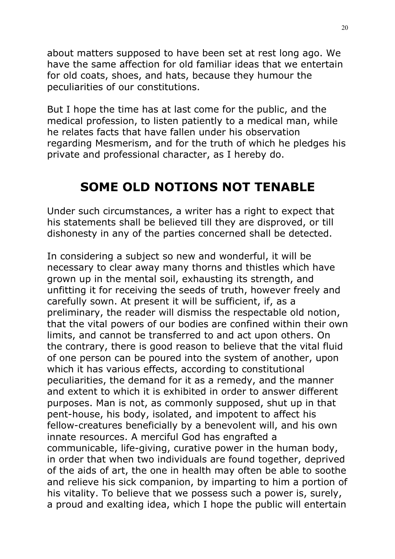about matters supposed to have been set at rest long ago. We have the same affection for old familiar ideas that we entertain for old coats, shoes, and hats, because they humour the peculiarities of our constitutions.

But I hope the time has at last come for the public, and the medical profession, to listen patiently to a medical man, while he relates facts that have fallen under his observation regarding Mesmerism, and for the truth of which he pledges his private and professional character, as I hereby do.

# **SOME OLD NOTIONS NOT TENABLE**

Under such circumstances, a writer has a right to expect that his statements shall be believed till they are disproved, or till dishonesty in any of the parties concerned shall be detected.

In considering a subject so new and wonderful, it will be necessary to clear away many thorns and thistles which have grown up in the mental soil, exhausting its strength, and unfitting it for receiving the seeds of truth, however freely and carefully sown. At present it will be sufficient, if, as a preliminary, the reader will dismiss the respectable old notion, that the vital powers of our bodies are confined within their own limits, and cannot be transferred to and act upon others. On the contrary, there is good reason to believe that the vital fluid of one person can be poured into the system of another, upon which it has various effects, according to constitutional peculiarities, the demand for it as a remedy, and the manner and extent to which it is exhibited in order to answer different purposes. Man is not, as commonly supposed, shut up in that pent-house, his body, isolated, and impotent to affect his fellow-creatures beneficially by a benevolent will, and his own innate resources. A merciful God has engrafted a communicable, life-giving, curative power in the human body, in order that when two individuals are found together, deprived of the aids of art, the one in health may often be able to soothe and relieve his sick companion, by imparting to him a portion of his vitality. To believe that we possess such a power is, surely, a proud and exalting idea, which I hope the public will entertain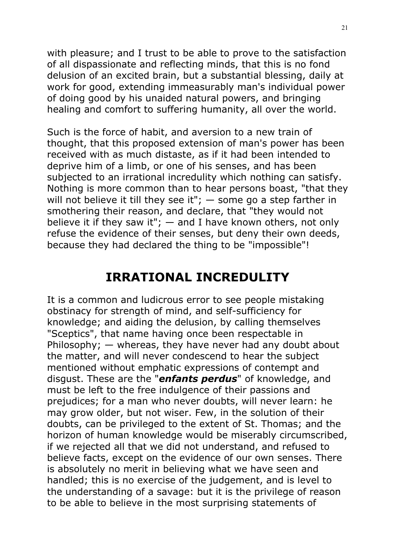with pleasure; and I trust to be able to prove to the satisfaction of all dispassionate and reflecting minds, that this is no fond delusion of an excited brain, but a substantial blessing, daily at work for good, extending immeasurably man's individual power of doing good by his unaided natural powers, and bringing healing and comfort to suffering humanity, all over the world.

Such is the force of habit, and aversion to a new train of thought, that this proposed extension of man's power has been received with as much distaste, as if it had been intended to deprive him of a limb, or one of his senses, and has been subjected to an irrational incredulity which nothing can satisfy. Nothing is more common than to hear persons boast, "that they will not believe it till they see it";  $-$  some go a step farther in smothering their reason, and declare, that "they would not believe it if they saw it";  $-$  and I have known others, not only refuse the evidence of their senses, but deny their own deeds, because they had declared the thing to be "impossible"!

# **IRRATIONAL INCREDULITY**

It is a common and ludicrous error to see people mistaking obstinacy for strength of mind, and self-sufficiency for knowledge; and aiding the delusion, by calling themselves "Sceptics", that name having once been respectable in Philosophy; — whereas, they have never had any doubt about the matter, and will never condescend to hear the subject mentioned without emphatic expressions of contempt and disgust. These are the "enfants perdus" of knowledge, and must be left to the free indulgence of their passions and preiudices; for a man who never doubts, will never learn: he may grow older, but not wiser. Few, in the solution of their doubts, can be privileged to the extent of St. Thomas; and the horizon of human knowledge would be miserably circumscribed, if we rejected all that we did not understand, and refused to believe facts, except on the evidence of our own senses. There is absolutely no merit in believing what we have seen and handled; this is no exercise of the judgement, and is level to the understanding of a savage: but it is the privilege of reason to be able to believe in the most surprising statements of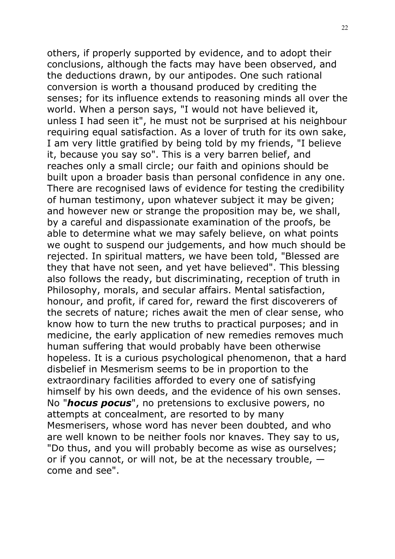others, if properly supported by evidence, and to adopt their conclusions, although the facts may have been observed, and the deductions drawn, by our antipodes. One such rational conversion is worth a thousand produced by crediting the senses: for its influence extends to reasoning minds all over the world. When a person says, "I would not have believed it, unless I had seen it", he must not be surprised at his neighbour requiring equal satisfaction. As a lover of truth for its own sake, I am very little gratified by being told by my friends, "I believe it, because you say so". This is a very barren belief, and reaches only a small circle; our faith and opinions should be built upon a broader basis than personal confidence in any one. There are recognised laws of evidence for testing the credibility of human testimony, upon whatever subject it may be given; and however new or strange the proposition may be, we shall, by a careful and dispassionate examination of the proofs, be able to determine what we may safely believe, on what points we ought to suspend our judgements, and how much should be rejected. In spiritual matters, we have been told, "Blessed are they that have not seen, and yet have believed". This blessing also follows the ready, but discriminating, reception of truth in Philosophy, morals, and secular affairs. Mental satisfaction, honour, and profit, if cared for, reward the first discoverers of the secrets of nature; riches await the men of clear sense, who know how to turn the new truths to practical purposes; and in medicine, the early application of new remedies removes much human suffering that would probably have been otherwise hopeless. It is a curious psychological phenomenon, that a hard disbelief in Mesmerism seems to be in proportion to the extraordinary facilities afforded to every one of satisfying himself by his own deeds, and the evidence of his own senses. No "*hocus pocus*", no pretensions to exclusive powers, no attempts at concealment, are resorted to by many Mesmerisers, whose word has never been doubted, and who are well known to be neither fools nor knaves. They say to us, "Do thus, and you will probably become as wise as ourselves; or if you cannot, or will not, be at the necessary trouble,  $$ come and see".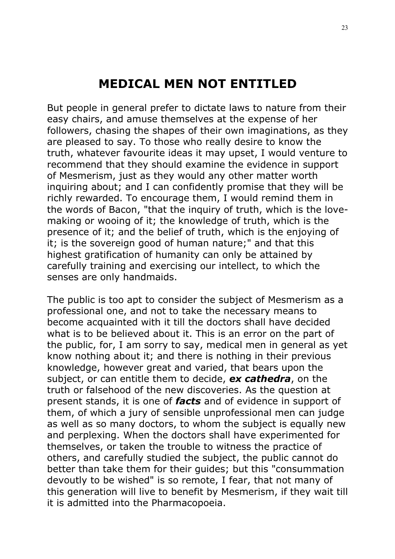## **MEDICAL MEN NOT ENTITLED**

But people in general prefer to dictate laws to nature from their easy chairs, and amuse themselves at the expense of her followers, chasing the shapes of their own imaginations, as they are pleased to say. To those who really desire to know the truth, whatever favourite ideas it may upset, I would venture to recommend that they should examine the evidence in support of Mesmerism, just as they would any other matter worth inguiring about; and I can confidently promise that they will be richly rewarded. To encourage them, I would remind them in the words of Bacon, "that the inquiry of truth, which is the lovemaking or wooing of it; the knowledge of truth, which is the presence of it; and the belief of truth, which is the enjoying of it; is the sovereign good of human nature;" and that this highest gratification of humanity can only be attained by carefully training and exercising our intellect, to which the senses are only handmaids.

The public is too apt to consider the subject of Mesmerism as a professional one, and not to take the necessary means to become acquainted with it till the doctors shall have decided what is to be believed about it. This is an error on the part of the public, for, I am sorry to say, medical men in general as yet know nothing about it; and there is nothing in their previous knowledge, however great and varied, that bears upon the subject, or can entitle them to decide, ex cathedra, on the truth or falsehood of the new discoveries. As the question at present stands, it is one of **facts** and of evidence in support of them, of which a jury of sensible unprofessional men can judge as well as so many doctors, to whom the subject is equally new and perplexing. When the doctors shall have experimented for themselves, or taken the trouble to witness the practice of others, and carefully studied the subject, the public cannot do better than take them for their quides; but this "consummation" devoutly to be wished" is so remote, I fear, that not many of this generation will live to benefit by Mesmerism, if they wait till it is admitted into the Pharmacopoeia.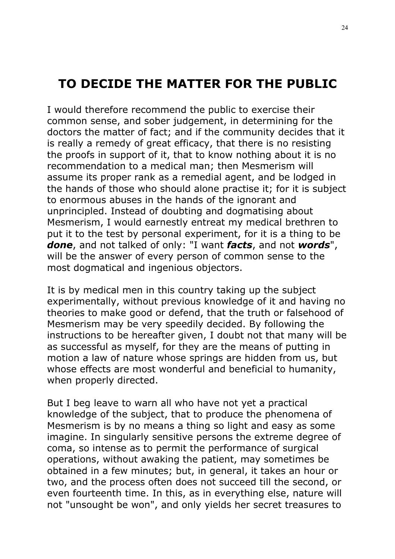# TO DECIDE THE MATTER FOR THE PUBLIC

I would therefore recommend the public to exercise their common sense, and sober judgement, in determining for the doctors the matter of fact; and if the community decides that it is really a remedy of great efficacy, that there is no resisting the proofs in support of it, that to know nothing about it is no recommendation to a medical man; then Mesmerism will assume its proper rank as a remedial agent, and be lodged in the hands of those who should alone practise it; for it is subject to enormous abuses in the hands of the janorant and unprincipled. Instead of doubting and dogmatising about Mesmerism, I would earnestly entreat my medical brethren to put it to the test by personal experiment, for it is a thing to be done, and not talked of only: "I want facts, and not words", will be the answer of every person of common sense to the most dogmatical and ingenious objectors.

It is by medical men in this country taking up the subject experimentally, without previous knowledge of it and having no theories to make good or defend, that the truth or falsehood of Mesmerism may be very speedily decided. By following the instructions to be hereafter given, I doubt not that many will be as successful as myself, for they are the means of putting in motion a law of nature whose springs are hidden from us, but whose effects are most wonderful and beneficial to humanity, when properly directed.

But I beg leave to warn all who have not yet a practical knowledge of the subject, that to produce the phenomena of Mesmerism is by no means a thing so light and easy as some imagine. In singularly sensitive persons the extreme degree of coma, so intense as to permit the performance of surgical operations, without awaking the patient, may sometimes be obtained in a few minutes; but, in general, it takes an hour or two, and the process often does not succeed till the second, or even fourteenth time. In this, as in everything else, nature will not "unsought be won", and only vields her secret treasures to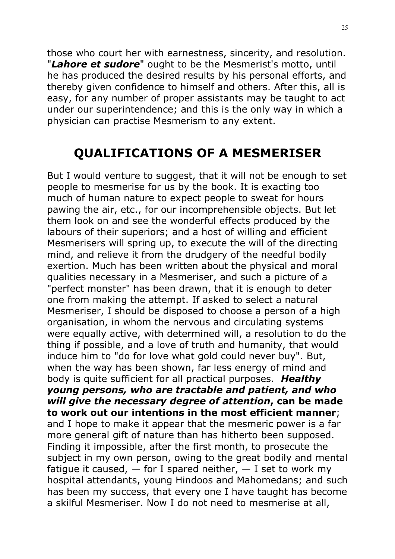those who court her with earnestness, sincerity, and resolution. "Lahore et sudore" ought to be the Mesmerist's motto, until he has produced the desired results by his personal efforts, and thereby given confidence to himself and others. After this, all is easy, for any number of proper assistants may be taught to act under our superintendence; and this is the only way in which a physician can practise Mesmerism to any extent.

# **OUALIFICATIONS OF A MESMERISER**

But I would venture to suggest, that it will not be enough to set people to mesmerise for us by the book. It is exacting too much of human nature to expect people to sweat for hours pawing the air, etc., for our incomprehensible objects. But let them look on and see the wonderful effects produced by the labours of their superiors; and a host of willing and efficient Mesmerisers will spring up, to execute the will of the directing mind, and relieve it from the drudgery of the needful bodily exertion. Much has been written about the physical and moral qualities necessary in a Mesmeriser, and such a picture of a "perfect monster" has been drawn, that it is enough to deter one from making the attempt. If asked to select a natural Mesmeriser, I should be disposed to choose a person of a high organisation, in whom the nervous and circulating systems were equally active, with determined will, a resolution to do the thing if possible, and a love of truth and humanity, that would induce him to "do for love what gold could never buy". But, when the way has been shown, far less energy of mind and body is quite sufficient for all practical purposes. Healthy voung persons, who are tractable and patient, and who will give the necessary degree of attention, can be made to work out our intentions in the most efficient manner: and I hope to make it appear that the mesmeric power is a far more general gift of nature than has hitherto been supposed. Finding it impossible, after the first month, to prosecute the subject in my own person, owing to the great bodily and mental fatigue it caused,  $-$  for I spared neither,  $-$  I set to work my hospital attendants, young Hindoos and Mahomedans; and such has been my success, that every one I have taught has become a skilful Mesmeriser. Now I do not need to mesmerise at all,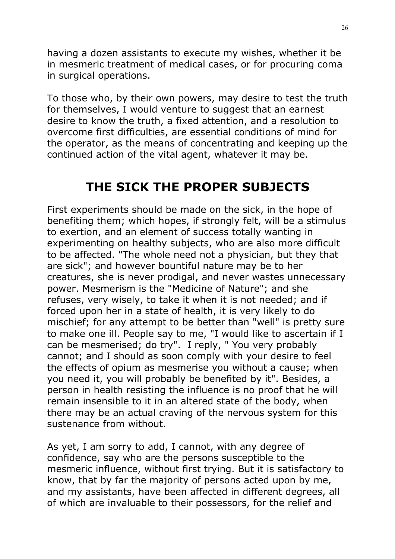having a dozen assistants to execute my wishes, whether it be in mesmeric treatment of medical cases, or for procuring coma in surgical operations.

To those who, by their own powers, may desire to test the truth for themselves, I would venture to suggest that an earnest desire to know the truth, a fixed attention, and a resolution to overcome first difficulties, are essential conditions of mind for the operator, as the means of concentrating and keeping up the continued action of the vital agent, whatever it may be.

# THE STCK THE PROPER SUBJECTS

First experiments should be made on the sick, in the hope of benefiting them; which hopes, if strongly felt, will be a stimulus to exertion, and an element of success totally wanting in experimenting on healthy subjects, who are also more difficult to be affected. "The whole need not a physician, but they that are sick"; and however bountiful nature may be to her creatures, she is never prodigal, and never wastes unnecessary power. Mesmerism is the "Medicine of Nature"; and she refuses, very wisely, to take it when it is not needed; and if forced upon her in a state of health, it is very likely to do mischief; for any attempt to be better than "well" is pretty sure to make one ill. People say to me, "I would like to ascertain if I can be mesmerised; do try". I reply, "You very probably cannot; and I should as soon comply with your desire to feel the effects of opium as mesmerise you without a cause; when you need it, you will probably be benefited by it". Besides, a person in health resisting the influence is no proof that he will remain insensible to it in an altered state of the body, when there may be an actual craving of the nervous system for this sustenance from without.

As yet, I am sorry to add, I cannot, with any degree of confidence, say who are the persons susceptible to the mesmeric influence, without first trying. But it is satisfactory to know, that by far the majority of persons acted upon by me, and my assistants, have been affected in different degrees, all of which are invaluable to their possessors, for the relief and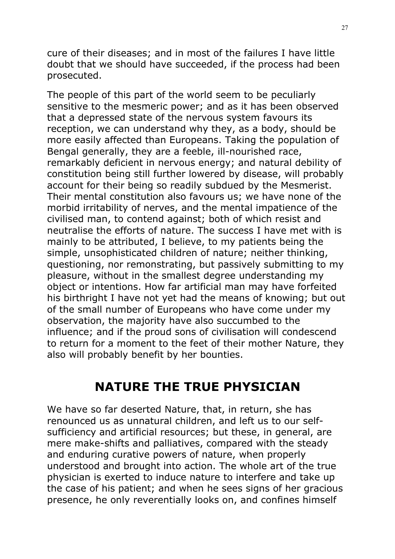cure of their diseases; and in most of the failures I have little doubt that we should have succeeded, if the process had been prosecuted.

The people of this part of the world seem to be peculiarly sensitive to the mesmeric power; and as it has been observed that a depressed state of the nervous system favours its reception, we can understand why they, as a body, should be more easily affected than Europeans. Taking the population of Bengal generally, they are a feeble, ill-nourished race, remarkably deficient in nervous energy; and natural debility of constitution being still further lowered by disease, will probably account for their being so readily subdued by the Mesmerist. Their mental constitution also favours us; we have none of the morbid irritability of nerves, and the mental impatience of the civilised man, to contend against; both of which resist and neutralise the efforts of nature. The success I have met with is mainly to be attributed, I believe, to my patients being the simple, unsophisticated children of nature; neither thinking, questioning, nor remonstrating, but passively submitting to my pleasure, without in the smallest degree understanding my object or intentions. How far artificial man may have forfeited his birthright I have not yet had the means of knowing; but out of the small number of Europeans who have come under my observation, the majority have also succumbed to the influence; and if the proud sons of civilisation will condescend to return for a moment to the feet of their mother Nature, they also will probably benefit by her bounties.

# **NATURE THE TRUE PHYSICIAN**

We have so far deserted Nature, that, in return, she has renounced us as unnatural children, and left us to our selfsufficiency and artificial resources; but these, in general, are mere make-shifts and palliatives, compared with the steady and enduring curative powers of nature, when properly understood and brought into action. The whole art of the true physician is exerted to induce nature to interfere and take up the case of his patient; and when he sees signs of her gracious presence, he only reverentially looks on, and confines himself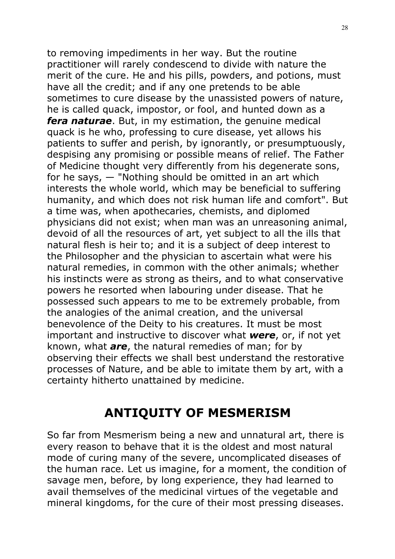to removing impediments in her way. But the routine practitioner will rarely condescend to divide with nature the merit of the cure. He and his pills, powders, and potions, must have all the credit; and if any one pretends to be able sometimes to cure disease by the unassisted powers of nature, he is called quack, impostor, or fool, and hunted down as a **fera naturae.** But, in my estimation, the genuine medical quack is he who, professing to cure disease, yet allows his patients to suffer and perish, by ignorantly, or presumptuously, despising any promising or possible means of relief. The Father of Medicine thought very differently from his degenerate sons, for he says,  $-$  "Nothing should be omitted in an art which interests the whole world, which may be beneficial to suffering humanity, and which does not risk human life and comfort". But a time was, when apothecaries, chemists, and diplomed physicians did not exist; when man was an unreasoning animal, devoid of all the resources of art, yet subject to all the ills that natural flesh is heir to; and it is a subject of deep interest to the Philosopher and the physician to ascertain what were his natural remedies, in common with the other animals; whether his instincts were as strong as theirs, and to what conservative powers he resorted when labouring under disease. That he possessed such appears to me to be extremely probable, from the analogies of the animal creation, and the universal benevolence of the Deity to his creatures. It must be most important and instructive to discover what **were**, or, if not yet known, what **are**, the natural remedies of man; for by observing their effects we shall best understand the restorative processes of Nature, and be able to imitate them by art, with a certainty hitherto unattained by medicine.

## **ANTIQUITY OF MESMERISM**

So far from Mesmerism being a new and unnatural art, there is every reason to behave that it is the oldest and most natural mode of curing many of the severe, uncomplicated diseases of the human race. Let us imagine, for a moment, the condition of savage men, before, by long experience, they had learned to avail themselves of the medicinal virtues of the vegetable and mineral kingdoms, for the cure of their most pressing diseases.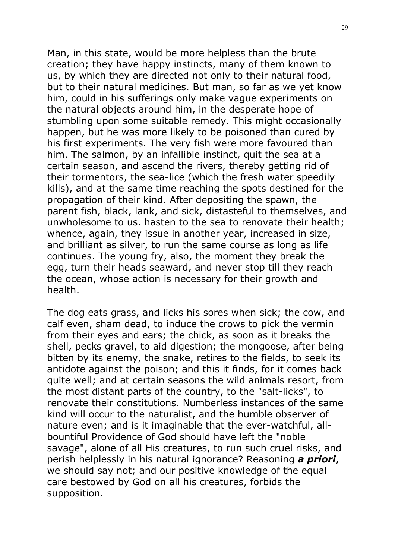Man, in this state, would be more helpless than the brute creation; they have happy instincts, many of them known to us, by which they are directed not only to their natural food, but to their natural medicines. But man, so far as we vet know him, could in his sufferings only make vague experiments on the natural objects around him, in the desperate hope of stumbling upon some suitable remedy. This might occasionally happen, but he was more likely to be poisoned than cured by his first experiments. The very fish were more favoured than him. The salmon, by an infallible instinct, quit the sea at a certain season, and ascend the rivers, thereby getting rid of their tormentors, the sea-lice (which the fresh water speedily kills), and at the same time reaching the spots destined for the propagation of their kind. After depositing the spawn, the parent fish, black, lank, and sick, distasteful to themselves, and unwholesome to us, hasten to the sea to renovate their health: whence, again, they issue in another year, increased in size, and brilliant as silver, to run the same course as long as life continues. The young fry, also, the moment they break the egg, turn their heads seaward, and never stop till they reach the ocean, whose action is necessary for their growth and health.

The dog eats grass, and licks his sores when sick; the cow, and calf even, sham dead, to induce the crows to pick the vermin from their eyes and ears; the chick, as soon as it breaks the shell, pecks gravel, to aid digestion; the mongoose, after being bitten by its enemy, the snake, retires to the fields, to seek its antidote against the poison; and this it finds, for it comes back quite well; and at certain seasons the wild animals resort, from the most distant parts of the country, to the "salt-licks", to renovate their constitutions. Numberless instances of the same kind will occur to the naturalist, and the humble observer of nature even; and is it imaginable that the ever-watchful, allbountiful Providence of God should have left the "noble savage", alone of all His creatures, to run such cruel risks, and perish helplessly in his natural ignorance? Reasoning a priori, we should say not; and our positive knowledge of the equal care bestowed by God on all his creatures, forbids the supposition.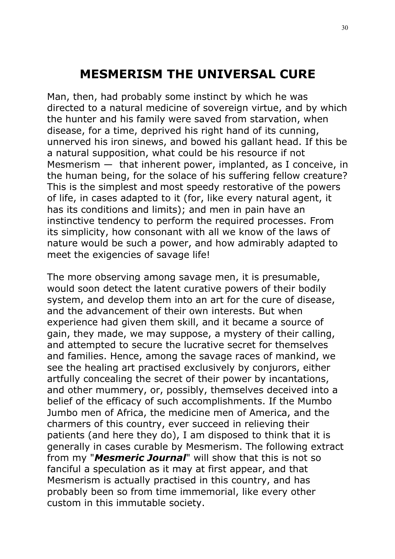# **MESMERISM THE UNIVERSAL CURE**

Man, then, had probably some instinct by which he was directed to a natural medicine of sovereign virtue, and by which the hunter and his family were saved from starvation, when disease, for a time, deprived his right hand of its cunning, unnerved his iron sinews, and bowed his gallant head. If this be a natural supposition, what could be his resource if not Mesmerism  $-$  that inherent power, implanted, as I conceive, in the human being, for the solace of his suffering fellow creature? This is the simplest and most speedy restorative of the powers of life, in cases adapted to it (for, like every natural agent, it has its conditions and limits); and men in pain have an instinctive tendency to perform the required processes. From its simplicity, how consonant with all we know of the laws of nature would be such a power, and how admirably adapted to meet the exigencies of savage life!

The more observing among savage men, it is presumable, would soon detect the latent curative powers of their bodily system, and develop them into an art for the cure of disease, and the advancement of their own interests. But when experience had given them skill, and it became a source of gain, they made, we may suppose, a mystery of their calling, and attempted to secure the lucrative secret for themselves and families. Hence, among the savage races of mankind, we see the healing art practised exclusively by conjurors, either artfully concealing the secret of their power by incantations, and other mummery, or, possibly, themselves deceived into a belief of the efficacy of such accomplishments. If the Mumbo Jumbo men of Africa, the medicine men of America, and the charmers of this country, ever succeed in relieving their patients (and here they do), I am disposed to think that it is generally in cases curable by Mesmerism. The following extract from my "Mesmeric Journal" will show that this is not so fanciful a speculation as it may at first appear, and that Mesmerism is actually practised in this country, and has probably been so from time immemorial, like every other custom in this immutable society.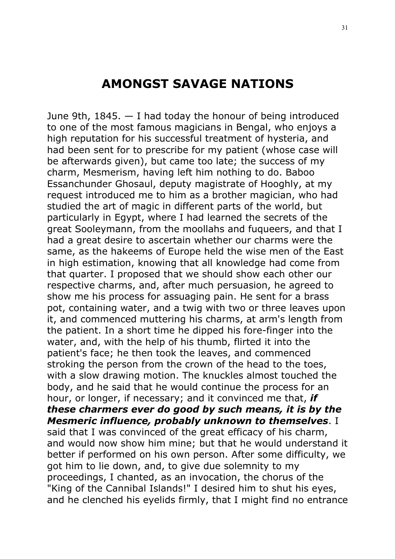### **AMONGST SAVAGE NATIONS**

June 9th,  $1845. - I$  had today the honour of being introduced to one of the most famous magicians in Bengal, who enjoys a high reputation for his successful treatment of hysteria, and had been sent for to prescribe for my patient (whose case will be afterwards given), but came too late; the success of my charm, Mesmerism, having left him nothing to do. Baboo Essanchunder Ghosaul, deputy magistrate of Hooghly, at my request introduced me to him as a brother magician, who had studied the art of magic in different parts of the world, but particularly in Egypt, where I had learned the secrets of the great Sooleymann, from the moollahs and fugueers, and that I had a great desire to ascertain whether our charms were the same, as the hakeems of Europe held the wise men of the East in high estimation, knowing that all knowledge had come from that quarter. I proposed that we should show each other our respective charms, and, after much persuasion, he agreed to show me his process for assuaging pain. He sent for a brass pot, containing water, and a twig with two or three leaves upon it, and commenced muttering his charms, at arm's length from the patient. In a short time he dipped his fore-finger into the water, and, with the help of his thumb, flirted it into the patient's face; he then took the leaves, and commenced stroking the person from the crown of the head to the toes, with a slow drawing motion. The knuckles almost touched the body, and he said that he would continue the process for an hour, or longer, if necessary; and it convinced me that, if these charmers ever do good by such means, it is by the Mesmeric influence, probably unknown to themselves. I said that I was convinced of the great efficacy of his charm, and would now show him mine; but that he would understand it better if performed on his own person. After some difficulty, we got him to lie down, and, to give due solemnity to my proceedings, I chanted, as an invocation, the chorus of the "King of the Cannibal Islands!" I desired him to shut his eyes, and he clenched his eyelids firmly, that I might find no entrance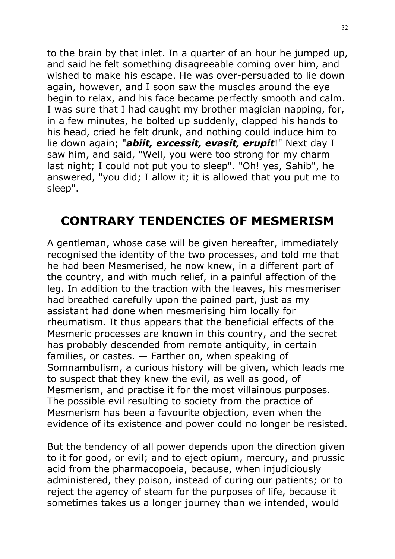to the brain by that inlet. In a quarter of an hour he jumped up, and said he felt something disagreeable coming over him, and wished to make his escape. He was over-persuaded to lie down again, however, and I soon saw the muscles around the eve begin to relax, and his face became perfectly smooth and calm. I was sure that I had caught my brother magician napping, for, in a few minutes, he bolted up suddenly, clapped his hands to his head, cried he felt drunk, and nothing could induce him to lie down again; "**abiit, excessit, evasit, erupit**!" Next day I saw him, and said, "Well, you were too strong for my charm last night; I could not put you to sleep". "Oh! yes, Sahib", he answered, "you did; I allow it; it is allowed that you put me to sleep".

## **CONTRARY TENDENCIES OF MESMERISM**

A gentleman, whose case will be given hereafter, immediately recognised the identity of the two processes, and told me that he had been Mesmerised, he now knew, in a different part of the country, and with much relief, in a painful affection of the leg. In addition to the traction with the leaves, his mesmeriser had breathed carefully upon the pained part, just as my assistant had done when mesmerising him locally for rheumatism. It thus appears that the beneficial effects of the Mesmeric processes are known in this country, and the secret has probably descended from remote antiquity, in certain families, or castes.  $-$  Farther on, when speaking of Somnambulism, a curious history will be given, which leads me to suspect that they knew the evil, as well as good, of Mesmerism, and practise it for the most villainous purposes. The possible evil resulting to society from the practice of Mesmerism has been a favourite objection, even when the evidence of its existence and power could no longer be resisted.

But the tendency of all power depends upon the direction given to it for good, or evil; and to eject opium, mercury, and prussic acid from the pharmacopoeia, because, when injudiciously administered, they poison, instead of curing our patients; or to reject the agency of steam for the purposes of life, because it sometimes takes us a longer journey than we intended, would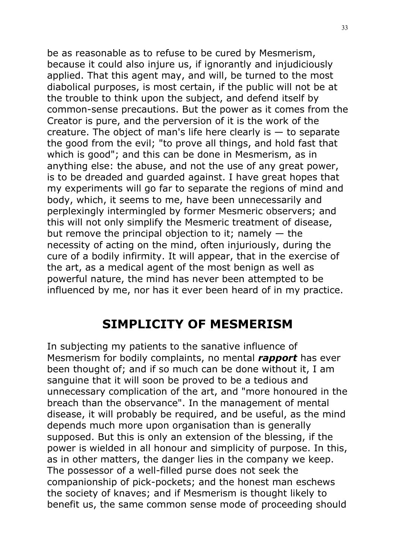be as reasonable as to refuse to be cured by Mesmerism, because it could also injure us, if ignorantly and injudiciously applied. That this agent may, and will, be turned to the most diabolical purposes, is most certain, if the public will not be at the trouble to think upon the subject, and defend itself by common-sense precautions. But the power as it comes from the Creator is pure, and the perversion of it is the work of the creature. The object of man's life here clearly is  $-$  to separate the good from the evil; "to prove all things, and hold fast that which is good"; and this can be done in Mesmerism, as in anything else: the abuse, and not the use of any great power, is to be dreaded and quarded against. I have great hopes that my experiments will go far to separate the regions of mind and body, which, it seems to me, have been unnecessarily and perplexingly intermingled by former Mesmeric observers; and this will not only simplify the Mesmeric treatment of disease, but remove the principal objection to it; namely  $-$  the necessity of acting on the mind, often injuriously, during the cure of a bodily infirmity. It will appear, that in the exercise of the art, as a medical agent of the most benign as well as powerful nature, the mind has never been attempted to be influenced by me, nor has it ever been heard of in my practice.

## **SIMPLICITY OF MESMERISM**

In subjecting my patients to the sanative influence of Mesmerism for bodily complaints, no mental rapport has ever been thought of; and if so much can be done without it, I am sanguine that it will soon be proved to be a tedious and unnecessary complication of the art, and "more honoured in the breach than the observance". In the management of mental disease, it will probably be required, and be useful, as the mind depends much more upon organisation than is generally supposed. But this is only an extension of the blessing, if the power is wielded in all honour and simplicity of purpose. In this, as in other matters, the danger lies in the company we keep. The possessor of a well-filled purse does not seek the companionship of pick-pockets; and the honest man eschews the society of knaves; and if Mesmerism is thought likely to benefit us, the same common sense mode of proceeding should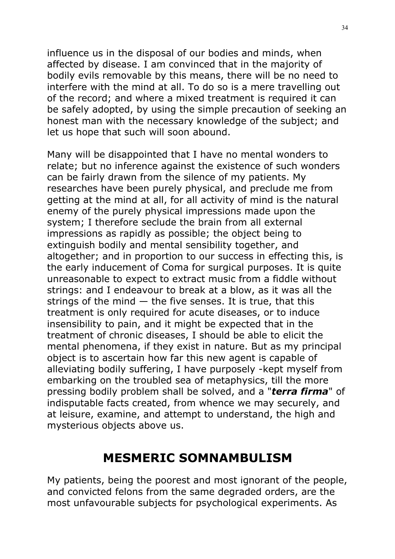influence us in the disposal of our bodies and minds, when affected by disease. I am convinced that in the majority of bodily evils removable by this means, there will be no need to interfere with the mind at all. To do so is a mere travelling out of the record; and where a mixed treatment is required it can be safely adopted, by using the simple precaution of seeking an honest man with the necessary knowledge of the subject; and let us hope that such will soon abound.

Many will be disappointed that I have no mental wonders to relate; but no inference against the existence of such wonders can be fairly drawn from the silence of my patients. My researches have been purely physical, and preclude me from getting at the mind at all, for all activity of mind is the natural enemy of the purely physical impressions made upon the system: I therefore seclude the brain from all external impressions as rapidly as possible; the object being to extinguish bodily and mental sensibility together, and altogether; and in proportion to our success in effecting this, is the early inducement of Coma for surgical purposes. It is quite unreasonable to expect to extract music from a fiddle without strings: and I endeavour to break at a blow, as it was all the strings of the mind  $-$  the five senses. It is true, that this treatment is only required for acute diseases, or to induce insensibility to pain, and it might be expected that in the treatment of chronic diseases, I should be able to elicit the mental phenomena, if they exist in nature. But as my principal object is to ascertain how far this new agent is capable of alleviating bodily suffering, I have purposely -kept myself from embarking on the troubled sea of metaphysics, till the more pressing bodily problem shall be solved, and a "terra firma" of indisputable facts created, from whence we may securely, and at leisure, examine, and attempt to understand, the high and mysterious objects above us.

### **MESMERIC SOMNAMBULISM**

My patients, being the poorest and most ignorant of the people, and convicted felons from the same degraded orders, are the most unfavourable subjects for psychological experiments. As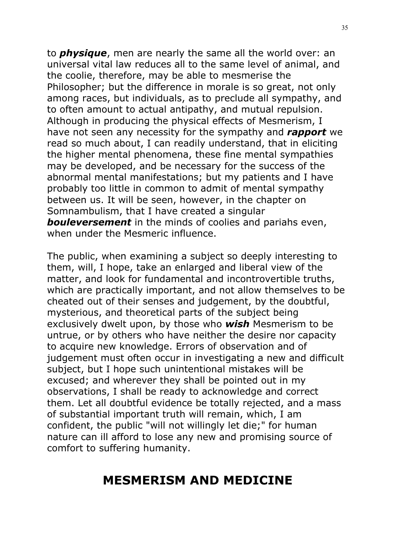to **physique**, men are nearly the same all the world over: an universal vital law reduces all to the same level of animal, and the coolie, therefore, may be able to mesmerise the Philosopher; but the difference in morale is so great, not only among races, but individuals, as to preclude all sympathy, and to often amount to actual antipathy, and mutual repulsion. Although in producing the physical effects of Mesmerism, I have not seen any necessity for the sympathy and rapport we read so much about, I can readily understand, that in eliciting the higher mental phenomena, these fine mental sympathies may be developed, and be necessary for the success of the abnormal mental manifestations; but my patients and I have probably too little in common to admit of mental sympathy between us. It will be seen, however, in the chapter on Somnambulism, that I have created a singular **bouleversement** in the minds of coolies and pariahs even, when under the Mesmeric influence.

The public, when examining a subject so deeply interesting to them, will, I hope, take an enlarged and liberal view of the matter, and look for fundamental and incontrovertible truths, which are practically important, and not allow themselves to be cheated out of their senses and judgement, by the doubtful, mysterious, and theoretical parts of the subject being exclusively dwelt upon, by those who **wish** Mesmerism to be untrue, or by others who have neither the desire nor capacity to acquire new knowledge. Errors of observation and of judgement must often occur in investigating a new and difficult subject, but I hope such unintentional mistakes will be excused; and wherever they shall be pointed out in my observations, I shall be ready to acknowledge and correct them. Let all doubtful evidence be totally rejected, and a mass of substantial important truth will remain, which, I am confident, the public "will not willingly let die;" for human nature can ill afford to lose any new and promising source of comfort to suffering humanity.

### **MESMERISM AND MEDICINE**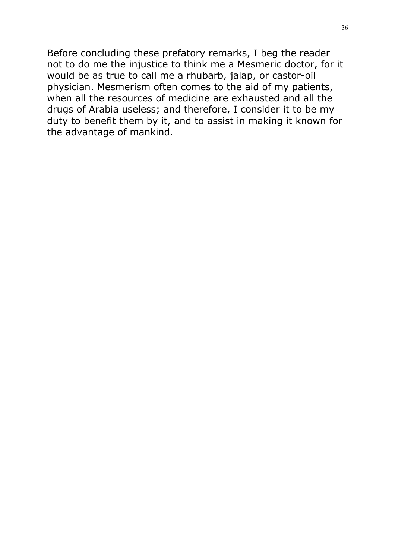Before concluding these prefatory remarks, I beg the reader not to do me the injustice to think me a Mesmeric doctor, for it would be as true to call me a rhubarb, jalap, or castor-oil physician. Mesmerism often comes to the aid of my patients, when all the resources of medicine are exhausted and all the drugs of Arabia useless; and therefore, I consider it to be my duty to benefit them by it, and to assist in making it known for the advantage of mankind.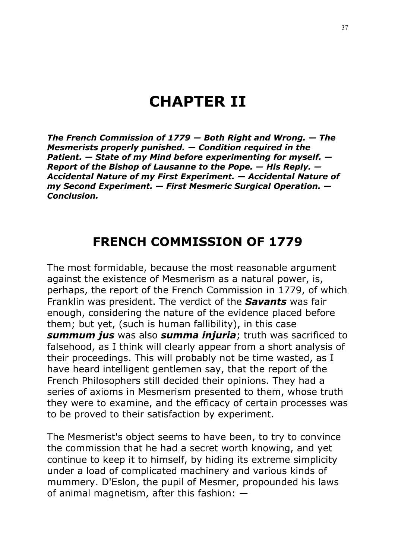# **CHAPTER II**

The French Commission of  $1779 -$  Both Right and Wrong.  $-$  The Mesmerists properly punished.  $-$  Condition required in the Patient.  $-$  State of my Mind before experimenting for myself.  $-$ Report of the Bishop of Lausanne to the Pope.  $-$  His Reply.  $-$ Accidental Nature of my First Experiment. - Accidental Nature of my Second Experiment. - First Mesmeric Surgical Operation. -**Conclusion.** 

## **FRENCH COMMISSION OF 1779**

The most formidable, because the most reasonable argument against the existence of Mesmerism as a natural power, is, perhaps, the report of the French Commission in 1779, of which Franklin was president. The verdict of the **Savants** was fair enough, considering the nature of the evidence placed before them; but yet, (such is human fallibility), in this case summum jus was also summa injuria; truth was sacrificed to falsehood, as I think will clearly appear from a short analysis of their proceedings. This will probably not be time wasted, as I have heard intelligent gentlemen say, that the report of the French Philosophers still decided their opinions. They had a series of axioms in Mesmerism presented to them, whose truth they were to examine, and the efficacy of certain processes was to be proved to their satisfaction by experiment.

The Mesmerist's object seems to have been, to try to convince the commission that he had a secret worth knowing, and yet continue to keep it to himself, by hiding its extreme simplicity under a load of complicated machinery and various kinds of mummery. D'Eslon, the pupil of Mesmer, propounded his laws of animal magnetism, after this fashion:  $-$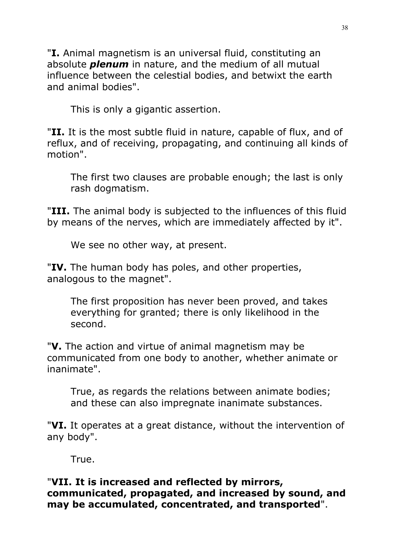"I. Animal magnetism is an universal fluid, constituting an absolute *plenum* in nature, and the medium of all mutual influence between the celestial bodies, and betwixt the earth and animal bodies".

This is only a gigantic assertion.

"II. It is the most subtle fluid in nature, capable of flux, and of reflux, and of receiving, propagating, and continuing all kinds of motion".

The first two clauses are probable enough; the last is only rash dogmatism.

"III. The animal body is subjected to the influences of this fluid by means of the nerves, which are immediately affected by it".

We see no other way, at present.

"IV. The human body has poles, and other properties, analogous to the magnet".

The first proposition has never been proved, and takes everything for granted; there is only likelihood in the second.

"V. The action and virtue of animal magnetism may be communicated from one body to another, whether animate or inanimate".

True, as regards the relations between animate bodies; and these can also impregnate inanimate substances.

"VI. It operates at a great distance, without the intervention of any body".

True.

#### "VII. It is increased and reflected by mirrors, communicated, propagated, and increased by sound, and may be accumulated, concentrated, and transported".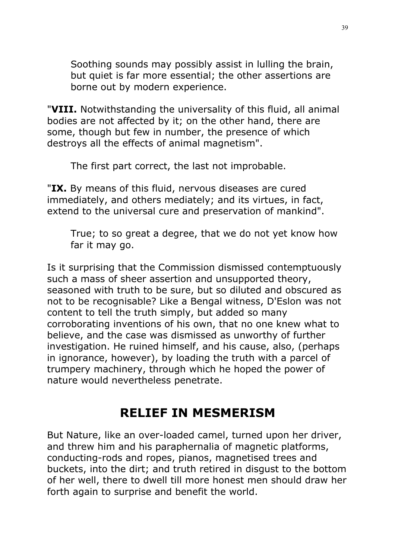Soothing sounds may possibly assist in lulling the brain, but quiet is far more essential; the other assertions are borne out by modern experience.

"VIII. Notwithstanding the universality of this fluid, all animal bodies are not affected by it; on the other hand, there are some, though but few in number, the presence of which destroys all the effects of animal magnetism".

The first part correct, the last not improbable.

"IX. By means of this fluid, nervous diseases are cured immediately, and others mediately; and its virtues, in fact, extend to the universal cure and preservation of mankind".

True; to so great a degree, that we do not yet know how far it may go.

Is it surprising that the Commission dismissed contemptuously such a mass of sheer assertion and unsupported theory, seasoned with truth to be sure, but so diluted and obscured as not to be recognisable? Like a Bengal witness, D'Eslon was not content to tell the truth simply, but added so many corroborating inventions of his own, that no one knew what to believe, and the case was dismissed as unworthy of further investigation. He ruined himself, and his cause, also, (perhaps in ignorance, however), by loading the truth with a parcel of trumpery machinery, through which he hoped the power of nature would nevertheless penetrate.

# **RELIEF IN MESMERISM**

But Nature, like an over-loaded camel, turned upon her driver, and threw him and his paraphernalia of magnetic platforms, conducting-rods and ropes, pianos, magnetised trees and buckets, into the dirt; and truth retired in disqust to the bottom of her well, there to dwell till more honest men should draw her forth again to surprise and benefit the world.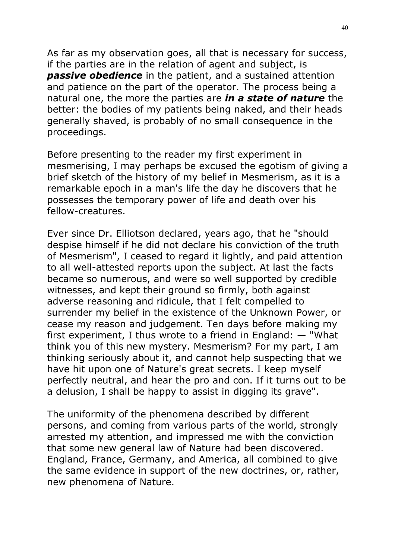As far as my observation goes, all that is necessary for success, if the parties are in the relation of agent and subject, is **passive obedience** in the patient, and a sustained attention and patience on the part of the operator. The process being a natural one, the more the parties are *in a state of nature* the better: the bodies of my patients being naked, and their heads generally shaved, is probably of no small consequence in the proceedings.

Before presenting to the reader my first experiment in mesmerising, I may perhaps be excused the egotism of giving a brief sketch of the history of my belief in Mesmerism, as it is a remarkable epoch in a man's life the day he discovers that he possesses the temporary power of life and death over his fellow-creatures.

Ever since Dr. Elliotson declared, years ago, that he "should" despise himself if he did not declare his conviction of the truth of Mesmerism", I ceased to regard it lightly, and paid attention to all well-attested reports upon the subject. At last the facts became so numerous, and were so well supported by credible witnesses, and kept their ground so firmly, both against adverse reasoning and ridicule, that I felt compelled to surrender my belief in the existence of the Unknown Power, or cease my reason and judgement. Ten days before making my first experiment, I thus wrote to a friend in England:  $-$  "What think you of this new mystery. Mesmerism? For my part, I am thinking seriously about it, and cannot help suspecting that we have hit upon one of Nature's great secrets. I keep myself perfectly neutral, and hear the pro and con. If it turns out to be a delusion, I shall be happy to assist in digging its grave".

The uniformity of the phenomena described by different persons, and coming from various parts of the world, strongly arrested my attention, and impressed me with the conviction that some new general law of Nature had been discovered. England, France, Germany, and America, all combined to give the same evidence in support of the new doctrines, or, rather, new phenomena of Nature.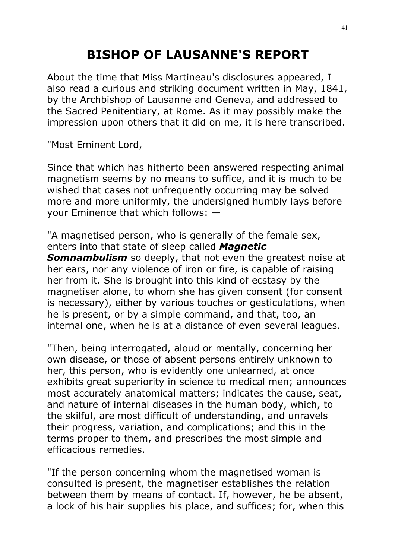# **BISHOP OF LAUSANNE'S REPORT**

About the time that Miss Martineau's disclosures appeared, I also read a curious and striking document written in May, 1841, by the Archbishop of Lausanne and Geneva, and addressed to the Sacred Penitentiary, at Rome. As it may possibly make the impression upon others that it did on me, it is here transcribed.

"Most Eminent Lord,

Since that which has hitherto been answered respecting animal magnetism seems by no means to suffice, and it is much to be wished that cases not unfrequently occurring may be solved more and more uniformly, the undersigned humbly lays before your Eminence that which follows: -

"A magnetised person, who is generally of the female sex, enters into that state of sleep called **Magnetic** Somnambulism so deeply, that not even the greatest noise at her ears, nor any violence of iron or fire, is capable of raising her from it. She is brought into this kind of ecstasy by the magnetiser alone, to whom she has given consent (for consent is necessary), either by various touches or gesticulations, when he is present, or by a simple command, and that, too, an internal one, when he is at a distance of even several leagues.

"Then, being interrogated, aloud or mentally, concerning her own disease, or those of absent persons entirely unknown to her, this person, who is evidently one unlearned, at once exhibits great superiority in science to medical men; announces most accurately anatomical matters; indicates the cause, seat, and nature of internal diseases in the human body, which, to the skilful, are most difficult of understanding, and unravels their progress, variation, and complications; and this in the terms proper to them, and prescribes the most simple and efficacious remedies.

"If the person concerning whom the magnetised woman is consulted is present, the magnetiser establishes the relation between them by means of contact. If, however, he be absent, a lock of his hair supplies his place, and suffices; for, when this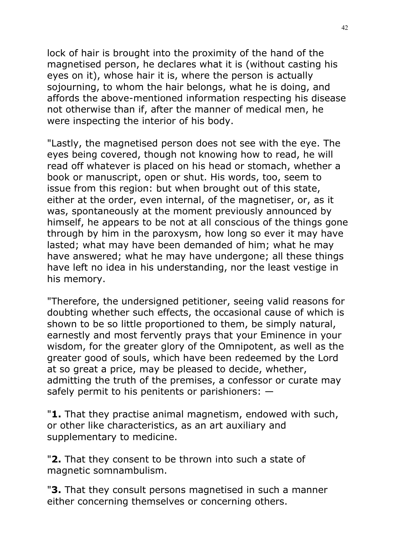lock of hair is brought into the proximity of the hand of the magnetised person, he declares what it is (without casting his eyes on it), whose hair it is, where the person is actually sojourning, to whom the hair belongs, what he is doing, and affords the above-mentioned information respecting his disease not otherwise than if, after the manner of medical men, he were inspecting the interior of his body.

"Lastly, the magnetised person does not see with the eye. The eyes being covered, though not knowing how to read, he will read off whatever is placed on his head or stomach, whether a book or manuscript, open or shut. His words, too, seem to issue from this region: but when brought out of this state, either at the order, even internal, of the magnetiser, or, as it was, spontaneously at the moment previously announced by himself, he appears to be not at all conscious of the things gone through by him in the paroxysm, how long so ever it may have lasted; what may have been demanded of him; what he may have answered; what he may have undergone; all these things have left no idea in his understanding, nor the least vestige in his memory.

"Therefore, the undersigned petitioner, seeing valid reasons for doubting whether such effects, the occasional cause of which is shown to be so little proportioned to them, be simply natural, earnestly and most fervently prays that your Eminence in your wisdom, for the greater glory of the Omnipotent, as well as the greater good of souls, which have been redeemed by the Lord at so great a price, may be pleased to decide, whether, admitting the truth of the premises, a confessor or curate may safely permit to his penitents or parishioners:  $-$ 

"1. That they practise animal magnetism, endowed with such, or other like characteristics, as an art auxiliary and supplementary to medicine.

"2. That they consent to be thrown into such a state of magnetic somnambulism.

"3. That they consult persons magnetised in such a manner either concerning themselves or concerning others.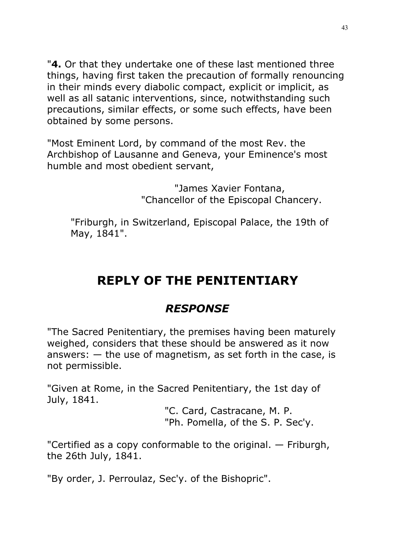"4. Or that they undertake one of these last mentioned three things, having first taken the precaution of formally renouncing in their minds every diabolic compact, explicit or implicit, as well as all satanic interventions, since, notwithstanding such precautions, similar effects, or some such effects, have been obtained by some persons.

"Most Eminent Lord, by command of the most Rev. the Archbishop of Lausanne and Geneva, your Eminence's most humble and most obedient servant,

> "James Xavier Fontana, "Chancellor of the Episcopal Chancery.

"Friburgh, in Switzerland, Episcopal Palace, the 19th of May, 1841".

# **REPLY OF THE PENITENTIARY**

### **RESPONSE**

"The Sacred Penitentiary, the premises having been maturely weighed, considers that these should be answered as it now answers:  $-$  the use of magnetism, as set forth in the case, is not permissible.

"Given at Rome, in the Sacred Penitentiary, the 1st day of July, 1841.

> "C. Card, Castracane, M. P. "Ph. Pomella, of the S. P. Sec'y.

"Certified as a copy conformable to the original. - Friburgh, the 26th July, 1841.

"By order, J. Perroulaz, Sec'y. of the Bishopric".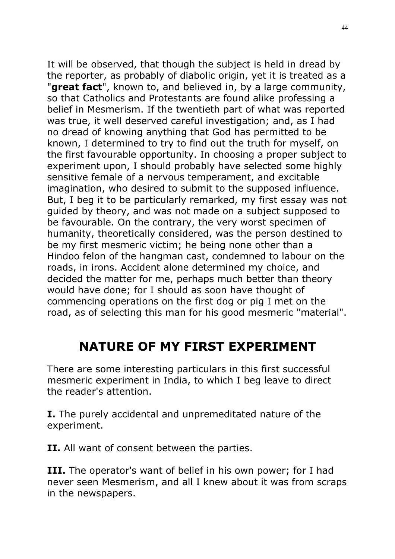It will be observed, that though the subject is held in dread by the reporter, as probably of diabolic origin, yet it is treated as a "**great fact**", known to, and believed in, by a large community, so that Catholics and Protestants are found alike professing a belief in Mesmerism. If the twentieth part of what was reported was true, it well deserved careful investigation; and, as I had no dread of knowing anything that God has permitted to be known, I determined to try to find out the truth for myself, on the first favourable opportunity. In choosing a proper subject to experiment upon, I should probably have selected some highly sensitive female of a nervous temperament, and excitable imagination, who desired to submit to the supposed influence. But, I beg it to be particularly remarked, my first essay was not quided by theory, and was not made on a subject supposed to be favourable. On the contrary, the very worst specimen of humanity, theoretically considered, was the person destined to be my first mesmeric victim; he being none other than a Hindoo felon of the hangman cast, condemned to labour on the roads, in irons. Accident alone determined my choice, and decided the matter for me, perhaps much better than theory would have done; for I should as soon have thought of commencing operations on the first dog or pig I met on the road, as of selecting this man for his good mesmeric "material".

# **NATURE OF MY FIRST EXPERIMENT**

There are some interesting particulars in this first successful mesmeric experiment in India, to which I beg leave to direct the reader's attention.

**I.** The purely accidental and unpremeditated nature of the experiment.

II. All want of consent between the parties.

III. The operator's want of belief in his own power: for I had never seen Mesmerism, and all I knew about it was from scraps in the newspapers.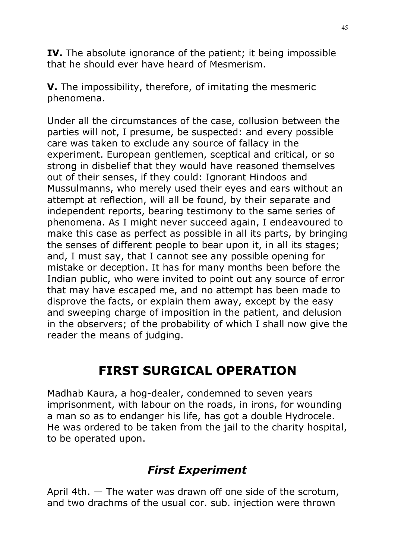IV. The absolute ignorance of the patient; it being impossible that he should ever have heard of Mesmerism.

V. The impossibility, therefore, of imitating the mesmeric phenomena.

Under all the circumstances of the case, collusion between the parties will not, I presume, be suspected: and every possible care was taken to exclude any source of fallacy in the experiment. European gentlemen, sceptical and critical, or so strong in disbelief that they would have reasoned themselves out of their senses, if they could: Ignorant Hindoos and Mussulmanns, who merely used their eyes and ears without an attempt at reflection, will all be found, by their separate and independent reports, bearing testimony to the same series of phenomena. As I might never succeed again, I endeavoured to make this case as perfect as possible in all its parts, by bringing the senses of different people to bear upon it, in all its stages; and, I must say, that I cannot see any possible opening for mistake or deception. It has for many months been before the Indian public, who were invited to point out any source of error that may have escaped me, and no attempt has been made to disprove the facts, or explain them away, except by the easy and sweeping charge of imposition in the patient, and delusion in the observers; of the probability of which I shall now give the reader the means of judging.

# **FIRST SURGICAL OPERATION**

Madhab Kaura, a hog-dealer, condemned to seven years imprisonment, with labour on the roads, in irons, for wounding a man so as to endanger his life, has got a double Hydrocele. He was ordered to be taken from the jail to the charity hospital, to be operated upon.

### **First Experiment**

April 4th.  $-$  The water was drawn off one side of the scrotum, and two drachms of the usual cor. sub. injection were thrown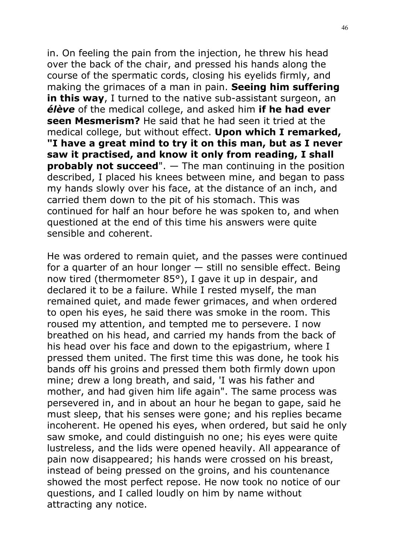in. On feeling the pain from the injection, he threw his head over the back of the chair, and pressed his hands along the course of the spermatic cords, closing his eyelids firmly, and making the grimaces of a man in pain. Seeing him suffering in this way, I turned to the native sub-assistant surgeon, an **élève** of the medical college, and asked him **if he had ever** seen Mesmerism? He said that he had seen it tried at the medical college, but without effect. Upon which I remarked, "I have a great mind to try it on this man, but as I never saw it practised, and know it only from reading, I shall **probably not succeed".**  $-$  The man continuing in the position described, I placed his knees between mine, and began to pass my hands slowly over his face, at the distance of an inch, and carried them down to the pit of his stomach. This was continued for half an hour before he was spoken to, and when questioned at the end of this time his answers were quite sensible and coherent.

He was ordered to remain quiet, and the passes were continued for a quarter of an hour longer  $-$  still no sensible effect. Being now tired (thermometer 85°), I gave it up in despair, and declared it to be a failure. While I rested myself, the man remained quiet, and made fewer grimaces, and when ordered to open his eyes, he said there was smoke in the room. This roused my attention, and tempted me to persevere. I now breathed on his head, and carried my hands from the back of his head over his face and down to the epigastrium, where I pressed them united. The first time this was done, he took his bands off his groins and pressed them both firmly down upon mine; drew a long breath, and said, 'I was his father and mother, and had given him life again". The same process was persevered in, and in about an hour he began to gape, said he must sleep, that his senses were gone; and his replies became incoherent. He opened his eyes, when ordered, but said he only saw smoke, and could distinguish no one; his eyes were quite lustreless, and the lids were opened heavily. All appearance of pain now disappeared; his hands were crossed on his breast, instead of being pressed on the groins, and his countenance showed the most perfect repose. He now took no notice of our questions, and I called loudly on him by name without attracting any notice.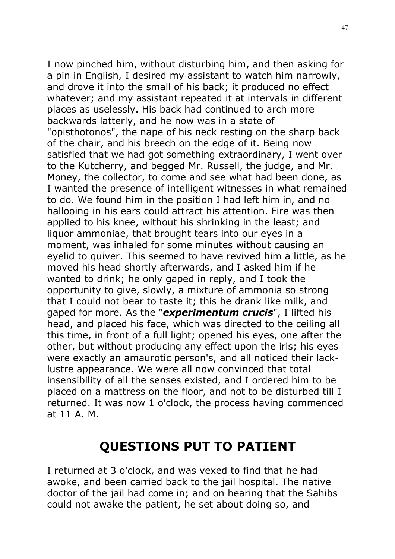I now pinched him, without disturbing him, and then asking for a pin in English, I desired my assistant to watch him narrowly, and drove it into the small of his back; it produced no effect whatever; and my assistant repeated it at intervals in different places as uselessly. His back had continued to arch more backwards latterly, and he now was in a state of "opisthotonos", the nape of his neck resting on the sharp back of the chair, and his breech on the edge of it. Being now satisfied that we had got something extraordinary, I went over to the Kutcherry, and begged Mr. Russell, the judge, and Mr. Money, the collector, to come and see what had been done, as I wanted the presence of intelligent witnesses in what remained to do. We found him in the position I had left him in, and no hallooing in his ears could attract his attention. Fire was then applied to his knee, without his shrinking in the least; and liquor ammoniae, that brought tears into our eyes in a moment, was inhaled for some minutes without causing an eyelid to quiver. This seemed to have revived him a little, as he moved his head shortly afterwards, and I asked him if he wanted to drink; he only gaped in reply, and I took the opportunity to give, slowly, a mixture of ammonia so strong that I could not bear to taste it; this he drank like milk, and gaped for more. As the "experimentum crucis", I lifted his head, and placed his face, which was directed to the ceiling all this time, in front of a full light; opened his eyes, one after the other, but without producing any effect upon the iris; his eyes were exactly an amaurotic person's, and all noticed their lacklustre appearance. We were all now convinced that total insensibility of all the senses existed, and I ordered him to be placed on a mattress on the floor, and not to be disturbed till I returned. It was now 1 o'clock, the process having commenced at 11 A. M.

### **OUESTIONS PUT TO PATIENT**

I returned at 3 o'clock, and was vexed to find that he had awoke, and been carried back to the jail hospital. The native doctor of the jail had come in; and on hearing that the Sahibs could not awake the patient, he set about doing so, and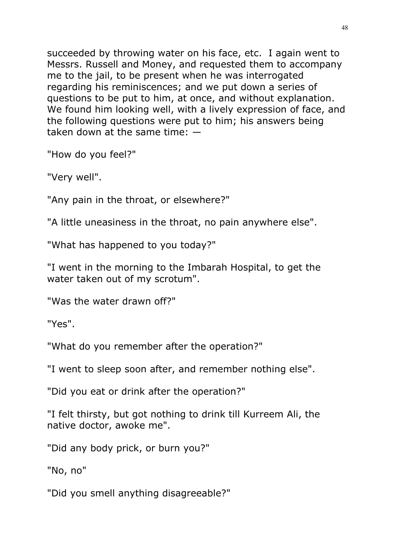succeeded by throwing water on his face, etc. I again went to Messrs. Russell and Money, and requested them to accompany me to the jail, to be present when he was interrogated regarding his reminiscences; and we put down a series of questions to be put to him, at once, and without explanation. We found him looking well, with a lively expression of face, and the following questions were put to him; his answers being taken down at the same time:  $-$ 

"How do you feel?"

"Very well".

"Any pain in the throat, or elsewhere?"

"A little uneasiness in the throat, no pain anywhere else".

"What has happened to you today?"

"I went in the morning to the Imbarah Hospital, to get the water taken out of my scrotum".

"Was the water drawn off?"

"Yes".

"What do you remember after the operation?"

"I went to sleep soon after, and remember nothing else".

"Did you eat or drink after the operation?"

"I felt thirsty, but got nothing to drink till Kurreem Ali, the native doctor, awoke me".

"Did any body prick, or burn you?"

"No, no"

"Did you smell anything disagreeable?"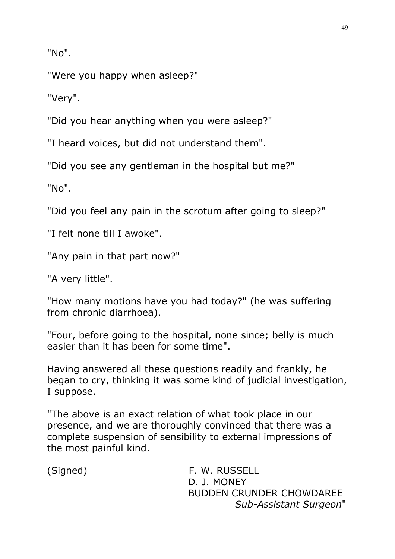"No".

"Were you happy when asleep?"

"Verv".

"Did you hear anything when you were asleep?"

"I heard voices, but did not understand them".

"Did you see any gentleman in the hospital but me?"

"No".

"Did you feel any pain in the scrotum after going to sleep?"

"I felt none fill I awoke".

"Any pain in that part now?"

"A very little".

"How many motions have you had today?" (he was suffering from chronic diarrhoea).

"Four, before going to the hospital, none since; belly is much easier than it has been for some time".

Having answered all these questions readily and frankly, he began to cry, thinking it was some kind of judicial investigation, I suppose.

"The above is an exact relation of what took place in our presence, and we are thoroughly convinced that there was a complete suspension of sensibility to external impressions of the most painful kind.

(Signed)

F. W. RUSSELL D. J. MONFY **BUDDEN CRUNDER CHOWDAREE Sub-Assistant Surgeon"**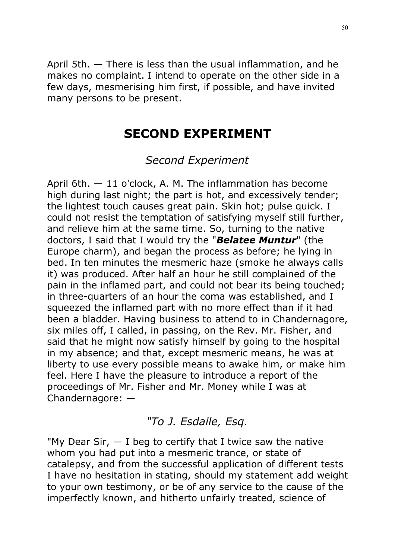April 5th. - There is less than the usual inflammation, and he makes no complaint. I intend to operate on the other side in a few days, mesmerising him first, if possible, and have invited many persons to be present.

## **SECOND EXPERTMENT**

### **Second Experiment**

April 6th.  $-11$  o'clock, A. M. The inflammation has become high during last night; the part is hot, and excessively tender; the lightest touch causes great pain. Skin hot; pulse guick. I could not resist the temptation of satisfying myself still further, and relieve him at the same time. So, turning to the native doctors, I said that I would try the "**Belatee Muntur**" (the Europe charm), and began the process as before; he lying in bed. In ten minutes the mesmeric haze (smoke he always calls it) was produced. After half an hour he still complained of the pain in the inflamed part, and could not bear its being touched; in three-quarters of an hour the coma was established, and I squeezed the inflamed part with no more effect than if it had been a bladder. Having business to attend to in Chandernagore, six miles off, I called, in passing, on the Rev. Mr. Fisher, and said that he might now satisfy himself by going to the hospital in my absence; and that, except mesmeric means, he was at liberty to use every possible means to awake him, or make him feel. Here I have the pleasure to introduce a report of the proceedings of Mr. Fisher and Mr. Money while I was at Chandernagore:  $-$ 

#### "To J. Esdaile, Esq.

"My Dear Sir,  $-$  I beg to certify that I twice saw the native whom you had put into a mesmeric trance, or state of catalepsy, and from the successful application of different tests I have no hesitation in stating, should my statement add weight to your own testimony, or be of any service to the cause of the imperfectly known, and hitherto unfairly treated, science of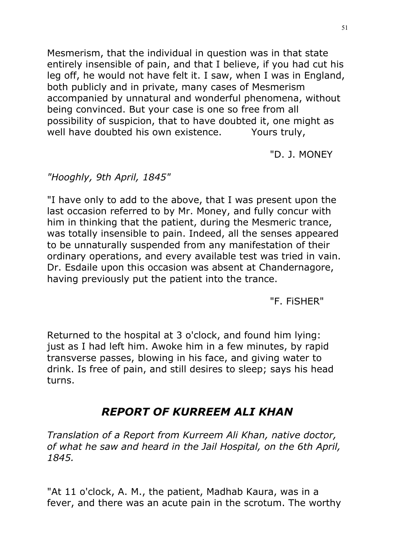Mesmerism, that the individual in question was in that state entirely insensible of pain, and that I believe, if you had cut his leg off, he would not have felt it. I saw, when I was in England, both publicly and in private, many cases of Mesmerism accompanied by unnatural and wonderful phenomena, without being convinced. But your case is one so free from all possibility of suspicion, that to have doubted it, one might as well have doubted his own existence. Yours truly,

"D. J. MONFY

#### "Hooghly, 9th April, 1845"

"I have only to add to the above, that I was present upon the last occasion referred to by Mr. Money, and fully concur with him in thinking that the patient, during the Mesmeric trance, was totally insensible to pain. Indeed, all the senses appeared to be unnaturally suspended from any manifestation of their ordinary operations, and every available test was tried in vain. Dr. Esdaile upon this occasion was absent at Chandernagore, having previously put the patient into the trance.

"F. FISHFR"

Returned to the hospital at 3 o'clock, and found him lying: just as I had left him. Awoke him in a few minutes, by rapid transverse passes, blowing in his face, and giving water to drink. Is free of pain, and still desires to sleep; says his head turns.

### **REPORT OF KURREEM ALI KHAN**

Translation of a Report from Kurreem Ali Khan, native doctor, of what he saw and heard in the Jail Hospital, on the 6th April, 1845.

"At 11 o'clock, A. M., the patient, Madhab Kaura, was in a fever, and there was an acute pain in the scrotum. The worthy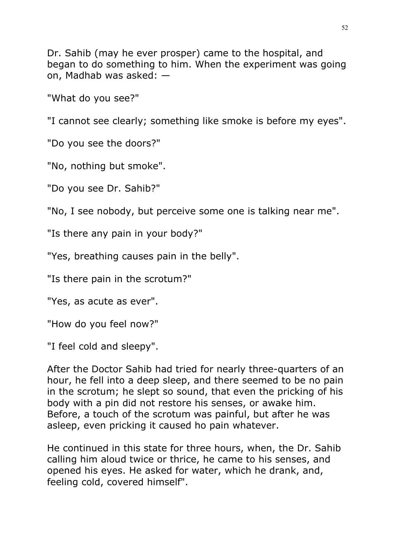Dr. Sahib (may he ever prosper) came to the hospital, and began to do something to him. When the experiment was going on, Madhab was asked:  $-$ 

"What do you see?"

"I cannot see clearly; something like smoke is before my eves".

"Do you see the doors?"

"No, nothing but smoke".

"Do you see Dr. Sahib?"

"No, I see nobody, but perceive some one is talking near me".

"Is there any pain in your body?"

"Yes. breathing causes pain in the belly".

"Is there pain in the scrotum?"

"Yes, as acute as ever".

"How do you feel now?"

"I feel cold and sleepy".

After the Doctor Sahib had tried for nearly three-quarters of an hour, he fell into a deep sleep, and there seemed to be no pain in the scrotum; he slept so sound, that even the pricking of his body with a pin did not restore his senses, or awake him. Before, a touch of the scrotum was painful, but after he was asleep, even pricking it caused ho pain whatever.

He continued in this state for three hours, when, the Dr. Sahib calling him aloud twice or thrice, he came to his senses, and opened his eyes. He asked for water, which he drank, and, feeling cold, covered himself".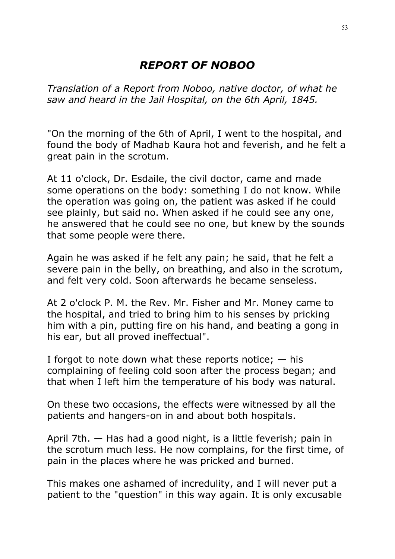#### **REPORT OF NOBOO**

Translation of a Report from Noboo, native doctor, of what he saw and heard in the Jail Hospital, on the 6th April, 1845.

"On the morning of the 6th of April, I went to the hospital, and found the body of Madhab Kaura hot and feverish, and he felt a great pain in the scrotum.

At 11 o'clock, Dr. Esdaile, the civil doctor, came and made some operations on the body: something I do not know. While the operation was going on, the patient was asked if he could see plainly, but said no. When asked if he could see any one, he answered that he could see no one, but knew by the sounds that some people were there.

Again he was asked if he felt any pain; he said, that he felt a severe pain in the belly, on breathing, and also in the scrotum, and felt very cold. Soon afterwards he became senseless.

At 2 o'clock P. M. the Rev. Mr. Fisher and Mr. Money came to the hospital, and tried to bring him to his senses by pricking him with a pin, putting fire on his hand, and beating a gong in his ear, but all proved ineffectual".

I forgot to note down what these reports notice:  $-$  his complaining of feeling cold soon after the process began; and that when I left him the temperature of his body was natural.

On these two occasions, the effects were witnessed by all the patients and hangers-on in and about both hospitals.

April 7th. — Has had a good night, is a little feverish; pain in the scrotum much less. He now complains, for the first time, of pain in the places where he was pricked and burned.

This makes one ashamed of incredulity, and I will never put a patient to the "question" in this way again. It is only excusable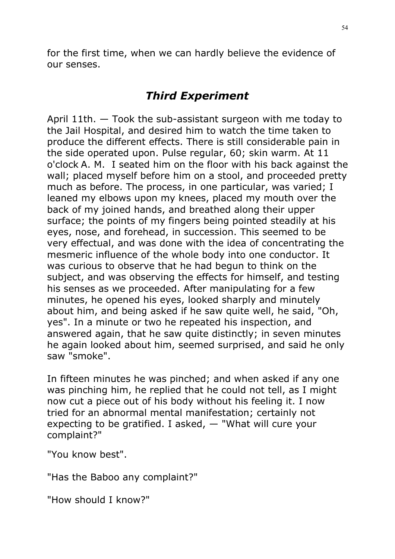for the first time, when we can hardly believe the evidence of our senses.

## **Third Experiment**

April 11th.  $-$  Took the sub-assistant surgeon with me today to the Jail Hospital, and desired him to watch the time taken to produce the different effects. There is still considerable pain in the side operated upon. Pulse regular, 60; skin warm. At 11 o'clock A, M. I seated him on the floor with his back against the wall; placed myself before him on a stool, and proceeded pretty much as before. The process, in one particular, was varied; I leaned my elbows upon my knees, placed my mouth over the back of my joined hands, and breathed along their upper surface; the points of my fingers being pointed steadily at his eyes, nose, and forehead, in succession. This seemed to be very effectual, and was done with the idea of concentrating the mesmeric influence of the whole body into one conductor. It was curious to observe that he had begun to think on the subject, and was observing the effects for himself, and testing his senses as we proceeded. After manipulating for a few minutes, he opened his eyes, looked sharply and minutely about him, and being asked if he saw quite well, he said, "Oh, yes". In a minute or two he repeated his inspection, and answered again, that he saw quite distinctly; in seven minutes he again looked about him, seemed surprised, and said he only saw "smoke"

In fifteen minutes he was pinched; and when asked if any one was pinching him, he replied that he could not tell, as I might now cut a piece out of his body without his feeling it. I now tried for an abnormal mental manifestation; certainly not expecting to be gratified. I asked,  $-$  "What will cure your complaint?"

"You know best".

"Has the Baboo any complaint?"

"How should I know?"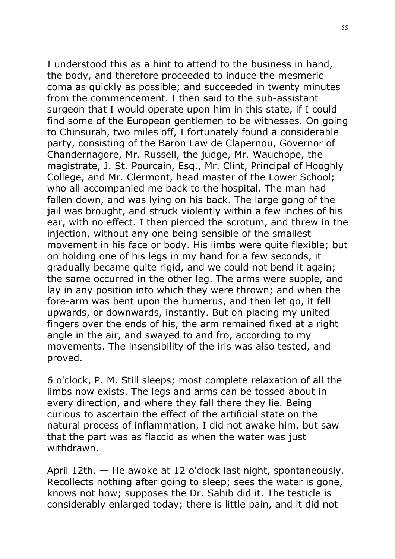I understood this as a hint to attend to the business in hand, the body, and therefore proceeded to induce the mesmeric coma as quickly as possible; and succeeded in twenty minutes from the commencement. I then said to the sub-assistant surgeon that I would operate upon him in this state, if I could find some of the European gentlemen to be witnesses. On going to Chinsurah, two miles off, I fortunately found a considerable party, consisting of the Baron Law de Clapernou, Governor of Chandernagore, Mr. Russell, the judge, Mr. Wauchope, the magistrate, J. St. Pourcain, Esq., Mr. Clint, Principal of Hooghly College, and Mr. Clermont, head master of the Lower School; who all accompanied me back to the hospital. The man had fallen down, and was lying on his back. The large gong of the jail was brought, and struck violently within a few inches of his ear, with no effect. I then pierced the scrotum, and threw in the injection, without any one being sensible of the smallest movement in his face or body. His limbs were quite flexible: but on holding one of his legs in my hand for a few seconds, it gradually became quite rigid, and we could not bend it again; the same occurred in the other leg. The arms were supple, and lay in any position into which they were thrown; and when the fore-arm was bent upon the humerus, and then let go, it fell upwards, or downwards, instantly. But on placing my united fingers over the ends of his, the arm remained fixed at a right angle in the air, and swayed to and fro, according to my movements. The insensibility of the iris was also tested, and proved.

6 o'clock, P. M. Still sleeps; most complete relaxation of all the limbs now exists. The legs and arms can be tossed about in every direction, and where they fall there they lie. Being curious to ascertain the effect of the artificial state on the natural process of inflammation, I did not awake him, but saw that the part was as flaccid as when the water was just withdrawn.

April 12th. - He awoke at 12 o'clock last night, spontaneously. Recollects nothing after going to sleep; sees the water is gone, knows not how; supposes the Dr. Sahib did it. The testicle is considerably enlarged today; there is little pain, and it did not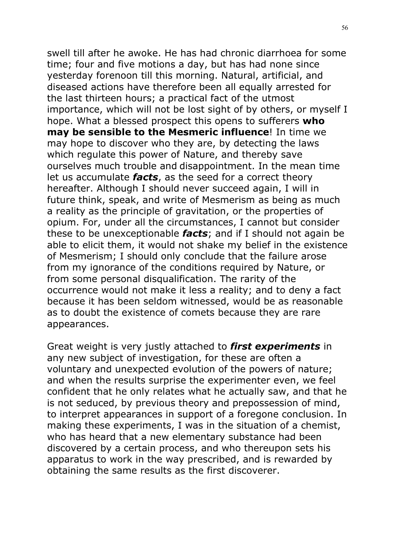swell till after he awoke. He has had chronic diarrhoea for some time; four and five motions a day, but has had none since yesterday forenoon till this morning. Natural, artificial, and diseased actions have therefore been all equally arrested for the last thirteen hours; a practical fact of the utmost importance, which will not be lost sight of by others, or myself I hope. What a blessed prospect this opens to sufferers who may be sensible to the Mesmeric influence! In time we may hope to discover who they are, by detecting the laws which regulate this power of Nature, and thereby save ourselves much trouble and disappointment. In the mean time let us accumulate *facts*, as the seed for a correct theory hereafter. Although I should never succeed again, I will in future think, speak, and write of Mesmerism as being as much a reality as the principle of gravitation, or the properties of opium. For, under all the circumstances, I cannot but consider these to be unexceptionable *facts*; and if I should not again be able to elicit them, it would not shake my belief in the existence of Mesmerism; I should only conclude that the failure arose from my ignorance of the conditions required by Nature, or from some personal disqualification. The rarity of the occurrence would not make it less a reality; and to deny a fact because it has been seldom witnessed, would be as reasonable as to doubt the existence of comets because they are rare appearances.

Great weight is very justly attached to first experiments in any new subject of investigation, for these are often a voluntary and unexpected evolution of the powers of nature; and when the results surprise the experimenter even, we feel confident that he only relates what he actually saw, and that he is not seduced, by previous theory and prepossession of mind, to interpret appearances in support of a foregone conclusion. In making these experiments. I was in the situation of a chemist. who has heard that a new elementary substance had been discovered by a certain process, and who thereupon sets his apparatus to work in the way prescribed, and is rewarded by obtaining the same results as the first discoverer.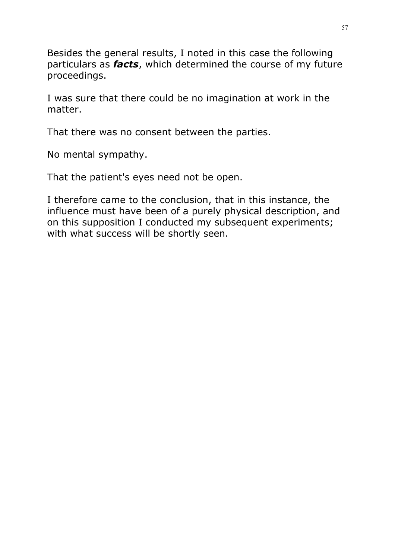Besides the general results, I noted in this case the following particulars as *facts*, which determined the course of my future proceedings.

I was sure that there could be no imagination at work in the matter.

That there was no consent between the parties.

No mental sympathy.

That the patient's eyes need not be open.

I therefore came to the conclusion, that in this instance, the influence must have been of a purely physical description, and on this supposition I conducted my subsequent experiments; with what success will be shortly seen.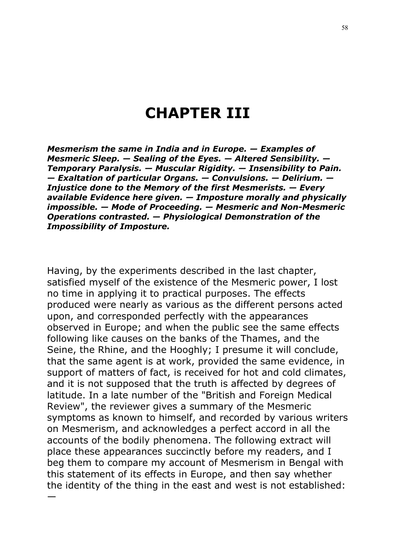# **CHAPTER III**

Mesmerism the same in India and in Europe.  $-$  Examples of Mesmeric Sleep.  $-$  Sealing of the Eves.  $-$  Altered Sensibility.  $-$ Temporary Paralysis. - Muscular Rigidity. - Insensibility to Pain. - Exaltation of particular Organs. - Convulsions. - Delirium. -Injustice done to the Memory of the first Mesmerists.  $-$  Every available Evidence here given. - Imposture morally and physically impossible. - Mode of Proceeding. - Mesmeric and Non-Mesmeric Operations contrasted. - Physiological Demonstration of the **Impossibility of Imposture.** 

Having, by the experiments described in the last chapter, satisfied myself of the existence of the Mesmeric power, I lost no time in applying it to practical purposes. The effects produced were nearly as various as the different persons acted upon, and corresponded perfectly with the appearances observed in Europe; and when the public see the same effects following like causes on the banks of the Thames, and the Seine, the Rhine, and the Hooghly; I presume it will conclude, that the same agent is at work, provided the same evidence, in support of matters of fact, is received for hot and cold climates, and it is not supposed that the truth is affected by degrees of latitude. In a late number of the "British and Foreign Medical Review", the reviewer gives a summary of the Mesmeric symptoms as known to himself, and recorded by various writers on Mesmerism, and acknowledges a perfect accord in all the accounts of the bodily phenomena. The following extract will place these appearances succinctly before my readers, and I beg them to compare my account of Mesmerism in Bengal with this statement of its effects in Europe, and then say whether the identity of the thing in the east and west is not established: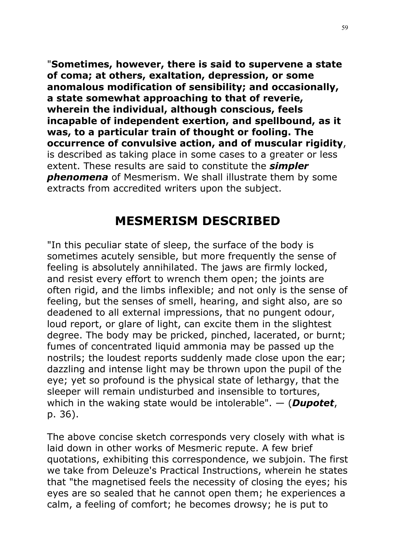"Sometimes, however, there is said to supervene a state of coma; at others, exaltation, depression, or some anomalous modification of sensibility; and occasionally, a state somewhat approaching to that of reverie, wherein the individual, although conscious, feels incapable of independent exertion, and spellbound, as it was, to a particular train of thought or fooling. The occurrence of convulsive action, and of muscular rigidity, is described as taking place in some cases to a greater or less extent. These results are said to constitute the **simpler phenomena** of Mesmerism. We shall illustrate them by some extracts from accredited writers upon the subject.

### **MESMERISM DESCRIBED**

"In this peculiar state of sleep, the surface of the body is sometimes acutely sensible, but more frequently the sense of feeling is absolutely annihilated. The jaws are firmly locked, and resist every effort to wrench them open; the joints are often rigid, and the limbs inflexible; and not only is the sense of feeling, but the senses of smell, hearing, and sight also, are so deadened to all external impressions, that no pungent odour, loud report, or glare of light, can excite them in the slightest degree. The body may be pricked, pinched, lacerated, or burnt; fumes of concentrated liquid ammonia may be passed up the nostrils; the loudest reports suddenly made close upon the ear; dazzling and intense light may be thrown upon the pupil of the eye; yet so profound is the physical state of lethargy, that the sleeper will remain undisturbed and insensible to tortures, which in the waking state would be intolerable".  $-$  (Dupotet,  $p.36$ ).

The above concise sketch corresponds very closely with what is laid down in other works of Mesmeric repute. A few brief quotations, exhibiting this correspondence, we subjoin. The first we take from Deleuze's Practical Instructions, wherein he states that "the magnetised feels the necessity of closing the eyes; his eyes are so sealed that he cannot open them; he experiences a calm, a feeling of comfort; he becomes drowsy; he is put to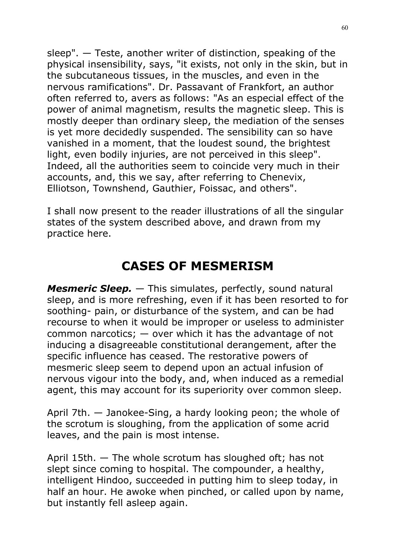sleep".  $-$  Teste, another writer of distinction, speaking of the physical insensibility, says, "it exists, not only in the skin, but in the subcutaneous tissues, in the muscles, and even in the nervous ramifications". Dr. Passavant of Frankfort, an author often referred to, avers as follows: "As an especial effect of the power of animal magnetism, results the magnetic sleep. This is mostly deeper than ordinary sleep, the mediation of the senses is yet more decidedly suspended. The sensibility can so have vanished in a moment, that the loudest sound, the brightest light, even bodily injuries, are not perceived in this sleep". Indeed, all the authorities seem to coincide very much in their accounts, and, this we say, after referring to Chenevix, Elliotson, Townshend, Gauthier, Foissac, and others".

I shall now present to the reader illustrations of all the singular states of the system described above, and drawn from my practice here.

## **CASES OF MESMERISM**

**Mesmeric Sleep.** - This simulates, perfectly, sound natural sleep, and is more refreshing, even if it has been resorted to for soothing- pain, or disturbance of the system, and can be had recourse to when it would be improper or useless to administer common narcotics;  $-$  over which it has the advantage of not inducing a disagreeable constitutional derangement, after the specific influence has ceased. The restorative powers of mesmeric sleep seem to depend upon an actual infusion of nervous vigour into the body, and, when induced as a remedial agent, this may account for its superiority over common sleep.

April 7th. - Janokee-Sing, a hardy looking peon; the whole of the scrotum is sloughing, from the application of some acrid leaves, and the pain is most intense.

April 15th. - The whole scrotum has sloughed oft; has not slept since coming to hospital. The compounder, a healthy, intelligent Hindoo, succeeded in putting him to sleep today, in half an hour. He awoke when pinched, or called upon by name, but instantly fell asleep again.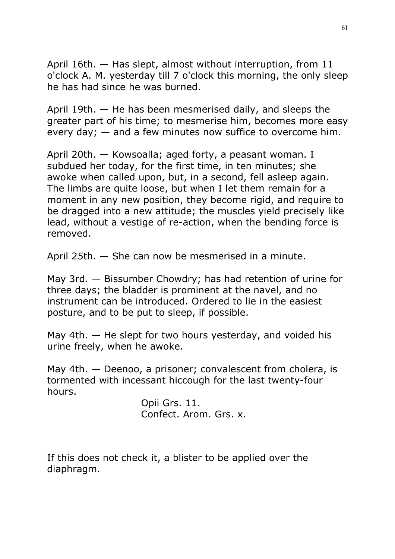April 16th. - Has slept, almost without interruption, from 11 o'clock A. M. yesterday till 7 o'clock this morning, the only sleep he has had since he was burned.

April 19th.  $-$  He has been mesmerised daily, and sleeps the greater part of his time; to mesmerise him, becomes more easy every day;  $-$  and a few minutes now suffice to overcome him.

April 20th. - Kowsoalla; aged forty, a peasant woman. I subdued her today, for the first time, in ten minutes; she awoke when called upon, but, in a second, fell asleep again. The limbs are quite loose, but when I let them remain for a moment in any new position, they become rigid, and require to be dragged into a new attitude; the muscles yield precisely like lead, without a vestige of re-action, when the bending force is removed.

April 25th. - She can now be mesmerised in a minute.

May 3rd. — Bissumber Chowdry; has had retention of urine for three days; the bladder is prominent at the navel, and no instrument can be introduced. Ordered to lie in the easiest posture, and to be put to sleep, if possible.

May 4th.  $-$  He slept for two hours yesterday, and voided his urine freely, when he awoke.

May 4th. - Deenoo, a prisoner; convalescent from cholera, is tormented with incessant hiccough for the last twenty-four hours.

> Opii Grs. 11. Confect, Arom. Grs. x.

If this does not check it, a blister to be applied over the diaphragm.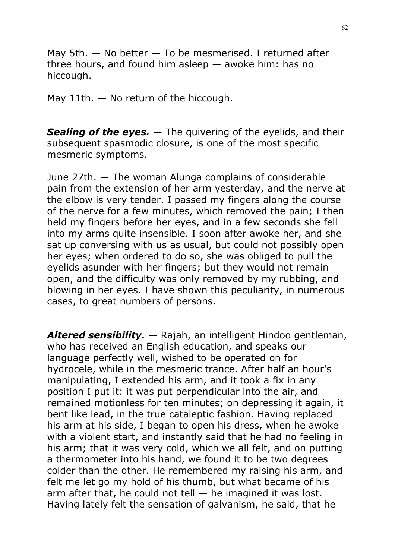May 5th.  $-$  No better  $-$  To be mesmerised. I returned after three hours, and found him asleep  $-$  awoke him: has no hiccough.

May 11th.  $-$  No return of the hiccough.

**Sealing of the eyes.**  $-$  The quivering of the eyelids, and their subsequent spasmodic closure, is one of the most specific mesmeric symptoms.

June 27th. - The woman Alunga complains of considerable pain from the extension of her arm yesterday, and the nerve at the elbow is very tender. I passed my fingers along the course of the nerve for a few minutes, which removed the pain; I then held my fingers before her eves, and in a few seconds she fell into my arms quite insensible. I soon after awoke her, and she sat up conversing with us as usual, but could not possibly open her eyes; when ordered to do so, she was obliged to pull the eyelids asunder with her fingers; but they would not remain open, and the difficulty was only removed by my rubbing, and blowing in her eyes. I have shown this peculiarity, in numerous cases, to great numbers of persons.

Altered sensibility. - Rajah, an intelligent Hindoo gentleman, who has received an English education, and speaks our language perfectly well, wished to be operated on for hydrocele, while in the mesmeric trance. After half an hour's manipulating, I extended his arm, and it took a fix in any position I put it: it was put perpendicular into the air, and remained motionless for ten minutes; on depressing it again, it bent like lead, in the true cataleptic fashion. Having replaced his arm at his side, I began to open his dress, when he awoke with a violent start, and instantly said that he had no feeling in his arm; that it was very cold, which we all felt, and on putting a thermometer into his hand, we found it to be two degrees colder than the other. He remembered my raising his arm, and felt me let go my hold of his thumb, but what became of his arm after that, he could not tell  $-$  he imagined it was lost. Having lately felt the sensation of galvanism, he said, that he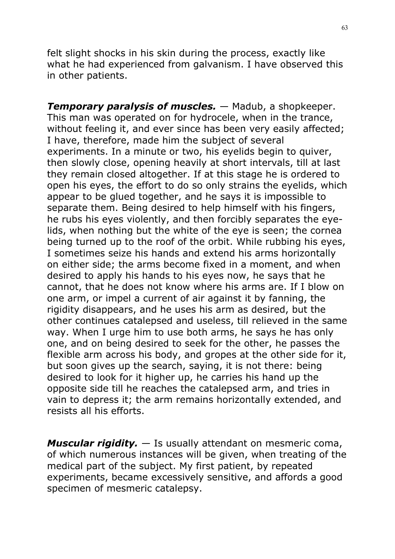felt slight shocks in his skin during the process, exactly like what he had experienced from galvanism. I have observed this in other patients.

**Temporary paralysis of muscles.** - Madub, a shopkeeper. This man was operated on for hydrocele, when in the trance, without feeling it, and ever since has been very easily affected; I have, therefore, made him the subject of several experiments. In a minute or two, his eyelids begin to quiver, then slowly close, opening heavily at short intervals, till at last they remain closed altogether. If at this stage he is ordered to open his eyes, the effort to do so only strains the eyelids, which appear to be glued together, and he says it is impossible to separate them. Being desired to help himself with his fingers, he rubs his eyes violently, and then forcibly separates the eyelids, when nothing but the white of the eye is seen; the cornea being turned up to the roof of the orbit. While rubbing his eyes, I sometimes seize his hands and extend his arms horizontally on either side; the arms become fixed in a moment, and when desired to apply his hands to his eyes now, he says that he cannot, that he does not know where his arms are. If I blow on one arm, or impel a current of air against it by fanning, the rigidity disappears, and he uses his arm as desired, but the other continues catalepsed and useless, till relieved in the same way. When I urge him to use both arms, he says he has only one, and on being desired to seek for the other, he passes the flexible arm across his body, and gropes at the other side for it, but soon gives up the search, saying, it is not there: being desired to look for it higher up, he carries his hand up the opposite side till he reaches the catalepsed arm, and tries in vain to depress it; the arm remains horizontally extended, and resists all his efforts.

**Muscular rigidity.** - Is usually attendant on mesmeric coma, of which numerous instances will be given, when treating of the medical part of the subject. My first patient, by repeated experiments, became excessively sensitive, and affords a good specimen of mesmeric catalepsy.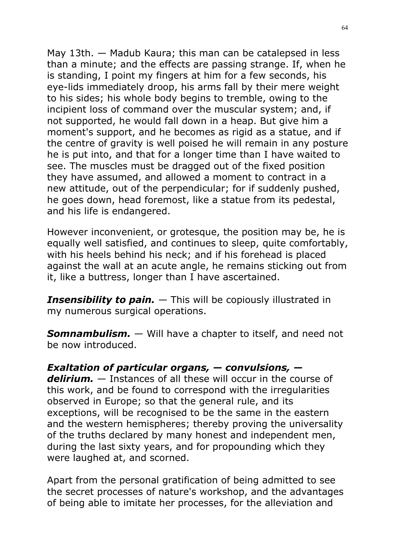May 13th.  $-$  Madub Kaura; this man can be catalepsed in less than a minute; and the effects are passing strange. If, when he is standing, I point my fingers at him for a few seconds, his eve-lids immediately droop, his arms fall by their mere weight to his sides; his whole body begins to tremble, owing to the incipient loss of command over the muscular system; and, if not supported, he would fall down in a heap. But give him a moment's support, and he becomes as rigid as a statue, and if the centre of gravity is well poised he will remain in any posture he is put into, and that for a longer time than I have waited to see. The muscles must be dragged out of the fixed position they have assumed, and allowed a moment to contract in a new attitude, out of the perpendicular; for if suddenly pushed, he goes down, head foremost, like a statue from its pedestal, and his life is endangered.

However inconvenient, or grotesque, the position may be, he is equally well satisfied, and continues to sleep, quite comfortably, with his heels behind his neck; and if his forehead is placed against the wall at an acute angle, he remains sticking out from it, like a buttress, longer than I have ascertained.

**Insensibility to pain.**  $-$  This will be copiously illustrated in my numerous surgical operations.

**Somnambulism.** - Will have a chapter to itself, and need not be now introduced.

Exaltation of particular organs,  $-$  convulsions,  $$ **delirium.**  $-$  Instances of all these will occur in the course of this work, and be found to correspond with the irregularities observed in Europe; so that the general rule, and its exceptions, will be recognised to be the same in the eastern and the western hemispheres; thereby proving the universality of the truths declared by many honest and independent men, during the last sixty years, and for propounding which they were laughed at, and scorned.

Apart from the personal gratification of being admitted to see the secret processes of nature's workshop, and the advantages of being able to imitate her processes, for the alleviation and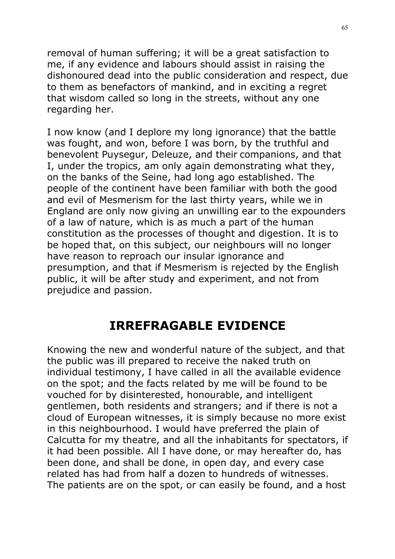removal of human suffering; it will be a great satisfaction to me, if any evidence and labours should assist in raising the dishonoured dead into the public consideration and respect, due to them as benefactors of mankind, and in exciting a regret that wisdom called so long in the streets, without any one regarding her.

I now know (and I deplore my long ignorance) that the battle was fought, and won, before I was born, by the truthful and benevolent Puysegur, Deleuze, and their companions, and that I, under the tropics, am only again demonstrating what they, on the banks of the Seine, had long ago established. The people of the continent have been familiar with both the good and evil of Mesmerism for the last thirty years, while we in England are only now giving an unwilling ear to the expounders of a law of nature, which is as much a part of the human constitution as the processes of thought and digestion. It is to be hoped that, on this subject, our neighbours will no longer have reason to reproach our insular ignorance and presumption, and that if Mesmerism is rejected by the English public, it will be after study and experiment, and not from prejudice and passion.

## **IRREFRAGABLE EVIDENCE**

Knowing the new and wonderful nature of the subject, and that the public was ill prepared to receive the naked truth on individual testimony, I have called in all the available evidence on the spot; and the facts related by me will be found to be vouched for by disinterested, honourable, and intelligent gentlemen, both residents and strangers; and if there is not a cloud of European witnesses, it is simply because no more exist in this neighbourhood. I would have preferred the plain of Calcutta for my theatre, and all the inhabitants for spectators, if it had been possible. All I have done, or may hereafter do, has been done, and shall be done, in open day, and every case related has had from half a dozen to hundreds of witnesses. The patients are on the spot, or can easily be found, and a host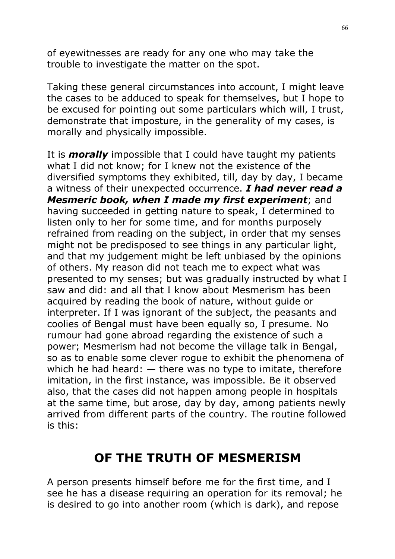of eyewitnesses are ready for any one who may take the trouble to investigate the matter on the spot.

Taking these general circumstances into account. I might leave the cases to be adduced to speak for themselves, but I hope to be excused for pointing out some particulars which will, I trust, demonstrate that imposture, in the generality of my cases, is morally and physically impossible.

It is **morally** impossible that I could have taught my patients what I did not know; for I knew not the existence of the diversified symptoms they exhibited, till, day by day, I became a witness of their unexpected occurrence. I had never read a Mesmeric book, when I made my first experiment; and having succeeded in getting nature to speak, I determined to listen only to her for some time, and for months purposely refrained from reading on the subject, in order that my senses might not be predisposed to see things in any particular light, and that my judgement might be left unbiased by the opinions of others. My reason did not teach me to expect what was presented to my senses; but was gradually instructed by what I saw and did: and all that I know about Mesmerism has been acquired by reading the book of nature, without quide or interpreter. If I was ignorant of the subject, the peasants and coolies of Bengal must have been equally so, I presume. No rumour had gone abroad regarding the existence of such a power; Mesmerism had not become the village talk in Bengal, so as to enable some clever roque to exhibit the phenomena of which he had heard:  $-$  there was no type to imitate, therefore imitation, in the first instance, was impossible. Be it observed also, that the cases did not happen among people in hospitals at the same time, but arose, day by day, among patients newly arrived from different parts of the country. The routine followed is this:

## OF THE TRUTH OF MESMERISM

A person presents himself before me for the first time, and I see he has a disease requiring an operation for its removal; he is desired to go into another room (which is dark), and repose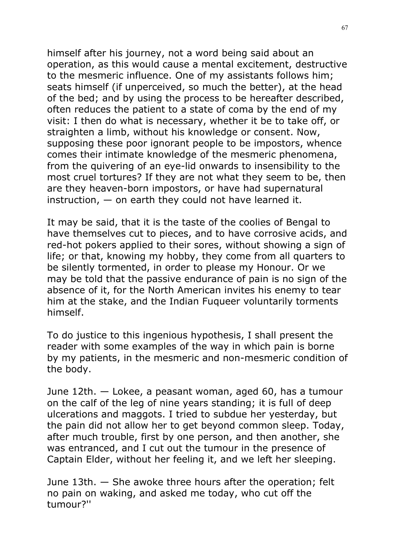himself after his journey, not a word being said about an operation, as this would cause a mental excitement, destructive to the mesmeric influence. One of my assistants follows him; seats himself (if unperceived, so much the better), at the head of the bed; and by using the process to be hereafter described, often reduces the patient to a state of coma by the end of my visit: I then do what is necessary, whether it be to take off, or straighten a limb, without his knowledge or consent. Now, supposing these poor ignorant people to be impostors, whence comes their intimate knowledge of the mesmeric phenomena, from the quivering of an eye-lid onwards to insensibility to the most cruel tortures? If they are not what they seem to be, then are they heaven-born impostors, or have had supernatural instruction,  $-$  on earth they could not have learned it.

It may be said, that it is the taste of the coolies of Bengal to have themselves cut to pieces, and to have corrosive acids, and red-hot pokers applied to their sores, without showing a sign of life; or that, knowing my hobby, they come from all quarters to be silently tormented, in order to please my Honour. Or we may be told that the passive endurance of pain is no sign of the absence of it, for the North American invites his enemy to tear him at the stake, and the Indian Fugueer voluntarily torments himself.

To do justice to this ingenious hypothesis, I shall present the reader with some examples of the way in which pain is borne by my patients, in the mesmeric and non-mesmeric condition of the body.

June 12th. - Lokee, a peasant woman, aged 60, has a tumour on the calf of the leg of nine years standing; it is full of deep ulcerations and maggots. I tried to subdue her yesterday, but the pain did not allow her to get beyond common sleep. Today, after much trouble, first by one person, and then another, she was entranced, and I cut out the tumour in the presence of Captain Elder, without her feeling it, and we left her sleeping.

June 13th.  $-$  She awoke three hours after the operation; felt no pain on waking, and asked me today, who cut off the tumour?"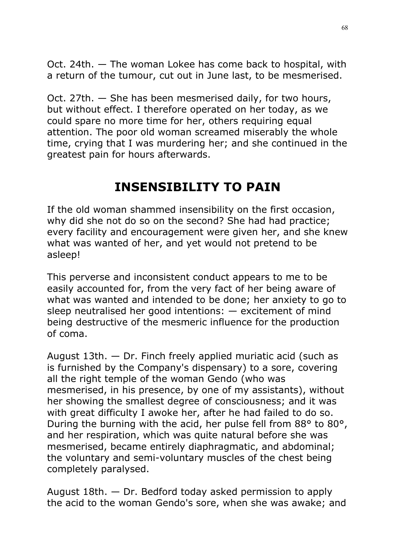Oct. 24th.  $-$  The woman Lokee has come back to hospital, with a return of the tumour, cut out in June last, to be mesmerised.

Oct. 27th. - She has been mesmerised daily, for two hours, but without effect. I therefore operated on her today, as we could spare no more time for her, others requiring equal attention. The poor old woman screamed miserably the whole time, crying that I was murdering her; and she continued in the greatest pain for hours afterwards.

# **INSENSIBILITY TO PAIN**

If the old woman shammed insensibility on the first occasion, why did she not do so on the second? She had had practice; every facility and encouragement were given her, and she knew what was wanted of her, and yet would not pretend to be asleep!

This perverse and inconsistent conduct appears to me to be easily accounted for, from the very fact of her being aware of what was wanted and intended to be done; her anxiety to go to sleep neutralised her good intentions:  $-$  excitement of mind being destructive of the mesmeric influence for the production of coma.

August 13th.  $-$  Dr. Finch freely applied muriatic acid (such as is furnished by the Company's dispensary) to a sore, covering all the right temple of the woman Gendo (who was mesmerised, in his presence, by one of my assistants), without her showing the smallest degree of consciousness; and it was with great difficulty I awoke her, after he had failed to do so. During the burning with the acid, her pulse fell from 88° to 80°, and her respiration, which was quite natural before she was mesmerised, became entirely diaphragmatic, and abdominal; the voluntary and semi-voluntary muscles of the chest being completely paralysed.

August 18th. - Dr. Bedford today asked permission to apply the acid to the woman Gendo's sore, when she was awake; and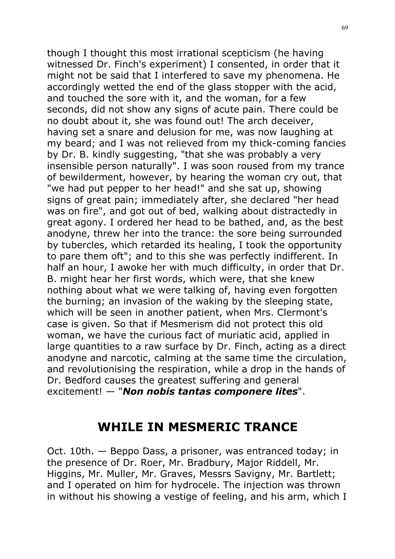though I thought this most irrational scepticism (he having witnessed Dr. Finch's experiment) I consented, in order that it might not be said that I interfered to save my phenomena. He accordingly wetted the end of the glass stopper with the acid, and touched the sore with it, and the woman, for a few seconds, did not show any signs of acute pain. There could be no doubt about it, she was found out! The arch deceiver, having set a snare and delusion for me, was now laughing at my beard; and I was not relieved from my thick-coming fancies by Dr. B. kindly suggesting, "that she was probably a very insensible person naturally". I was soon roused from my trance of bewilderment, however, by hearing the woman cry out, that "we had put pepper to her head!" and she sat up, showing signs of great pain; immediately after, she declared "her head was on fire", and got out of bed, walking about distractedly in great agony. I ordered her head to be bathed, and, as the best anodyne, threw her into the trance: the sore being surrounded by tubercles, which retarded its healing, I took the opportunity to pare them oft"; and to this she was perfectly indifferent. In half an hour, I awoke her with much difficulty, in order that Dr. B. might hear her first words, which were, that she knew nothing about what we were talking of, having even forgotten the burning; an invasion of the waking by the sleeping state, which will be seen in another patient, when Mrs. Clermont's case is given. So that if Mesmerism did not protect this old woman, we have the curious fact of muriatic acid, applied in large quantities to a raw surface by Dr. Finch, acting as a direct anodyne and narcotic, calming at the same time the circulation, and revolutionising the respiration, while a drop in the hands of Dr. Bedford causes the greatest suffering and general excitement! - "Non nobis tantas componere lites".

### **WHILE IN MESMERIC TRANCE**

Oct. 10th. - Beppo Dass, a prisoner, was entranced today; in the presence of Dr. Roer, Mr. Bradbury, Major Riddell, Mr. Higgins, Mr. Muller, Mr. Graves, Messrs Savigny, Mr. Bartlett; and I operated on him for hydrocele. The injection was thrown in without his showing a vestige of feeling, and his arm, which I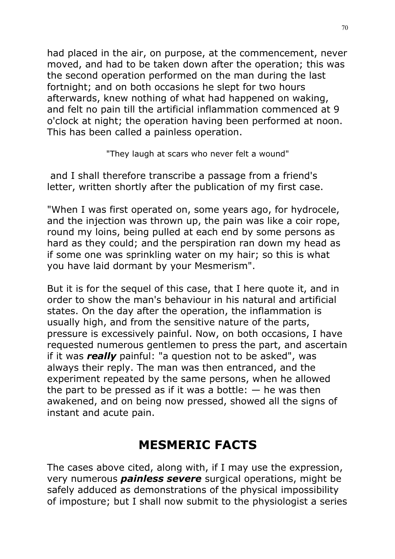had placed in the air, on purpose, at the commencement, never moved, and had to be taken down after the operation; this was the second operation performed on the man during the last fortnight; and on both occasions he slept for two hours afterwards, knew nothing of what had happened on waking, and felt no pain till the artificial inflammation commenced at 9 o'clock at night; the operation having been performed at noon. This has been called a painless operation.

"They laugh at scars who never felt a wound"

and I shall therefore transcribe a passage from a friend's letter, written shortly after the publication of my first case.

"When I was first operated on, some years ago, for hydrocele, and the injection was thrown up, the pain was like a coir rope, round my loins, being pulled at each end by some persons as hard as they could; and the perspiration ran down my head as if some one was sprinkling water on my hair; so this is what you have laid dormant by your Mesmerism".

But it is for the sequel of this case, that I here quote it, and in order to show the man's behaviour in his natural and artificial states. On the day after the operation, the inflammation is usually high, and from the sensitive nature of the parts, pressure is excessively painful. Now, on both occasions, I have requested numerous gentlemen to press the part, and ascertain if it was *really* painful: "a question not to be asked", was always their reply. The man was then entranced, and the experiment repeated by the same persons, when he allowed the part to be pressed as if it was a bottle:  $-$  he was then awakened, and on being now pressed, showed all the signs of instant and acute pain.

## **MESMERIC FACTS**

The cases above cited, along with, if I may use the expression, very numerous *painless severe* surgical operations, might be safely adduced as demonstrations of the physical impossibility of imposture; but I shall now submit to the physiologist a series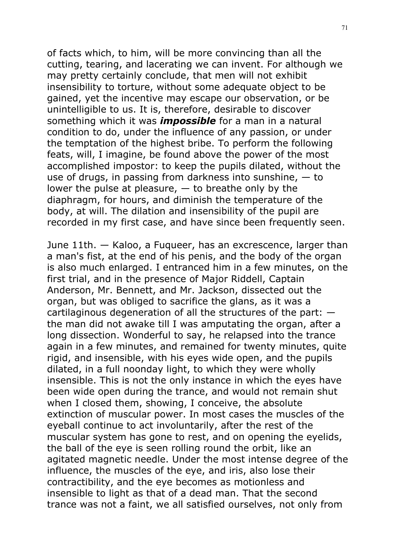of facts which, to him, will be more convincing than all the cutting, tearing, and lacerating we can invent. For although we may pretty certainly conclude, that men will not exhibit insensibility to torture, without some adequate object to be gained, yet the incentive may escape our observation, or be unintelligible to us. It is, therefore, desirable to discover something which it was *impossible* for a man in a natural condition to do, under the influence of any passion, or under the temptation of the highest bribe. To perform the following feats, will, I imagine, be found above the power of the most accomplished impostor: to keep the pupils dilated, without the use of drugs, in passing from darkness into sunshine,  $-$  to lower the pulse at pleasure,  $-$  to breathe only by the diaphragm, for hours, and diminish the temperature of the body, at will. The dilation and insensibility of the pupil are recorded in my first case, and have since been frequently seen.

June 11th. - Kaloo, a Fugueer, has an excrescence, larger than a man's fist, at the end of his penis, and the body of the organ is also much enlarged. I entranced him in a few minutes, on the first trial, and in the presence of Major Riddell, Captain Anderson, Mr. Bennett, and Mr. Jackson, dissected out the organ, but was obliged to sacrifice the glans, as it was a cartilaginous degeneration of all the structures of the part:  $$ the man did not awake till I was amputating the organ, after a long dissection. Wonderful to say, he relapsed into the trance again in a few minutes, and remained for twenty minutes, quite rigid, and insensible, with his eyes wide open, and the pupils dilated, in a full noonday light, to which they were wholly insensible. This is not the only instance in which the eyes have been wide open during the trance, and would not remain shut when I closed them, showing, I conceive, the absolute extinction of muscular power. In most cases the muscles of the eyeball continue to act involuntarily, after the rest of the muscular system has gone to rest, and on opening the eyelids, the ball of the eye is seen rolling round the orbit, like an agitated magnetic needle. Under the most intense degree of the influence, the muscles of the eye, and iris, also lose their contractibility, and the eye becomes as motionless and insensible to light as that of a dead man. That the second trance was not a faint, we all satisfied ourselves, not only from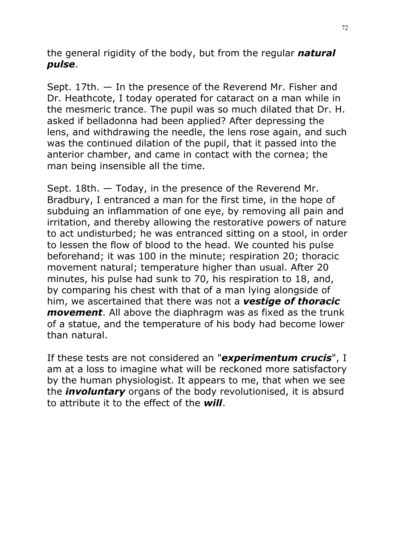the general rigidity of the body, but from the regular natural pulse.

Sept.  $17th$ ,  $-$  In the presence of the Reverend Mr. Fisher and Dr. Heathcote, I today operated for cataract on a man while in the mesmeric trance. The pupil was so much dilated that Dr. H. asked if belladonna had been applied? After depressing the lens, and withdrawing the needle, the lens rose again, and such was the continued dilation of the pupil, that it passed into the anterior chamber, and came in contact with the cornea; the man being insensible all the time.

Sept. 18th.  $-$  Today, in the presence of the Reverend Mr. Bradbury, I entranced a man for the first time, in the hope of subduing an inflammation of one eye, by removing all pain and irritation, and thereby allowing the restorative powers of nature to act undisturbed; he was entranced sitting on a stool, in order to lessen the flow of blood to the head. We counted his pulse beforehand; it was 100 in the minute; respiration 20; thoracic movement natural; temperature higher than usual. After 20 minutes, his pulse had sunk to 70, his respiration to 18, and, by comparing his chest with that of a man lying alongside of him, we ascertained that there was not a **vestige of thoracic movement.** All above the diaphragm was as fixed as the trunk of a statue, and the temperature of his body had become lower than natural.

If these tests are not considered an "experimentum crucis", I am at a loss to imagine what will be reckoned more satisfactory by the human physiologist. It appears to me, that when we see the *involuntary* organs of the body revolutionised, it is absurd to attribute it to the effect of the will.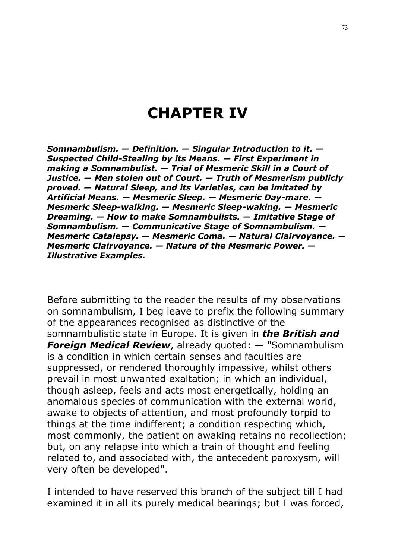## **CHAPTER TV**

Somnambulism.  $-$  Definition.  $-$  Singular Introduction to it.  $-$ Suspected Child-Stealing by its Means. - First Experiment in making a Somnambulist. - Trial of Mesmeric Skill in a Court of Justice. - Men stolen out of Court. - Truth of Mesmerism publicly proved. - Natural Sleep, and its Varieties, can be imitated by Artificial Means. - Mesmeric Sleep. - Mesmeric Day-mare. -Mesmeric Sleep-walking. - Mesmeric Sleep-waking. - Mesmeric Dreaming. - How to make Somnambulists. - Imitative Stage of Somnambulism. - Communicative Stage of Somnambulism. -Mesmeric Catalepsy. - Mesmeric Coma. - Natural Clairvovance. -Mesmeric Clairvoyance. - Nature of the Mesmeric Power. -**Illustrative Examples.** 

Before submitting to the reader the results of my observations on somnambulism, I beg leave to prefix the following summary of the appearances recognised as distinctive of the somnambulistic state in Europe. It is given in the British and **Foreign Medical Review**, already quoted: - "Somnambulism is a condition in which certain senses and faculties are suppressed, or rendered thoroughly impassive, whilst others prevail in most unwanted exaltation; in which an individual, though asleep, feels and acts most energetically, holding an anomalous species of communication with the external world, awake to objects of attention, and most profoundly torpid to things at the time indifferent; a condition respecting which, most commonly, the patient on awaking retains no recollection; but, on any relapse into which a train of thought and feeling related to, and associated with, the antecedent paroxysm, will very often be developed".

I intended to have reserved this branch of the subject till I had examined it in all its purely medical bearings; but I was forced,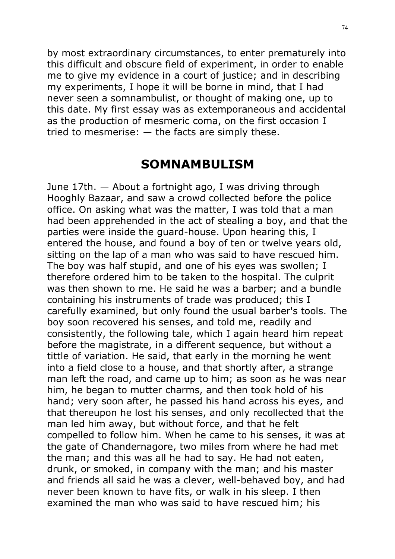by most extraordinary circumstances, to enter prematurely into this difficult and obscure field of experiment, in order to enable me to give my evidence in a court of justice; and in describing my experiments, I hope it will be borne in mind, that I had never seen a somnambulist, or thought of making one, up to this date. My first essay was as extemporaneous and accidental as the production of mesmeric coma, on the first occasion I tried to mesmerise:  $-$  the facts are simply these.

#### **SOMNAMBULISM**

June 17th.  $-$  About a fortnight ago, I was driving through Hooghly Bazaar, and saw a crowd collected before the police office. On asking what was the matter, I was told that a man had been apprehended in the act of stealing a boy, and that the parties were inside the quard-house. Upon hearing this, I entered the house, and found a boy of ten or twelve years old, sitting on the lap of a man who was said to have rescued him. The boy was half stupid, and one of his eyes was swollen; I therefore ordered him to be taken to the hospital. The culprit was then shown to me. He said he was a barber; and a bundle containing his instruments of trade was produced; this I carefully examined, but only found the usual barber's tools. The boy soon recovered his senses, and told me, readily and consistently, the following tale, which I again heard him repeat before the magistrate, in a different sequence, but without a tittle of variation. He said, that early in the morning he went into a field close to a house, and that shortly after, a strange man left the road, and came up to him; as soon as he was near him, he began to mutter charms, and then took hold of his hand; very soon after, he passed his hand across his eyes, and that thereupon he lost his senses, and only recollected that the man led him away, but without force, and that he felt compelled to follow him. When he came to his senses, it was at the gate of Chandernagore, two miles from where he had met the man; and this was all he had to say. He had not eaten, drunk, or smoked, in company with the man; and his master and friends all said he was a clever, well-behaved boy, and had never been known to have fits, or walk in his sleep. I then examined the man who was said to have rescued him; his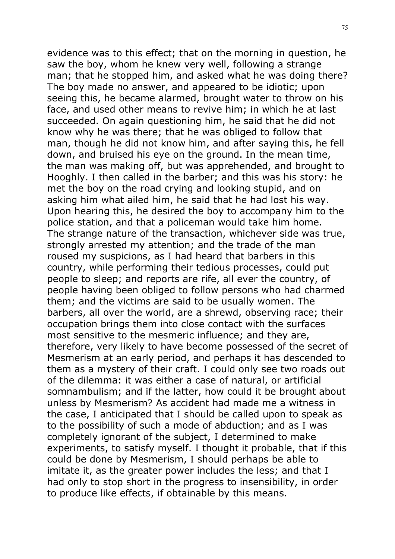evidence was to this effect; that on the morning in question, he saw the boy, whom he knew very well, following a strange man; that he stopped him, and asked what he was doing there? The boy made no answer, and appeared to be idiotic; upon seeing this, he became alarmed, brought water to throw on his face, and used other means to revive him; in which he at last succeeded. On again questioning him, he said that he did not know why he was there; that he was obliged to follow that man, though he did not know him, and after saying this, he fell down, and bruised his eye on the ground. In the mean time, the man was making off, but was apprehended, and brought to Hooghly. I then called in the barber; and this was his story: he met the boy on the road crying and looking stupid, and on asking him what ailed him, he said that he had lost his way. Upon hearing this, he desired the boy to accompany him to the police station, and that a policeman would take him home. The strange nature of the transaction, whichever side was true, strongly arrested my attention; and the trade of the man roused my suspicions, as I had heard that barbers in this country, while performing their tedious processes, could put people to sleep; and reports are rife, all ever the country, of people having been obliged to follow persons who had charmed them; and the victims are said to be usually women. The barbers, all over the world, are a shrewd, observing race; their occupation brings them into close contact with the surfaces most sensitive to the mesmeric influence; and they are, therefore, very likely to have become possessed of the secret of Mesmerism at an early period, and perhaps it has descended to them as a mystery of their craft. I could only see two roads out of the dilemma: it was either a case of natural, or artificial somnambulism; and if the latter, how could it be brought about unless by Mesmerism? As accident had made me a witness in the case, I anticipated that I should be called upon to speak as to the possibility of such a mode of abduction; and as I was completely ignorant of the subject. I determined to make experiments, to satisfy myself. I thought it probable, that if this could be done by Mesmerism, I should perhaps be able to imitate it, as the greater power includes the less; and that I had only to stop short in the progress to insensibility, in order to produce like effects, if obtainable by this means.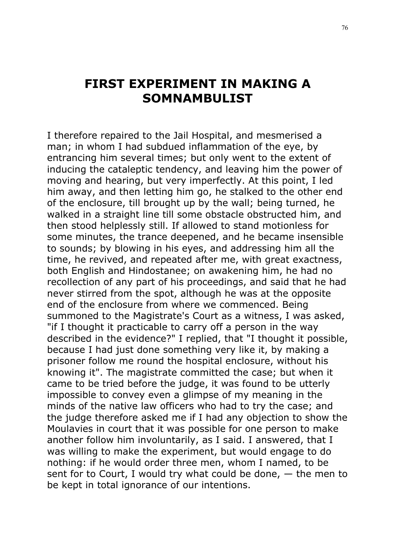#### **FIRST EXPERIMENT IN MAKING A SOMNAMBULIST**

I therefore repaired to the Jail Hospital, and mesmerised a man; in whom I had subdued inflammation of the eve, by entrancing him several times; but only went to the extent of inducing the cataleptic tendency, and leaving him the power of moving and hearing, but very imperfectly. At this point, I led him away, and then letting him go, he stalked to the other end of the enclosure, till brought up by the wall; being turned, he walked in a straight line till some obstacle obstructed him, and then stood helplessly still. If allowed to stand motionless for some minutes, the trance deepened, and he became insensible to sounds; by blowing in his eyes, and addressing him all the time, he revived, and repeated after me, with great exactness, both English and Hindostanee; on awakening him, he had no recollection of any part of his proceedings, and said that he had never stirred from the spot, although he was at the opposite end of the enclosure from where we commenced. Being summoned to the Magistrate's Court as a witness. I was asked. "if I thought it practicable to carry off a person in the way described in the evidence?" I replied, that "I thought it possible, because I had just done something very like it, by making a prisoner follow me round the hospital enclosure, without his knowing it". The magistrate committed the case; but when it came to be tried before the judge, it was found to be utterly impossible to convey even a glimpse of my meaning in the minds of the native law officers who had to try the case; and the judge therefore asked me if I had any objection to show the Moulavies in court that it was possible for one person to make another follow him involuntarily, as I said. I answered, that I was willing to make the experiment, but would engage to do nothing: if he would order three men, whom I named, to be sent for to Court, I would try what could be done,  $-$  the men to be kept in total ignorance of our intentions.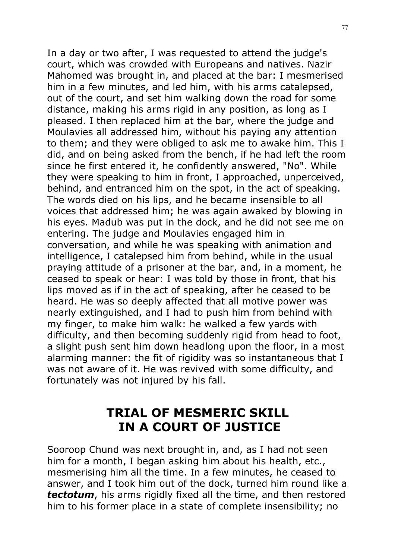In a day or two after, I was requested to attend the judge's court, which was crowded with Europeans and natives. Nazir Mahomed was brought in, and placed at the bar: I mesmerised him in a few minutes, and led him, with his arms catalepsed, out of the court, and set him walking down the road for some distance, making his arms rigid in any position, as long as I pleased. I then replaced him at the bar, where the judge and Moulavies all addressed him, without his paying any attention to them; and they were obliged to ask me to awake him. This I did, and on being asked from the bench, if he had left the room since he first entered it, he confidently answered, "No". While they were speaking to him in front, I approached, unperceived, behind, and entranced him on the spot, in the act of speaking. The words died on his lips, and he became insensible to all voices that addressed him; he was again awaked by blowing in his eves. Madub was put in the dock, and he did not see me on entering. The judge and Moulavies engaged him in conversation, and while he was speaking with animation and intelligence, I catalepsed him from behind, while in the usual praying attitude of a prisoner at the bar, and, in a moment, he ceased to speak or hear: I was told by those in front, that his lips moved as if in the act of speaking, after he ceased to be heard. He was so deeply affected that all motive power was nearly extinguished, and I had to push him from behind with my finger, to make him walk: he walked a few yards with difficulty, and then becoming suddenly rigid from head to foot, a slight push sent him down headlong upon the floor, in a most alarming manner: the fit of rigidity was so instantaneous that I was not aware of it. He was revived with some difficulty, and fortunately was not injured by his fall.

#### **TRIAL OF MESMERIC SKILL** IN A COURT OF JUSTICE

Sooroop Chund was next brought in, and, as I had not seen him for a month, I began asking him about his health, etc., mesmerising him all the time. In a few minutes, he ceased to answer, and I took him out of the dock, turned him round like a tectotum, his arms rigidly fixed all the time, and then restored him to his former place in a state of complete insensibility; no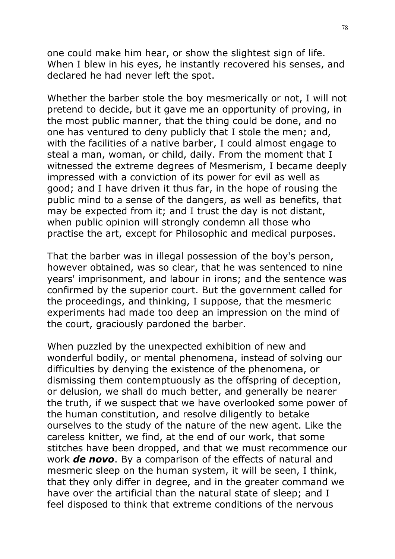one could make him hear, or show the slightest sign of life. When I blew in his eyes, he instantly recovered his senses, and declared he had never left the spot.

Whether the barber stole the boy mesmerically or not, I will not pretend to decide, but it gave me an opportunity of proving, in the most public manner, that the thing could be done, and no one has ventured to deny publicly that I stole the men; and, with the facilities of a native barber, I could almost engage to steal a man, woman, or child, daily. From the moment that I witnessed the extreme degrees of Mesmerism, I became deeply impressed with a conviction of its power for evil as well as good; and I have driven it thus far, in the hope of rousing the public mind to a sense of the dangers, as well as benefits, that may be expected from it; and I trust the day is not distant, when public opinion will strongly condemn all those who practise the art, except for Philosophic and medical purposes.

That the barber was in illegal possession of the boy's person, however obtained, was so clear, that he was sentenced to nine years' imprisonment, and labour in irons; and the sentence was confirmed by the superior court. But the government called for the proceedings, and thinking, I suppose, that the mesmeric experiments had made too deep an impression on the mind of the court, graciously pardoned the barber.

When puzzled by the unexpected exhibition of new and wonderful bodily, or mental phenomena, instead of solving our difficulties by denying the existence of the phenomena, or dismissing them contemptuously as the offspring of deception, or delusion, we shall do much better, and generally be nearer the truth, if we suspect that we have overlooked some power of the human constitution, and resolve diligently to betake ourselves to the study of the nature of the new agent. Like the careless knitter, we find, at the end of our work, that some stitches have been dropped, and that we must recommence our work **de novo**. By a comparison of the effects of natural and mesmeric sleep on the human system, it will be seen, I think, that they only differ in degree, and in the greater command we have over the artificial than the natural state of sleep; and I feel disposed to think that extreme conditions of the nervous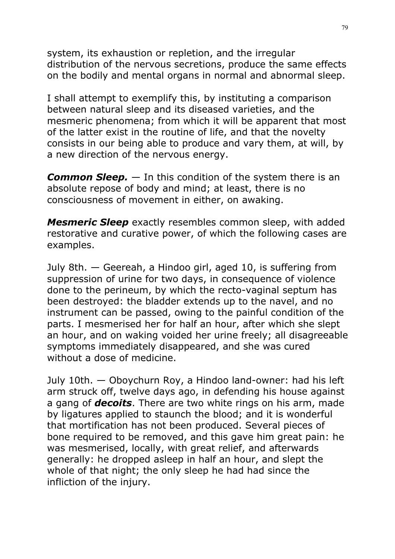system, its exhaustion or repletion, and the irregular distribution of the nervous secretions, produce the same effects on the bodily and mental organs in normal and abnormal sleep.

I shall attempt to exemplify this, by instituting a comparison between natural sleep and its diseased varieties, and the mesmeric phenomena; from which it will be apparent that most of the latter exist in the routine of life, and that the novelty consists in our being able to produce and vary them, at will, by a new direction of the nervous energy.

**Common Sleep.**  $-$  In this condition of the system there is an absolute repose of body and mind; at least, there is no consciousness of movement in either, on awaking.

**Mesmeric Sleep** exactly resembles common sleep, with added restorative and curative power, of which the following cases are examples.

July 8th. — Geereah, a Hindoo girl, aged 10, is suffering from suppression of urine for two days, in consequence of violence done to the perineum, by which the recto-vaginal septum has been destroyed: the bladder extends up to the navel, and no instrument can be passed, owing to the painful condition of the parts. I mesmerised her for half an hour, after which she slept an hour, and on waking voided her urine freely; all disagreeable symptoms immediately disappeared, and she was cured without a dose of medicine.

July 10th. - Oboychurn Roy, a Hindoo land-owner: had his left arm struck off, twelve days ago, in defending his house against a gang of **decoits**. There are two white rings on his arm, made by ligatures applied to staunch the blood; and it is wonderful that mortification has not been produced. Several pieces of bone required to be removed, and this gave him great pain; he was mesmerised, locally, with great relief, and afterwards generally: he dropped asleep in half an hour, and slept the whole of that night; the only sleep he had had since the infliction of the injury.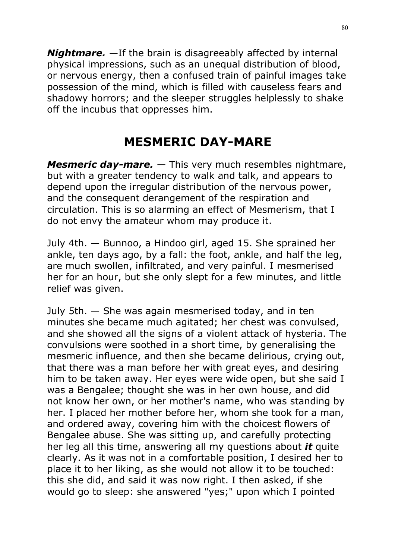**Nightmare.**  $\overline{-}$  If the brain is disagreeably affected by internal physical impressions, such as an unequal distribution of blood, or nervous energy, then a confused train of painful images take possession of the mind, which is filled with causeless fears and shadowy horrors; and the sleeper struggles helplessly to shake off the incubus that oppresses him.

#### **MESMERIC DAY-MARE**

**Mesmeric day-mare.** - This very much resembles nightmare, but with a greater tendency to walk and talk, and appears to depend upon the irregular distribution of the nervous power, and the consequent derangement of the respiration and circulation. This is so alarming an effect of Mesmerism, that I do not envy the amateur whom may produce it.

July 4th. - Bunnoo, a Hindoo girl, aged 15. She sprained her ankle, ten days ago, by a fall: the foot, ankle, and half the leg, are much swollen, infiltrated, and very painful. I mesmerised her for an hour, but she only slept for a few minutes, and little relief was given.

July 5th. - She was again mesmerised today, and in ten minutes she became much agitated; her chest was convulsed, and she showed all the signs of a violent attack of hysteria. The convulsions were soothed in a short time, by generalising the mesmeric influence, and then she became delirious, crying out, that there was a man before her with great eyes, and desiring him to be taken away. Her eyes were wide open, but she said I was a Bengalee; thought she was in her own house, and did not know her own, or her mother's name, who was standing by her. I placed her mother before her, whom she took for a man, and ordered away, covering him with the choicest flowers of Bengalee abuse. She was sitting up, and carefully protecting her leg all this time, answering all my questions about it quite clearly. As it was not in a comfortable position, I desired her to place it to her liking, as she would not allow it to be touched: this she did, and said it was now right. I then asked, if she would go to sleep: she answered "yes;" upon which I pointed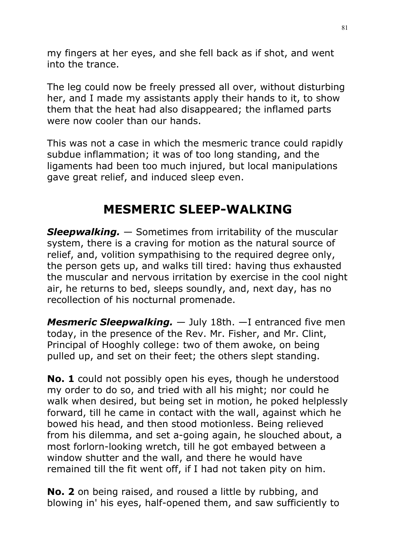my fingers at her eyes, and she fell back as if shot, and went into the trance.

The leg could now be freely pressed all over, without disturbing her, and I made my assistants apply their hands to it, to show them that the heat had also disappeared; the inflamed parts were now cooler than our hands.

This was not a case in which the mesmeric trance could rapidly subdue inflammation; it was of too long standing, and the ligaments had been too much injured, but local manipulations gave great relief, and induced sleep even.

### **MESMERIC SLEEP-WALKING**

**Sleepwalking.**  $-$  Sometimes from irritability of the muscular system, there is a craving for motion as the natural source of relief, and, volition sympathising to the required degree only, the person gets up, and walks till tired: having thus exhausted the muscular and nervous irritation by exercise in the cool night air, he returns to bed, sleeps soundly, and, next day, has no recollection of his nocturnal promenade.

**Mesmeric Sleepwalking.**  $-$  July 18th.  $-$ I entranced five men today, in the presence of the Rev. Mr. Fisher, and Mr. Clint, Principal of Hooghly college: two of them awoke, on being pulled up, and set on their feet; the others slept standing.

**No. 1** could not possibly open his eyes, though he understood my order to do so, and tried with all his might; nor could he walk when desired, but being set in motion, he poked helplessly forward, till he came in contact with the wall, against which he bowed his head, and then stood motionless. Being relieved from his dilemma, and set a-going again, he slouched about, a most forlorn-looking wretch, till he got embayed between a window shutter and the wall, and there he would have remained till the fit went off, if I had not taken pity on him.

No. 2 on being raised, and roused a little by rubbing, and blowing in' his eyes, half-opened them, and saw sufficiently to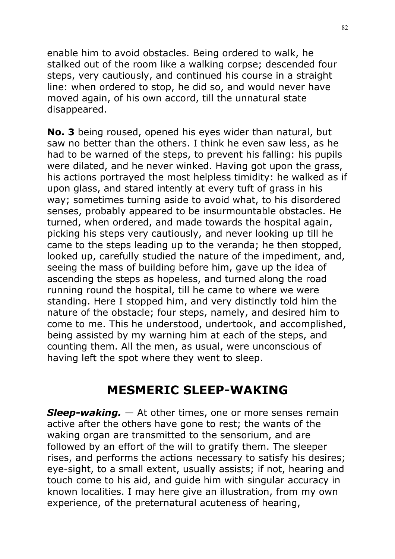enable him to avoid obstacles. Being ordered to walk, he stalked out of the room like a walking corpse; descended four steps, very cautiously, and continued his course in a straight line: when ordered to stop, he did so, and would never have moved again, of his own accord, till the unnatural state disappeared.

No. 3 being roused, opened his eyes wider than natural, but saw no better than the others. I think he even saw less, as he had to be warned of the steps, to prevent his falling: his pupils were dilated, and he never winked. Having got upon the grass, his actions portrayed the most helpless timidity: he walked as if upon glass, and stared intently at every tuft of grass in his way; sometimes turning aside to avoid what, to his disordered senses, probably appeared to be insurmountable obstacles. He turned, when ordered, and made towards the hospital again, picking his steps very cautiously, and never looking up till he came to the steps leading up to the veranda; he then stopped, looked up, carefully studied the nature of the impediment, and, seeing the mass of building before him, gave up the idea of ascending the steps as hopeless, and turned along the road running round the hospital, till he came to where we were standing. Here I stopped him, and very distinctly told him the nature of the obstacle; four steps, namely, and desired him to come to me. This he understood, undertook, and accomplished, being assisted by my warning him at each of the steps, and counting them. All the men, as usual, were unconscious of having left the spot where they went to sleep.

#### **MESMERIC SLEEP-WAKING**

**Sleep-waking.**  $-$  At other times, one or more senses remain active after the others have gone to rest; the wants of the waking organ are transmitted to the sensorium, and are followed by an effort of the will to gratify them. The sleeper rises, and performs the actions necessary to satisfy his desires; eye-sight, to a small extent, usually assists; if not, hearing and touch come to his aid, and quide him with singular accuracy in known localities. I may here give an illustration, from my own experience, of the preternatural acuteness of hearing,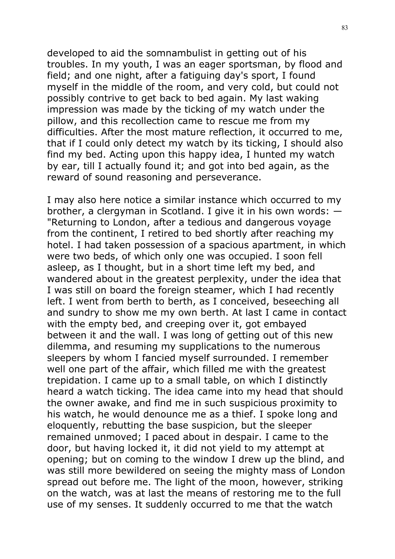developed to aid the somnambulist in getting out of his troubles. In my youth, I was an eager sportsman, by flood and field; and one night, after a fatiguing day's sport, I found myself in the middle of the room, and very cold, but could not possibly contrive to get back to bed again. My last waking impression was made by the ticking of my watch under the pillow, and this recollection came to rescue me from my difficulties. After the most mature reflection, it occurred to me, that if I could only detect my watch by its ticking, I should also find my bed. Acting upon this happy idea, I hunted my watch by ear, till I actually found it; and got into bed again, as the reward of sound reasoning and perseverance.

I may also here notice a similar instance which occurred to my brother, a clergyman in Scotland. I give it in his own words:  $-$ "Returning to London, after a tedious and dangerous vovage from the continent, I retired to bed shortly after reaching my hotel. I had taken possession of a spacious apartment, in which were two beds, of which only one was occupied. I soon fell asleep, as I thought, but in a short time left my bed, and wandered about in the greatest perplexity, under the idea that I was still on board the foreign steamer, which I had recently left. I went from berth to berth, as I conceived, beseeching all and sundry to show me my own berth. At last I came in contact with the empty bed, and creeping over it, got embayed between it and the wall. I was long of getting out of this new dilemma, and resuming my supplications to the numerous sleepers by whom I fancied myself surrounded. I remember well one part of the affair, which filled me with the greatest trepidation. I came up to a small table, on which I distinctly heard a watch ticking. The idea came into my head that should the owner awake, and find me in such suspicious proximity to his watch, he would denounce me as a thief. I spoke long and eloquently, rebutting the base suspicion, but the sleeper remained unmoved: I paced about in despair. I came to the door, but having locked it, it did not yield to my attempt at opening; but on coming to the window I drew up the blind, and was still more bewildered on seeing the mighty mass of London spread out before me. The light of the moon, however, striking on the watch, was at last the means of restoring me to the full use of my senses. It suddenly occurred to me that the watch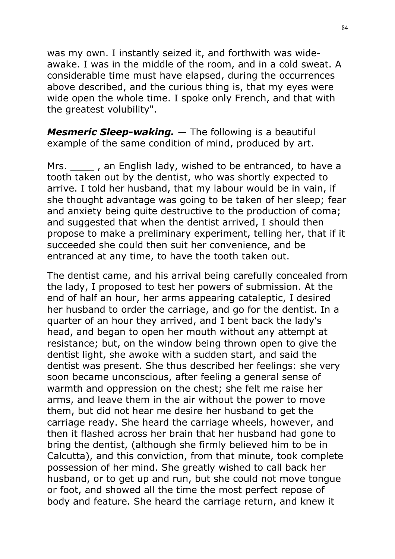was my own. I instantly seized it, and forthwith was wideawake. I was in the middle of the room, and in a cold sweat. A considerable time must have elapsed, during the occurrences above described, and the curious thing is, that my eves were wide open the whole time. I spoke only French, and that with the greatest volubility".

**Mesmeric Sleep-waking.** - The following is a beautiful example of the same condition of mind, produced by art.

Mrs. \_\_\_\_\_, an English lady, wished to be entranced, to have a tooth taken out by the dentist, who was shortly expected to arrive. I told her husband, that my labour would be in vain, if she thought advantage was going to be taken of her sleep; fear and anxiety being quite destructive to the production of coma; and suggested that when the dentist arrived. I should then propose to make a preliminary experiment, telling her, that if it succeeded she could then suit her convenience, and be entranced at any time, to have the tooth taken out.

The dentist came, and his arrival being carefully concealed from the lady, I proposed to test her powers of submission. At the end of half an hour, her arms appearing cataleptic, I desired her husband to order the carriage, and go for the dentist. In a quarter of an hour they arrived, and I bent back the lady's head, and began to open her mouth without any attempt at resistance; but, on the window being thrown open to give the dentist light, she awoke with a sudden start, and said the dentist was present. She thus described her feelings: she very soon became unconscious, after feeling a general sense of warmth and oppression on the chest; she felt me raise her arms, and leave them in the air without the power to move them, but did not hear me desire her husband to get the carriage ready. She heard the carriage wheels, however, and then it flashed across her brain that her husband had gone to bring the dentist, (although she firmly believed him to be in Calcutta), and this conviction, from that minute, took complete possession of her mind. She greatly wished to call back her husband, or to get up and run, but she could not move tongue or foot, and showed all the time the most perfect repose of body and feature. She heard the carriage return, and knew it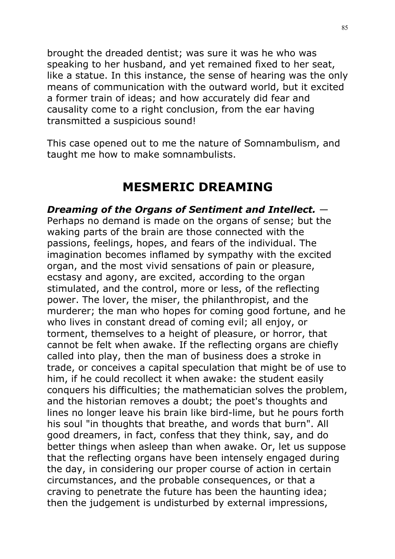brought the dreaded dentist; was sure it was he who was speaking to her husband, and yet remained fixed to her seat, like a statue. In this instance, the sense of hearing was the only means of communication with the outward world, but it excited a former train of ideas: and how accurately did fear and causality come to a right conclusion, from the ear having transmitted a suspicious sound!

This case opened out to me the nature of Somnambulism, and taught me how to make somnambulists.

### **MESMERIC DREAMING**

Dreaming of the Organs of Sentiment and Intellect.  $-$ Perhaps no demand is made on the organs of sense; but the waking parts of the brain are those connected with the passions, feelings, hopes, and fears of the individual. The imagination becomes inflamed by sympathy with the excited organ, and the most vivid sensations of pain or pleasure, ecstasy and agony, are excited, according to the organ stimulated, and the control, more or less, of the reflecting power. The lover, the miser, the philanthropist, and the murderer; the man who hopes for coming good fortune, and he who lives in constant dread of coming evil; all enjoy, or torment, themselves to a height of pleasure, or horror, that cannot be felt when awake. If the reflecting organs are chiefly called into play, then the man of business does a stroke in trade, or conceives a capital speculation that might be of use to him, if he could recollect it when awake: the student easily conquers his difficulties; the mathematician solves the problem, and the historian removes a doubt; the poet's thoughts and lines no longer leave his brain like bird-lime, but he pours forth his soul "in thoughts that breathe, and words that burn". All good dreamers, in fact, confess that they think, say, and do better things when asleep than when awake. Or, let us suppose that the reflecting organs have been intensely engaged during the day, in considering our proper course of action in certain circumstances, and the probable consequences, or that a craving to penetrate the future has been the haunting idea; then the judgement is undisturbed by external impressions,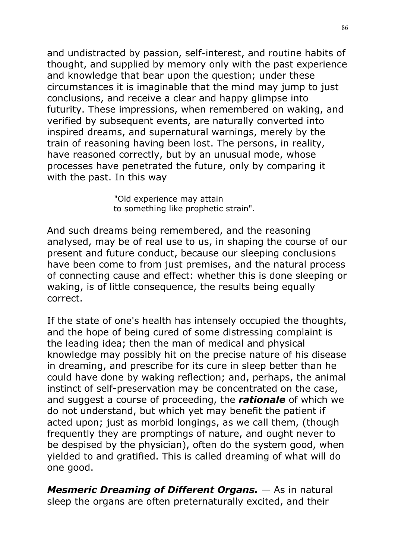and undistracted by passion, self-interest, and routine habits of thought, and supplied by memory only with the past experience and knowledge that bear upon the question; under these circumstances it is imaginable that the mind may jump to just conclusions, and receive a clear and happy glimpse into futurity. These impressions, when remembered on waking, and verified by subsequent events, are naturally converted into inspired dreams, and supernatural warnings, merely by the train of reasoning having been lost. The persons, in reality, have reasoned correctly, but by an unusual mode, whose processes have penetrated the future, only by comparing it with the past. In this way

> "Old experience may attain to something like prophetic strain".

And such dreams being remembered, and the reasoning analysed, may be of real use to us, in shaping the course of our present and future conduct, because our sleeping conclusions have been come to from just premises, and the natural process of connecting cause and effect: whether this is done sleeping or waking, is of little consequence, the results being equally correct.

If the state of one's health has intensely occupied the thoughts, and the hope of being cured of some distressing complaint is the leading idea; then the man of medical and physical knowledge may possibly hit on the precise nature of his disease in dreaming, and prescribe for its cure in sleep better than he could have done by waking reflection; and, perhaps, the animal instinct of self-preservation may be concentrated on the case, and suggest a course of proceeding, the **rationale** of which we do not understand, but which yet may benefit the patient if acted upon; just as morbid longings, as we call them, (though frequently they are promptings of nature, and ought never to be despised by the physician), often do the system good, when yielded to and gratified. This is called dreaming of what will do one good.

**Mesmeric Dreaming of Different Organs.**  $-$  As in natural sleep the organs are often preternaturally excited, and their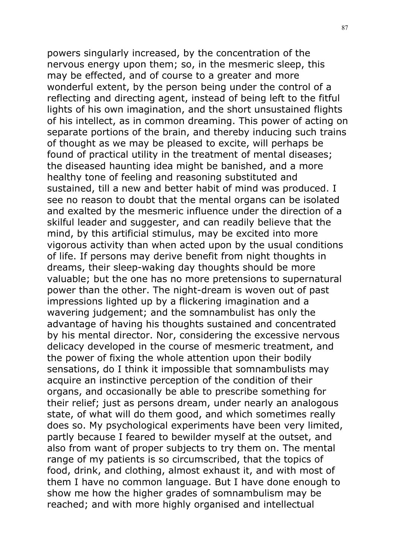powers singularly increased, by the concentration of the nervous energy upon them; so, in the mesmeric sleep, this may be effected, and of course to a greater and more wonderful extent, by the person being under the control of a reflecting and directing agent, instead of being left to the fitful lights of his own imagination, and the short unsustained flights of his intellect, as in common dreaming. This power of acting on separate portions of the brain, and thereby inducing such trains of thought as we may be pleased to excite, will perhaps be found of practical utility in the treatment of mental diseases; the diseased haunting idea might be banished, and a more healthy tone of feeling and reasoning substituted and sustained, till a new and better habit of mind was produced. I see no reason to doubt that the mental organs can be isolated and exalted by the mesmeric influence under the direction of a skilful leader and suggester, and can readily believe that the mind, by this artificial stimulus, may be excited into more vigorous activity than when acted upon by the usual conditions of life. If persons may derive benefit from night thoughts in dreams, their sleep-waking day thoughts should be more valuable; but the one has no more pretensions to supernatural power than the other. The night-dream is woven out of past impressions lighted up by a flickering imagination and a wavering judgement; and the somnambulist has only the advantage of having his thoughts sustained and concentrated by his mental director. Nor, considering the excessive nervous delicacy developed in the course of mesmeric treatment, and the power of fixing the whole attention upon their bodily sensations, do I think it impossible that somnambulists may acquire an instinctive perception of the condition of their organs, and occasionally be able to prescribe something for their relief; just as persons dream, under nearly an analogous state, of what will do them good, and which sometimes really does so. My psychological experiments have been very limited, partly because I feared to bewilder myself at the outset, and also from want of proper subjects to try them on. The mental range of my patients is so circumscribed, that the topics of food, drink, and clothing, almost exhaust it, and with most of them I have no common language. But I have done enough to show me how the higher grades of somnambulism may be reached; and with more highly organised and intellectual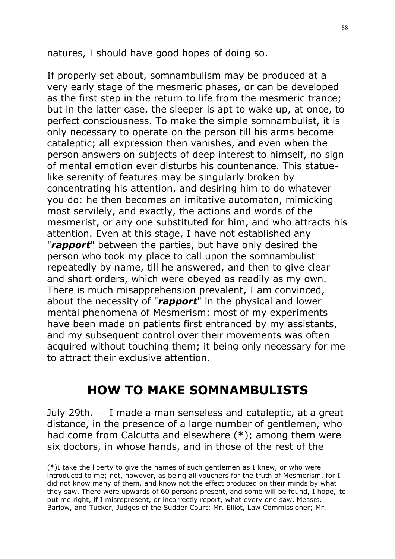natures, I should have good hopes of doing so.

If properly set about, somnambulism may be produced at a very early stage of the mesmeric phases, or can be developed as the first step in the return to life from the mesmeric trance: but in the latter case, the sleeper is apt to wake up, at once, to perfect consciousness. To make the simple somnambulist, it is only necessary to operate on the person till his arms become cataleptic; all expression then vanishes, and even when the person answers on subjects of deep interest to himself, no sign of mental emotion ever disturbs his countenance. This statuelike serenity of features may be singularly broken by concentrating his attention, and desiring him to do whatever vou do: he then becomes an imitative automaton, mimicking most servilely, and exactly, the actions and words of the mesmerist, or any one substituted for him, and who attracts his attention. Even at this stage, I have not established any "rapport" between the parties, but have only desired the person who took my place to call upon the somnambulist repeatedly by name, till he answered, and then to give clear and short orders, which were obeyed as readily as my own. There is much misapprehension prevalent, I am convinced, about the necessity of "rapport" in the physical and lower mental phenomena of Mesmerism: most of my experiments have been made on patients first entranced by my assistants, and my subsequent control over their movements was often acquired without touching them; it being only necessary for me to attract their exclusive attention.

#### **HOW TO MAKE SOMNAMBULISTS**

July 29th.  $-$  I made a man senseless and cataleptic, at a great distance, in the presence of a large number of gentlemen, who had come from Calcutta and elsewhere (\*); among them were six doctors, in whose hands, and in those of the rest of the

<sup>(</sup> $*$ )I take the liberty to give the names of such gentlemen as I knew, or who were introduced to me; not, however, as being all vouchers for the truth of Mesmerism, for I did not know many of them, and know not the effect produced on their minds by what they saw. There were upwards of 60 persons present, and some will be found, I hope, to put me right, if I misrepresent, or incorrectly report, what every one saw. Messrs. Barlow, and Tucker, Judges of the Sudder Court; Mr. Elliot, Law Commissioner; Mr.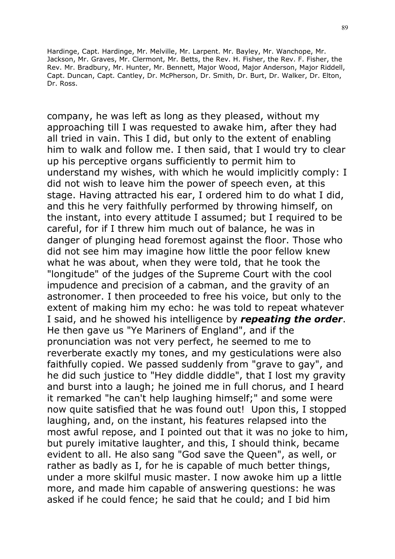Hardinge, Capt. Hardinge, Mr. Melville, Mr. Larpent. Mr. Bayley, Mr. Wanchope, Mr. Jackson, Mr. Graves, Mr. Clermont, Mr. Betts, the Rev. H. Fisher, the Rev. F. Fisher, the Rev. Mr. Bradbury, Mr. Hunter, Mr. Bennett, Major Wood, Major Anderson, Major Riddell, Capt. Duncan, Capt. Cantley, Dr. McPherson, Dr. Smith, Dr. Burt, Dr. Walker, Dr. Elton, Dr. Ross.

company, he was left as long as they pleased, without my approaching till I was requested to awake him, after they had all tried in vain. This I did, but only to the extent of enabling him to walk and follow me. I then said, that I would try to clear up his perceptive organs sufficiently to permit him to understand my wishes, with which he would implicitly comply: I did not wish to leave him the power of speech even, at this stage. Having attracted his ear, I ordered him to do what I did, and this he very faithfully performed by throwing himself, on the instant, into every attitude I assumed; but I required to be careful, for if I threw him much out of balance, he was in danger of plunging head foremost against the floor. Those who did not see him may imagine how little the poor fellow knew what he was about, when they were told, that he took the "longitude" of the judges of the Supreme Court with the cool impudence and precision of a cabman, and the gravity of an astronomer. I then proceeded to free his voice, but only to the extent of making him my echo: he was told to repeat whatever I said, and he showed his intelligence by repeating the order. He then gave us "Ye Mariners of England", and if the pronunciation was not very perfect, he seemed to me to reverberate exactly my tones, and my gesticulations were also faithfully copied. We passed suddenly from "grave to gay", and he did such justice to "Hey diddle diddle", that I lost my gravity and burst into a laugh; he joined me in full chorus, and I heard it remarked "he can't help laughing himself;" and some were now quite satisfied that he was found out! Upon this, I stopped laughing, and, on the instant, his features relapsed into the most awful repose, and I pointed out that it was no joke to him, but purely imitative laughter, and this, I should think, became evident to all. He also sang "God save the Queen", as well, or rather as badly as I, for he is capable of much better things, under a more skilful music master. I now awoke him up a little more, and made him capable of answering questions: he was asked if he could fence; he said that he could; and I bid him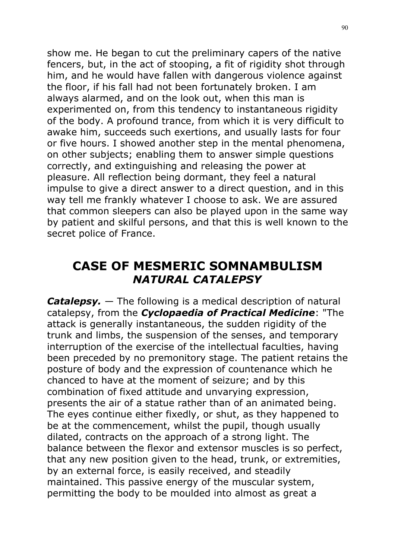show me. He began to cut the preliminary capers of the native fencers, but, in the act of stooping, a fit of rigidity shot through him, and he would have fallen with dangerous violence against the floor, if his fall had not been fortunately broken. I am always alarmed, and on the look out, when this man is experimented on, from this tendency to instantaneous rigidity of the body. A profound trance, from which it is very difficult to awake him, succeeds such exertions, and usually lasts for four or five hours. I showed another step in the mental phenomena, on other subjects; enabling them to answer simple questions correctly, and extinguishing and releasing the power at pleasure. All reflection being dormant, they feel a natural impulse to give a direct answer to a direct question, and in this way tell me frankly whatever I choose to ask. We are assured that common sleepers can also be played upon in the same way by patient and skilful persons, and that this is well known to the secret police of France.

### **CASE OF MESMERIC SOMNAMBULISM NATURAL CATALEPSY**

**Catalepsy.**  $-$  The following is a medical description of natural catalepsy, from the *Cyclopaedia of Practical Medicine*: "The attack is generally instantaneous, the sudden rigidity of the trunk and limbs, the suspension of the senses, and temporary interruption of the exercise of the intellectual faculties, having been preceded by no premonitory stage. The patient retains the posture of body and the expression of countenance which he chanced to have at the moment of seizure; and by this combination of fixed attitude and unvarying expression, presents the air of a statue rather than of an animated being. The eyes continue either fixedly, or shut, as they happened to be at the commencement, whilst the pupil, though usually dilated, contracts on the approach of a strong light. The balance between the flexor and extensor muscles is so perfect, that any new position given to the head, trunk, or extremities, by an external force, is easily received, and steadily maintained. This passive energy of the muscular system, permitting the body to be moulded into almost as great a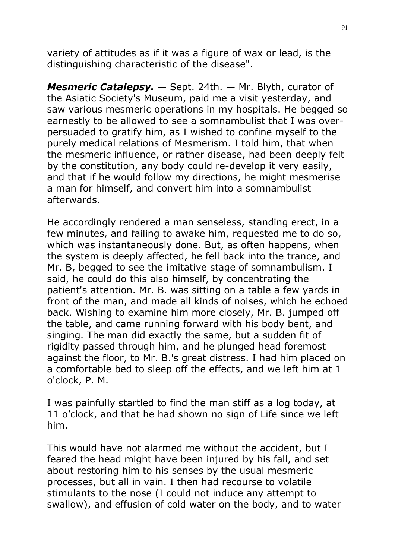variety of attitudes as if it was a figure of wax or lead, is the distinguishing characteristic of the disease".

**Mesmeric Catalepsy.**  $-$  Sept. 24th.  $-$  Mr. Blyth, curator of the Asiatic Society's Museum, paid me a visit yesterday, and saw various mesmeric operations in my hospitals. He begged so earnestly to be allowed to see a somnambulist that I was overpersuaded to gratify him, as I wished to confine myself to the purely medical relations of Mesmerism. I told him, that when the mesmeric influence, or rather disease, had been deeply felt by the constitution, any body could re-develop it very easily, and that if he would follow my directions, he might mesmerise a man for himself, and convert him into a somnambulist afterwards.

He accordingly rendered a man senseless, standing erect, in a few minutes, and failing to awake him, requested me to do so, which was instantaneously done. But, as often happens, when the system is deeply affected, he fell back into the trance, and Mr. B, begged to see the imitative stage of somnambulism. I said, he could do this also himself, by concentrating the patient's attention. Mr. B. was sitting on a table a few yards in front of the man, and made all kinds of noises, which he echoed back. Wishing to examine him more closely, Mr. B. jumped off the table, and came running forward with his body bent, and singing. The man did exactly the same, but a sudden fit of rigidity passed through him, and he plunged head foremost against the floor, to Mr. B.'s great distress. I had him placed on a comfortable bed to sleep off the effects, and we left him at 1 o'clock, P. M.

I was painfully startled to find the man stiff as a log today, at 11 o'clock, and that he had shown no sign of Life since we left him.

This would have not alarmed me without the accident, but I feared the head might have been injured by his fall, and set about restoring him to his senses by the usual mesmeric processes, but all in vain. I then had recourse to volatile stimulants to the nose (I could not induce any attempt to swallow), and effusion of cold water on the body, and to water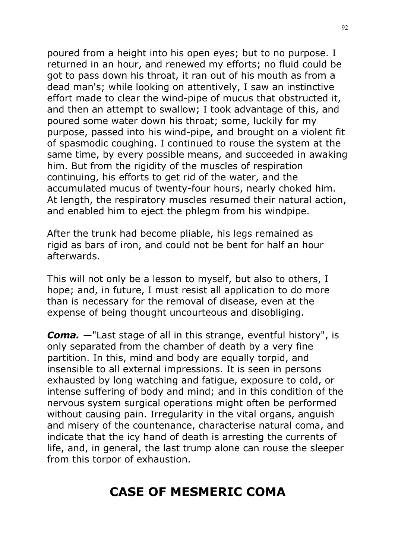poured from a height into his open eyes; but to no purpose. I returned in an hour, and renewed my efforts; no fluid could be got to pass down his throat, it ran out of his mouth as from a dead man's; while looking on attentively, I saw an instinctive effort made to clear the wind-pipe of mucus that obstructed it, and then an attempt to swallow; I took advantage of this, and poured some water down his throat; some, luckily for my purpose, passed into his wind-pipe, and brought on a violent fit of spasmodic coughing. I continued to rouse the system at the same time, by every possible means, and succeeded in awaking him. But from the rigidity of the muscles of respiration continuing, his efforts to get rid of the water, and the accumulated mucus of twenty-four hours, nearly choked him. At length, the respiratory muscles resumed their natural action, and enabled him to eject the phlegm from his windpipe.

After the trunk had become pliable, his legs remained as rigid as bars of iron, and could not be bent for half an hour afterwards.

This will not only be a lesson to myself, but also to others, I hope; and, in future, I must resist all application to do more than is necessary for the removal of disease, even at the expense of being thought uncourteous and disobliging.

**Coma.**  $-$ "Last stage of all in this strange, eventful history", is only separated from the chamber of death by a very fine partition. In this, mind and body are equally torpid, and insensible to all external impressions. It is seen in persons exhausted by long watching and fatigue, exposure to cold, or intense suffering of body and mind; and in this condition of the nervous system surgical operations might often be performed without causing pain. Irregularity in the vital organs, anguish and misery of the countenance, characterise natural coma, and indicate that the icy hand of death is arresting the currents of life, and, in general, the last trump alone can rouse the sleeper from this torpor of exhaustion.

### **CASE OF MESMERIC COMA**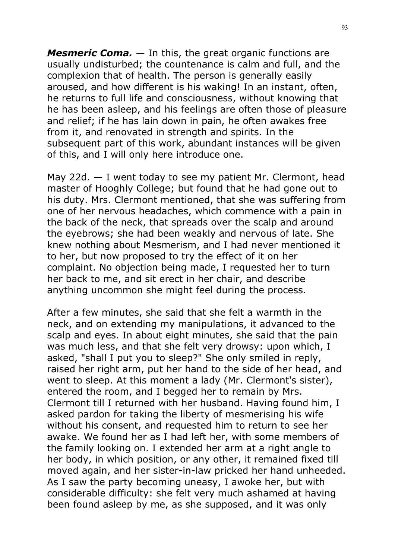**Mesmeric Coma.**  $-$  In this, the great organic functions are usually undisturbed; the countenance is calm and full, and the complexion that of health. The person is generally easily aroused, and how different is his waking! In an instant, often, he returns to full life and consciousness, without knowing that he has been asleep, and his feelings are often those of pleasure and relief; if he has lain down in pain, he often awakes free from it, and renovated in strength and spirits. In the subsequent part of this work, abundant instances will be given of this, and I will only here introduce one.

May 22d.  $-$  I went today to see my patient Mr. Clermont, head master of Hooghly College; but found that he had gone out to his duty. Mrs. Clermont mentioned, that she was suffering from one of her nervous headaches, which commence with a pain in the back of the neck, that spreads over the scalp and around the eyebrows; she had been weakly and nervous of late. She knew nothing about Mesmerism, and I had never mentioned it to her, but now proposed to try the effect of it on her complaint. No objection being made, I requested her to turn her back to me, and sit erect in her chair, and describe anything uncommon she might feel during the process.

After a few minutes, she said that she felt a warmth in the neck, and on extending my manipulations, it advanced to the scalp and eyes. In about eight minutes, she said that the pain was much less, and that she felt very drowsy: upon which, I asked, "shall I put you to sleep?" She only smiled in reply, raised her right arm, put her hand to the side of her head, and went to sleep. At this moment a lady (Mr. Clermont's sister), entered the room, and I begged her to remain by Mrs. Clermont till I returned with her husband. Having found him, I asked pardon for taking the liberty of mesmerising his wife without his consent, and requested him to return to see her awake. We found her as I had left her, with some members of the family looking on. I extended her arm at a right angle to her body, in which position, or any other, it remained fixed till moved again, and her sister-in-law pricked her hand unheeded. As I saw the party becoming uneasy, I awoke her, but with considerable difficulty: she felt very much ashamed at having been found asleep by me, as she supposed, and it was only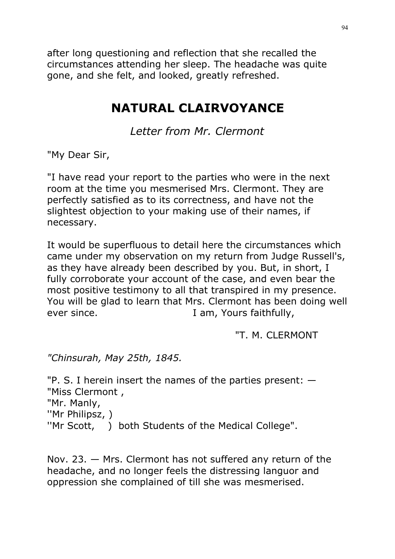after long questioning and reflection that she recalled the circumstances attending her sleep. The headache was quite gone, and she felt, and looked, greatly refreshed.

### **NATURAL CLAIRVOYANCE**

Letter from Mr. Clermont

"My Dear Sir,

"I have read your report to the parties who were in the next room at the time you mesmerised Mrs. Clermont. They are perfectly satisfied as to its correctness, and have not the slightest objection to your making use of their names, if necessary.

It would be superfluous to detail here the circumstances which came under my observation on my return from Judge Russell's, as they have already been described by you. But, in short, I fully corroborate your account of the case, and even bear the most positive testimony to all that transpired in my presence. You will be glad to learn that Mrs. Clermont has been doing well ever since. I am, Yours faithfully,

"T. M. CI FRMONT

"Chinsurah, May 25th, 1845.

"P. S. I herein insert the names of the parties present:  $-$ "Miss Clermont, "Mr. Manly, "Mr Philipsz, ) "Mr Scott, ) both Students of the Medical College".

Nov. 23.  $-$  Mrs. Clermont has not suffered any return of the headache, and no longer feels the distressing languor and oppression she complained of till she was mesmerised.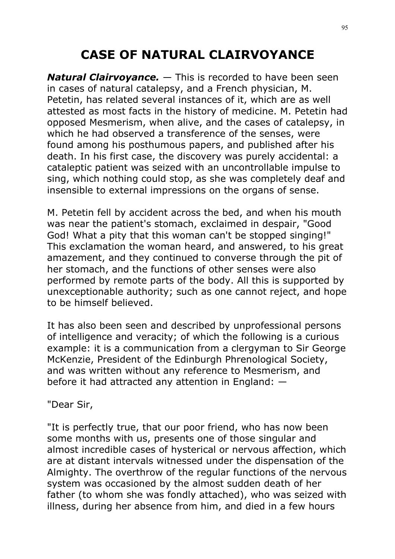## **CASE OF NATURAL CLAIRVOYANCE**

**Natural Clairvoyance.** - This is recorded to have been seen in cases of natural catalepsy, and a French physician, M. Petetin, has related several instances of it, which are as well attested as most facts in the history of medicine. M. Petetin had opposed Mesmerism, when alive, and the cases of catalepsy, in which he had observed a transference of the senses, were found among his posthumous papers, and published after his death. In his first case, the discovery was purely accidental: a cataleptic patient was seized with an uncontrollable impulse to sing, which nothing could stop, as she was completely deaf and insensible to external impressions on the organs of sense.

M. Petetin fell by accident across the bed, and when his mouth was near the patient's stomach, exclaimed in despair, "Good God! What a pity that this woman can't be stopped singing!" This exclamation the woman heard, and answered, to his great amazement, and they continued to converse through the pit of her stomach, and the functions of other senses were also performed by remote parts of the body. All this is supported by unexceptionable authority; such as one cannot reject, and hope to be himself believed.

It has also been seen and described by unprofessional persons of intelligence and veracity; of which the following is a curious example: it is a communication from a clergyman to Sir George McKenzie, President of the Edinburgh Phrenological Society, and was written without any reference to Mesmerism, and before it had attracted any attention in England: -

"Dear Sir,

"It is perfectly true, that our poor friend, who has now been some months with us, presents one of those singular and almost incredible cases of hysterical or nervous affection, which are at distant intervals witnessed under the dispensation of the Almighty. The overthrow of the regular functions of the nervous system was occasioned by the almost sudden death of her father (to whom she was fondly attached), who was seized with illness, during her absence from him, and died in a few hours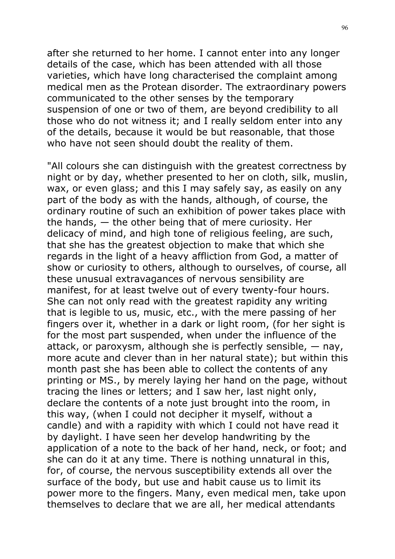after she returned to her home. I cannot enter into any longer details of the case, which has been attended with all those varieties, which have long characterised the complaint among medical men as the Protean disorder. The extraordinary powers communicated to the other senses by the temporary suspension of one or two of them, are beyond credibility to all those who do not witness it; and I really seldom enter into any of the details, because it would be but reasonable, that those who have not seen should doubt the reality of them.

"All colours she can distinguish with the greatest correctness by night or by day, whether presented to her on cloth, silk, muslin, wax, or even glass; and this I may safely say, as easily on any part of the body as with the hands, although, of course, the ordinary routine of such an exhibition of power takes place with the hands,  $-$  the other being that of mere curiosity. Her delicacy of mind, and high tone of religious feeling, are such, that she has the greatest objection to make that which she regards in the light of a heavy affliction from God, a matter of show or curiosity to others, although to ourselves, of course, all these unusual extravagances of nervous sensibility are manifest, for at least twelve out of every twenty-four hours. She can not only read with the greatest rapidity any writing that is legible to us, music, etc., with the mere passing of her fingers over it, whether in a dark or light room, (for her sight is for the most part suspended, when under the influence of the attack, or paroxysm, although she is perfectly sensible,  $-$  nay, more acute and clever than in her natural state); but within this month past she has been able to collect the contents of any printing or MS., by merely laying her hand on the page, without tracing the lines or letters; and I saw her, last night only, declare the contents of a note just brought into the room, in this way, (when I could not decipher it myself, without a candle) and with a rapidity with which I could not have read it by daylight. I have seen her develop handwriting by the application of a note to the back of her hand, neck, or foot; and she can do it at any time. There is nothing unnatural in this, for, of course, the nervous susceptibility extends all over the surface of the body, but use and habit cause us to limit its power more to the fingers. Many, even medical men, take upon themselves to declare that we are all, her medical attendants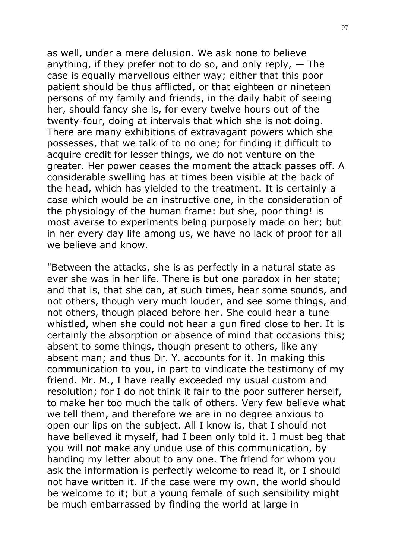as well, under a mere delusion. We ask none to believe anything, if they prefer not to do so, and only reply,  $-$  The case is equally marvellous either way; either that this poor patient should be thus afflicted, or that eighteen or nineteen persons of my family and friends, in the daily habit of seeing her, should fancy she is, for every twelve hours out of the twenty-four, doing at intervals that which she is not doing. There are many exhibitions of extravagant powers which she possesses, that we talk of to no one; for finding it difficult to acquire credit for lesser things, we do not venture on the greater. Her power ceases the moment the attack passes off. A considerable swelling has at times been visible at the back of the head, which has yielded to the treatment. It is certainly a case which would be an instructive one, in the consideration of the physiology of the human frame: but she, poor thing! is most averse to experiments being purposely made on her; but in her every day life among us, we have no lack of proof for all we believe and know.

"Between the attacks, she is as perfectly in a natural state as ever she was in her life. There is but one paradox in her state; and that is, that she can, at such times, hear some sounds, and not others, though very much louder, and see some things, and not others, though placed before her. She could hear a tune whistled, when she could not hear a gun fired close to her. It is certainly the absorption or absence of mind that occasions this: absent to some things, though present to others, like any absent man; and thus Dr. Y. accounts for it. In making this communication to you, in part to vindicate the testimony of my friend. Mr. M., I have really exceeded my usual custom and resolution; for I do not think it fair to the poor sufferer herself, to make her too much the talk of others. Very few believe what we tell them, and therefore we are in no degree anxious to open our lips on the subject. All I know is, that I should not have believed it myself, had I been only told it. I must beg that you will not make any undue use of this communication, by handing my letter about to any one. The friend for whom you ask the information is perfectly welcome to read it, or I should not have written it. If the case were my own, the world should be welcome to it; but a young female of such sensibility might be much embarrassed by finding the world at large in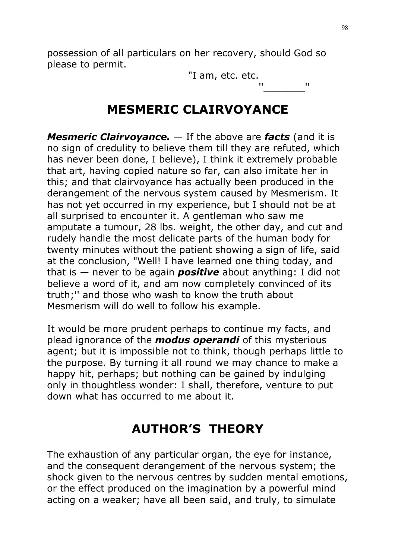possession of all particulars on her recovery, should God so please to permit.

"I am, etc. etc.

### **MESMERIC CLAIRVOYANCE**

**Mesmeric Clairvoyance.**  $-$  If the above are **facts** (and it is no sign of credulity to believe them till they are refuted, which has never been done, I believe), I think it extremely probable that art, having copied nature so far, can also imitate her in this; and that clairvoyance has actually been produced in the derangement of the nervous system caused by Mesmerism. It has not yet occurred in my experience, but I should not be at all surprised to encounter it. A gentleman who saw me amputate a tumour, 28 lbs. weight, the other day, and cut and rudely handle the most delicate parts of the human body for twenty minutes without the patient showing a sign of life, said at the conclusion, "Well! I have learned one thing today, and that is  $-$  never to be again **positive** about anything: I did not believe a word of it, and am now completely convinced of its truth;" and those who wash to know the truth about Mesmerism will do well to follow his example.

It would be more prudent perhaps to continue my facts, and plead ignorance of the **modus operandi** of this mysterious agent; but it is impossible not to think, though perhaps little to the purpose. By turning it all round we may chance to make a happy hit, perhaps; but nothing can be gained by indulging only in thoughtless wonder: I shall, therefore, venture to put down what has occurred to me about it.

### **AUTHOR'S THEORY**

The exhaustion of any particular organ, the eye for instance, and the consequent derangement of the nervous system; the shock given to the nervous centres by sudden mental emotions, or the effect produced on the imagination by a powerful mind acting on a weaker; have all been said, and truly, to simulate

ū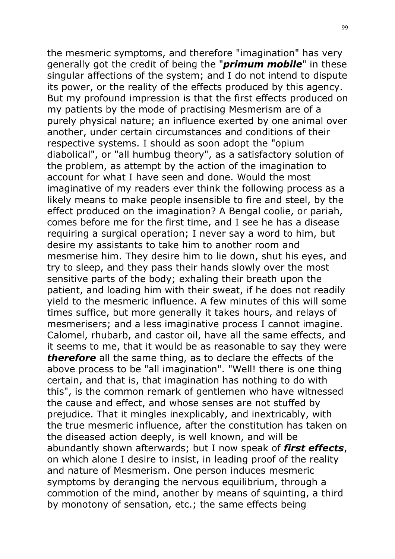the mesmeric symptoms, and therefore "imagination" has very generally got the credit of being the "*primum mobile*" in these singular affections of the system; and I do not intend to dispute its power, or the reality of the effects produced by this agency. But my profound impression is that the first effects produced on my patients by the mode of practising Mesmerism are of a purely physical nature; an influence exerted by one animal over another, under certain circumstances and conditions of their respective systems. I should as soon adopt the "opium diabolical", or "all humbug theory", as a satisfactory solution of the problem, as attempt by the action of the imagination to account for what I have seen and done. Would the most imaginative of my readers ever think the following process as a likely means to make people insensible to fire and steel, by the effect produced on the imagination? A Bengal coolie, or pariah, comes before me for the first time, and I see he has a disease requiring a surgical operation; I never say a word to him, but desire my assistants to take him to another room and mesmerise him. They desire him to lie down, shut his eyes, and try to sleep, and they pass their hands slowly over the most sensitive parts of the body; exhaling their breath upon the patient, and loading him with their sweat, if he does not readily yield to the mesmeric influence. A few minutes of this will some times suffice, but more generally it takes hours, and relays of mesmerisers; and a less imaginative process I cannot imagine. Calomel, rhubarb, and castor oil, have all the same effects, and it seems to me, that it would be as reasonable to say they were **therefore** all the same thing, as to declare the effects of the above process to be "all imagination". "Well! there is one thing certain, and that is, that imagination has nothing to do with this", is the common remark of gentlemen who have witnessed the cause and effect, and whose senses are not stuffed by prejudice. That it mingles inexplicably, and inextricably, with the true mesmeric influence, after the constitution has taken on the diseased action deeply, is well known, and will be abundantly shown afterwards; but I now speak of *first effects*, on which alone I desire to insist, in leading proof of the reality and nature of Mesmerism. One person induces mesmeric symptoms by deranging the nervous equilibrium, through a commotion of the mind, another by means of squinting, a third by monotony of sensation, etc.; the same effects being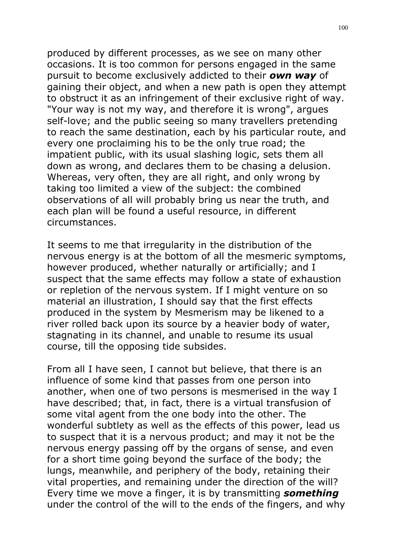produced by different processes, as we see on many other occasions. It is too common for persons engaged in the same pursuit to become exclusively addicted to their own way of gaining their object, and when a new path is open they attempt to obstruct it as an infringement of their exclusive right of way. "Your way is not my way, and therefore it is wrong", argues self-love; and the public seeing so many travellers pretending to reach the same destination, each by his particular route, and every one proclaiming his to be the only true road; the impatient public, with its usual slashing logic, sets them all down as wrong, and declares them to be chasing a delusion. Whereas, very often, they are all right, and only wrong by taking too limited a view of the subject: the combined observations of all will probably bring us near the truth, and each plan will be found a useful resource, in different circumstances.

It seems to me that irregularity in the distribution of the nervous energy is at the bottom of all the mesmeric symptoms, however produced, whether naturally or artificially; and I suspect that the same effects may follow a state of exhaustion or repletion of the nervous system. If I might venture on so material an illustration, I should say that the first effects produced in the system by Mesmerism may be likened to a river rolled back upon its source by a heavier body of water, stagnating in its channel, and unable to resume its usual course, till the opposing tide subsides.

From all I have seen, I cannot but believe, that there is an influence of some kind that passes from one person into another, when one of two persons is mesmerised in the way I have described; that, in fact, there is a virtual transfusion of some vital agent from the one body into the other. The wonderful subtlety as well as the effects of this power, lead us to suspect that it is a nervous product; and may it not be the nervous energy passing off by the organs of sense, and even for a short time going beyond the surface of the body; the lungs, meanwhile, and periphery of the body, retaining their vital properties, and remaining under the direction of the will? Every time we move a finger, it is by transmitting **something** under the control of the will to the ends of the fingers, and why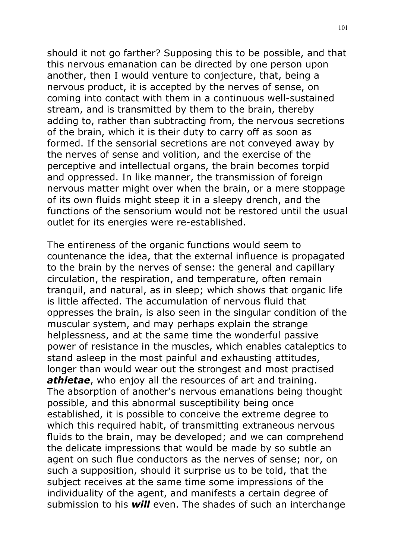should it not go farther? Supposing this to be possible, and that this nervous emanation can be directed by one person upon another, then I would venture to conjecture, that, being a nervous product, it is accepted by the nerves of sense, on coming into contact with them in a continuous well-sustained stream, and is transmitted by them to the brain, thereby adding to, rather than subtracting from, the nervous secretions of the brain, which it is their duty to carry off as soon as formed. If the sensorial secretions are not conveyed away by the nerves of sense and volition, and the exercise of the perceptive and intellectual organs, the brain becomes torpid and oppressed. In like manner, the transmission of foreign nervous matter might over when the brain, or a mere stoppage of its own fluids might steep it in a sleepy drench, and the functions of the sensorium would not be restored until the usual outlet for its energies were re-established.

The entireness of the organic functions would seem to countenance the idea, that the external influence is propagated to the brain by the nerves of sense: the general and capillary circulation, the respiration, and temperature, often remain tranquil, and natural, as in sleep; which shows that organic life is little affected. The accumulation of nervous fluid that oppresses the brain, is also seen in the singular condition of the muscular system, and may perhaps explain the strange helplessness, and at the same time the wonderful passive power of resistance in the muscles, which enables cataleptics to stand asleep in the most painful and exhausting attitudes, longer than would wear out the strongest and most practised athletae, who enjoy all the resources of art and training. The absorption of another's nervous emanations being thought possible, and this abnormal susceptibility being once established, it is possible to conceive the extreme degree to which this required habit, of transmitting extraneous nervous fluids to the brain, may be developed; and we can comprehend the delicate impressions that would be made by so subtle an agent on such flue conductors as the nerves of sense; nor, on such a supposition, should it surprise us to be told, that the subject receives at the same time some impressions of the individuality of the agent, and manifests a certain degree of submission to his *will* even. The shades of such an interchange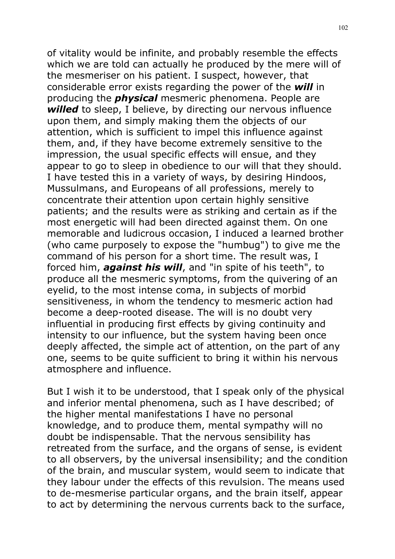of vitality would be infinite, and probably resemble the effects which we are told can actually he produced by the mere will of the mesmeriser on his patient. I suspect, however, that considerable error exists regarding the power of the *will* in producing the **physical** mesmeric phenomena. People are **willed** to sleep, I believe, by directing our nervous influence upon them, and simply making them the objects of our attention, which is sufficient to impel this influence against them, and, if they have become extremely sensitive to the impression, the usual specific effects will ensue, and they appear to go to sleep in obedience to our will that they should. I have tested this in a variety of ways, by desiring Hindoos, Mussulmans, and Europeans of all professions, merely to concentrate their attention upon certain highly sensitive patients; and the results were as striking and certain as if the most energetic will had been directed against them. On one memorable and ludicrous occasion, I induced a learned brother (who came purposely to expose the "humbug") to give me the command of his person for a short time. The result was, I forced him, **against his will**, and "in spite of his teeth", to produce all the mesmeric symptoms, from the quivering of an eyelid, to the most intense coma, in subjects of morbid sensitiveness, in whom the tendency to mesmeric action had become a deep-rooted disease. The will is no doubt very influential in producing first effects by giving continuity and intensity to our influence, but the system having been once deeply affected, the simple act of attention, on the part of any one, seems to be quite sufficient to bring it within his nervous atmosphere and influence.

But I wish it to be understood, that I speak only of the physical and inferior mental phenomena, such as I have described; of the higher mental manifestations I have no personal knowledge, and to produce them, mental sympathy will no doubt be indispensable. That the nervous sensibility has retreated from the surface, and the organs of sense, is evident to all observers, by the universal insensibility; and the condition of the brain, and muscular system, would seem to indicate that they labour under the effects of this revulsion. The means used to de-mesmerise particular organs, and the brain itself, appear to act by determining the nervous currents back to the surface,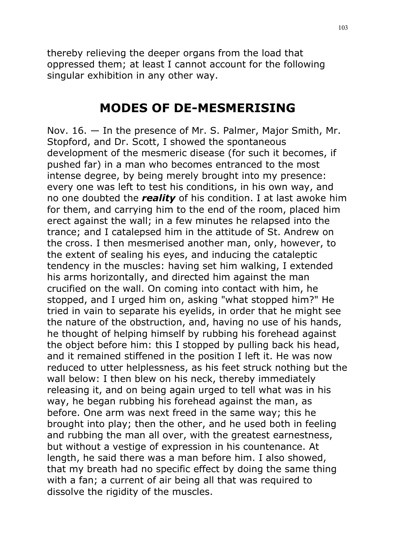thereby relieving the deeper organs from the load that oppressed them; at least I cannot account for the following singular exhibition in any other way.

#### **MODES OF DE-MESMERISING**

Nov. 16. - In the presence of Mr. S. Palmer, Major Smith, Mr. Stopford, and Dr. Scott, I showed the spontaneous development of the mesmeric disease (for such it becomes, if pushed far) in a man who becomes entranced to the most intense degree, by being merely brought into my presence: every one was left to test his conditions, in his own way, and no one doubted the reality of his condition. I at last awoke him for them, and carrying him to the end of the room, placed him erect against the wall; in a few minutes he relapsed into the trance; and I catalepsed him in the attitude of St. Andrew on the cross. I then mesmerised another man, only, however, to the extent of sealing his eyes, and inducing the cataleptic tendency in the muscles: having set him walking, I extended his arms horizontally, and directed him against the man crucified on the wall. On coming into contact with him, he stopped, and I urged him on, asking "what stopped him?" He tried in vain to separate his eyelids, in order that he might see the nature of the obstruction, and, having no use of his hands, he thought of helping himself by rubbing his forehead against the object before him: this I stopped by pulling back his head, and it remained stiffened in the position I left it. He was now reduced to utter helplessness, as his feet struck nothing but the wall below: I then blew on his neck, thereby immediately releasing it, and on being again urged to tell what was in his way, he began rubbing his forehead against the man, as before. One arm was next freed in the same way; this he brought into play; then the other, and he used both in feeling and rubbing the man all over, with the greatest earnestness, but without a vestige of expression in his countenance. At length, he said there was a man before him. I also showed, that my breath had no specific effect by doing the same thing with a fan; a current of air being all that was required to dissolve the rigidity of the muscles.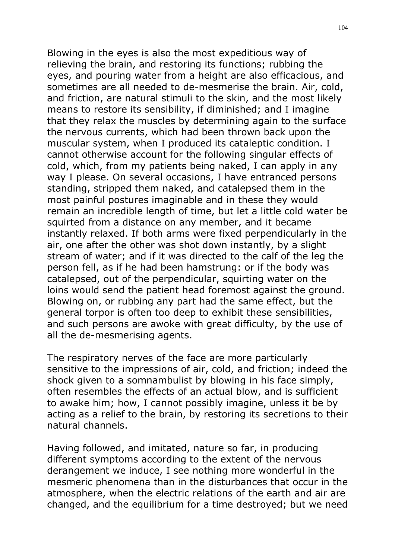Blowing in the eves is also the most expeditious way of relieving the brain, and restoring its functions; rubbing the eyes, and pouring water from a height are also efficacious, and sometimes are all needed to de-mesmerise the brain. Air, cold, and friction, are natural stimuli to the skin, and the most likely means to restore its sensibility, if diminished; and I imagine that they relax the muscles by determining again to the surface the nervous currents, which had been thrown back upon the muscular system, when I produced its cataleptic condition. I cannot otherwise account for the following singular effects of cold, which, from my patients being naked, I can apply in any way I please. On several occasions, I have entranced persons standing, stripped them naked, and catalepsed them in the most painful postures imaginable and in these they would remain an incredible length of time, but let a little cold water be squirted from a distance on any member, and it became instantly relaxed. If both arms were fixed perpendicularly in the air, one after the other was shot down instantly, by a slight stream of water; and if it was directed to the calf of the leg the person fell, as if he had been hamstrung: or if the body was catalepsed, out of the perpendicular, squirting water on the loins would send the patient head foremost against the ground. Blowing on, or rubbing any part had the same effect, but the general torpor is often too deep to exhibit these sensibilities, and such persons are awoke with great difficulty, by the use of all the de-mesmerising agents.

The respiratory nerves of the face are more particularly sensitive to the impressions of air, cold, and friction; indeed the shock given to a somnambulist by blowing in his face simply, often resembles the effects of an actual blow, and is sufficient to awake him; how, I cannot possibly imagine, unless it be by acting as a relief to the brain, by restoring its secretions to their natural channels.

Having followed, and imitated, nature so far, in producing different symptoms according to the extent of the nervous derangement we induce. I see nothing more wonderful in the mesmeric phenomena than in the disturbances that occur in the atmosphere, when the electric relations of the earth and air are changed, and the equilibrium for a time destroved; but we need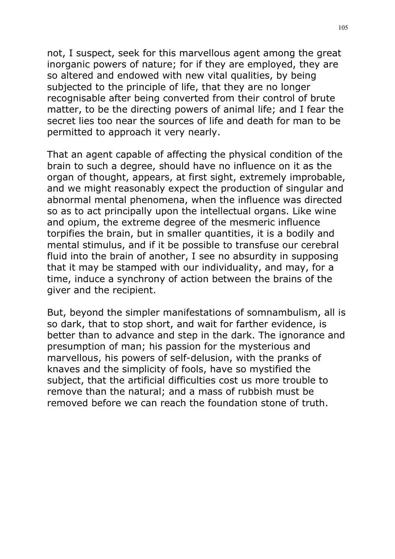not, I suspect, seek for this marvellous agent among the great inorganic powers of nature; for if they are employed, they are so altered and endowed with new vital qualities, by being subjected to the principle of life, that they are no longer recognisable after being converted from their control of brute matter, to be the directing powers of animal life; and I fear the secret lies too near the sources of life and death for man to be permitted to approach it very nearly.

That an agent capable of affecting the physical condition of the brain to such a degree, should have no influence on it as the organ of thought, appears, at first sight, extremely improbable, and we might reasonably expect the production of singular and abnormal mental phenomena, when the influence was directed so as to act principally upon the intellectual organs. Like wine and opium, the extreme degree of the mesmeric influence torpifies the brain, but in smaller quantities, it is a bodily and mental stimulus, and if it be possible to transfuse our cerebral fluid into the brain of another, I see no absurdity in supposing that it may be stamped with our individuality, and may, for a time, induce a synchrony of action between the brains of the giver and the recipient.

But, beyond the simpler manifestations of somnambulism, all is so dark, that to stop short, and wait for farther evidence, is better than to advance and step in the dark. The ignorance and presumption of man; his passion for the mysterious and marvellous, his powers of self-delusion, with the pranks of knaves and the simplicity of fools, have so mystified the subject, that the artificial difficulties cost us more trouble to remove than the natural; and a mass of rubbish must be removed before we can reach the foundation stone of truth.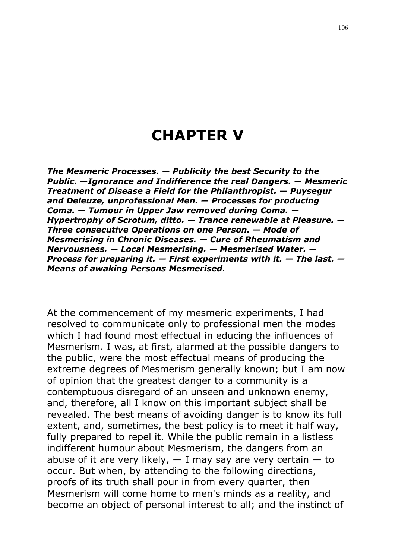# **CHAPTER V**

The Mesmeric Processes.  $-$  Publicity the best Security to the Public. -Ignorance and Indifference the real Dangers. - Mesmeric Treatment of Disease a Field for the Philanthropist. - Puysegur and Deleuze, unprofessional Men. - Processes for producing Coma. - Tumour in Upper Jaw removed during Coma. -Hypertrophy of Scrotum, ditto. - Trance renewable at Pleasure. -Three consecutive Operations on one Person. - Mode of Mesmerising in Chronic Diseases. - Cure of Rheumatism and Nervousness. - Local Mesmerising. - Mesmerised Water. -Process for preparing it.  $-$  First experiments with it.  $-$  The last.  $-$ **Means of awaking Persons Mesmerised.** 

At the commencement of my mesmeric experiments, I had resolved to communicate only to professional men the modes which I had found most effectual in educing the influences of Mesmerism. I was, at first, alarmed at the possible dangers to the public, were the most effectual means of producing the extreme degrees of Mesmerism generally known; but I am now of opinion that the greatest danger to a community is a contemptuous disregard of an unseen and unknown enemy, and, therefore, all I know on this important subject shall be revealed. The best means of avoiding danger is to know its full extent, and, sometimes, the best policy is to meet it half way, fully prepared to repel it. While the public remain in a listless indifferent humour about Mesmerism, the dangers from an abuse of it are very likely,  $-$  I may say are very certain  $-$  to occur. But when, by attending to the following directions, proofs of its truth shall pour in from every quarter, then Mesmerism will come home to men's minds as a reality, and become an object of personal interest to all; and the instinct of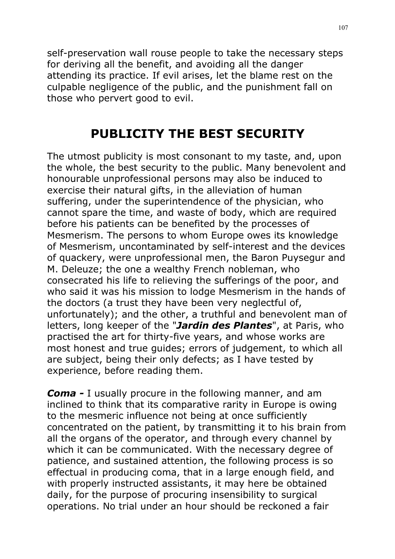self-preservation wall rouse people to take the necessary steps for deriving all the benefit, and avoiding all the danger attending its practice. If evil arises, let the blame rest on the culpable negligence of the public, and the punishment fall on those who pervert good to evil.

## **PUBLICITY THE BEST SECURITY**

The utmost publicity is most consonant to my taste, and, upon the whole, the best security to the public. Many benevolent and honourable unprofessional persons may also be induced to exercise their natural gifts, in the alleviation of human suffering, under the superintendence of the physician, who cannot spare the time, and waste of body, which are required before his patients can be benefited by the processes of Mesmerism. The persons to whom Europe owes its knowledge of Mesmerism, uncontaminated by self-interest and the devices of quackery, were unprofessional men, the Baron Puysequr and M. Deleuze; the one a wealthy French nobleman, who consecrated his life to relieving the sufferings of the poor, and who said it was his mission to lodge Mesmerism in the hands of the doctors (a trust they have been very neglectful of, unfortunately); and the other, a truthful and benevolent man of letters, long keeper of the "Jardin des Plantes", at Paris, who practised the art for thirty-five years, and whose works are most honest and true quides; errors of judgement, to which all are subject, being their only defects; as I have tested by experience, before reading them.

**Coma** - I usually procure in the following manner, and am inclined to think that its comparative rarity in Europe is owing to the mesmeric influence not being at once sufficiently concentrated on the patient, by transmitting it to his brain from all the organs of the operator, and through every channel by which it can be communicated. With the necessary degree of patience, and sustained attention, the following process is so effectual in producing coma, that in a large enough field, and with properly instructed assistants, it may here be obtained daily, for the purpose of procuring insensibility to surgical operations. No trial under an hour should be reckoned a fair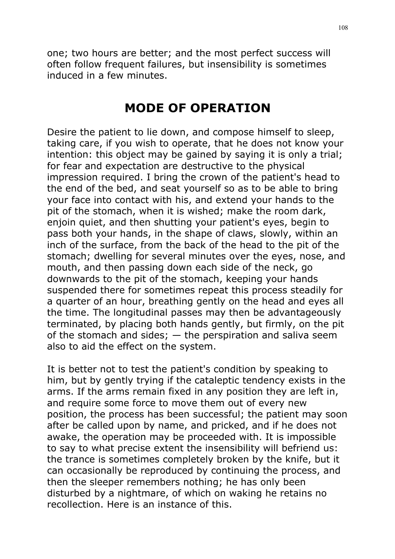one; two hours are better; and the most perfect success will often follow frequent failures, but insensibility is sometimes induced in a few minutes.

### **MODE OF OPERATION**

Desire the patient to lie down, and compose himself to sleep, taking care, if you wish to operate, that he does not know your intention: this object may be gained by saying it is only a trial; for fear and expectation are destructive to the physical impression required. I bring the crown of the patient's head to the end of the bed, and seat yourself so as to be able to bring your face into contact with his, and extend your hands to the pit of the stomach, when it is wished; make the room dark, enioin quiet, and then shutting your patient's eyes, begin to pass both your hands, in the shape of claws, slowly, within an inch of the surface, from the back of the head to the pit of the stomach; dwelling for several minutes over the eyes, nose, and mouth, and then passing down each side of the neck, go downwards to the pit of the stomach, keeping your hands suspended there for sometimes repeat this process steadily for a quarter of an hour, breathing gently on the head and eyes all the time. The longitudinal passes may then be advantageously terminated, by placing both hands gently, but firmly, on the pit of the stomach and sides;  $-$  the perspiration and saliva seem also to aid the effect on the system.

It is better not to test the patient's condition by speaking to him, but by gently trying if the cataleptic tendency exists in the arms. If the arms remain fixed in any position they are left in, and require some force to move them out of every new position, the process has been successful; the patient may soon after be called upon by name, and pricked, and if he does not awake, the operation may be proceeded with. It is impossible to say to what precise extent the insensibility will befriend us: the trance is sometimes completely broken by the knife, but it can occasionally be reproduced by continuing the process, and then the sleeper remembers nothing; he has only been disturbed by a nightmare, of which on waking he retains no recollection. Here is an instance of this.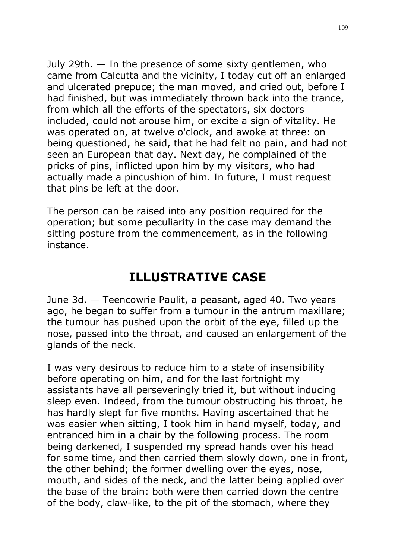July 29th.  $-$  In the presence of some sixty gentlemen, who came from Calcutta and the vicinity, I today cut off an enlarged and ulcerated prepuce; the man moved, and cried out, before I had finished, but was immediately thrown back into the trance, from which all the efforts of the spectators, six doctors included, could not arouse him, or excite a sign of vitality. He was operated on, at twelve o'clock, and awoke at three: on being questioned, he said, that he had felt no pain, and had not seen an European that day. Next day, he complained of the pricks of pins, inflicted upon him by my visitors, who had actually made a pincushion of him. In future, I must request that pins be left at the door.

The person can be raised into any position required for the operation; but some peculiarity in the case may demand the sitting posture from the commencement, as in the following instance.

# **ILLUSTRATIVE CASE**

June 3d. — Teencowrie Paulit, a peasant, aged 40. Two years ago, he began to suffer from a tumour in the antrum maxillare; the tumour has pushed upon the orbit of the eye, filled up the nose, passed into the throat, and caused an enlargement of the glands of the neck.

I was very desirous to reduce him to a state of insensibility before operating on him, and for the last fortnight my assistants have all perseveringly tried it, but without inducing sleep even. Indeed, from the tumour obstructing his throat, he has hardly slept for five months. Having ascertained that he was easier when sitting, I took him in hand myself, today, and entranced him in a chair by the following process. The room being darkened, I suspended my spread hands over his head for some time, and then carried them slowly down, one in front, the other behind; the former dwelling over the eyes, nose, mouth, and sides of the neck, and the latter being applied over the base of the brain: both were then carried down the centre of the body, claw-like, to the pit of the stomach, where they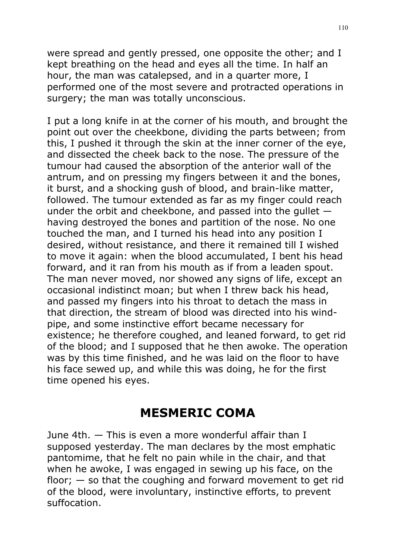were spread and gently pressed, one opposite the other; and I kept breathing on the head and eyes all the time. In half an hour, the man was catalepsed, and in a quarter more, I performed one of the most severe and protracted operations in surgery; the man was totally unconscious.

I put a long knife in at the corner of his mouth, and brought the point out over the cheekbone, dividing the parts between; from this, I pushed it through the skin at the inner corner of the eye, and dissected the cheek back to the nose. The pressure of the tumour had caused the absorption of the anterior wall of the antrum, and on pressing my fingers between it and the bones, it burst, and a shocking gush of blood, and brain-like matter, followed. The tumour extended as far as my finger could reach under the orbit and cheekbone, and passed into the quilet  $$ having destroved the bones and partition of the nose. No one touched the man, and I turned his head into any position I desired, without resistance, and there it remained till I wished to move it again: when the blood accumulated, I bent his head forward, and it ran from his mouth as if from a leaden spout. The man never moved, nor showed any signs of life, except an occasional indistinct moan; but when I threw back his head, and passed my fingers into his throat to detach the mass in that direction, the stream of blood was directed into his windpipe, and some instinctive effort became necessary for existence; he therefore coughed, and leaned forward, to get rid of the blood; and I supposed that he then awoke. The operation was by this time finished, and he was laid on the floor to have his face sewed up, and while this was doing, he for the first time opened his eyes.

#### **MESMERIC COMA**

June 4th. - This is even a more wonderful affair than I supposed yesterday. The man declares by the most emphatic pantomime, that he felt no pain while in the chair, and that when he awoke, I was engaged in sewing up his face, on the floor;  $-$  so that the coughing and forward movement to get rid of the blood, were involuntary, instinctive efforts, to prevent suffocation.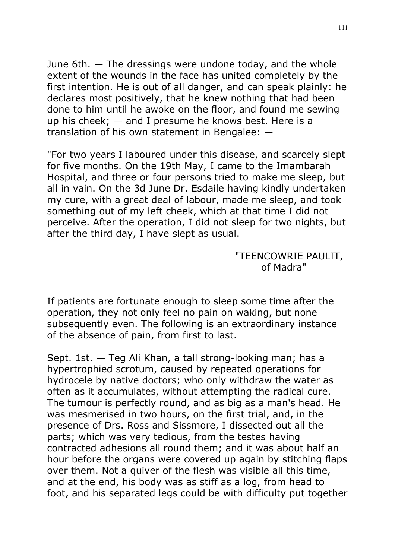June  $6th.$   $-$  The dressings were undone today, and the whole extent of the wounds in the face has united completely by the first intention. He is out of all danger, and can speak plainly: he declares most positively, that he knew nothing that had been done to him until he awoke on the floor, and found me sewing up his cheek:  $-$  and I presume he knows best. Here is a translation of his own statement in Bengalee:  $-$ 

"For two years I laboured under this disease, and scarcely slept for five months. On the 19th May, I came to the Imambarah Hospital, and three or four persons tried to make me sleep, but all in vain. On the 3d June Dr. Esdaile having kindly undertaken my cure, with a great deal of labour, made me sleep, and took something out of my left cheek, which at that time I did not perceive. After the operation, I did not sleep for two nights, but after the third day, I have slept as usual.

> "TEENCOWRIE PAULIT, of Madra"

If patients are fortunate enough to sleep some time after the operation, they not only feel no pain on waking, but none subsequently even. The following is an extraordinary instance of the absence of pain, from first to last.

Sept. 1st. - Teg Ali Khan, a tall strong-looking man; has a hypertrophied scrotum, caused by repeated operations for hydrocele by native doctors; who only withdraw the water as often as it accumulates, without attempting the radical cure. The tumour is perfectly round, and as big as a man's head. He was mesmerised in two hours, on the first trial, and, in the presence of Drs. Ross and Sissmore, I dissected out all the parts; which was very tedious, from the testes having contracted adhesions all round them: and it was about half an hour before the organs were covered up again by stitching flaps over them. Not a quiver of the flesh was visible all this time, and at the end, his body was as stiff as a log, from head to foot, and his separated legs could be with difficulty put together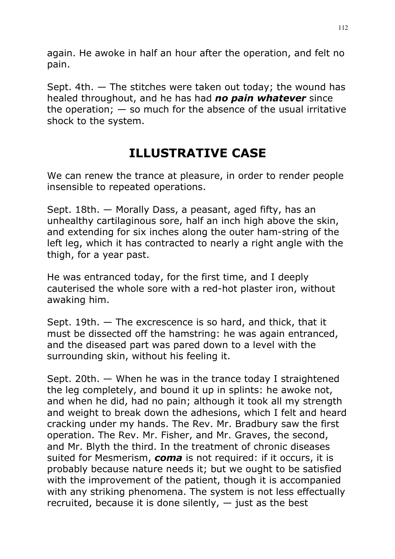again. He awoke in half an hour after the operation, and felt no pain.

Sept. 4th.  $-$  The stitches were taken out today; the wound has healed throughout, and he has had no pain whatever since the operation;  $-$  so much for the absence of the usual irritative shock to the system.

# **ILLUSTRATIVE CASE**

We can renew the trance at pleasure, in order to render people insensible to repeated operations.

Sept. 18th. - Morally Dass, a peasant, aged fifty, has an unhealthy cartilaginous sore, half an inch high above the skin, and extending for six inches along the outer ham-string of the left leg, which it has contracted to nearly a right angle with the thigh, for a year past.

He was entranced today, for the first time, and I deeply cauterised the whole sore with a red-hot plaster iron, without awaking him.

Sept. 19th.  $-$  The excrescence is so hard, and thick, that it must be dissected off the hamstring: he was again entranced, and the diseased part was pared down to a level with the surrounding skin, without his feeling it.

Sept. 20th.  $-$  When he was in the trance today I straightened the leg completely, and bound it up in splints: he awoke not, and when he did, had no pain; although it took all my strength and weight to break down the adhesions, which I felt and heard cracking under my hands. The Rev. Mr. Bradbury saw the first operation. The Rev. Mr. Fisher, and Mr. Graves, the second, and Mr. Blyth the third. In the treatment of chronic diseases suited for Mesmerism, coma is not required: if it occurs, it is probably because nature needs it; but we ought to be satisfied with the improvement of the patient, though it is accompanied with any striking phenomena. The system is not less effectually recruited, because it is done silently,  $-$  just as the best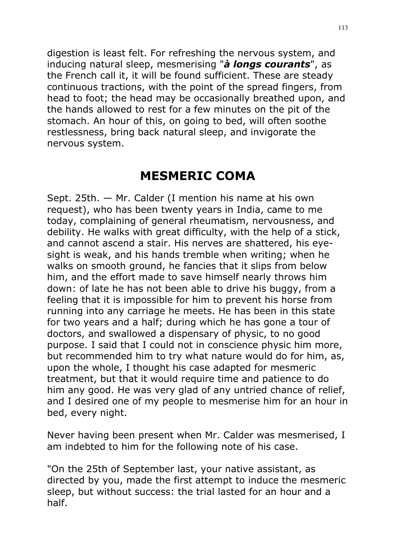digestion is least felt. For refreshing the nervous system, and inducing natural sleep, mesmerising "à longs courants", as the French call it, it will be found sufficient. These are steady continuous tractions, with the point of the spread fingers, from head to foot; the head may be occasionally breathed upon, and the hands allowed to rest for a few minutes on the pit of the stomach. An hour of this, on going to bed, will often soothe restlessness, bring back natural sleep, and invigorate the nervous system.

#### **MESMERIC COMA**

Sept. 25th.  $-$  Mr. Calder (I mention his name at his own request), who has been twenty years in India, came to me today, complaining of general rheumatism, nervousness, and debility. He walks with great difficulty, with the help of a stick, and cannot ascend a stair. His nerves are shattered, his evesight is weak, and his hands tremble when writing; when he walks on smooth ground, he fancies that it slips from below him, and the effort made to save himself nearly throws him down: of late he has not been able to drive his buggy, from a feeling that it is impossible for him to prevent his horse from running into any carriage he meets. He has been in this state for two years and a half; during which he has gone a tour of doctors, and swallowed a dispensary of physic, to no good purpose. I said that I could not in conscience physic him more, but recommended him to try what nature would do for him, as, upon the whole, I thought his case adapted for mesmeric treatment, but that it would require time and patience to do him any good. He was very glad of any untried chance of relief, and I desired one of my people to mesmerise him for an hour in bed, every night.

Never having been present when Mr. Calder was mesmerised, I am indebted to him for the following note of his case.

"On the 25th of September last, your native assistant, as directed by you, made the first attempt to induce the mesmeric sleep, but without success: the trial lasted for an hour and a half.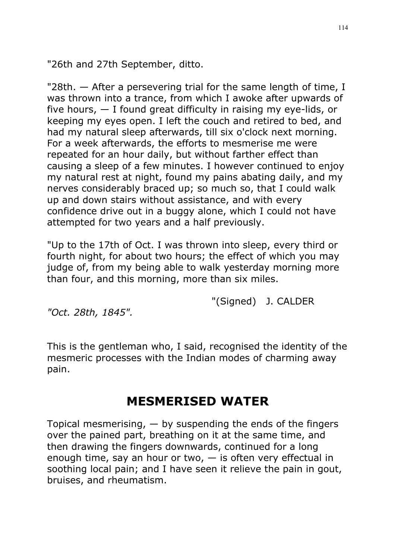"26th and 27th September, ditto.

"28th. - After a persevering trial for the same length of time, I was thrown into a trance, from which I awoke after upwards of five hours,  $-$  I found great difficulty in raising my eye-lids, or keeping my eyes open. I left the couch and retired to bed, and had my natural sleep afterwards, till six o'clock next morning. For a week afterwards, the efforts to mesmerise me were repeated for an hour daily, but without farther effect than causing a sleep of a few minutes. I however continued to enjoy my natural rest at night, found my pains abating daily, and my nerves considerably braced up; so much so, that I could walk up and down stairs without assistance, and with every confidence drive out in a buggy alone, which I could not have attempted for two years and a half previously.

"Up to the 17th of Oct. I was thrown into sleep, every third or fourth night, for about two hours; the effect of which you may judge of, from my being able to walk yesterday morning more than four, and this morning, more than six miles.

"(Signed) J. CALDER

"Oct. 28th, 1845".

This is the gentleman who, I said, recognised the identity of the mesmeric processes with the Indian modes of charming away pain.

# **MESMERISED WATER**

Topical mesmerising,  $-$  by suspending the ends of the fingers over the pained part, breathing on it at the same time, and then drawing the fingers downwards, continued for a long enough time, say an hour or two,  $-$  is often very effectual in soothing local pain; and I have seen it relieve the pain in gout, bruises, and rheumatism.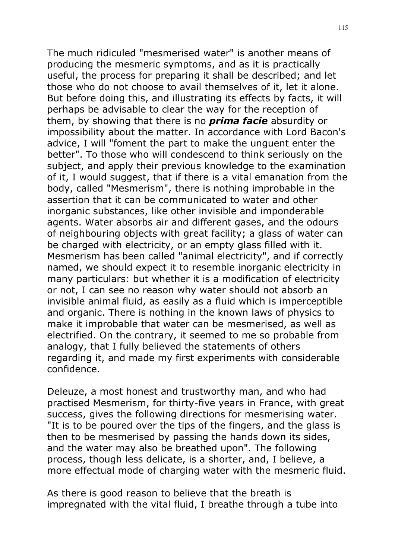The much ridiculed "mesmerised water" is another means of producing the mesmeric symptoms, and as it is practically useful, the process for preparing it shall be described; and let those who do not choose to avail themselves of it, let it alone. But before doing this, and illustrating its effects by facts, it will perhaps be advisable to clear the way for the reception of them, by showing that there is no **prima facie** absurdity or impossibility about the matter. In accordance with Lord Bacon's advice, I will "foment the part to make the unquent enter the better". To those who will condescend to think seriously on the subject, and apply their previous knowledge to the examination of it, I would suggest, that if there is a vital emanation from the body, called "Mesmerism", there is nothing improbable in the assertion that it can be communicated to water and other inorganic substances, like other invisible and imponderable agents. Water absorbs air and different gases, and the odours of neighbouring objects with great facility; a glass of water can be charged with electricity, or an empty glass filled with it. Mesmerism has been called "animal electricity", and if correctly named, we should expect it to resemble inorganic electricity in many particulars: but whether it is a modification of electricity or not, I can see no reason why water should not absorb an invisible animal fluid, as easily as a fluid which is imperceptible and organic. There is nothing in the known laws of physics to make it improbable that water can be mesmerised, as well as electrified. On the contrary, it seemed to me so probable from analogy, that I fully believed the statements of others regarding it, and made my first experiments with considerable confidence.

Deleuze, a most honest and trustworthy man, and who had practised Mesmerism, for thirty-five years in France, with great success, gives the following directions for mesmerising water. "It is to be poured over the tips of the fingers, and the glass is then to be mesmerised by passing the hands down its sides, and the water may also be breathed upon". The following process, though less delicate, is a shorter, and, I believe, a more effectual mode of charging water with the mesmeric fluid.

As there is good reason to believe that the breath is impregnated with the vital fluid, I breathe through a tube into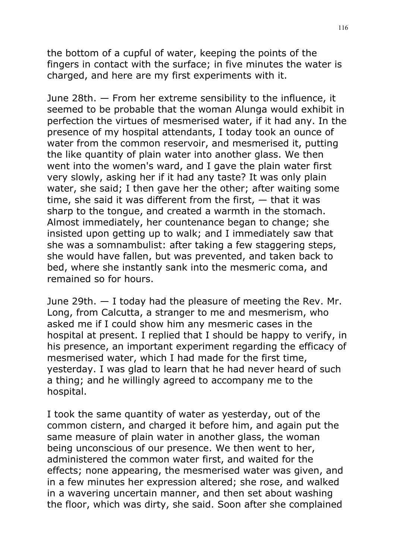the bottom of a cupful of water, keeping the points of the fingers in contact with the surface; in five minutes the water is charged, and here are my first experiments with it.

June 28th. - From her extreme sensibility to the influence, it seemed to be probable that the woman Alunga would exhibit in perfection the virtues of mesmerised water, if it had any. In the presence of my hospital attendants, I today took an ounce of water from the common reservoir, and mesmerised it, putting the like quantity of plain water into another glass. We then went into the women's ward, and I gave the plain water first very slowly, asking her if it had any taste? It was only plain water, she said; I then gave her the other; after waiting some time, she said it was different from the first,  $-$  that it was sharp to the tongue, and created a warmth in the stomach. Almost immediately, her countenance began to change; she insisted upon getting up to walk; and I immediately saw that she was a somnambulist: after taking a few staggering steps, she would have fallen, but was prevented, and taken back to bed, where she instantly sank into the mesmeric coma, and remained so for hours.

June 29th.  $-$  I today had the pleasure of meeting the Rev. Mr. Long, from Calcutta, a stranger to me and mesmerism, who asked me if I could show him any mesmeric cases in the hospital at present. I replied that I should be happy to verify, in his presence, an important experiment regarding the efficacy of mesmerised water, which I had made for the first time, yesterday. I was glad to learn that he had never heard of such a thing; and he willingly agreed to accompany me to the hospital.

I took the same quantity of water as yesterday, out of the common cistern, and charged it before him, and again put the same measure of plain water in another glass, the woman being unconscious of our presence. We then went to her, administered the common water first, and waited for the effects; none appearing, the mesmerised water was given, and in a few minutes her expression altered; she rose, and walked in a wavering uncertain manner, and then set about washing the floor, which was dirty, she said. Soon after she complained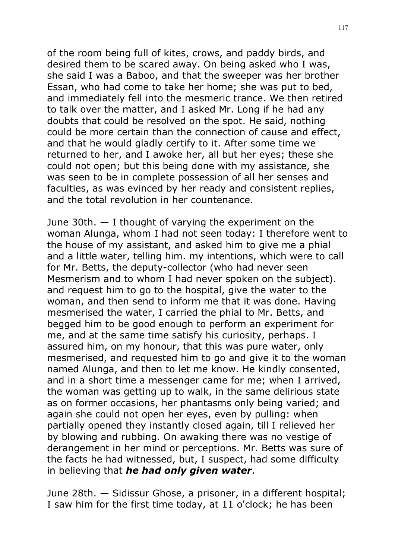of the room being full of kites, crows, and paddy birds, and desired them to be scared away. On being asked who I was, she said I was a Baboo, and that the sweeper was her brother Essan, who had come to take her home; she was put to bed, and immediately fell into the mesmeric trance. We then retired to talk over the matter, and I asked Mr. Long if he had any doubts that could be resolved on the spot. He said, nothing could be more certain than the connection of cause and effect, and that he would gladly certify to it. After some time we returned to her, and I awoke her, all but her eyes; these she could not open; but this being done with my assistance, she was seen to be in complete possession of all her senses and faculties, as was evinced by her ready and consistent replies, and the total revolution in her countenance.

June 30th.  $-$  I thought of varving the experiment on the woman Alunga, whom I had not seen today: I therefore went to the house of my assistant, and asked him to give me a phial and a little water, telling him. my intentions, which were to call for Mr. Betts, the deputy-collector (who had never seen Mesmerism and to whom I had never spoken on the subject). and request him to go to the hospital, give the water to the woman, and then send to inform me that it was done. Having mesmerised the water, I carried the phial to Mr. Betts, and begged him to be good enough to perform an experiment for me, and at the same time satisfy his curiosity, perhaps. I assured him, on my honour, that this was pure water, only mesmerised, and requested him to go and give it to the woman named Alunga, and then to let me know. He kindly consented, and in a short time a messenger came for me; when I arrived, the woman was getting up to walk, in the same delirious state as on former occasions, her phantasms only being varied; and again she could not open her eyes, even by pulling: when partially opened they instantly closed again, till I relieved her by blowing and rubbing. On awaking there was no vestige of derangement in her mind or perceptions. Mr. Betts was sure of the facts he had witnessed, but, I suspect, had some difficulty in believing that he had only given water.

June 28th. - Sidissur Ghose, a prisoner, in a different hospital; I saw him for the first time today, at 11 o'clock; he has been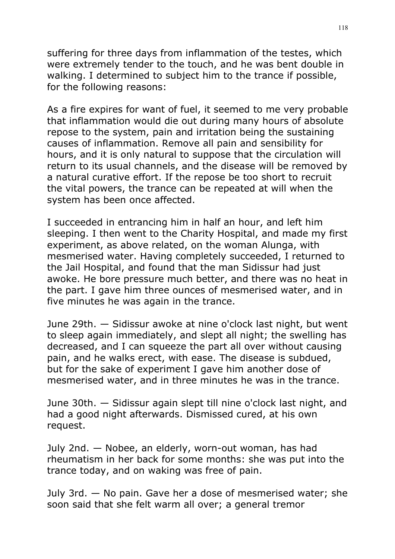suffering for three days from inflammation of the testes, which were extremely tender to the touch, and he was bent double in walking. I determined to subject him to the trance if possible, for the following reasons:

As a fire expires for want of fuel, it seemed to me very probable that inflammation would die out during many hours of absolute repose to the system, pain and irritation being the sustaining causes of inflammation. Remove all pain and sensibility for hours, and it is only natural to suppose that the circulation will return to its usual channels, and the disease will be removed by a natural curative effort. If the repose be too short to recruit the vital powers, the trance can be repeated at will when the system has been once affected.

I succeeded in entrancing him in half an hour, and left him sleeping. I then went to the Charity Hospital, and made my first experiment, as above related, on the woman Alunga, with mesmerised water. Having completely succeeded, I returned to the Jail Hospital, and found that the man Sidissur had just awoke. He bore pressure much better, and there was no heat in the part. I gave him three ounces of mesmerised water, and in five minutes he was again in the trance.

June 29th. - Sidissur awoke at nine o'clock last night, but went to sleep again immediately, and slept all night; the swelling has decreased, and I can squeeze the part all over without causing pain, and he walks erect, with ease. The disease is subdued, but for the sake of experiment I gave him another dose of mesmerised water, and in three minutes he was in the trance.

June 30th. — Sidissur again slept till nine o'clock last night, and had a good night afterwards. Dismissed cured, at his own request.

July 2nd. - Nobee, an elderly, worn-out woman, has had rheumatism in her back for some months: she was put into the trance today, and on waking was free of pain.

July 3rd.  $-$  No pain. Gave her a dose of mesmerised water; she soon said that she felt warm all over; a general tremor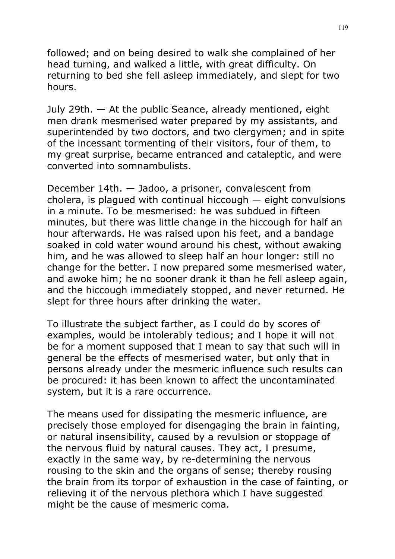followed; and on being desired to walk she complained of her head turning, and walked a little, with great difficulty. On returning to bed she fell asleep immediately, and slept for two hours.

July 29th.  $-$  At the public Seance, already mentioned, eight men drank mesmerised water prepared by my assistants, and superintended by two doctors, and two clergymen; and in spite of the incessant tormenting of their visitors, four of them, to my great surprise, became entranced and cataleptic, and were converted into somnambulists.

December 14th. - Jadoo, a prisoner, convalescent from cholera, is plaqued with continual hiccough  $-$  eight convulsions in a minute. To be mesmerised: he was subdued in fifteen minutes, but there was little change in the hiccough for half an hour afterwards. He was raised upon his feet, and a bandage soaked in cold water wound around his chest, without awaking him, and he was allowed to sleep half an hour longer: still no change for the better. I now prepared some mesmerised water, and awoke him; he no sooner drank it than he fell asleep again, and the hiccough immediately stopped, and never returned. He slept for three hours after drinking the water.

To illustrate the subject farther, as I could do by scores of examples, would be intolerably tedious; and I hope it will not be for a moment supposed that I mean to say that such will in general be the effects of mesmerised water, but only that in persons already under the mesmeric influence such results can be procured: it has been known to affect the uncontaminated system, but it is a rare occurrence.

The means used for dissipating the mesmeric influence, are precisely those employed for disengaging the brain in fainting, or natural insensibility, caused by a revulsion or stoppage of the nervous fluid by natural causes. They act, I presume, exactly in the same way, by re-determining the nervous rousing to the skin and the organs of sense; thereby rousing the brain from its torpor of exhaustion in the case of fainting, or relieving it of the nervous plethora which I have suggested might be the cause of mesmeric coma.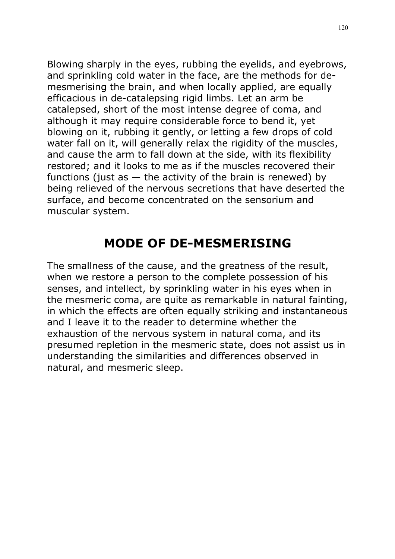Blowing sharply in the eyes, rubbing the eyelids, and eyebrows, and sprinkling cold water in the face, are the methods for demesmerising the brain, and when locally applied, are equally efficacious in de-catalepsing rigid limbs. Let an arm be catalepsed, short of the most intense degree of coma, and although it may require considerable force to bend it, yet blowing on it, rubbing it gently, or letting a few drops of cold water fall on it, will generally relax the rigidity of the muscles, and cause the arm to fall down at the side, with its flexibility restored; and it looks to me as if the muscles recovered their functions (just as  $-$  the activity of the brain is renewed) by being relieved of the nervous secretions that have deserted the surface, and become concentrated on the sensorium and muscular system.

## **MODE OF DE-MESMERISING**

The smallness of the cause, and the greatness of the result, when we restore a person to the complete possession of his senses, and intellect, by sprinkling water in his eyes when in the mesmeric coma, are quite as remarkable in natural fainting, in which the effects are often equally striking and instantaneous and I leave it to the reader to determine whether the exhaustion of the nervous system in natural coma, and its presumed repletion in the mesmeric state, does not assist us in understanding the similarities and differences observed in natural, and mesmeric sleep.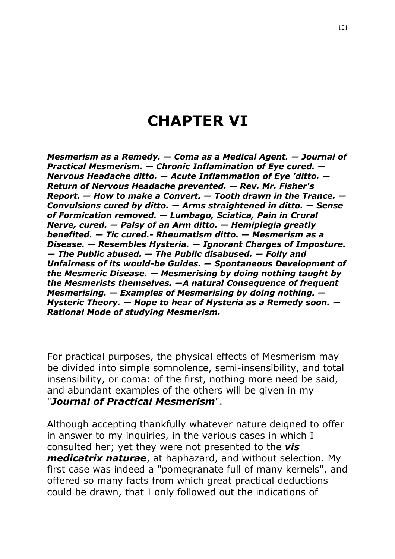# **CHAPTER VI**

Mesmerism as a Remedy.  $-$  Coma as a Medical Agent.  $-$  Journal of Practical Mesmerism. - Chronic Inflamination of Eye cured. -Nervous Headache ditto. - Acute Inflammation of Eye 'ditto. -Return of Nervous Headache prevented. - Rev. Mr. Fisher's Report.  $-$  How to make a Convert.  $-$  Tooth drawn in the Trance.  $-$ Convulsions cured by ditto.  $-$  Arms straightened in ditto.  $-$  Sense of Formication removed. - Lumbago, Sciatica, Pain in Crural Nerve, cured. - Palsy of an Arm ditto. - Hemiplegia greatly benefited. - Tic cured.- Rheumatism ditto. - Mesmerism as a Disease. - Resembles Hysteria. - Ignorant Charges of Imposture. - The Public abused. - The Public disabused. - Folly and Unfairness of its would-be Guides. - Spontaneous Development of the Mesmeric Disease.  $-$  Mesmerising by doing nothing taught by the Mesmerists themselves. - A natural Consequence of frequent Mesmerising.  $-$  Examples of Mesmerising by doing nothing.  $-$ Hysteric Theory.  $-$  Hope to hear of Hysteria as a Remedy soon.  $-$ **Rational Mode of studying Mesmerism.** 

For practical purposes, the physical effects of Mesmerism may be divided into simple somnolence, semi-insensibility, and total insensibility, or coma: of the first, nothing more need be said, and abundant examples of the others will be given in my "Journal of Practical Mesmerism".

Although accepting thankfully whatever nature deigned to offer in answer to my inquiries, in the various cases in which I consulted her; yet they were not presented to the vis **medicatrix naturae**, at haphazard, and without selection. My first case was indeed a "pomegranate full of many kernels", and offered so many facts from which great practical deductions could be drawn, that I only followed out the indications of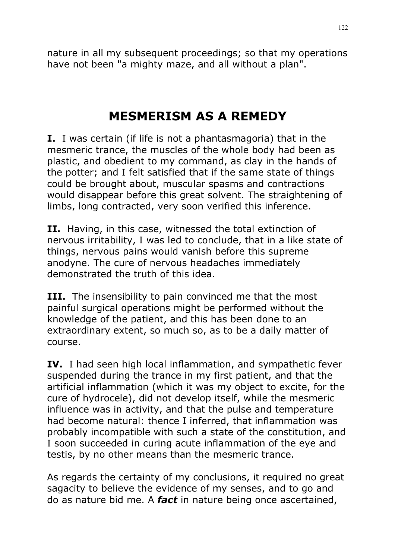nature in all my subsequent proceedings; so that my operations have not been "a mighty maze, and all without a plan".

# **MESMERISM AS A REMEDY**

**I.** I was certain (if life is not a phantasmagoria) that in the mesmeric trance, the muscles of the whole body had been as plastic, and obedient to my command, as clay in the hands of the potter; and I felt satisfied that if the same state of things could be brought about, muscular spasms and contractions would disappear before this great solvent. The straightening of limbs, long contracted, very soon verified this inference.

II. Having, in this case, witnessed the total extinction of nervous irritability, I was led to conclude, that in a like state of things, nervous pains would vanish before this supreme anodyne. The cure of nervous headaches immediately demonstrated the truth of this idea.

III. The insensibility to pain convinced me that the most painful surgical operations might be performed without the knowledge of the patient, and this has been done to an extraordinary extent, so much so, as to be a daily matter of course.

IV. I had seen high local inflammation, and sympathetic fever suspended during the trance in my first patient, and that the artificial inflammation (which it was my object to excite, for the cure of hydrocele), did not develop itself, while the mesmeric influence was in activity, and that the pulse and temperature had become natural: thence I inferred, that inflammation was probably incompatible with such a state of the constitution, and I soon succeeded in curing acute inflammation of the eve and testis, by no other means than the mesmeric trance.

As regards the certainty of my conclusions, it required no great sagacity to believe the evidence of my senses, and to go and do as nature bid me. A **fact** in nature being once ascertained,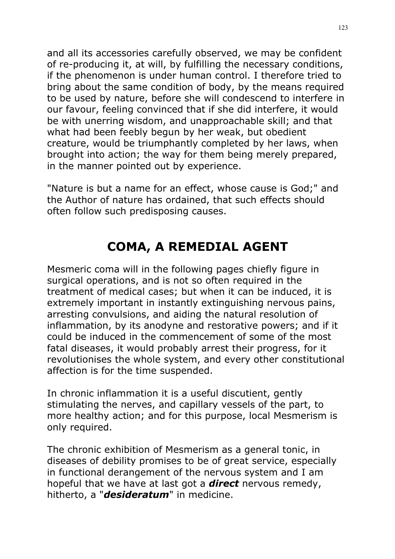and all its accessories carefully observed, we may be confident of re-producing it, at will, by fulfilling the necessary conditions, if the phenomenon is under human control. I therefore tried to bring about the same condition of body, by the means required to be used by nature, before she will condescend to interfere in our favour, feeling convinced that if she did interfere, it would be with unerring wisdom, and unapproachable skill; and that what had been feebly begun by her weak, but obedient creature, would be triumphantly completed by her laws, when brought into action; the way for them being merely prepared, in the manner pointed out by experience.

"Nature is but a name for an effect, whose cause is God;" and the Author of nature has ordained, that such effects should often follow such predisposing causes.

# COMA, A REMEDIAL AGENT

Mesmeric coma will in the following pages chiefly figure in surgical operations, and is not so often required in the treatment of medical cases; but when it can be induced, it is extremely important in instantly extinguishing nervous pains, arresting convulsions, and aiding the natural resolution of inflammation, by its anodyne and restorative powers; and if it could be induced in the commencement of some of the most fatal diseases, it would probably arrest their progress, for it revolutionises the whole system, and every other constitutional affection is for the time suspended.

In chronic inflammation it is a useful discutient, gently stimulating the nerves, and capillary vessels of the part, to more healthy action; and for this purpose, local Mesmerism is only required.

The chronic exhibition of Mesmerism as a general tonic, in diseases of debility promises to be of great service, especially in functional derangement of the nervous system and I am hopeful that we have at last got a **direct** nervous remedy, hitherto, a "**desideratum**" in medicine.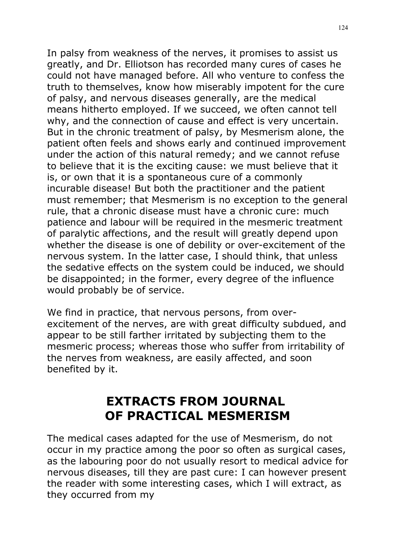In palsy from weakness of the nerves, it promises to assist us greatly, and Dr. Elliotson has recorded many cures of cases he could not have managed before. All who venture to confess the truth to themselves, know how miserably impotent for the cure of palsy, and nervous diseases generally, are the medical means hitherto employed. If we succeed, we often cannot tell why, and the connection of cause and effect is very uncertain. But in the chronic treatment of palsy, by Mesmerism alone, the patient often feels and shows early and continued improvement under the action of this natural remedy; and we cannot refuse to believe that it is the exciting cause: we must believe that it is, or own that it is a spontaneous cure of a commonly incurable disease! But both the practitioner and the patient must remember; that Mesmerism is no exception to the general rule, that a chronic disease must have a chronic cure: much patience and labour will be required in the mesmeric treatment of paralytic affections, and the result will greatly depend upon whether the disease is one of debility or over-excitement of the nervous system. In the latter case, I should think, that unless the sedative effects on the system could be induced, we should be disappointed; in the former, every degree of the influence would probably be of service.

We find in practice, that nervous persons, from overexcitement of the nerves, are with great difficulty subdued, and appear to be still farther irritated by subjecting them to the mesmeric process; whereas those who suffer from irritability of the nerves from weakness, are easily affected, and soon benefited by it.

## **EXTRACTS FROM JOURNAL** OF PRACTICAL MESMERISM

The medical cases adapted for the use of Mesmerism, do not occur in my practice among the poor so often as surgical cases, as the labouring poor do not usually resort to medical advice for nervous diseases, till they are past cure: I can however present the reader with some interesting cases, which I will extract, as they occurred from my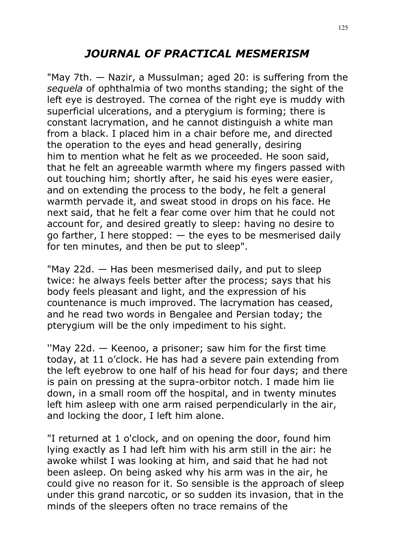#### **JOURNAL OF PRACTICAL MESMERISM**

"May 7th. - Nazir, a Mussulman; aged 20: is suffering from the sequela of ophthalmia of two months standing; the sight of the left eve is destroved. The cornea of the right eve is muddy with superficial ulcerations, and a pterygium is forming; there is constant lacrymation, and he cannot distinguish a white man from a black. I placed him in a chair before me, and directed the operation to the eyes and head generally, desiring him to mention what he felt as we proceeded. He soon said, that he felt an agreeable warmth where my fingers passed with out touching him; shortly after, he said his eyes were easier, and on extending the process to the body, he felt a general warmth pervade it, and sweat stood in drops on his face. He next said, that he felt a fear come over him that he could not account for, and desired greatly to sleep: having no desire to go farther, I here stopped:  $-$  the eyes to be mesmerised daily for ten minutes, and then be put to sleep".

"May 22d. – Has been mesmerised daily, and put to sleep twice: he always feels better after the process; says that his body feels pleasant and light, and the expression of his countenance is much improved. The lacrymation has ceased, and he read two words in Bengalee and Persian today; the pterygium will be the only impediment to his sight.

"May 22d.  $-$  Keenoo, a prisoner; saw him for the first time today, at 11 o'clock. He has had a severe pain extending from the left eyebrow to one half of his head for four days; and there is pain on pressing at the supra-orbitor notch. I made him lie down, in a small room off the hospital, and in twenty minutes left him asleep with one arm raised perpendicularly in the air, and locking the door, I left him alone.

"I returned at 1 o'clock, and on opening the door, found him lying exactly as I had left him with his arm still in the air: he awoke whilst I was looking at him, and said that he had not been asleep. On being asked why his arm was in the air, he could give no reason for it. So sensible is the approach of sleep under this grand narcotic, or so sudden its invasion, that in the minds of the sleepers often no trace remains of the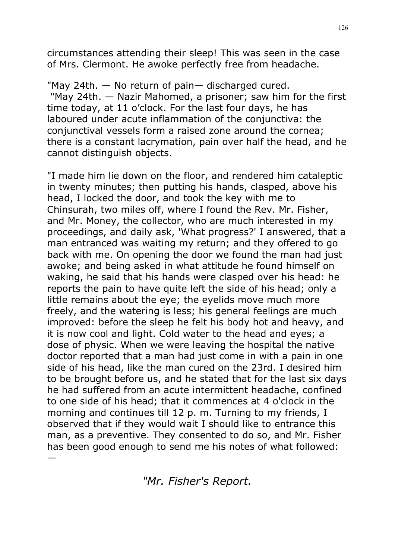circumstances attending their sleep! This was seen in the case of Mrs. Clermont. He awoke perfectly free from headache.

"May 24th. - No return of pain- discharged cured. "May 24th. - Nazir Mahomed, a prisoner; saw him for the first time today, at 11 o'clock. For the last four days, he has laboured under acute inflammation of the conjunctiva: the conjunctival vessels form a raised zone around the cornea; there is a constant lacrymation, pain over half the head, and he cannot distinguish objects.

"I made him lie down on the floor, and rendered him cataleptic in twenty minutes; then putting his hands, clasped, above his head, I locked the door, and took the key with me to Chinsurah, two miles off, where I found the Rev. Mr. Fisher, and Mr. Money, the collector, who are much interested in my proceedings, and daily ask, 'What progress?' I answered, that a man entranced was waiting my return; and they offered to go back with me. On opening the door we found the man had just awoke: and being asked in what attitude he found himself on waking, he said that his hands were clasped over his head: he reports the pain to have quite left the side of his head; only a little remains about the eye; the eyelids move much more freely, and the watering is less; his general feelings are much improved: before the sleep he felt his body hot and heavy, and it is now cool and light. Cold water to the head and eyes; a dose of physic. When we were leaving the hospital the native doctor reported that a man had just come in with a pain in one side of his head, like the man cured on the 23rd. I desired him to be brought before us, and he stated that for the last six days he had suffered from an acute intermittent headache, confined to one side of his head; that it commences at 4 o'clock in the morning and continues till 12 p. m. Turning to my friends, I observed that if they would wait I should like to entrance this man, as a preventive. They consented to do so, and Mr. Fisher has been good enough to send me his notes of what followed:

"Mr. Fisher's Report.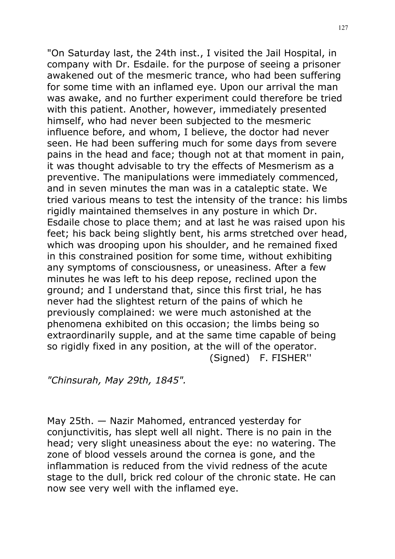"On Saturday last, the 24th inst., I visited the Jail Hospital, in company with Dr. Esdaile, for the purpose of seeing a prisoner awakened out of the mesmeric trance, who had been suffering for some time with an inflamed eve. Upon our arrival the man was awake, and no further experiment could therefore be tried with this patient. Another, however, immediately presented himself, who had never been subjected to the mesmeric influence before, and whom, I believe, the doctor had never seen. He had been suffering much for some days from severe pains in the head and face; though not at that moment in pain, it was thought advisable to try the effects of Mesmerism as a preventive. The manipulations were immediately commenced, and in seven minutes the man was in a cataleptic state. We tried various means to test the intensity of the trance: his limbs rigidly maintained themselves in any posture in which Dr. Esdaile chose to place them; and at last he was raised upon his feet; his back being slightly bent, his arms stretched over head, which was drooping upon his shoulder, and he remained fixed in this constrained position for some time, without exhibiting any symptoms of consciousness, or uneasiness. After a few minutes he was left to his deep repose, reclined upon the ground; and I understand that, since this first trial, he has never had the slightest return of the pains of which he previously complained: we were much astonished at the phenomena exhibited on this occasion; the limbs being so extraordinarily supple, and at the same time capable of being so rigidly fixed in any position, at the will of the operator. (Signed) F. FISHER"

"Chinsurah, May 29th, 1845".

May 25th. - Nazir Mahomed, entranced yesterday for conjunctivitis, has slept well all night. There is no pain in the head; very slight uneasiness about the eye: no watering. The zone of blood vessels around the cornea is gone, and the inflammation is reduced from the vivid redness of the acute stage to the dull, brick red colour of the chronic state. He can now see very well with the inflamed eve.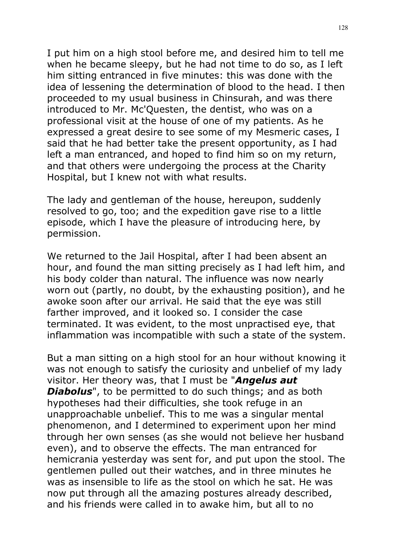I put him on a high stool before me, and desired him to tell me when he became sleepy, but he had not time to do so, as I left him sitting entranced in five minutes: this was done with the idea of lessening the determination of blood to the head. I then proceeded to my usual business in Chinsurah, and was there introduced to Mr. Mc'Questen, the dentist, who was on a professional visit at the house of one of my patients. As he expressed a great desire to see some of my Mesmeric cases, I said that he had better take the present opportunity, as I had left a man entranced, and hoped to find him so on my return, and that others were undergoing the process at the Charity Hospital, but I knew not with what results.

The lady and gentleman of the house, hereupon, suddenly resolved to go, too; and the expedition gave rise to a little episode, which I have the pleasure of introducing here, by permission.

We returned to the Jail Hospital, after I had been absent an hour, and found the man sitting precisely as I had left him, and his body colder than natural. The influence was now nearly worn out (partly, no doubt, by the exhausting position), and he awoke soon after our arrival. He said that the eve was still farther improved, and it looked so. I consider the case terminated. It was evident, to the most unpractised eye, that inflammation was incompatible with such a state of the system.

But a man sitting on a high stool for an hour without knowing it was not enough to satisfy the curiosity and unbelief of my lady visitor. Her theory was, that I must be "Angelus aut **Diabolus**", to be permitted to do such things; and as both hypotheses had their difficulties, she took refuge in an unapproachable unbelief. This to me was a singular mental phenomenon, and I determined to experiment upon her mind through her own senses (as she would not believe her husband even), and to observe the effects. The man entranced for hemicrania yesterday was sent for, and put upon the stool. The gentlemen pulled out their watches, and in three minutes he was as insensible to life as the stool on which he sat. He was now put through all the amazing postures already described, and his friends were called in to awake him, but all to no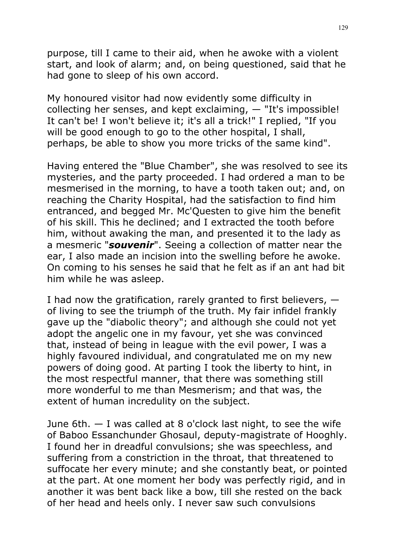purpose, till I came to their aid, when he awoke with a violent start, and look of alarm; and, on being questioned, said that he had gone to sleep of his own accord.

My honoured visitor had now evidently some difficulty in collecting her senses, and kept exclaiming,  $-$  "It's impossible! It can't be! I won't believe it; it's all a trick!" I replied, "If you will be good enough to go to the other hospital, I shall, perhaps, be able to show you more tricks of the same kind".

Having entered the "Blue Chamber", she was resolved to see its mysteries, and the party proceeded. I had ordered a man to be mesmerised in the morning, to have a tooth taken out; and, on reaching the Charity Hospital, had the satisfaction to find him entranced, and begged Mr. Mc'Ouesten to give him the benefit of his skill. This he declined: and I extracted the tooth before him, without awaking the man, and presented it to the lady as a mesmeric "souvenir". Seeing a collection of matter near the ear, I also made an incision into the swelling before he awoke. On coming to his senses he said that he felt as if an ant had bit him while he was asleep.

I had now the gratification, rarely granted to first believers,  $$ of living to see the triumph of the truth. My fair infidel frankly gave up the "diabolic theory"; and although she could not yet adopt the angelic one in my favour, yet she was convinced that, instead of being in league with the evil power, I was a highly favoured individual, and congratulated me on my new powers of doing good. At parting I took the liberty to hint, in the most respectful manner, that there was something still more wonderful to me than Mesmerism; and that was, the extent of human incredulity on the subject.

June 6th.  $-$  I was called at 8 o'clock last night, to see the wife of Baboo Essanchunder Ghosaul, deputy-magistrate of Hooghly. I found her in dreadful convulsions; she was speechless, and suffering from a constriction in the throat, that threatened to suffocate her every minute; and she constantly beat, or pointed at the part. At one moment her body was perfectly rigid, and in another it was bent back like a bow, till she rested on the back of her head and heels only. I never saw such convulsions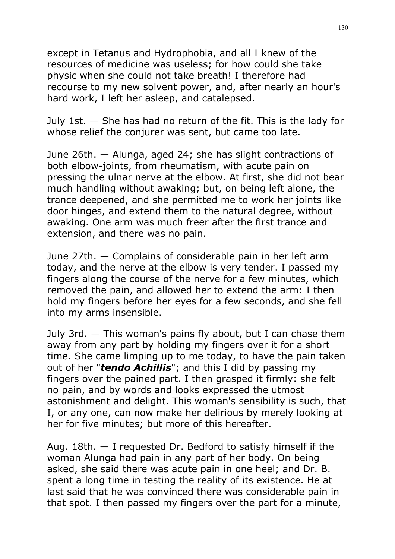except in Tetanus and Hydrophobia, and all I knew of the resources of medicine was useless: for how could she take physic when she could not take breath! I therefore had recourse to my new solvent power, and, after nearly an hour's hard work, I left her asleep, and catalepsed.

July 1st.  $-$  She has had no return of the fit. This is the lady for whose relief the conjurer was sent, but came too late.

June 26th. - Alunga, aged 24; she has slight contractions of both elbow-joints, from rheumatism, with acute pain on pressing the ulnar nerve at the elbow. At first, she did not bear much handling without awaking; but, on being left alone, the trance deepened, and she permitted me to work her joints like door hinges, and extend them to the natural degree, without awaking. One arm was much freer after the first trance and extension, and there was no pain.

June 27th. - Complains of considerable pain in her left arm today, and the nerve at the elbow is very tender. I passed my fingers along the course of the nerve for a few minutes, which removed the pain, and allowed her to extend the arm: I then hold my fingers before her eyes for a few seconds, and she fell into my arms insensible.

July 3rd. - This woman's pains fly about, but I can chase them away from any part by holding my fingers over it for a short time. She came limping up to me today, to have the pain taken out of her "tendo Achillis"; and this I did by passing my fingers over the pained part. I then grasped it firmly: she felt no pain, and by words and looks expressed the utmost astonishment and delight. This woman's sensibility is such, that I, or any one, can now make her delirious by merely looking at her for five minutes; but more of this hereafter.

Aug.  $18th. - I$  requested Dr. Bedford to satisfy himself if the woman Alunga had pain in any part of her body. On being asked, she said there was acute pain in one heel; and Dr. B. spent a long time in testing the reality of its existence. He at last said that he was convinced there was considerable pain in that spot. I then passed my fingers over the part for a minute,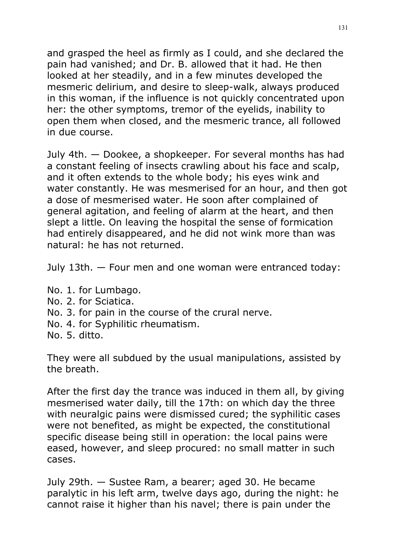and grasped the heel as firmly as I could, and she declared the pain had vanished: and Dr. B. allowed that it had. He then looked at her steadily, and in a few minutes developed the mesmeric delirium, and desire to sleep-walk, always produced in this woman, if the influence is not quickly concentrated upon her: the other symptoms, tremor of the eyelids, inability to open them when closed, and the mesmeric trance, all followed in due course.

July 4th. - Dookee, a shopkeeper. For several months has had a constant feeling of insects crawling about his face and scalp, and it often extends to the whole body; his eyes wink and water constantly. He was mesmerised for an hour, and then got a dose of mesmerised water. He soon after complained of general agitation, and feeling of alarm at the heart, and then slept a little. On leaving the hospital the sense of formication had entirely disappeared, and he did not wink more than was natural: he has not returned.

July 13th. - Four men and one woman were entranced today:

- No. 1. for Lumbago.
- No. 2. for Sciatica.
- No. 3. for pain in the course of the crural nerve.
- No. 4. for Syphilitic rheumatism.
- No. 5. ditto.

They were all subdued by the usual manipulations, assisted by the breath

After the first day the trance was induced in them all, by giving mesmerised water daily, till the 17th: on which day the three with neuralgic pains were dismissed cured; the syphilitic cases were not benefited, as might be expected, the constitutional specific disease being still in operation: the local pains were eased, however, and sleep procured: no small matter in such cases.

July 29th. - Sustee Ram, a bearer; aged 30. He became paralytic in his left arm, twelve days ago, during the night: he cannot raise it higher than his navel; there is pain under the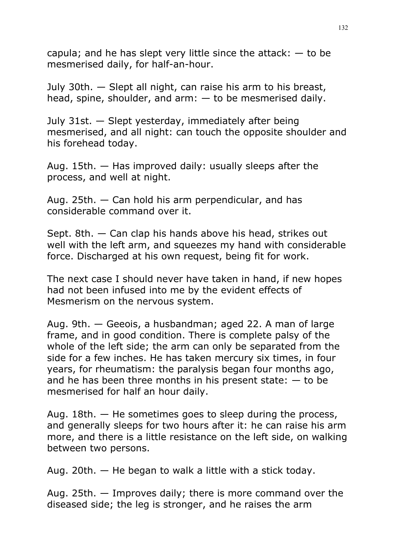capula; and he has slept very little since the attack:  $-$  to be mesmerised daily, for half-an-hour.

July 30th. - Slept all night, can raise his arm to his breast, head, spine, shoulder, and arm: - to be mesmerised daily.

July 31st. - Slept yesterday, immediately after being mesmerised, and all night: can touch the opposite shoulder and his forehead today.

Aug. 15th.  $-$  Has improved daily: usually sleeps after the process, and well at night.

Aug.  $25th.$  - Can hold his arm perpendicular, and has considerable command over it.

Sept. 8th.  $-$  Can clap his hands above his head, strikes out well with the left arm, and squeezes my hand with considerable force. Discharged at his own request, being fit for work.

The next case I should never have taken in hand, if new hopes had not been infused into me by the evident effects of Mesmerism on the nervous system.

Aug. 9th. — Geeois, a husbandman; aged 22. A man of large frame, and in good condition. There is complete palsy of the whole of the left side; the arm can only be separated from the side for a few inches. He has taken mercury six times, in four years, for rheumatism: the paralysis began four months ago, and he has been three months in his present state:  $-$  to be mesmerised for half an hour daily.

Aug. 18th.  $-$  He sometimes goes to sleep during the process, and generally sleeps for two hours after it: he can raise his arm more, and there is a little resistance on the left side, on walking between two persons.

Aug. 20th.  $-$  He began to walk a little with a stick today.

Aug. 25th.  $-$  Improves daily; there is more command over the diseased side; the leg is stronger, and he raises the arm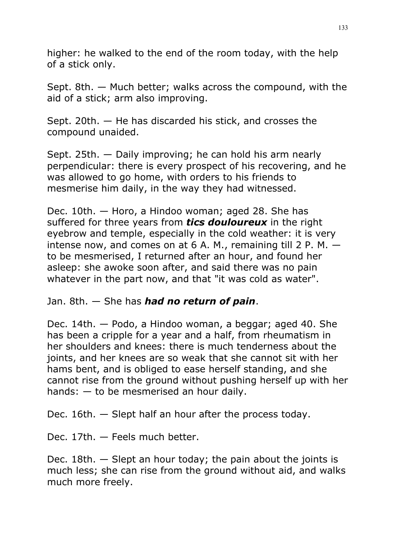higher: he walked to the end of the room today, with the help of a stick only.

Sept. 8th.  $-$  Much better: walks across the compound, with the aid of a stick; arm also improving.

Sept. 20th.  $-$  He has discarded his stick, and crosses the compound unaided.

Sept. 25th.  $-$  Daily improving; he can hold his arm nearly perpendicular: there is every prospect of his recovering, and he was allowed to go home, with orders to his friends to mesmerise him daily, in the way they had witnessed.

Dec. 10th. - Horo, a Hindoo woman; aged 28. She has suffered for three vears from *tics douloureux* in the right eyebrow and temple, especially in the cold weather: it is very intense now, and comes on at 6 A. M., remaining till  $2$  P. M.  $$ to be mesmerised, I returned after an hour, and found her asleep: she awoke soon after, and said there was no pain whatever in the part now, and that "it was cold as water".

Jan. 8th.  $-$  She has **had no return of pain**.

Dec. 14th.  $-$  Podo, a Hindoo woman, a beggar; aged 40. She has been a cripple for a year and a half, from rheumatism in her shoulders and knees: there is much tenderness about the joints, and her knees are so weak that she cannot sit with her hams bent, and is obliged to ease herself standing, and she cannot rise from the ground without pushing herself up with her hands:  $-$  to be mesmerised an hour daily.

Dec. 16th.  $-$  Slept half an hour after the process today.

Dec. 17th. - Feels much better.

Dec. 18th.  $-$  Slept an hour today; the pain about the joints is much less; she can rise from the ground without aid, and walks much more freely.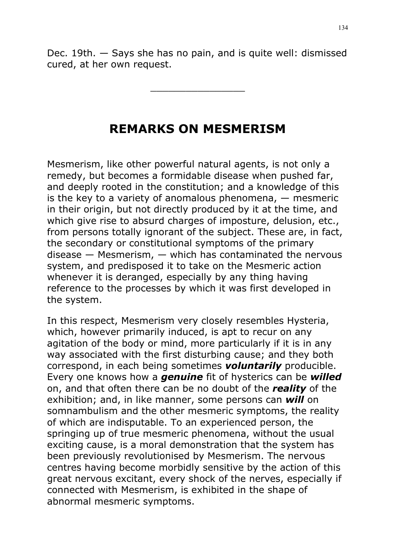Dec. 19th.  $-$  Says she has no pain, and is quite well: dismissed cured, at her own request.

#### **REMARKS ON MESMERISM**

Mesmerism, like other powerful natural agents, is not only a remedy, but becomes a formidable disease when pushed far, and deeply rooted in the constitution; and a knowledge of this is the key to a variety of anomalous phenomena,  $-$  mesmeric in their origin, but not directly produced by it at the time, and which give rise to absurd charges of imposture, delusion, etc., from persons totally ignorant of the subject. These are, in fact, the secondary or constitutional symptoms of the primary  $disease - Mesmerism, - which has contaminated the nervous$ system, and predisposed it to take on the Mesmeric action whenever it is deranged, especially by any thing having reference to the processes by which it was first developed in the system.

In this respect, Mesmerism very closely resembles Hysteria, which, however primarily induced, is apt to recur on any agitation of the body or mind, more particularly if it is in any way associated with the first disturbing cause; and they both correspond, in each being sometimes **voluntarily** producible. Every one knows how a *genuine* fit of hysterics can be *willed* on, and that often there can be no doubt of the reality of the exhibition; and, in like manner, some persons can will on somnambulism and the other mesmeric symptoms, the reality of which are indisputable. To an experienced person, the springing up of true mesmeric phenomena, without the usual exciting cause, is a moral demonstration that the system has been previously revolutionised by Mesmerism. The nervous centres having become morbidly sensitive by the action of this great nervous excitant, every shock of the nerves, especially if connected with Mesmerism, is exhibited in the shape of abnormal mesmeric symptoms.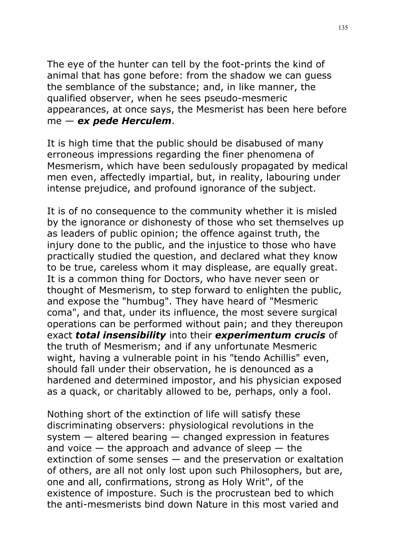The eye of the hunter can tell by the foot-prints the kind of animal that has gone before: from the shadow we can guess the semblance of the substance; and, in like manner, the qualified observer, when he sees pseudo-mesmeric appearances, at once says, the Mesmerist has been here before  $me - ex$  pede Herculem.

It is high time that the public should be disabused of many erroneous impressions regarding the finer phenomena of Mesmerism, which have been sedulously propagated by medical men even, affectedly impartial, but, in reality, labouring under intense prejudice, and profound ignorance of the subject.

It is of no consequence to the community whether it is misled by the janorance or dishonesty of those who set themselves up as leaders of public opinion; the offence against truth, the injury done to the public, and the injustice to those who have practically studied the question, and declared what they know to be true, careless whom it may displease, are equally great. It is a common thing for Doctors, who have never seen or thought of Mesmerism, to step forward to enlighten the public, and expose the "humbug". They have heard of "Mesmeric coma", and that, under its influence, the most severe surgical operations can be performed without pain; and they thereupon exact **total insensibility** into their **experimentum crucis** of the truth of Mesmerism; and if any unfortunate Mesmeric wight, having a vulnerable point in his "tendo Achillis" even, should fall under their observation, he is denounced as a hardened and determined impostor, and his physician exposed as a quack, or charitably allowed to be, perhaps, only a fool.

Nothing short of the extinction of life will satisfy these discriminating observers: physiological revolutions in the system  $-$  altered bearing  $-$  changed expression in features and voice  $-$  the approach and advance of sleep  $-$  the extinction of some senses  $-$  and the preservation or exaltation of others, are all not only lost upon such Philosophers, but are, one and all, confirmations, strong as Holy Writ", of the existence of imposture. Such is the procrustean bed to which the anti-mesmerists bind down Nature in this most varied and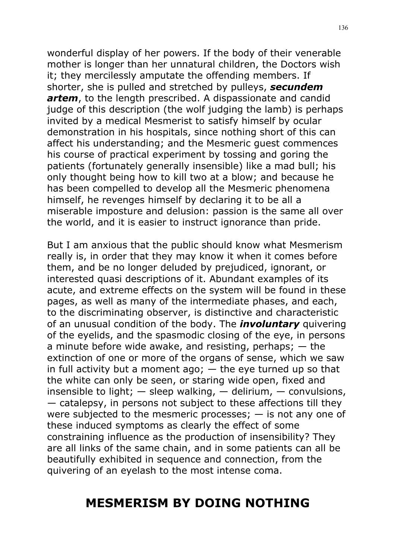wonderful display of her powers. If the body of their venerable mother is longer than her unnatural children, the Doctors wish it; they mercilessly amputate the offending members. If shorter, she is pulled and stretched by pulleys, secundem artem, to the length prescribed. A dispassionate and candid judge of this description (the wolf judging the lamb) is perhaps invited by a medical Mesmerist to satisfy himself by ocular demonstration in his hospitals, since nothing short of this can affect his understanding; and the Mesmeric quest commences his course of practical experiment by tossing and goring the patients (fortunately generally insensible) like a mad bull; his only thought being how to kill two at a blow; and because he has been compelled to develop all the Mesmeric phenomena himself, he revenges himself by declaring it to be all a miserable imposture and delusion: passion is the same all over the world, and it is easier to instruct ignorance than pride.

But I am anxious that the public should know what Mesmerism really is, in order that they may know it when it comes before them, and be no longer deluded by prejudiced, ignorant, or interested quasi descriptions of it. Abundant examples of its acute, and extreme effects on the system will be found in these pages, as well as many of the intermediate phases, and each, to the discriminating observer, is distinctive and characteristic of an unusual condition of the body. The *involuntary* quivering of the eyelids, and the spasmodic closing of the eye, in persons a minute before wide awake, and resisting, perhaps;  $-$  the extinction of one or more of the organs of sense, which we saw in full activity but a moment  $ago$ ;  $-$  the eye turned up so that the white can only be seen, or staring wide open, fixed and insensible to light;  $-$  sleep walking,  $-$  delirium,  $-$  convulsions, - catalepsy, in persons not subject to these affections till they were subjected to the mesmeric processes;  $-$  is not any one of these induced symptoms as clearly the effect of some constraining influence as the production of insensibility? They are all links of the same chain, and in some patients can all be beautifully exhibited in sequence and connection, from the quivering of an evelash to the most intense coma.

#### **MESMERISM BY DOING NOTHING**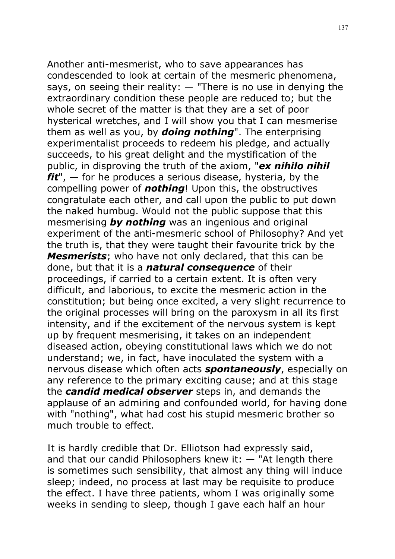Another anti-mesmerist, who to save appearances has condescended to look at certain of the mesmeric phenomena, says, on seeing their reality:  $-$  "There is no use in denying the extraordinary condition these people are reduced to; but the whole secret of the matter is that they are a set of poor hysterical wretches, and I will show you that I can mesmerise them as well as you, by **doing nothing**". The enterprising experimentalist proceeds to redeem his pledge, and actually succeeds, to his great delight and the mystification of the public, in disproving the truth of the axiom, "ex nihilo nihil  $fit"$ ,  $-$  for he produces a serious disease, hysteria, by the compelling power of *nothing*! Upon this, the obstructives congratulate each other, and call upon the public to put down the naked humbug. Would not the public suppose that this mesmerising **by nothing** was an ingenious and original experiment of the anti-mesmeric school of Philosophy? And yet the truth is, that they were taught their favourite trick by the **Mesmerists**; who have not only declared, that this can be done, but that it is a **natural consequence** of their proceedings, if carried to a certain extent. It is often very difficult, and laborious, to excite the mesmeric action in the constitution; but being once excited, a very slight recurrence to the original processes will bring on the paroxysm in all its first intensity, and if the excitement of the nervous system is kept up by frequent mesmerising, it takes on an independent diseased action, obeying constitutional laws which we do not understand; we, in fact, have inoculated the system with a nervous disease which often acts **spontaneously**, especially on any reference to the primary exciting cause; and at this stage the **candid medical observer** steps in, and demands the applause of an admiring and confounded world, for having done with "nothing", what had cost his stupid mesmeric brother so much trouble to effect.

It is hardly credible that Dr. Elliotson had expressly said, and that our candid Philosophers knew it:  $-$  "At length there is sometimes such sensibility, that almost any thing will induce sleep; indeed, no process at last may be requisite to produce the effect. I have three patients, whom I was originally some weeks in sending to sleep, though I gave each half an hour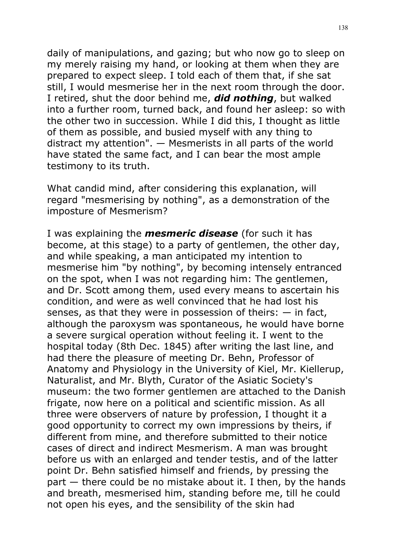daily of manipulations, and gazing; but who now go to sleep on my merely raising my hand, or looking at them when they are prepared to expect sleep. I told each of them that, if she sat still, I would mesmerise her in the next room through the door. I retired, shut the door behind me, **did nothing**, but walked into a further room, turned back, and found her asleep: so with the other two in succession. While I did this, I thought as little of them as possible, and busied myself with any thing to distract my attention". - Mesmerists in all parts of the world have stated the same fact, and I can bear the most ample testimony to its truth.

What candid mind, after considering this explanation, will regard "mesmerising by nothing", as a demonstration of the imposture of Mesmerism?

I was explaining the **mesmeric disease** (for such it has become, at this stage) to a party of gentlemen, the other day, and while speaking, a man anticipated my intention to mesmerise him "by nothing", by becoming intensely entranced on the spot, when I was not regarding him: The gentlemen, and Dr. Scott among them, used every means to ascertain his condition, and were as well convinced that he had lost his senses, as that they were in possession of theirs:  $-$  in fact, although the paroxysm was spontaneous, he would have borne a severe surgical operation without feeling it. I went to the hospital today (8th Dec. 1845) after writing the last line, and had there the pleasure of meeting Dr. Behn, Professor of Anatomy and Physiology in the University of Kiel, Mr. Kiellerup, Naturalist, and Mr. Blyth, Curator of the Asiatic Society's museum: the two former gentlemen are attached to the Danish frigate, now here on a political and scientific mission. As all three were observers of nature by profession, I thought it a good opportunity to correct my own impressions by theirs, if different from mine, and therefore submitted to their notice cases of direct and indirect Mesmerism. A man was brought before us with an enlarged and tender testis, and of the latter point Dr. Behn satisfied himself and friends, by pressing the part  $-$  there could be no mistake about it. I then, by the hands and breath, mesmerised him, standing before me, till he could not open his eves, and the sensibility of the skin had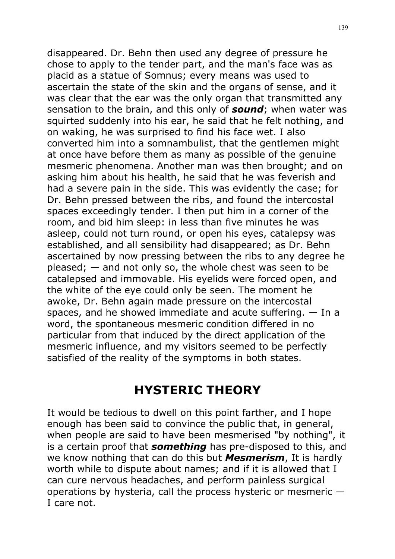disappeared. Dr. Behn then used any degree of pressure he chose to apply to the tender part, and the man's face was as placid as a statue of Somnus; every means was used to ascertain the state of the skin and the organs of sense, and it was clear that the ear was the only organ that transmitted any sensation to the brain, and this only of **sound**; when water was squirted suddenly into his ear, he said that he felt nothing, and on waking, he was surprised to find his face wet. I also converted him into a somnambulist, that the gentlemen might at once have before them as many as possible of the genuine mesmeric phenomena. Another man was then brought; and on asking him about his health, he said that he was feverish and had a severe pain in the side. This was evidently the case; for Dr. Behn pressed between the ribs, and found the intercostal spaces exceedingly tender. I then put him in a corner of the room, and bid him sleep; in less than five minutes he was asleep, could not turn round, or open his eyes, catalepsy was established, and all sensibility had disappeared; as Dr. Behn ascertained by now pressing between the ribs to any degree he pleased;  $-$  and not only so, the whole chest was seen to be catalepsed and immovable. His eyelids were forced open, and the white of the eye could only be seen. The moment he awoke, Dr. Behn again made pressure on the intercostal spaces, and he showed immediate and acute suffering.  $-$  In a word, the spontaneous mesmeric condition differed in no particular from that induced by the direct application of the mesmeric influence, and my visitors seemed to be perfectly satisfied of the reality of the symptoms in both states.

#### **HYSTERIC THEORY**

It would be tedious to dwell on this point farther, and I hope enough has been said to convince the public that, in general, when people are said to have been mesmerised "by nothing", it is a certain proof that **something** has pre-disposed to this, and we know nothing that can do this but **Mesmerism**, It is hardly worth while to dispute about names; and if it is allowed that I can cure nervous headaches, and perform painless surgical operations by hysteria, call the process hysteric or mesmeric -I care not.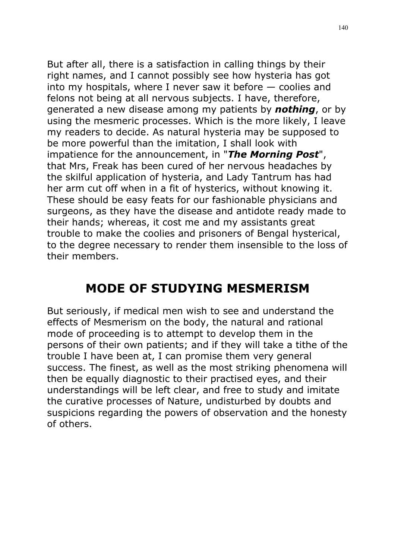But after all, there is a satisfaction in calling things by their right names, and I cannot possibly see how hysteria has got into my hospitals, where I never saw it before  $-$  coolies and felons not being at all nervous subjects. I have, therefore, generated a new disease among my patients by **nothing**, or by using the mesmeric processes. Which is the more likely, I leave my readers to decide. As natural hysteria may be supposed to be more powerful than the imitation, I shall look with impatience for the announcement, in "The Morning Post", that Mrs, Freak has been cured of her nervous headaches by the skilful application of hysteria, and Lady Tantrum has had her arm cut off when in a fit of hysterics, without knowing it. These should be easy feats for our fashionable physicians and surgeons, as they have the disease and antidote ready made to their hands; whereas, it cost me and my assistants great trouble to make the coolies and prisoners of Bengal hysterical, to the degree necessary to render them insensible to the loss of their members.

# **MODE OF STUDYING MESMERISM**

But seriously, if medical men wish to see and understand the effects of Mesmerism on the body, the natural and rational mode of proceeding is to attempt to develop them in the persons of their own patients; and if they will take a tithe of the trouble I have been at, I can promise them very general success. The finest, as well as the most striking phenomena will then be equally diagnostic to their practised eyes, and their understandings will be left clear, and free to study and imitate the curative processes of Nature, undisturbed by doubts and suspicions regarding the powers of observation and the honesty of others.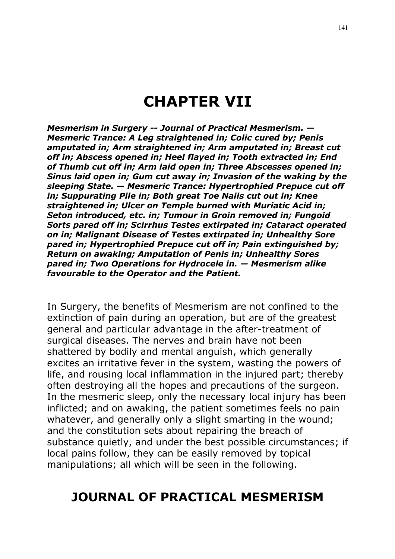# **CHAPTER VII**

Mesmerism in Surgery -- Journal of Practical Mesmerism. -Mesmeric Trance: A Leg straightened in: Colic cured by: Penis amputated in; Arm straightened in; Arm amputated in; Breast cut off in: Abscess opened in: Heel flaved in: Tooth extracted in: End of Thumb cut off in; Arm laid open in; Three Abscesses opened in; Sinus laid open in; Gum cut away in; Invasion of the waking by the sleeping State. - Mesmeric Trance: Hypertrophied Prepuce cut off in; Suppurating Pile in; Both great Toe Nails cut out in; Knee straightened in; Ulcer on Temple burned with Muriatic Acid in; Seton introduced, etc. in; Tumour in Groin removed in; Fungoid Sorts pared off in; Scirrhus Testes extirpated in; Cataract operated on in; Malignant Disease of Testes extirpated in; Unhealthy Sore pared in; Hypertrophied Prepuce cut off in; Pain extinguished by; **Return on awaking; Amputation of Penis in; Unhealthy Sores** pared in; Two Operations for Hydrocele in. - Mesmerism alike favourable to the Operator and the Patient.

In Surgery, the benefits of Mesmerism are not confined to the extinction of pain during an operation, but are of the greatest general and particular advantage in the after-treatment of surgical diseases. The nerves and brain have not been shattered by bodily and mental anguish, which generally excites an irritative fever in the system, wasting the powers of life, and rousing local inflammation in the injured part; thereby often destroying all the hopes and precautions of the surgeon. In the mesmeric sleep, only the necessary local injury has been inflicted; and on awaking, the patient sometimes feels no pain whatever, and generally only a slight smarting in the wound; and the constitution sets about repairing the breach of substance quietly, and under the best possible circumstances; if local pains follow, they can be easily removed by topical manipulations; all which will be seen in the following.

#### **JOURNAL OF PRACTICAL MESMERISM**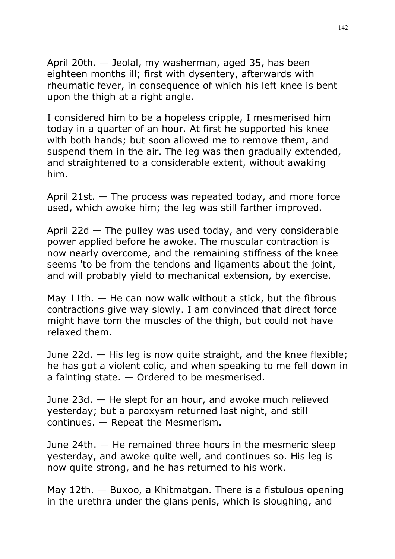April 20th. - Jeolal, my washerman, aged 35, has been eighteen months ill; first with dysentery, afterwards with rheumatic fever, in consequence of which his left knee is bent upon the thigh at a right angle.

I considered him to be a hopeless cripple, I mesmerised him today in a quarter of an hour. At first he supported his knee with both hands; but soon allowed me to remove them, and suspend them in the air. The leg was then gradually extended, and straightened to a considerable extent, without awaking him.

April 21st.  $-$  The process was repeated today, and more force used, which awoke him; the leg was still farther improved.

April 22d  $-$  The pulley was used today, and very considerable power applied before he awoke. The muscular contraction is now nearly overcome, and the remaining stiffness of the knee seems 'to be from the tendons and ligaments about the joint, and will probably yield to mechanical extension, by exercise.

May 11th.  $-$  He can now walk without a stick, but the fibrous contractions give way slowly. I am convinced that direct force might have torn the muscles of the thigh, but could not have relaxed them.

June 22d.  $-$  His leg is now quite straight, and the knee flexible; he has got a violent colic, and when speaking to me fell down in a fainting state.  $-$  Ordered to be mesmerised.

June  $23d.$   $-$  He slept for an hour, and awoke much relieved yesterday; but a paroxysm returned last night, and still continues. - Repeat the Mesmerism.

June 24th.  $-$  He remained three hours in the mesmeric sleep yesterday, and awoke quite well, and continues so. His leg is now quite strong, and he has returned to his work.

May 12th.  $-$  Buxoo, a Khitmatgan. There is a fistulous opening in the urethra under the glans penis, which is sloughing, and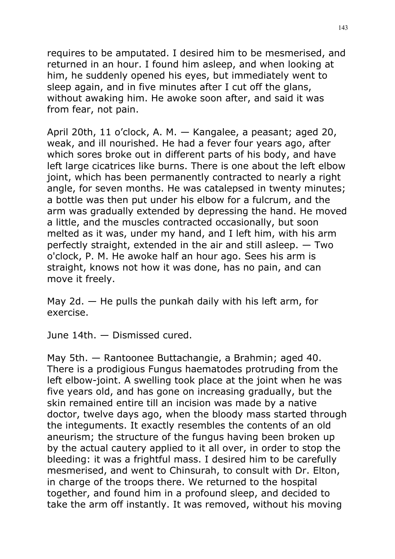requires to be amputated. I desired him to be mesmerised, and returned in an hour. I found him asleep, and when looking at him, he suddenly opened his eyes, but immediately went to sleep again, and in five minutes after I cut off the glans, without awaking him. He awoke soon after, and said it was from fear, not pain.

April 20th, 11 o'clock, A. M. - Kangalee, a peasant; aged 20, weak, and ill nourished. He had a fever four years ago, after which sores broke out in different parts of his body, and have left large cicatrices like burns. There is one about the left elbow joint, which has been permanently contracted to nearly a right angle, for seven months. He was catalepsed in twenty minutes; a bottle was then put under his elbow for a fulcrum, and the arm was gradually extended by depressing the hand. He moved a little, and the muscles contracted occasionally, but soon melted as it was, under my hand, and I left him, with his arm perfectly straight, extended in the air and still asleep.  $-$  Two o'clock, P. M. He awoke half an hour ago. Sees his arm is straight, knows not how it was done, has no pain, and can move it freely.

May 2d.  $-$  He pulls the punkah daily with his left arm, for exercise.

June 14th. - Dismissed cured.

May 5th. - Rantoonee Buttachangie, a Brahmin; aged 40. There is a prodigious Fungus haematodes protruding from the left elbow-joint. A swelling took place at the joint when he was five years old, and has gone on increasing gradually, but the skin remained entire till an incision was made by a native doctor, twelve days ago, when the bloody mass started through the integuments. It exactly resembles the contents of an old aneurism; the structure of the fungus having been broken up by the actual cautery applied to it all over, in order to stop the bleeding: it was a frightful mass. I desired him to be carefully mesmerised, and went to Chinsurah, to consult with Dr. Elton, in charge of the troops there. We returned to the hospital together, and found him in a profound sleep, and decided to take the arm off instantly. It was removed, without his moving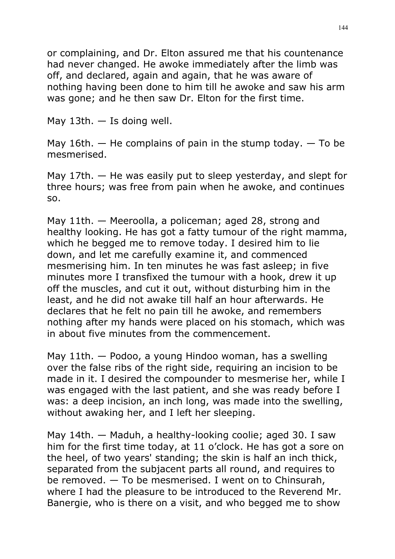or complaining, and Dr. Elton assured me that his countenance had never changed. He awoke immediately after the limb was off, and declared, again and again, that he was aware of nothing having been done to him till he awoke and saw his arm was gone; and he then saw Dr. Elton for the first time.

May 13th.  $-$  Is doing well.

May 16th.  $-$  He complains of pain in the stump today.  $-$  To be mesmerised.

May 17th.  $-$  He was easily put to sleep yesterday, and slept for three hours; was free from pain when he awoke, and continues SO.

May 11th. - Meeroolla, a policeman; aged 28, strong and healthy looking. He has got a fatty tumour of the right mamma, which he begged me to remove today. I desired him to lie down, and let me carefully examine it, and commenced mesmerising him. In ten minutes he was fast asleep: in five minutes more I transfixed the tumour with a hook, drew it up off the muscles, and cut it out, without disturbing him in the least, and he did not awake till half an hour afterwards. He declares that he felt no pain till he awoke, and remembers nothing after my hands were placed on his stomach, which was in about five minutes from the commencement.

May 11th.  $-$  Podoo, a young Hindoo woman, has a swelling over the false ribs of the right side, requiring an incision to be made in it. I desired the compounder to mesmerise her, while I was engaged with the last patient, and she was ready before I was: a deep incision, an inch long, was made into the swelling, without awaking her, and I left her sleeping.

May 14th. — Maduh, a healthy-looking coolie; aged 30. I saw him for the first time today, at 11 o'clock. He has got a sore on the heel, of two years' standing; the skin is half an inch thick, separated from the subjacent parts all round, and requires to be removed. - To be mesmerised. I went on to Chinsurah, where I had the pleasure to be introduced to the Reverend Mr. Banergie, who is there on a visit, and who begged me to show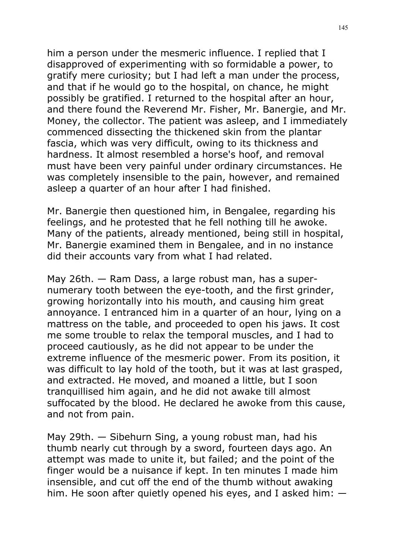him a person under the mesmeric influence. I replied that I disapproved of experimenting with so formidable a power, to gratify mere curiosity; but I had left a man under the process, and that if he would go to the hospital, on chance, he might possibly be gratified. I returned to the hospital after an hour. and there found the Reverend Mr. Fisher, Mr. Banergie, and Mr. Money, the collector. The patient was asleep, and I immediately commenced dissecting the thickened skin from the plantar fascia, which was very difficult, owing to its thickness and hardness. It almost resembled a horse's hoof, and removal must have been very painful under ordinary circumstances. He was completely insensible to the pain, however, and remained asleep a quarter of an hour after I had finished.

Mr. Banergie then questioned him, in Bengalee, regarding his feelings, and he protested that he fell nothing till he awoke. Many of the patients, already mentioned, being still in hospital, Mr. Banergie examined them in Bengalee, and in no instance did their accounts vary from what I had related.

May 26th. — Ram Dass, a large robust man, has a supernumerary tooth between the eye-tooth, and the first grinder, growing horizontally into his mouth, and causing him great annoyance. I entranced him in a quarter of an hour, lying on a mattress on the table, and proceeded to open his jaws. It cost me some trouble to relax the temporal muscles, and I had to proceed cautiously, as he did not appear to be under the extreme influence of the mesmeric power. From its position, it was difficult to lay hold of the tooth, but it was at last grasped, and extracted. He moved, and moaned a little, but I soon tranguillised him again, and he did not awake till almost suffocated by the blood. He declared he awoke from this cause, and not from pain.

May 29th.  $-$  Sibehurn Sing, a young robust man, had his thumb nearly cut through by a sword, fourteen days ago. An attempt was made to unite it, but failed; and the point of the finger would be a nuisance if kept. In ten minutes I made him insensible, and cut off the end of the thumb without awaking him. He soon after quietly opened his eyes, and I asked him:  $-$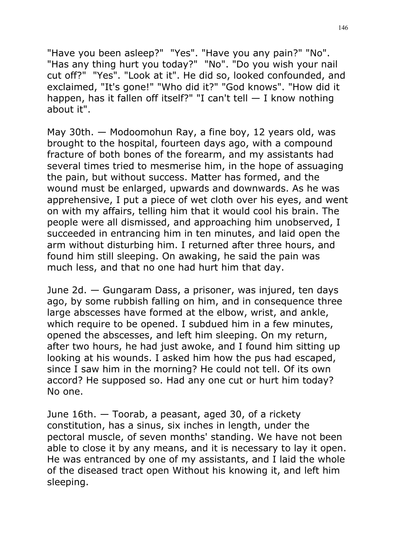"Have you been asleep?" "Yes". "Have you any pain?" "No". "Has any thing hurt you today?" "No". "Do you wish your nail cut off?" "Yes". "Look at it". He did so, looked confounded, and exclaimed, "It's gone!" "Who did it?" "God knows". "How did it happen, has it fallen off itself?" "I can't tell  $-$  I know nothing about it".

May 30th. - Modoomohun Ray, a fine boy, 12 years old, was brought to the hospital, fourteen days ago, with a compound fracture of both bones of the forearm, and my assistants had several times tried to mesmerise him, in the hope of assuaging the pain, but without success. Matter has formed, and the wound must be enlarged, upwards and downwards. As he was apprehensive, I put a piece of wet cloth over his eyes, and went on with my affairs, telling him that it would cool his brain. The people were all dismissed, and approaching him unobserved, I succeeded in entrancing him in ten minutes, and laid open the arm without disturbing him. I returned after three hours, and found him still sleeping. On awaking, he said the pain was much less, and that no one had hurt him that day.

June 2d. - Gungaram Dass, a prisoner, was injured, ten days ago, by some rubbish falling on him, and in consequence three large abscesses have formed at the elbow, wrist, and ankle, which require to be opened. I subdued him in a few minutes, opened the abscesses, and left him sleeping. On my return, after two hours, he had just awoke, and I found him sitting up looking at his wounds. I asked him how the pus had escaped, since I saw him in the morning? He could not tell. Of its own accord? He supposed so. Had any one cut or hurt him today? No one.

June 16th.  $-$  Toorab, a peasant, aged 30, of a rickety constitution, has a sinus, six inches in length, under the pectoral muscle, of seven months' standing. We have not been able to close it by any means, and it is necessary to lay it open. He was entranced by one of my assistants, and I laid the whole of the diseased tract open Without his knowing it, and left him sleeping.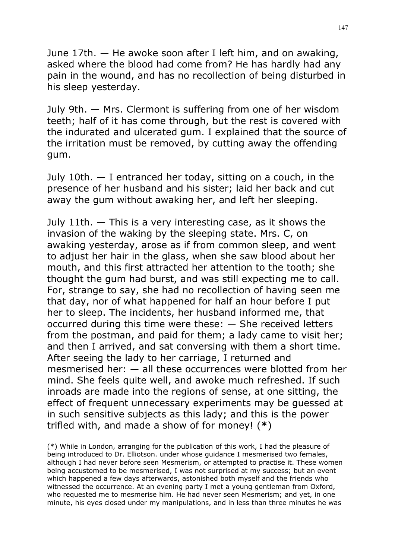June 17th. - He awoke soon after I left him, and on awaking, asked where the blood had come from? He has hardly had any pain in the wound, and has no recollection of being disturbed in his sleep vesterday.

July 9th. - Mrs. Clermont is suffering from one of her wisdom teeth; half of it has come through, but the rest is covered with the indurated and ulcerated gum. I explained that the source of the irritation must be removed, by cutting away the offending qum.

July 10th.  $-$  I entranced her today, sitting on a couch, in the presence of her husband and his sister; laid her back and cut away the gum without awaking her, and left her sleeping.

July 11th.  $-$  This is a very interesting case, as it shows the invasion of the waking by the sleeping state. Mrs. C, on awaking yesterday, arose as if from common sleep, and went to adjust her hair in the glass, when she saw blood about her mouth, and this first attracted her attention to the tooth; she thought the gum had burst, and was still expecting me to call. For, strange to say, she had no recollection of having seen me that day, nor of what happened for half an hour before I put her to sleep. The incidents, her husband informed me, that occurred during this time were these: - She received letters from the postman, and paid for them; a lady came to visit her; and then I arrived, and sat conversing with them a short time. After seeing the lady to her carriage, I returned and mesmerised her: - all these occurrences were blotted from her mind. She feels quite well, and awoke much refreshed. If such inroads are made into the regions of sense, at one sitting, the effect of frequent unnecessary experiments may be quessed at in such sensitive subjects as this lady; and this is the power trifled with, and made a show of for money!  $(*)$ 

(\*) While in London, arranging for the publication of this work, I had the pleasure of being introduced to Dr. Elliotson, under whose quidance I mesmerised two females, although I had never before seen Mesmerism, or attempted to practise it. These women being accustomed to be mesmerised, I was not surprised at my success; but an event which happened a few days afterwards, astonished both myself and the friends who witnessed the occurrence. At an evening party I met a young gentleman from Oxford, who requested me to mesmerise him. He had never seen Mesmerism; and yet, in one minute, his eyes closed under my manipulations, and in less than three minutes he was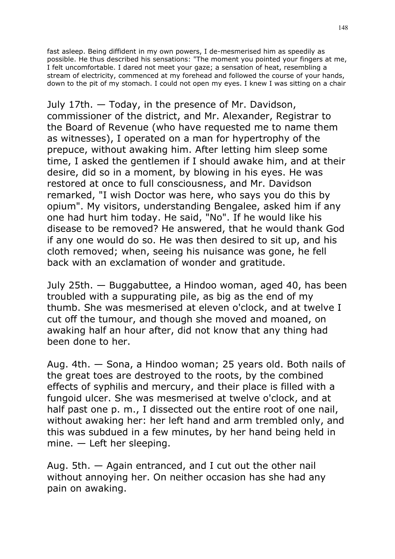fast asleep. Being diffident in my own powers, I de-mesmerised him as speedily as possible. He thus described his sensations: "The moment you pointed your fingers at me, I felt uncomfortable. I dared not meet your gaze; a sensation of heat, resembling a stream of electricity, commenced at my forehead and followed the course of your hands, down to the pit of my stomach. I could not open my eyes. I knew I was sitting on a chair

July 17th. - Today, in the presence of Mr. Davidson, commissioner of the district, and Mr. Alexander, Registrar to the Board of Revenue (who have requested me to name them as witnesses), I operated on a man for hypertrophy of the prepuce, without awaking him. After letting him sleep some time. I asked the gentlemen if I should awake him, and at their desire, did so in a moment, by blowing in his eyes. He was restored at once to full consciousness, and Mr. Davidson remarked, "I wish Doctor was here, who says you do this by opium". My visitors, understanding Bengalee, asked him if any one had hurt him today. He said, "No". If he would like his disease to be removed? He answered, that he would thank God if any one would do so. He was then desired to sit up, and his cloth removed; when, seeing his nuisance was gone, he fell back with an exclamation of wonder and gratitude.

July 25th. - Buggabuttee, a Hindoo woman, aged 40, has been troubled with a suppurating pile, as big as the end of my thumb. She was mesmerised at eleven o'clock, and at twelve I cut off the tumour, and though she moved and moaned, on awaking half an hour after, did not know that any thing had been done to her.

Aug. 4th. - Sona, a Hindoo woman; 25 years old. Both nails of the great toes are destroyed to the roots, by the combined effects of syphilis and mercury, and their place is filled with a fungoid ulcer. She was mesmerised at twelve o'clock, and at half past one p. m., I dissected out the entire root of one nail, without awaking her: her left hand and arm trembled only, and this was subdued in a few minutes, by her hand being held in  $mine. - Left her sleeping.$ 

Aug. 5th.  $-$  Again entranced, and I cut out the other nail without annoying her. On neither occasion has she had any pain on awaking.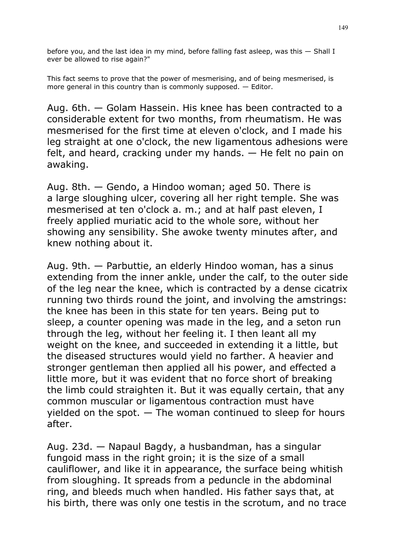before you, and the last idea in my mind, before falling fast asleep, was this - Shall I ever be allowed to rise again?"

This fact seems to prove that the power of mesmerising, and of being mesmerised, is more general in this country than is commonly supposed.  $-$  Editor.

Aug. 6th. - Golam Hassein. His knee has been contracted to a considerable extent for two months, from rheumatism. He was mesmerised for the first time at eleven o'clock, and I made his leg straight at one o'clock, the new ligamentous adhesions were felt, and heard, cracking under my hands. - He felt no pain on awaking.

Aug. 8th. - Gendo, a Hindoo woman; aged 50. There is a large sloughing ulcer, covering all her right temple. She was mesmerised at ten o'clock a. m.; and at half past eleven, I freely applied muriatic acid to the whole sore, without her showing any sensibility. She awoke twenty minutes after, and knew nothing about it.

Aug. 9th. - Parbuttie, an elderly Hindoo woman, has a sinus extending from the inner ankle, under the calf, to the outer side of the leg near the knee, which is contracted by a dense cicatrix running two thirds round the joint, and involving the amstrings: the knee has been in this state for ten years. Being put to sleep, a counter opening was made in the leg, and a seton run through the leg, without her feeling it. I then leant all my weight on the knee, and succeeded in extending it a little, but the diseased structures would yield no farther. A heavier and stronger gentleman then applied all his power, and effected a little more, but it was evident that no force short of breaking the limb could straighten it. But it was equally certain, that any common muscular or ligamentous contraction must have yielded on the spot.  $-$  The woman continued to sleep for hours after.

Aug. 23d. — Napaul Bagdy, a husbandman, has a singular fungoid mass in the right groin; it is the size of a small cauliflower, and like it in appearance, the surface being whitish from sloughing. It spreads from a peduncle in the abdominal ring, and bleeds much when handled. His father says that, at his birth, there was only one testis in the scrotum, and no trace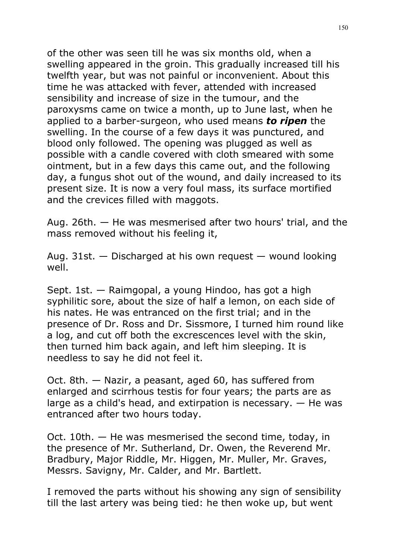of the other was seen till he was six months old, when a swelling appeared in the groin. This gradually increased till his twelfth year, but was not painful or inconvenient. About this time he was attacked with fever, attended with increased sensibility and increase of size in the tumour, and the paroxysms came on twice a month, up to June last, when he applied to a barber-surgeon, who used means to ripen the swelling. In the course of a few days it was punctured, and blood only followed. The opening was plugged as well as possible with a candle covered with cloth smeared with some ointment, but in a few days this came out, and the following day, a fungus shot out of the wound, and daily increased to its present size. It is now a very foul mass, its surface mortified and the crevices filled with maggots.

Aug. 26th. - He was mesmerised after two hours' trial, and the mass removed without his feeling it,

Aug. 31st.  $-$  Discharged at his own request  $-$  wound looking well.

Sept. 1st. - Raimgopal, a young Hindoo, has got a high syphilitic sore, about the size of half a lemon, on each side of his nates. He was entranced on the first trial; and in the presence of Dr. Ross and Dr. Sissmore, I turned him round like a log, and cut off both the excrescences level with the skin, then turned him back again, and left him sleeping. It is needless to say he did not feel it.

Oct. 8th. - Nazir, a peasant, aged 60, has suffered from enlarged and scirrhous testis for four years; the parts are as large as a child's head, and extirpation is necessary.  $-$  He was entranced after two hours today.

Oct. 10th. - He was mesmerised the second time, today, in the presence of Mr. Sutherland, Dr. Owen, the Reverend Mr. Bradbury, Major Riddle, Mr. Higgen, Mr. Muller, Mr. Graves, Messrs. Savigny, Mr. Calder, and Mr. Bartlett.

I removed the parts without his showing any sign of sensibility till the last artery was being tied: he then woke up, but went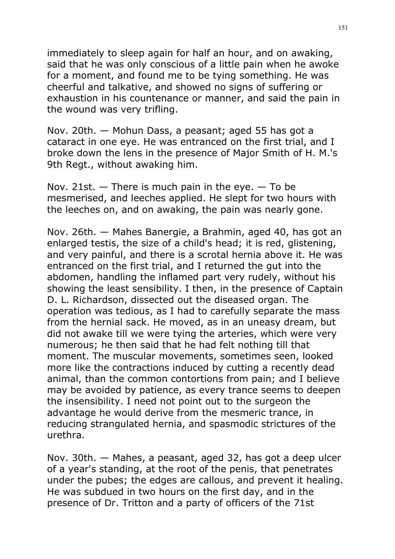immediately to sleep again for half an hour, and on awaking, said that he was only conscious of a little pain when he awoke for a moment, and found me to be tying something. He was cheerful and talkative, and showed no signs of suffering or exhaustion in his countenance or manner, and said the pain in the wound was very trifling.

Nov. 20th. — Mohun Dass, a peasant; aged 55 has got a cataract in one eye. He was entranced on the first trial, and I broke down the lens in the presence of Major Smith of H. M.'s 9th Regt., without awaking him.

Nov. 21st.  $-$  There is much pain in the eye.  $-$  To be mesmerised, and leeches applied. He slept for two hours with the leeches on, and on awaking, the pain was nearly gone.

Nov. 26th. - Mahes Banergie, a Brahmin, aged 40, has got an enlarged testis, the size of a child's head; it is red, glistening, and very painful, and there is a scrotal hernia above it. He was entranced on the first trial, and I returned the gut into the abdomen, handling the inflamed part very rudely, without his showing the least sensibility. I then, in the presence of Captain D. L. Richardson, dissected out the diseased organ. The operation was tedious, as I had to carefully separate the mass from the hernial sack. He moved, as in an uneasy dream, but did not awake till we were tying the arteries, which were very numerous; he then said that he had felt nothing till that moment. The muscular movements, sometimes seen, looked more like the contractions induced by cutting a recently dead animal, than the common contortions from pain; and I believe may be avoided by patience, as every trance seems to deepen the insensibility. I need not point out to the surgeon the advantage he would derive from the mesmeric trance, in reducing strangulated hernia, and spasmodic strictures of the urethra.

Nov. 30th. - Mahes, a peasant, aged 32, has got a deep ulcer of a year's standing, at the root of the penis, that penetrates under the pubes; the edges are callous, and prevent it healing. He was subdued in two hours on the first day, and in the presence of Dr. Tritton and a party of officers of the 71st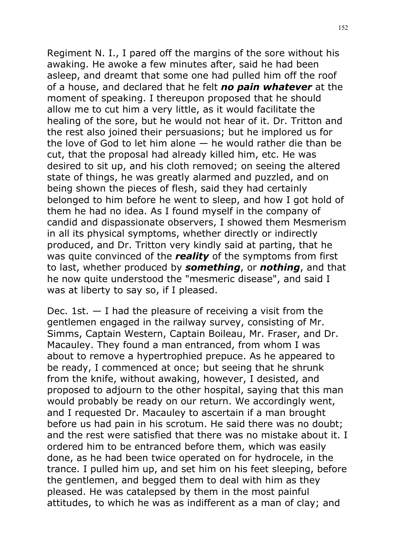Regiment N. I., I pared off the margins of the sore without his awaking. He awoke a few minutes after, said he had been asleep, and dreamt that some one had pulled him off the roof of a house, and declared that he felt no pain whatever at the moment of speaking. I thereupon proposed that he should allow me to cut him a very little, as it would facilitate the healing of the sore, but he would not hear of it. Dr. Tritton and the rest also joined their persuasions; but he implored us for the love of God to let him alone  $-$  he would rather die than be cut, that the proposal had already killed him, etc. He was desired to sit up, and his cloth removed; on seeing the altered state of things, he was greatly alarmed and puzzled, and on being shown the pieces of flesh, said they had certainly belonged to him before he went to sleep, and how I got hold of them he had no idea. As I found myself in the company of candid and dispassionate observers, I showed them Mesmerism in all its physical symptoms, whether directly or indirectly produced, and Dr. Tritton very kindly said at parting, that he was quite convinced of the reality of the symptoms from first to last, whether produced by **something**, or **nothing**, and that he now quite understood the "mesmeric disease", and said I was at liberty to say so, if I pleased.

Dec. 1st.  $-$  I had the pleasure of receiving a visit from the gentlemen engaged in the railway survey, consisting of Mr. Simms, Captain Western, Captain Boileau, Mr. Fraser, and Dr. Macauley. They found a man entranced, from whom I was about to remove a hypertrophied prepuce. As he appeared to be ready, I commenced at once; but seeing that he shrunk from the knife, without awaking, however, I desisted, and proposed to adjourn to the other hospital, saving that this man would probably be ready on our return. We accordingly went, and I requested Dr. Macauley to ascertain if a man brought before us had pain in his scrotum. He said there was no doubt; and the rest were satisfied that there was no mistake about it. I ordered him to be entranced before them, which was easily done, as he had been twice operated on for hydrocele, in the trance. I pulled him up, and set him on his feet sleeping, before the gentlemen, and begged them to deal with him as they pleased. He was catalepsed by them in the most painful attitudes, to which he was as indifferent as a man of clay; and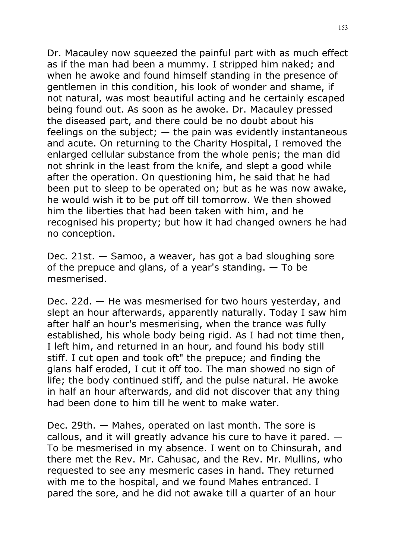Dr. Macauley now squeezed the painful part with as much effect as if the man had been a mummy. I stripped him naked; and when he awoke and found himself standing in the presence of gentlemen in this condition, his look of wonder and shame, if not natural, was most beautiful acting and he certainly escaped being found out. As soon as he awoke. Dr. Macauley pressed the diseased part, and there could be no doubt about his feelings on the subject;  $-$  the pain was evidently instantaneous and acute. On returning to the Charity Hospital, I removed the enlarged cellular substance from the whole penis; the man did not shrink in the least from the knife, and slept a good while after the operation. On questioning him, he said that he had been put to sleep to be operated on; but as he was now awake, he would wish it to be put off till tomorrow. We then showed him the liberties that had been taken with him, and he recognised his property; but how it had changed owners he had no conception.

Dec. 21st.  $-$  Samoo, a weaver, has got a bad sloughing sore of the prepuce and glans, of a year's standing.  $-$  To be mesmerised.

Dec. 22d.  $-$  He was mesmerised for two hours yesterday, and slept an hour afterwards, apparently naturally. Today I saw him after half an hour's mesmerising, when the trance was fully established, his whole body being rigid. As I had not time then, I left him, and returned in an hour, and found his body still stiff. I cut open and took oft" the prepuce; and finding the glans half eroded, I cut it off too. The man showed no sign of life; the body continued stiff, and the pulse natural. He awoke in half an hour afterwards, and did not discover that any thing had been done to him till he went to make water.

Dec. 29th. - Mahes, operated on last month. The sore is callous, and it will greatly advance his cure to have it pared.  $-$ To be mesmerised in my absence. I went on to Chinsurah, and there met the Rev. Mr. Cahusac, and the Rev. Mr. Mullins, who requested to see any mesmeric cases in hand. They returned with me to the hospital, and we found Mahes entranced. I pared the sore, and he did not awake till a quarter of an hour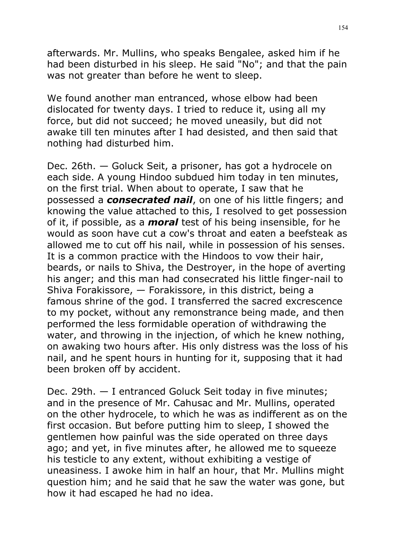afterwards. Mr. Mullins, who speaks Bengalee, asked him if he had been disturbed in his sleep. He said "No"; and that the pain was not greater than before he went to sleep.

We found another man entranced, whose elbow had been dislocated for twenty days. I tried to reduce it, using all my force, but did not succeed; he moved uneasily, but did not awake till ten minutes after I had desisted, and then said that nothing had disturbed him.

Dec. 26th. - Goluck Seit, a prisoner, has got a hydrocele on each side. A young Hindoo subdued him today in ten minutes, on the first trial. When about to operate, I saw that he possessed a **consecrated nail**, on one of his little fingers; and knowing the value attached to this, I resolved to get possession of it, if possible, as a *moral* test of his being insensible, for he would as soon have cut a cow's throat and eaten a beefsteak as allowed me to cut off his nail, while in possession of his senses. It is a common practice with the Hindoos to yow their hair, beards, or nails to Shiva, the Destroyer, in the hope of averting his anger; and this man had consecrated his little finger-nail to Shiva Forakissore, - Forakissore, in this district, being a famous shrine of the god. I transferred the sacred excrescence to my pocket, without any remonstrance being made, and then performed the less formidable operation of withdrawing the water, and throwing in the injection, of which he knew nothing, on awaking two hours after. His only distress was the loss of his nail, and he spent hours in hunting for it, supposing that it had been broken off by accident.

Dec. 29th. - I entranced Goluck Seit today in five minutes; and in the presence of Mr. Cahusac and Mr. Mullins, operated on the other hydrocele, to which he was as indifferent as on the first occasion. But before putting him to sleep, I showed the gentlemen how painful was the side operated on three days ago; and yet, in five minutes after, he allowed me to squeeze his testicle to any extent, without exhibiting a vestige of uneasiness. I awoke him in half an hour, that Mr. Mullins might question him; and he said that he saw the water was gone, but how it had escaped he had no idea.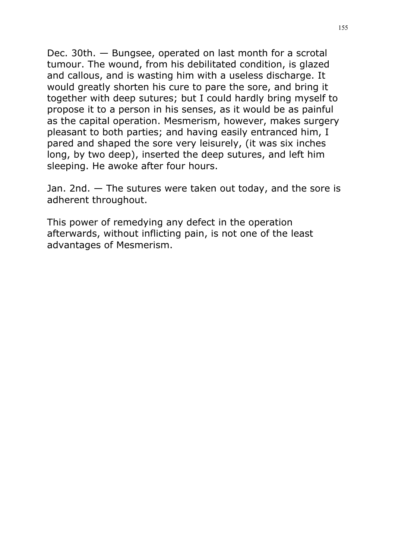Dec. 30th. - Bungsee, operated on last month for a scrotal tumour. The wound, from his debilitated condition, is glazed and callous, and is wasting him with a useless discharge. It would greatly shorten his cure to pare the sore, and bring it together with deep sutures; but I could hardly bring myself to propose it to a person in his senses, as it would be as painful as the capital operation. Mesmerism, however, makes surgery pleasant to both parties; and having easily entranced him, I pared and shaped the sore very leisurely, (it was six inches long, by two deep), inserted the deep sutures, and left him sleeping. He awoke after four hours.

Jan. 2nd.  $-$  The sutures were taken out today, and the sore is adherent throughout.

This power of remedving any defect in the operation afterwards, without inflicting pain, is not one of the least advantages of Mesmerism.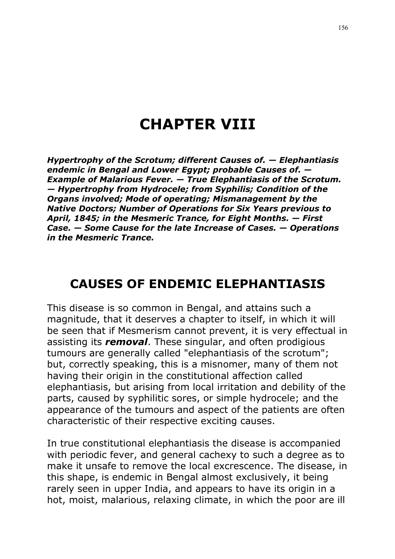# **CHAPTER VIII**

Hypertrophy of the Scrotum; different Causes of.  $-$  Elephantiasis endemic in Bengal and Lower Egypt; probable Causes of. -**Example of Malarious Fever. - True Elephantiasis of the Scrotum.** - Hypertrophy from Hydrocele; from Syphilis; Condition of the Organs involved; Mode of operating; Mismanagement by the **Native Doctors; Number of Operations for Six Years previous to** April, 1845; in the Mesmeric Trance, for Eight Months. - First Case. - Some Cause for the late Increase of Cases. - Operations in the Mesmeric Trance.

#### **CAUSES OF ENDEMIC ELEPHANTIASIS**

This disease is so common in Bengal, and attains such a magnitude, that it deserves a chapter to itself, in which it will be seen that if Mesmerism cannot prevent, it is very effectual in assisting its removal. These singular, and often prodigious tumours are generally called "elephantiasis of the scrotum"; but, correctly speaking, this is a misnomer, many of them not having their origin in the constitutional affection called elephantiasis, but arising from local irritation and debility of the parts, caused by syphilitic sores, or simple hydrocele; and the appearance of the tumours and aspect of the patients are often characteristic of their respective exciting causes.

In true constitutional elephantiasis the disease is accompanied with periodic fever, and general cachexy to such a degree as to make it unsafe to remove the local excrescence. The disease, in this shape, is endemic in Bengal almost exclusively, it being rarely seen in upper India, and appears to have its origin in a hot, moist, malarious, relaxing climate, in which the poor are ill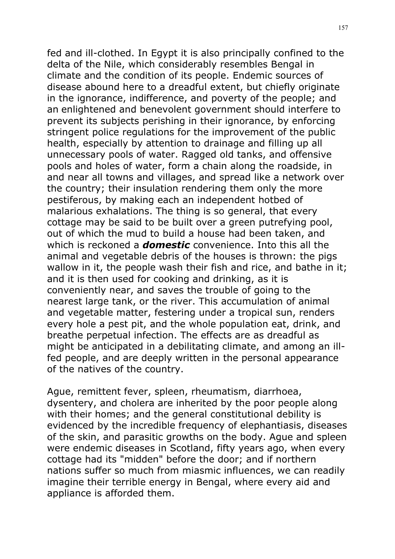fed and ill-clothed. In Egypt it is also principally confined to the delta of the Nile, which considerably resembles Bengal in climate and the condition of its people. Endemic sources of disease abound here to a dreadful extent, but chiefly originate in the ignorance, indifference, and poverty of the people; and an enlightened and benevolent government should interfere to prevent its subjects perishing in their ignorance, by enforcing stringent police regulations for the improvement of the public health, especially by attention to drainage and filling up all unnecessary pools of water. Ragged old tanks, and offensive pools and holes of water, form a chain along the roadside, in and near all towns and villages, and spread like a network over the country; their insulation rendering them only the more pestiferous, by making each an independent hotbed of malarious exhalations. The thing is so general, that every cottage may be said to be built over a green putrefying pool, out of which the mud to build a house had been taken, and which is reckoned a **domestic** convenience. Into this all the animal and vegetable debris of the houses is thrown: the pigs wallow in it, the people wash their fish and rice, and bathe in it; and it is then used for cooking and drinking, as it is conveniently near, and saves the trouble of going to the nearest large tank, or the river. This accumulation of animal and vegetable matter, festering under a tropical sun, renders every hole a pest pit, and the whole population eat, drink, and breathe perpetual infection. The effects are as dreadful as might be anticipated in a debilitating climate, and among an illfed people, and are deeply written in the personal appearance of the natives of the country.

Aque, remittent fever, spleen, rheumatism, diarrhoea, dysentery, and cholera are inherited by the poor people along with their homes; and the general constitutional debility is evidenced by the incredible frequency of elephantiasis, diseases of the skin, and parasitic growths on the body. Ague and spleen were endemic diseases in Scotland, fifty years ago, when every cottage had its "midden" before the door; and if northern nations suffer so much from miasmic influences, we can readily imagine their terrible energy in Bengal, where every aid and appliance is afforded them.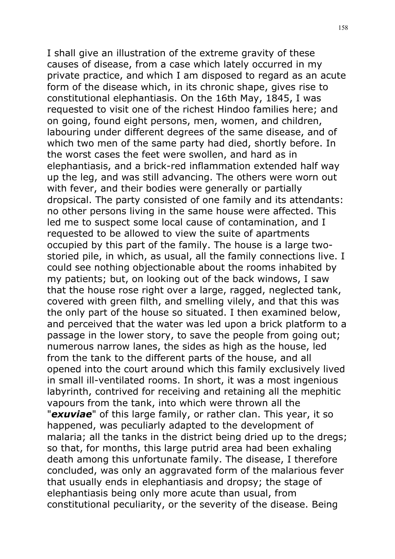I shall give an illustration of the extreme gravity of these causes of disease, from a case which lately occurred in my private practice, and which I am disposed to regard as an acute form of the disease which, in its chronic shape, gives rise to constitutional elephantiasis. On the 16th May, 1845, I was requested to visit one of the richest Hindoo families here; and on going, found eight persons, men, women, and children, labouring under different degrees of the same disease, and of which two men of the same party had died, shortly before. In the worst cases the feet were swollen, and hard as in elephantiasis, and a brick-red inflammation extended half way up the leg, and was still advancing. The others were worn out with fever, and their bodies were generally or partially dropsical. The party consisted of one family and its attendants: no other persons living in the same house were affected. This led me to suspect some local cause of contamination, and I requested to be allowed to view the suite of apartments occupied by this part of the family. The house is a large twostoried pile, in which, as usual, all the family connections live. I could see nothing objectionable about the rooms inhabited by my patients; but, on looking out of the back windows. I saw that the house rose right over a large, ragged, neglected tank, covered with green filth, and smelling vilely, and that this was the only part of the house so situated. I then examined below, and perceived that the water was led upon a brick platform to a passage in the lower story, to save the people from going out; numerous narrow lanes, the sides as high as the house, led from the tank to the different parts of the house, and all opened into the court around which this family exclusively lived in small ill-ventilated rooms. In short, it was a most ingenious labyrinth, contrived for receiving and retaining all the mephitic vapours from the tank, into which were thrown all the "exuviae" of this large family, or rather clan. This year, it so happened, was peculiarly adapted to the development of malaria; all the tanks in the district being dried up to the dregs; so that, for months, this large putrid area had been exhaling death among this unfortunate family. The disease, I therefore concluded, was only an aggravated form of the malarious fever that usually ends in elephantiasis and dropsy; the stage of elephantiasis being only more acute than usual, from constitutional peculiarity, or the severity of the disease. Being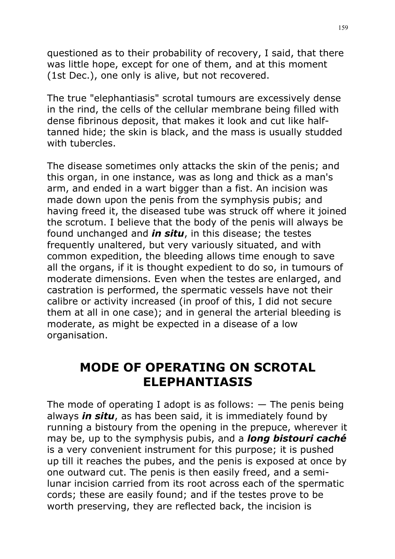questioned as to their probability of recovery, I said, that there was little hope, except for one of them, and at this moment (1st Dec.), one only is alive, but not recovered.

The true "elephantiasis" scrotal tumours are excessively dense in the rind, the cells of the cellular membrane being filled with dense fibrinous deposit, that makes it look and cut like halftanned hide; the skin is black, and the mass is usually studded with tubercles.

The disease sometimes only attacks the skin of the penis; and this organ, in one instance, was as long and thick as a man's arm, and ended in a wart bigger than a fist. An incision was made down upon the penis from the symphysis pubis; and having freed it, the diseased tube was struck off where it joined the scrotum. I believe that the body of the penis will always be found unchanged and *in situ*, in this disease; the testes frequently unaltered, but very variously situated, and with common expedition, the bleeding allows time enough to save all the organs, if it is thought expedient to do so, in tumours of moderate dimensions. Even when the testes are enlarged, and castration is performed, the spermatic vessels have not their calibre or activity increased (in proof of this, I did not secure them at all in one case); and in general the arterial bleeding is moderate, as might be expected in a disease of a low organisation.

## **MODE OF OPERATING ON SCROTAL ELEPHANTIASIS**

The mode of operating I adopt is as follows:  $-$  The penis being always *in situ*, as has been said, it is immediately found by running a bistoury from the opening in the prepuce, wherever it may be, up to the symphysis pubis, and a **long bistouri caché** is a very convenient instrument for this purpose; it is pushed up till it reaches the pubes, and the penis is exposed at once by one outward cut. The penis is then easily freed, and a semilunar incision carried from its root across each of the spermatic cords; these are easily found; and if the testes prove to be worth preserving, they are reflected back, the incision is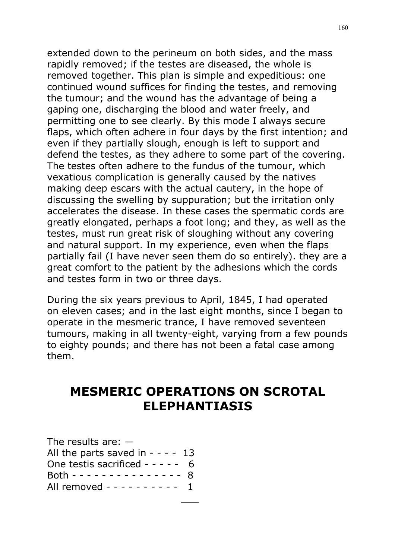extended down to the perineum on both sides, and the mass rapidly removed; if the testes are diseased, the whole is removed together. This plan is simple and expeditious: one continued wound suffices for finding the testes, and removing the tumour; and the wound has the advantage of being a gaping one, discharging the blood and water freely, and permitting one to see clearly. By this mode I always secure flaps, which often adhere in four days by the first intention; and even if they partially slough, enough is left to support and defend the testes, as they adhere to some part of the covering. The testes often adhere to the fundus of the tumour, which vexatious complication is generally caused by the natives making deep escars with the actual cautery, in the hope of discussing the swelling by suppuration; but the irritation only accelerates the disease. In these cases the spermatic cords are greatly elongated, perhaps a foot long; and they, as well as the testes, must run great risk of sloughing without any covering and natural support. In my experience, even when the flaps partially fail (I have never seen them do so entirely). they are a great comfort to the patient by the adhesions which the cords and testes form in two or three days.

During the six years previous to April, 1845, I had operated on eleven cases; and in the last eight months, since I began to operate in the mesmeric trance, I have removed seventeen tumours, making in all twenty-eight, varying from a few pounds to eighty pounds; and there has not been a fatal case among them.

# **MESMERIC OPERATIONS ON SCROTAL ELEPHANTIASIS**

| All the parts saved in $- - - 13$    |
|--------------------------------------|
| One test is sacrificed $- - - - - 6$ |
| Both - - - - - - - - - - - - - - 8   |
| All removed - - - - - - - - - - 1    |
|                                      |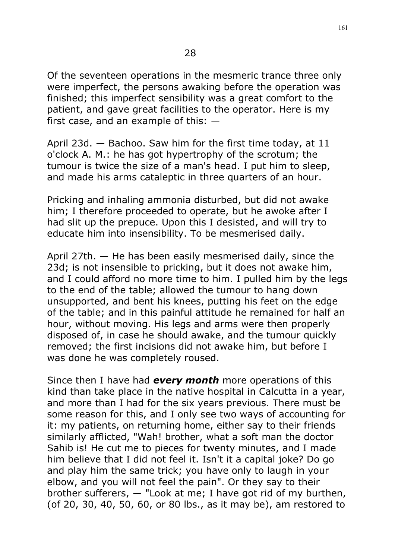Of the seventeen operations in the mesmeric trance three only were imperfect, the persons awaking before the operation was finished; this imperfect sensibility was a great comfort to the patient, and gave great facilities to the operator. Here is my first case, and an example of this:  $-$ 

April 23d.  $-$  Bachoo. Saw him for the first time today, at 11 o'clock A. M.: he has got hypertrophy of the scrotum; the tumour is twice the size of a man's head. I put him to sleep, and made his arms cataleptic in three quarters of an hour.

Pricking and inhaling ammonia disturbed, but did not awake him; I therefore proceeded to operate, but he awoke after I had slit up the prepuce. Upon this I desisted, and will try to educate him into insensibility. To be mesmerised daily.

April 27th.  $-$  He has been easily mesmerised daily, since the 23d; is not insensible to pricking, but it does not awake him, and I could afford no more time to him. I pulled him by the legs to the end of the table; allowed the tumour to hang down unsupported, and bent his knees, putting his feet on the edge of the table; and in this painful attitude he remained for half an hour, without moving. His legs and arms were then properly disposed of, in case he should awake, and the tumour quickly removed; the first incisions did not awake him, but before I was done he was completely roused.

Since then I have had every month more operations of this kind than take place in the native hospital in Calcutta in a year, and more than I had for the six years previous. There must be some reason for this, and I only see two ways of accounting for it: my patients, on returning home, either say to their friends similarly afflicted, "Wah! brother, what a soft man the doctor Sahib is! He cut me to pieces for twenty minutes, and I made him believe that I did not feel it. Isn't it a capital joke? Do go and play him the same trick; you have only to laugh in your elbow, and you will not feel the pain". Or they say to their brother sufferers,  $-$  "Look at me; I have got rid of my burthen, (of 20, 30, 40, 50, 60, or 80 lbs., as it may be), am restored to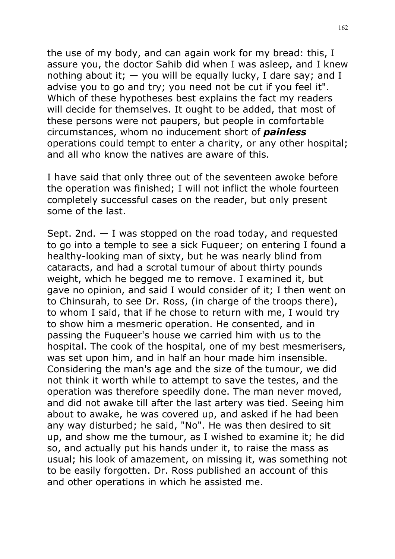the use of my body, and can again work for my bread: this, I assure you, the doctor Sahib did when I was asleep, and I knew nothing about it;  $-$  you will be equally lucky, I dare say; and I advise you to go and try; you need not be cut if you feel it". Which of these hypotheses best explains the fact my readers will decide for themselves. It ought to be added, that most of these persons were not paupers, but people in comfortable circumstances, whom no inducement short of **painless** operations could tempt to enter a charity, or any other hospital; and all who know the natives are aware of this.

I have said that only three out of the seventeen awoke before the operation was finished; I will not inflict the whole fourteen completely successful cases on the reader, but only present some of the last.

Sept. 2nd.  $-$  I was stopped on the road today, and requested to go into a temple to see a sick Fugueer; on entering I found a healthy-looking man of sixty, but he was nearly blind from cataracts, and had a scrotal tumour of about thirty pounds weight, which he begged me to remove. I examined it, but gave no opinion, and said I would consider of it; I then went on to Chinsurah, to see Dr. Ross, (in charge of the troops there), to whom I said, that if he chose to return with me, I would try to show him a mesmeric operation. He consented, and in passing the Fugueer's house we carried him with us to the hospital. The cook of the hospital, one of my best mesmerisers, was set upon him, and in half an hour made him insensible. Considering the man's age and the size of the tumour, we did not think it worth while to attempt to save the testes, and the operation was therefore speedily done. The man never moved, and did not awake till after the last artery was tied. Seeing him about to awake, he was covered up, and asked if he had been any way disturbed; he said, "No". He was then desired to sit up, and show me the tumour, as I wished to examine it; he did so, and actually put his hands under it, to raise the mass as usual; his look of amazement, on missing it, was something not to be easily forgotten. Dr. Ross published an account of this and other operations in which he assisted me.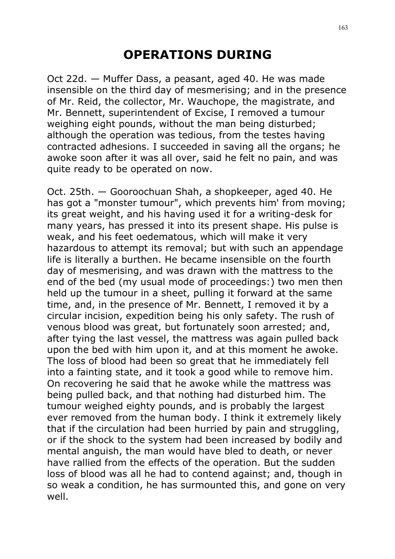## **OPERATIONS DURING**

Oct 22d. - Muffer Dass, a peasant, aged 40. He was made insensible on the third day of mesmerising; and in the presence of Mr. Reid, the collector, Mr. Wauchope, the magistrate, and Mr. Bennett, superintendent of Excise, I removed a tumour weighing eight pounds, without the man being disturbed; although the operation was tedious, from the testes having contracted adhesions. I succeeded in saving all the organs; he awoke soon after it was all over, said he felt no pain, and was quite ready to be operated on now.

Oct. 25th. — Gooroochuan Shah, a shopkeeper, aged 40. He has got a "monster tumour", which prevents him' from moving; its great weight, and his having used it for a writing-desk for many years, has pressed it into its present shape. His pulse is weak, and his feet oedematous, which will make it very hazardous to attempt its removal; but with such an appendage life is literally a burthen. He became insensible on the fourth day of mesmerising, and was drawn with the mattress to the end of the bed (my usual mode of proceedings:) two men then held up the tumour in a sheet, pulling it forward at the same time, and, in the presence of Mr. Bennett, I removed it by a circular incision, expedition being his only safety. The rush of venous blood was great, but fortunately soon arrested; and, after tying the last vessel, the mattress was again pulled back upon the bed with him upon it, and at this moment he awoke. The loss of blood had been so great that he immediately fell into a fainting state, and it took a good while to remove him. On recovering he said that he awoke while the mattress was being pulled back, and that nothing had disturbed him. The tumour weighed eighty pounds, and is probably the largest ever removed from the human body. I think it extremely likely that if the circulation had been hurried by pain and struggling, or if the shock to the system had been increased by bodily and mental anguish, the man would have bled to death, or never have rallied from the effects of the operation. But the sudden loss of blood was all he had to contend against; and, though in so weak a condition, he has surmounted this, and gone on very well.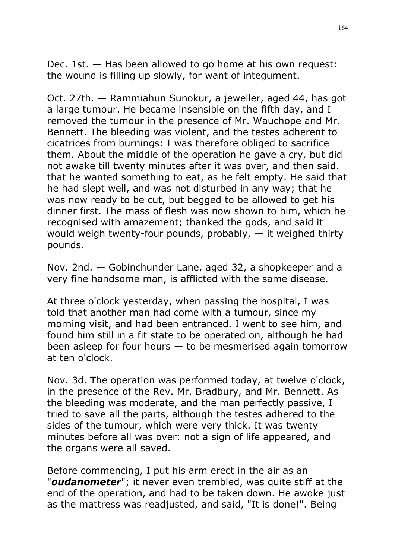Dec. 1st.  $-$  Has been allowed to go home at his own request: the wound is filling up slowly, for want of integument.

Oct. 27th. - Rammiahun Sunokur, a jeweller, aged 44, has got a large tumour. He became insensible on the fifth day, and I removed the tumour in the presence of Mr. Wauchope and Mr. Bennett. The bleeding was violent, and the testes adherent to cicatrices from burnings: I was therefore obliged to sacrifice them. About the middle of the operation he gave a cry, but did not awake till twenty minutes after it was over, and then said. that he wanted something to eat, as he felt empty. He said that he had slept well, and was not disturbed in any way; that he was now ready to be cut, but begged to be allowed to get his dinner first. The mass of flesh was now shown to him, which he recognised with amazement; thanked the gods, and said it would weigh twenty-four pounds, probably,  $-$  it weighed thirty pounds.

Nov. 2nd.  $-$  Gobinchunder Lane, aged 32, a shopkeeper and a very fine handsome man, is afflicted with the same disease.

At three o'clock yesterday, when passing the hospital, I was told that another man had come with a tumour, since my morning visit, and had been entranced. I went to see him, and found him still in a fit state to be operated on, although he had been asleep for four hours  $-$  to be mesmerised again tomorrow at ten o'clock.

Nov. 3d. The operation was performed today, at twelve o'clock, in the presence of the Rev. Mr. Bradbury, and Mr. Bennett. As the bleeding was moderate, and the man perfectly passive, I tried to save all the parts, although the testes adhered to the sides of the tumour, which were very thick. It was twenty minutes before all was over: not a sign of life appeared, and the organs were all saved.

Before commencing, I put his arm erect in the air as an "oudanometer"; it never even trembled, was quite stiff at the end of the operation, and had to be taken down. He awoke just as the mattress was readjusted, and said, "It is done!". Being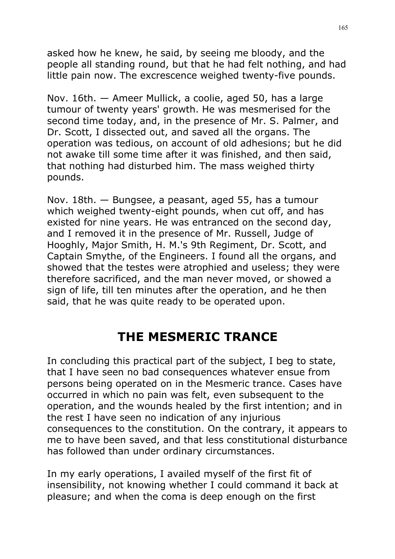asked how he knew, he said, by seeing me bloody, and the people all standing round, but that he had felt nothing, and had little pain now. The excrescence weighed twenty-five pounds.

Nov. 16th. - Ameer Mullick, a coolie, aged 50, has a large tumour of twenty years' growth. He was mesmerised for the second time today, and, in the presence of Mr. S. Palmer, and Dr. Scott, I dissected out, and saved all the organs. The operation was tedious, on account of old adhesions; but he did not awake till some time after it was finished, and then said, that nothing had disturbed him. The mass weighed thirty pounds.

Nov. 18th. - Bungsee, a peasant, aged 55, has a tumour which weighed twenty-eight pounds, when cut off, and has existed for nine years. He was entranced on the second day, and I removed it in the presence of Mr. Russell, Judge of Hooghly, Major Smith, H. M.'s 9th Regiment, Dr. Scott, and Captain Smythe, of the Engineers. I found all the organs, and showed that the testes were atrophied and useless; they were therefore sacrificed, and the man never moved, or showed a sign of life, till ten minutes after the operation, and he then said, that he was quite ready to be operated upon.

## **THE MESMERIC TRANCE**

In concluding this practical part of the subject, I beg to state, that I have seen no bad consequences whatever ensue from persons being operated on in the Mesmeric trance. Cases have occurred in which no pain was felt, even subsequent to the operation, and the wounds healed by the first intention; and in the rest I have seen no indication of any injurious consequences to the constitution. On the contrary, it appears to me to have been saved, and that less constitutional disturbance has followed than under ordinary circumstances.

In my early operations, I availed myself of the first fit of insensibility, not knowing whether I could command it back at pleasure; and when the coma is deep enough on the first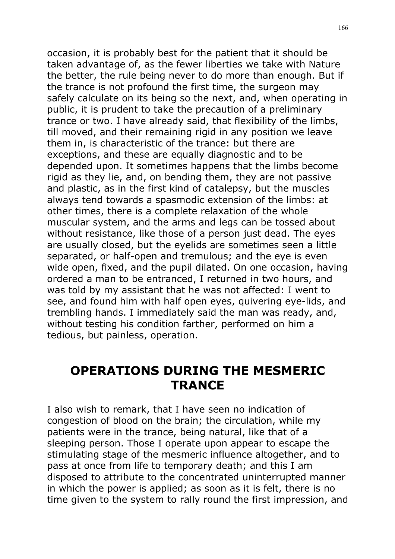occasion, it is probably best for the patient that it should be taken advantage of, as the fewer liberties we take with Nature the better, the rule being never to do more than enough. But if the trance is not profound the first time, the surgeon may safely calculate on its being so the next, and, when operating in public, it is prudent to take the precaution of a preliminary trance or two. I have already said, that flexibility of the limbs, till moved, and their remaining rigid in any position we leave them in, is characteristic of the trance: but there are exceptions, and these are equally diagnostic and to be depended upon. It sometimes happens that the limbs become rigid as they lie, and, on bending them, they are not passive and plastic, as in the first kind of catalepsy, but the muscles always tend towards a spasmodic extension of the limbs: at other times, there is a complete relaxation of the whole muscular system, and the arms and legs can be tossed about without resistance, like those of a person just dead. The eyes are usually closed, but the eyelids are sometimes seen a little separated, or half-open and tremulous; and the eye is even wide open, fixed, and the pupil dilated. On one occasion, having ordered a man to be entranced, I returned in two hours, and was told by my assistant that he was not affected: I went to see, and found him with half open eyes, quivering eye-lids, and trembling hands. I immediately said the man was ready, and, without testing his condition farther, performed on him a tedious, but painless, operation.

## **OPERATIONS DURING THE MESMERIC TRANCE**

I also wish to remark, that I have seen no indication of congestion of blood on the brain; the circulation, while my patients were in the trance, being natural, like that of a sleeping person. Those I operate upon appear to escape the stimulating stage of the mesmeric influence altogether, and to pass at once from life to temporary death; and this I am disposed to attribute to the concentrated uninterrupted manner in which the power is applied; as soon as it is felt, there is no time given to the system to rally round the first impression, and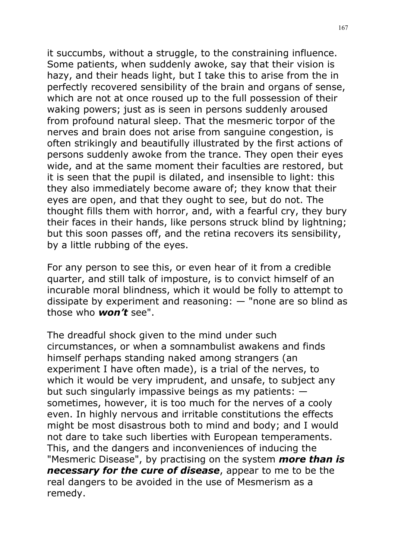it succumbs, without a struggle, to the constraining influence. Some patients, when suddenly awoke, say that their vision is hazy, and their heads light, but I take this to arise from the in perfectly recovered sensibility of the brain and organs of sense, which are not at once roused up to the full possession of their waking powers; just as is seen in persons suddenly aroused from profound natural sleep. That the mesmeric torpor of the nerves and brain does not arise from sanguine congestion, is often strikingly and beautifully illustrated by the first actions of persons suddenly awoke from the trance. They open their eyes wide, and at the same moment their faculties are restored, but it is seen that the pupil is dilated, and insensible to light: this they also immediately become aware of; they know that their eyes are open, and that they ought to see, but do not. The thought fills them with horror, and, with a fearful cry, they bury their faces in their hands, like persons struck blind by lightning; but this soon passes off, and the retina recovers its sensibility, by a little rubbing of the eyes.

For any person to see this, or even hear of it from a credible quarter, and still talk of imposture, is to convict himself of an incurable moral blindness, which it would be folly to attempt to dissipate by experiment and reasoning:  $-$  "none are so blind as those who **won't** see".

The dreadful shock given to the mind under such circumstances, or when a somnambulist awakens and finds himself perhaps standing naked among strangers (an experiment I have often made), is a trial of the nerves, to which it would be very imprudent, and unsafe, to subject any but such singularly impassive beings as my patients:  $$ sometimes, however, it is too much for the nerves of a cooly even. In highly nervous and irritable constitutions the effects might be most disastrous both to mind and body; and I would not dare to take such liberties with European temperaments. This, and the dangers and inconveniences of inducing the "Mesmeric Disease", by practising on the system *more than is* necessary for the cure of disease, appear to me to be the real dangers to be avoided in the use of Mesmerism as a remedy.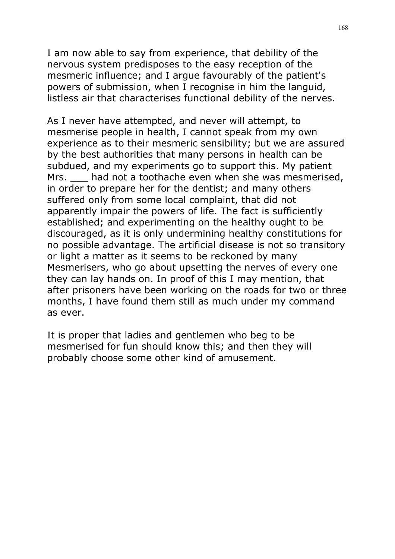I am now able to say from experience, that debility of the nervous system predisposes to the easy reception of the mesmeric influence; and I argue favourably of the patient's powers of submission, when I recognise in him the languid, listless air that characterises functional debility of the nerves.

As I never have attempted, and never will attempt, to mesmerise people in health, I cannot speak from my own experience as to their mesmeric sensibility; but we are assured by the best authorities that many persons in health can be subdued, and my experiments go to support this. My patient Mrs. had not a toothache even when she was mesmerised, in order to prepare her for the dentist; and many others suffered only from some local complaint, that did not apparently impair the powers of life. The fact is sufficiently established; and experimenting on the healthy ought to be discouraged, as it is only undermining healthy constitutions for no possible advantage. The artificial disease is not so transitory or light a matter as it seems to be reckoned by many Mesmerisers, who go about upsetting the nerves of every one they can lay hands on. In proof of this I may mention, that after prisoners have been working on the roads for two or three months, I have found them still as much under my command as ever.

It is proper that ladies and gentlemen who beg to be mesmerised for fun should know this; and then they will probably choose some other kind of amusement.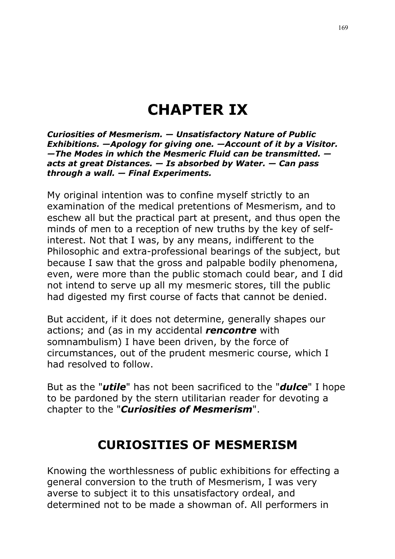# **CHAPTER IX**

Curiosities of Mesmerism. - Unsatisfactory Nature of Public Exhibitions. - Apology for giving one. - Account of it by a Visitor. -The Modes in which the Mesmeric Fluid can be transmitted. acts at great Distances. - Is absorbed by Water. - Can pass through a wall.  $-$  Final Experiments.

My original intention was to confine myself strictly to an examination of the medical pretentions of Mesmerism, and to eschew all but the practical part at present, and thus open the minds of men to a reception of new truths by the key of selfinterest. Not that I was, by any means, indifferent to the Philosophic and extra-professional bearings of the subject, but because I saw that the gross and palpable bodily phenomena, even, were more than the public stomach could bear, and I did not intend to serve up all my mesmeric stores, till the public had digested my first course of facts that cannot be denied.

But accident, if it does not determine, generally shapes our actions; and (as in my accidental rencontre with somnambulism) I have been driven, by the force of circumstances, out of the prudent mesmeric course, which I had resolved to follow.

But as the "*utile*" has not been sacrificed to the "*dulce*" I hope to be pardoned by the stern utilitarian reader for devoting a chapter to the "Curiosities of Mesmerism".

#### **CURIOSITIES OF MESMERISM**

Knowing the worthlessness of public exhibitions for effecting a general conversion to the truth of Mesmerism, I was very averse to subject it to this unsatisfactory ordeal, and determined not to be made a showman of. All performers in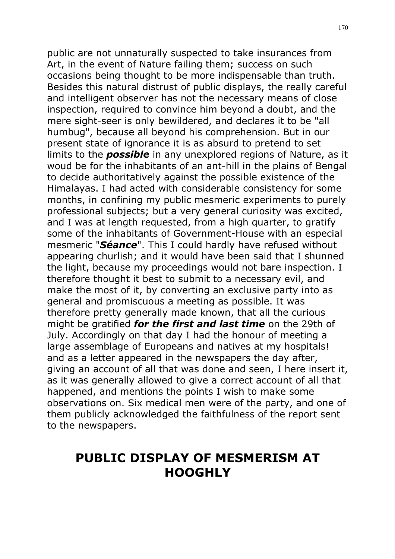public are not unnaturally suspected to take insurances from Art, in the event of Nature failing them; success on such occasions being thought to be more indispensable than truth. Besides this natural distrust of public displays, the really careful and intelligent observer has not the necessary means of close inspection, required to convince him beyond a doubt, and the mere sight-seer is only bewildered, and declares it to be "all humbug", because all beyond his comprehension. But in our present state of ignorance it is as absurd to pretend to set limits to the **possible** in any unexplored regions of Nature, as it woud be for the inhabitants of an ant-hill in the plains of Bengal to decide authoritatively against the possible existence of the Himalayas. I had acted with considerable consistency for some months, in confining my public mesmeric experiments to purely professional subjects; but a very general curiosity was excited, and I was at length requested, from a high quarter, to gratify some of the inhabitants of Government-House with an especial mesmeric "Séance". This I could hardly have refused without appearing churlish; and it would have been said that I shunned the light, because my proceedings would not bare inspection. I therefore thought it best to submit to a necessary evil, and make the most of it, by converting an exclusive party into as general and promiscuous a meeting as possible. It was therefore pretty generally made known, that all the curious might be gratified *for the first and last time* on the 29th of July. Accordingly on that day I had the honour of meeting a large assemblage of Europeans and natives at my hospitals! and as a letter appeared in the newspapers the day after, giving an account of all that was done and seen, I here insert it, as it was generally allowed to give a correct account of all that happened, and mentions the points I wish to make some observations on. Six medical men were of the party, and one of them publicly acknowledged the faithfulness of the report sent to the newspapers.

## PUBLIC DISPLAY OF MESMERISM AT **HOOGHLY**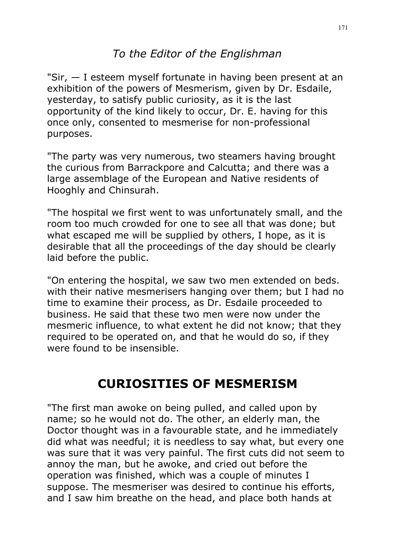#### To the Editor of the Englishman

"Sir,  $-$  I esteem myself fortunate in having been present at an exhibition of the powers of Mesmerism, given by Dr. Esdaile, yesterday, to satisfy public curiosity, as it is the last opportunity of the kind likely to occur, Dr. E. having for this once only, consented to mesmerise for non-professional purposes.

"The party was very numerous, two steamers having brought the curious from Barrackpore and Calcutta; and there was a large assemblage of the European and Native residents of Hooghly and Chinsurah.

"The hospital we first went to was unfortunately small, and the room too much crowded for one to see all that was done; but what escaped me will be supplied by others, I hope, as it is desirable that all the proceedings of the day should be clearly laid before the public.

"On entering the hospital, we saw two men extended on beds. with their native mesmerisers hanging over them; but I had no time to examine their process, as Dr. Esdaile proceeded to business. He said that these two men were now under the mesmeric influence, to what extent he did not know; that they required to be operated on, and that he would do so, if they were found to be insensible.

#### **CURTOSTTTES OF MESMERTSM**

"The first man awoke on being pulled, and called upon by name; so he would not do. The other, an elderly man, the Doctor thought was in a favourable state, and he immediately did what was needful; it is needless to say what, but every one was sure that it was very painful. The first cuts did not seem to annoy the man, but he awoke, and cried out before the operation was finished, which was a couple of minutes I suppose. The mesmeriser was desired to continue his efforts, and I saw him breathe on the head, and place both hands at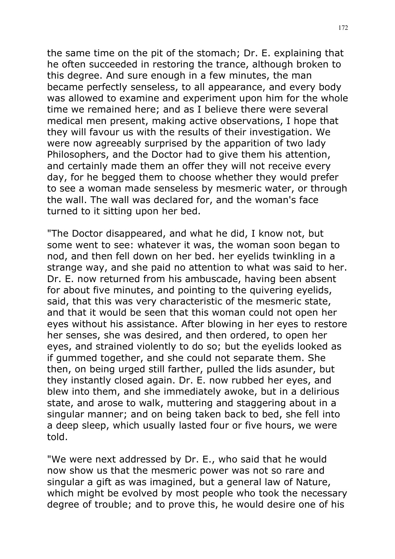the same time on the pit of the stomach; Dr. E. explaining that he often succeeded in restoring the trance, although broken to this degree. And sure enough in a few minutes, the man became perfectly senseless, to all appearance, and every body was allowed to examine and experiment upon him for the whole time we remained here; and as I believe there were several medical men present, making active observations, I hope that they will favour us with the results of their investigation. We were now agreeably surprised by the apparition of two lady Philosophers, and the Doctor had to give them his attention, and certainly made them an offer they will not receive every day, for he begged them to choose whether they would prefer to see a woman made senseless by mesmeric water, or through the wall. The wall was declared for, and the woman's face turned to it sitting upon her bed.

"The Doctor disappeared, and what he did, I know not, but some went to see: whatever it was, the woman soon began to nod, and then fell down on her bed. her eyelids twinkling in a strange way, and she paid no attention to what was said to her. Dr. E. now returned from his ambuscade, having been absent for about five minutes, and pointing to the quivering eyelids, said, that this was very characteristic of the mesmeric state, and that it would be seen that this woman could not open her eyes without his assistance. After blowing in her eyes to restore her senses, she was desired, and then ordered, to open her eyes, and strained violently to do so; but the eyelids looked as if gummed together, and she could not separate them. She then, on being urged still farther, pulled the lids asunder, but they instantly closed again. Dr. E. now rubbed her eyes, and blew into them, and she immediately awoke, but in a delirious state, and arose to walk, muttering and staggering about in a singular manner; and on being taken back to bed, she fell into a deep sleep, which usually lasted four or five hours, we were told.

"We were next addressed by Dr. E., who said that he would now show us that the mesmeric power was not so rare and singular a gift as was imagined, but a general law of Nature, which might be evolved by most people who took the necessary degree of trouble; and to prove this, he would desire one of his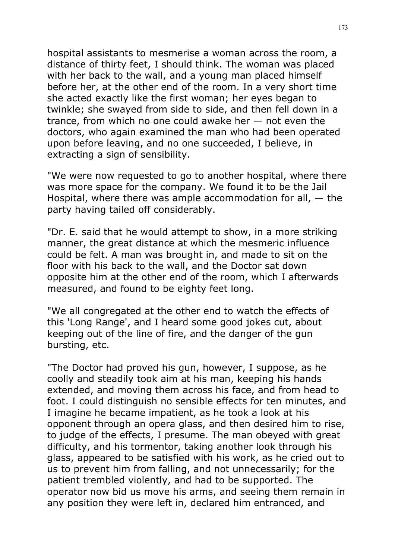hospital assistants to mesmerise a woman across the room, a distance of thirty feet, I should think. The woman was placed with her back to the wall, and a young man placed himself before her, at the other end of the room. In a very short time she acted exactly like the first woman; her eves began to twinkle; she swayed from side to side, and then fell down in a trance, from which no one could awake her  $-$  not even the doctors, who again examined the man who had been operated upon before leaving, and no one succeeded, I believe, in extracting a sign of sensibility.

"We were now requested to go to another hospital, where there was more space for the company. We found it to be the Jail Hospital, where there was ample accommodation for all,  $-$  the party having tailed off considerably.

"Dr. E. said that he would attempt to show, in a more striking manner, the great distance at which the mesmeric influence could be felt. A man was brought in, and made to sit on the floor with his back to the wall, and the Doctor sat down opposite him at the other end of the room, which I afterwards measured, and found to be eighty feet long.

"We all congregated at the other end to watch the effects of this 'Long Range', and I heard some good jokes cut, about keeping out of the line of fire, and the danger of the gun bursting, etc.

"The Doctor had proved his gun, however, I suppose, as he coolly and steadily took aim at his man, keeping his hands extended, and moving them across his face, and from head to foot. I could distinguish no sensible effects for ten minutes, and I imagine he became impatient, as he took a look at his opponent through an opera glass, and then desired him to rise, to judge of the effects, I presume. The man obeyed with great difficulty, and his tormentor, taking another look through his glass, appeared to be satisfied with his work, as he cried out to us to prevent him from falling, and not unnecessarily; for the patient trembled violently, and had to be supported. The operator now bid us move his arms, and seeing them remain in any position they were left in, declared him entranced, and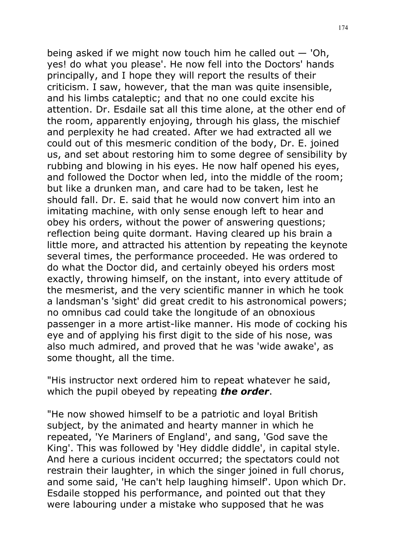being asked if we might now touch him he called out  $-$  'Oh, yes! do what you please'. He now fell into the Doctors' hands principally, and I hope they will report the results of their criticism. I saw, however, that the man was quite insensible, and his limbs cataleptic: and that no one could excite his attention. Dr. Esdaile sat all this time alone, at the other end of the room, apparently enjoying, through his glass, the mischief and perplexity he had created. After we had extracted all we could out of this mesmeric condition of the body, Dr. E. joined us, and set about restoring him to some degree of sensibility by rubbing and blowing in his eyes. He now half opened his eyes, and followed the Doctor when led, into the middle of the room; but like a drunken man, and care had to be taken, lest he should fall. Dr. E. said that he would now convert him into an imitating machine, with only sense enough left to hear and obey his orders, without the power of answering questions; reflection being quite dormant. Having cleared up his brain a little more, and attracted his attention by repeating the keynote several times, the performance proceeded. He was ordered to do what the Doctor did, and certainly obeyed his orders most exactly, throwing himself, on the instant, into every attitude of the mesmerist, and the very scientific manner in which he took a landsman's 'sight' did great credit to his astronomical powers; no omnibus cad could take the longitude of an obnoxious passenger in a more artist-like manner. His mode of cocking his eye and of applying his first digit to the side of his nose, was also much admired, and proved that he was 'wide awake', as some thought, all the time.

"His instructor next ordered him to repeat whatever he said, which the pupil obeyed by repeating the order.

"He now showed himself to be a patriotic and loyal British subject, by the animated and hearty manner in which he repeated, 'Ye Mariners of England', and sang, 'God save the King'. This was followed by 'Hey diddle diddle', in capital style. And here a curious incident occurred; the spectators could not restrain their laughter, in which the singer joined in full chorus, and some said, 'He can't help laughing himself'. Upon which Dr. Esdaile stopped his performance, and pointed out that they were labouring under a mistake who supposed that he was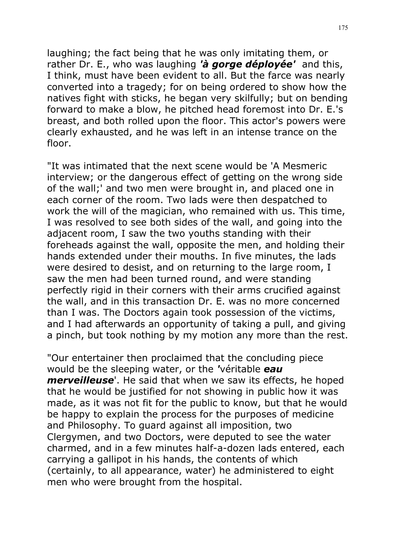laughing; the fact being that he was only imitating them, or rather Dr. E., who was laughing 'à gorge déplovée' and this, I think, must have been evident to all. But the farce was nearly converted into a tragedy; for on being ordered to show how the natives fight with sticks, he began very skilfully; but on bending forward to make a blow, he pitched head foremost into Dr. E.'s breast, and both rolled upon the floor. This actor's powers were clearly exhausted, and he was left in an intense trance on the  $floor$ .

"It was intimated that the next scene would be 'A Mesmeric interview; or the dangerous effect of getting on the wrong side of the wall;' and two men were brought in, and placed one in each corner of the room. Two lads were then despatched to work the will of the magician, who remained with us. This time, I was resolved to see both sides of the wall, and going into the adiacent room, I saw the two youths standing with their foreheads against the wall, opposite the men, and holding their hands extended under their mouths. In five minutes, the lads were desired to desist, and on returning to the large room, I saw the men had been turned round, and were standing perfectly rigid in their corners with their arms crucified against the wall, and in this transaction Dr. E. was no more concerned than I was. The Doctors again took possession of the victims, and I had afterwards an opportunity of taking a pull, and giving a pinch, but took nothing by my motion any more than the rest.

"Our entertainer then proclaimed that the concluding piece would be the sleeping water, or the 'véritable eau **merveilleuse**. He said that when we saw its effects, he hoped that he would be justified for not showing in public how it was made, as it was not fit for the public to know, but that he would be happy to explain the process for the purposes of medicine and Philosophy. To quard against all imposition, two Clergymen, and two Doctors, were deputed to see the water charmed, and in a few minutes half-a-dozen lads entered, each carrying a gallipot in his hands, the contents of which (certainly, to all appearance, water) he administered to eight men who were brought from the hospital.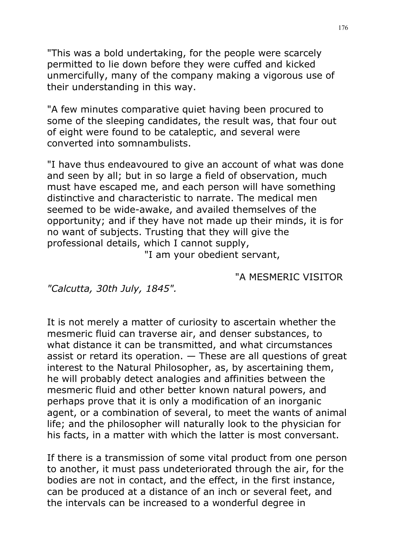"This was a bold undertaking, for the people were scarcely permitted to lie down before they were cuffed and kicked unmercifully, many of the company making a vigorous use of their understanding in this way.

"A few minutes comparative quiet having been procured to some of the sleeping candidates, the result was, that four out of eight were found to be cataleptic, and several were converted into somnambulists.

"I have thus endeavoured to give an account of what was done and seen by all; but in so large a field of observation, much must have escaped me, and each person will have something distinctive and characteristic to narrate. The medical men seemed to be wide-awake, and availed themselves of the opportunity; and if they have not made up their minds, it is for no want of subjects. Trusting that they will give the professional details, which I cannot supply, "I am your obedient servant,

"A MESMERIC VISITOR

"Calcutta, 30th July, 1845".

It is not merely a matter of curiosity to ascertain whether the mesmeric fluid can traverse air, and denser substances, to what distance it can be transmitted, and what circumstances assist or retard its operation.  $-$  These are all questions of great interest to the Natural Philosopher, as, by ascertaining them, he will probably detect analogies and affinities between the mesmeric fluid and other better known natural powers, and perhaps prove that it is only a modification of an inorganic agent, or a combination of several, to meet the wants of animal life; and the philosopher will naturally look to the physician for his facts, in a matter with which the latter is most conversant.

If there is a transmission of some vital product from one person to another, it must pass undeteriorated through the air, for the bodies are not in contact, and the effect, in the first instance, can be produced at a distance of an inch or several feet, and the intervals can be increased to a wonderful degree in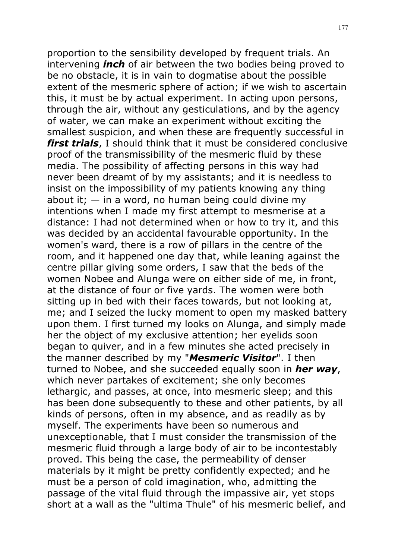proportion to the sensibility developed by frequent trials. An intervening *inch* of air between the two bodies being proved to be no obstacle, it is in vain to dogmatise about the possible extent of the mesmeric sphere of action; if we wish to ascertain this, it must be by actual experiment. In acting upon persons, through the air, without any gesticulations, and by the agency of water, we can make an experiment without exciting the smallest suspicion, and when these are frequently successful in **first trials.** I should think that it must be considered conclusive proof of the transmissibility of the mesmeric fluid by these media. The possibility of affecting persons in this way had never been dreamt of by my assistants; and it is needless to insist on the impossibility of my patients knowing any thing about it;  $-$  in a word, no human being could divine my intentions when I made my first attempt to mesmerise at a distance: I had not determined when or how to try it, and this was decided by an accidental favourable opportunity. In the women's ward, there is a row of pillars in the centre of the room, and it happened one day that, while leaning against the centre pillar giving some orders, I saw that the beds of the women Nobee and Alunga were on either side of me, in front, at the distance of four or five yards. The women were both sitting up in bed with their faces towards, but not looking at, me; and I seized the lucky moment to open my masked battery upon them. I first turned my looks on Alunga, and simply made her the object of my exclusive attention; her eyelids soon began to quiver, and in a few minutes she acted precisely in the manner described by my "Mesmeric Visitor". I then turned to Nobee, and she succeeded equally soon in her way, which never partakes of excitement; she only becomes lethargic, and passes, at once, into mesmeric sleep; and this has been done subsequently to these and other patients, by all kinds of persons, often in my absence, and as readily as by myself. The experiments have been so numerous and unexceptionable, that I must consider the transmission of the mesmeric fluid through a large body of air to be incontestably proved. This being the case, the permeability of denser materials by it might be pretty confidently expected; and he must be a person of cold imagination, who, admitting the passage of the vital fluid through the impassive air, yet stops short at a wall as the "ultima Thule" of his mesmeric belief, and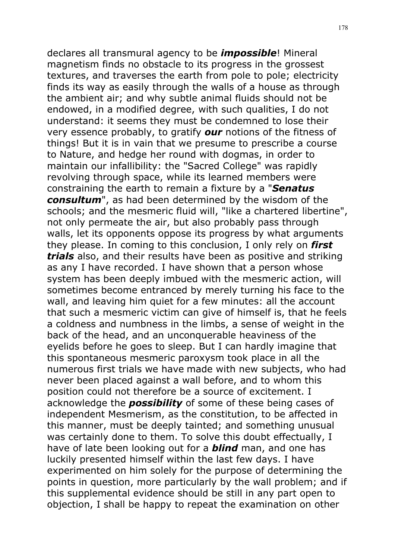declares all transmural agency to be *impossible*! Mineral magnetism finds no obstacle to its progress in the grossest textures, and traverses the earth from pole to pole; electricity finds its way as easily through the walls of a house as through the ambient air; and why subtle animal fluids should not be endowed, in a modified degree, with such qualities, I do not understand: it seems they must be condemned to lose their very essence probably, to gratify *our* notions of the fitness of things! But it is in vain that we presume to prescribe a course to Nature, and hedge her round with dogmas, in order to maintain our infallibility: the "Sacred College" was rapidly revolving through space, while its learned members were constraining the earth to remain a fixture by a "Senatus" consultum", as had been determined by the wisdom of the schools; and the mesmeric fluid will, "like a chartered libertine", not only permeate the air, but also probably pass through walls, let its opponents oppose its progress by what arguments they please. In coming to this conclusion, I only rely on *first* **trials** also, and their results have been as positive and striking as any I have recorded. I have shown that a person whose system has been deeply imbued with the mesmeric action, will sometimes become entranced by merely turning his face to the wall, and leaving him quiet for a few minutes: all the account that such a mesmeric victim can give of himself is, that he feels a coldness and numbness in the limbs, a sense of weight in the back of the head, and an unconquerable heaviness of the eyelids before he goes to sleep. But I can hardly imagine that this spontaneous mesmeric paroxysm took place in all the numerous first trials we have made with new subjects, who had never been placed against a wall before, and to whom this position could not therefore be a source of excitement. I acknowledge the **possibility** of some of these being cases of independent Mesmerism, as the constitution, to be affected in this manner, must be deeply tainted; and something unusual was certainly done to them. To solve this doubt effectually, I have of late been looking out for a **blind** man, and one has luckily presented himself within the last few days. I have experimented on him solely for the purpose of determining the points in question, more particularly by the wall problem; and if this supplemental evidence should be still in any part open to objection, I shall be happy to repeat the examination on other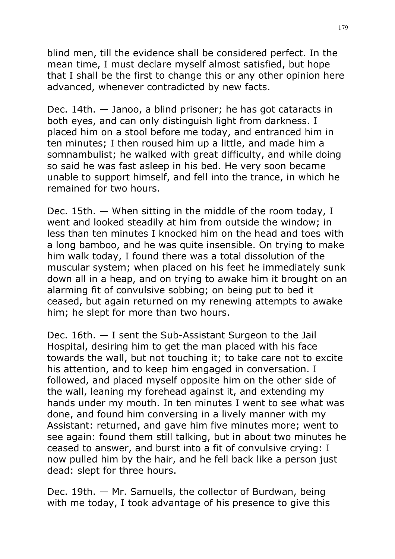blind men, till the evidence shall be considered perfect. In the mean time, I must declare myself almost satisfied, but hope that I shall be the first to change this or any other opinion here advanced, whenever contradicted by new facts.

Dec. 14th. - Janoo, a blind prisoner; he has got cataracts in both eves, and can only distinguish light from darkness. I placed him on a stool before me today, and entranced him in ten minutes; I then roused him up a little, and made him a somnambulist; he walked with great difficulty, and while doing so said he was fast asleep in his bed. He very soon became unable to support himself, and fell into the trance, in which he remained for two hours.

Dec. 15th.  $-$  When sitting in the middle of the room today, I went and looked steadily at him from outside the window; in less than ten minutes I knocked him on the head and toes with a long bamboo, and he was quite insensible. On trying to make him walk today, I found there was a total dissolution of the muscular system; when placed on his feet he immediately sunk down all in a heap, and on trying to awake him it brought on an alarming fit of convulsive sobbing; on being put to bed it ceased, but again returned on my renewing attempts to awake him; he slept for more than two hours.

Dec. 16th.  $-$  I sent the Sub-Assistant Surgeon to the Jail Hospital, desiring him to get the man placed with his face towards the wall, but not touching it; to take care not to excite his attention, and to keep him engaged in conversation. I followed, and placed myself opposite him on the other side of the wall, leaning my forehead against it, and extending my hands under my mouth. In ten minutes I went to see what was done, and found him conversing in a lively manner with my Assistant: returned, and gave him five minutes more; went to see again: found them still talking, but in about two minutes he ceased to answer, and burst into a fit of convulsive crying: I now pulled him by the hair, and he fell back like a person just dead: slept for three hours.

Dec. 19th. - Mr. Samuells, the collector of Burdwan, being with me today, I took advantage of his presence to give this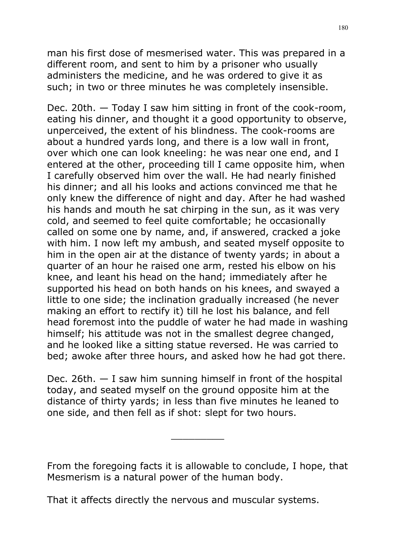man his first dose of mesmerised water. This was prepared in a different room, and sent to him by a prisoner who usually administers the medicine, and he was ordered to give it as such; in two or three minutes he was completely insensible.

Dec. 20th.  $-$  Today I saw him sitting in front of the cook-room, eating his dinner, and thought it a good opportunity to observe, unperceived, the extent of his blindness. The cook-rooms are about a hundred yards long, and there is a low wall in front, over which one can look kneeling: he was near one end, and I entered at the other, proceeding till I came opposite him, when I carefully observed him over the wall. He had nearly finished his dinner; and all his looks and actions convinced me that he only knew the difference of night and day. After he had washed his hands and mouth he sat chirping in the sun, as it was very cold, and seemed to feel quite comfortable; he occasionally called on some one by name, and, if answered, cracked a joke with him. I now left my ambush, and seated myself opposite to him in the open air at the distance of twenty yards; in about a quarter of an hour he raised one arm, rested his elbow on his knee, and leant his head on the hand; immediately after he supported his head on both hands on his knees, and swaved a little to one side; the inclination gradually increased (he never making an effort to rectify it) till he lost his balance, and fell head foremost into the puddle of water he had made in washing himself; his attitude was not in the smallest degree changed, and he looked like a sitting statue reversed. He was carried to bed; awoke after three hours, and asked how he had got there.

Dec. 26th.  $-$  I saw him sunning himself in front of the hospital today, and seated myself on the ground opposite him at the distance of thirty yards; in less than five minutes he leaned to one side, and then fell as if shot: slept for two hours.

From the foregoing facts it is allowable to conclude, I hope, that Mesmerism is a natural power of the human body.

That it affects directly the nervous and muscular systems.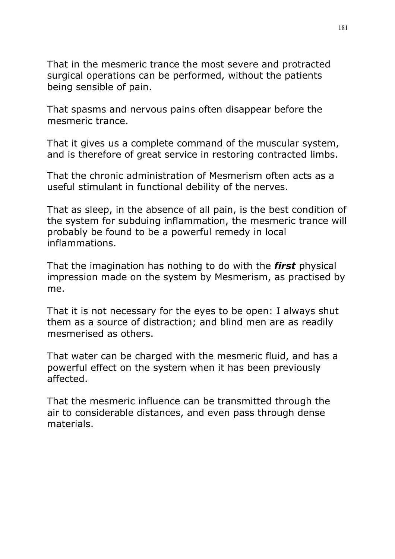That in the mesmeric trance the most severe and protracted surgical operations can be performed, without the patients being sensible of pain.

That spasms and nervous pains often disappear before the mesmeric trance.

That it gives us a complete command of the muscular system, and is therefore of great service in restoring contracted limbs.

That the chronic administration of Mesmerism often acts as a useful stimulant in functional debility of the nerves.

That as sleep, in the absence of all pain, is the best condition of the system for subduing inflammation, the mesmeric trance will probably be found to be a powerful remedy in local inflammations.

That the imagination has nothing to do with the **first** physical impression made on the system by Mesmerism, as practised by me.

That it is not necessary for the eyes to be open: I always shut them as a source of distraction; and blind men are as readily mesmerised as others.

That water can be charged with the mesmeric fluid, and has a powerful effect on the system when it has been previously affected.

That the mesmeric influence can be transmitted through the air to considerable distances, and even pass through dense materials.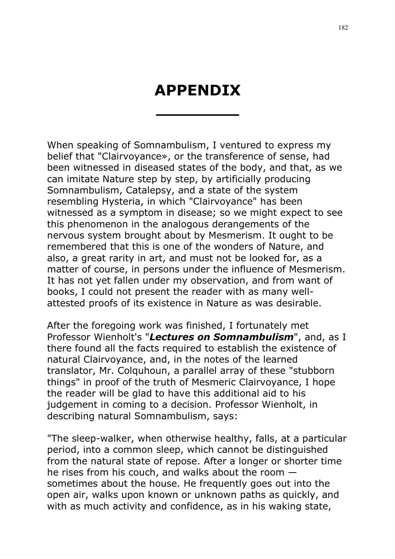## **APPENDIX**

When speaking of Somnambulism, I ventured to express my belief that "Clairvoyance», or the transference of sense, had been witnessed in diseased states of the body, and that, as we can imitate Nature step by step, by artificially producing Somnambulism, Catalepsy, and a state of the system resembling Hysteria, in which "Clairvoyance" has been witnessed as a symptom in disease; so we might expect to see this phenomenon in the analogous derangements of the nervous system brought about by Mesmerism. It ought to be remembered that this is one of the wonders of Nature, and also, a great rarity in art, and must not be looked for, as a matter of course, in persons under the influence of Mesmerism. It has not yet fallen under my observation, and from want of books, I could not present the reader with as many wellattested proofs of its existence in Nature as was desirable.

After the foregoing work was finished, I fortunately met Professor Wienholt's "Lectures on Somnambulism", and, as I there found all the facts required to establish the existence of natural Clairvoyance, and, in the notes of the learned translator, Mr. Colguhoun, a parallel array of these "stubborn things" in proof of the truth of Mesmeric Clairvoyance, I hope the reader will be glad to have this additional aid to his judgement in coming to a decision. Professor Wienholt, in describing natural Somnambulism, says:

"The sleep-walker, when otherwise healthy, falls, at a particular period, into a common sleep, which cannot be distinguished from the natural state of repose. After a longer or shorter time he rises from his couch, and walks about the room  $$ sometimes about the house. He frequently goes out into the open air, walks upon known or unknown paths as quickly, and with as much activity and confidence, as in his waking state,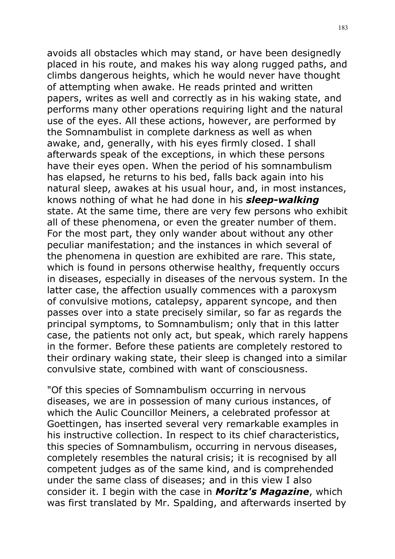avoids all obstacles which may stand, or have been designedly placed in his route, and makes his way along rugged paths, and climbs dangerous heights, which he would never have thought of attempting when awake. He reads printed and written papers, writes as well and correctly as in his waking state, and performs many other operations requiring light and the natural use of the eves. All these actions, however, are performed by the Somnambulist in complete darkness as well as when awake, and, generally, with his eyes firmly closed. I shall afterwards speak of the exceptions, in which these persons have their eyes open. When the period of his somnambulism has elapsed, he returns to his bed, falls back again into his natural sleep, awakes at his usual hour, and, in most instances, knows nothing of what he had done in his **sleep-walking** state. At the same time, there are very few persons who exhibit all of these phenomena, or even the greater number of them. For the most part, they only wander about without any other peculiar manifestation; and the instances in which several of the phenomena in question are exhibited are rare. This state, which is found in persons otherwise healthy, frequently occurs in diseases, especially in diseases of the nervous system. In the latter case, the affection usually commences with a paroxysm of convulsive motions, catalepsy, apparent syncope, and then passes over into a state precisely similar, so far as regards the principal symptoms, to Somnambulism; only that in this latter case, the patients not only act, but speak, which rarely happens in the former. Before these patients are completely restored to their ordinary waking state, their sleep is changed into a similar convulsive state, combined with want of consciousness.

"Of this species of Somnambulism occurring in nervous diseases, we are in possession of many curious instances, of which the Aulic Councillor Meiners, a celebrated professor at Goettingen, has inserted several very remarkable examples in his instructive collection. In respect to its chief characteristics, this species of Somnambulism, occurring in nervous diseases, completely resembles the natural crisis; it is recognised by all competent judges as of the same kind, and is comprehended under the same class of diseases; and in this view I also consider it. I begin with the case in **Moritz's Magazine**, which was first translated by Mr. Spalding, and afterwards inserted by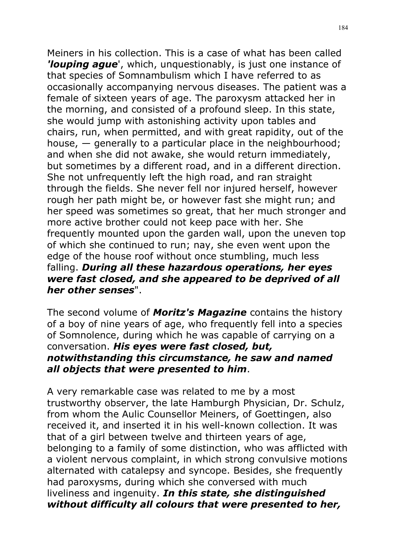Meiners in his collection. This is a case of what has been called *'louping ague'*, which, unquestionably, is just one instance of that species of Somnambulism which I have referred to as occasionally accompanying nervous diseases. The patient was a female of sixteen years of age. The paroxysm attacked her in the morning, and consisted of a profound sleep. In this state, she would jump with astonishing activity upon tables and chairs, run, when permitted, and with great rapidity, out of the house,  $-$  generally to a particular place in the neighbourhood; and when she did not awake, she would return immediately, but sometimes by a different road, and in a different direction. She not unfrequently left the high road, and ran straight through the fields. She never fell nor injured herself, however rough her path might be, or however fast she might run; and her speed was sometimes so great, that her much stronger and more active brother could not keep pace with her. She frequently mounted upon the garden wall, upon the uneven top of which she continued to run; nay, she even went upon the edge of the house roof without once stumbling, much less falling. During all these hazardous operations, her eyes were fast closed, and she appeared to be deprived of all her other senses".

The second volume of **Moritz's Magazine** contains the history of a boy of nine years of age, who frequently fell into a species of Somnolence, during which he was capable of carrying on a conversation. His eyes were fast closed, but, notwithstanding this circumstance, he saw and named all objects that were presented to him.

A very remarkable case was related to me by a most trustworthy observer, the late Hamburgh Physician, Dr. Schulz, from whom the Aulic Counsellor Meiners, of Goettingen, also received it, and inserted it in his well-known collection. It was that of a girl between twelve and thirteen years of age, belonging to a family of some distinction, who was afflicted with a violent nervous complaint, in which strong convulsive motions alternated with catalepsy and syncope. Besides, she frequently had paroxysms, during which she conversed with much liveliness and ingenuity. In this state, she distinguished without difficulty all colours that were presented to her.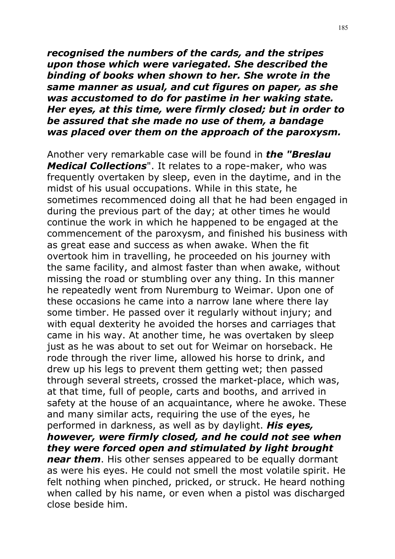recognised the numbers of the cards, and the stripes upon those which were variegated. She described the binding of books when shown to her. She wrote in the same manner as usual, and cut figures on paper, as she was accustomed to do for pastime in her waking state. Her eyes, at this time, were firmly closed; but in order to be assured that she made no use of them, a bandage was placed over them on the approach of the paroxysm.

Another very remarkable case will be found in the "Breslau Medical Collections". It relates to a rope-maker, who was frequently overtaken by sleep, even in the daytime, and in the midst of his usual occupations. While in this state, he sometimes recommenced doing all that he had been engaged in during the previous part of the day; at other times he would continue the work in which he happened to be engaged at the commencement of the paroxysm, and finished his business with as great ease and success as when awake. When the fit overtook him in travelling, he proceeded on his journey with the same facility, and almost faster than when awake, without missing the road or stumbling over any thing. In this manner he repeatedly went from Nuremburg to Weimar, Upon one of these occasions he came into a narrow lane where there lay some timber. He passed over it regularly without injury; and with equal dexterity he avoided the horses and carriages that came in his way. At another time, he was overtaken by sleep just as he was about to set out for Weimar on horseback. He rode through the river lime, allowed his horse to drink, and drew up his legs to prevent them getting wet; then passed through several streets, crossed the market-place, which was, at that time, full of people, carts and booths, and arrived in safety at the house of an acquaintance, where he awoke. These and many similar acts, requiring the use of the eyes, he performed in darkness, as well as by daylight. His eyes, however, were firmly closed, and he could not see when they were forced open and stimulated by light brought near them. His other senses appeared to be equally dormant as were his eves. He could not smell the most volatile spirit. He felt nothing when pinched, pricked, or struck. He heard nothing when called by his name, or even when a pistol was discharged close beside him.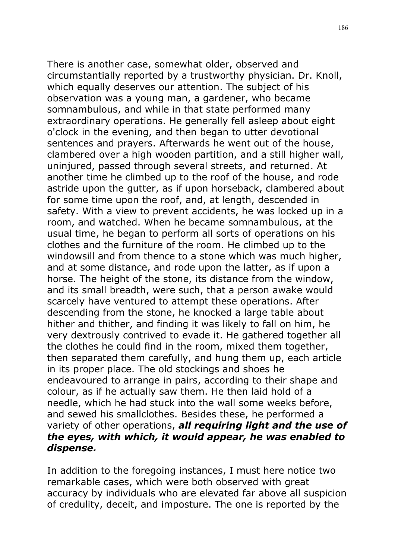There is another case, somewhat older, observed and circumstantially reported by a trustworthy physician. Dr. Knoll, which equally deserves our attention. The subject of his observation was a young man, a gardener, who became somnambulous, and while in that state performed many extraordinary operations. He generally fell asleep about eight o'clock in the evening, and then began to utter devotional sentences and prayers. Afterwards he went out of the house, clambered over a high wooden partition, and a still higher wall, uninjured, passed through several streets, and returned. At another time he climbed up to the roof of the house, and rode astride upon the gutter, as if upon horseback, clambered about for some time upon the roof, and, at length, descended in safety. With a view to prevent accidents, he was locked up in a room, and watched. When he became somnambulous, at the usual time, he began to perform all sorts of operations on his clothes and the furniture of the room. He climbed up to the windowsill and from thence to a stone which was much higher, and at some distance, and rode upon the latter, as if upon a horse. The height of the stone, its distance from the window, and its small breadth, were such, that a person awake would scarcely have ventured to attempt these operations. After descending from the stone, he knocked a large table about hither and thither, and finding it was likely to fall on him, he very dextrously contrived to evade it. He gathered together all the clothes he could find in the room, mixed them together, then separated them carefully, and hung them up, each article in its proper place. The old stockings and shoes he endeavoured to arrange in pairs, according to their shape and colour, as if he actually saw them. He then laid hold of a needle, which he had stuck into the wall some weeks before, and sewed his smallclothes. Besides these, he performed a variety of other operations, all requiring light and the use of the eyes, with which, it would appear, he was enabled to dispense.

In addition to the foregoing instances, I must here notice two remarkable cases, which were both observed with great accuracy by individuals who are elevated far above all suspicion of credulity, deceit, and imposture. The one is reported by the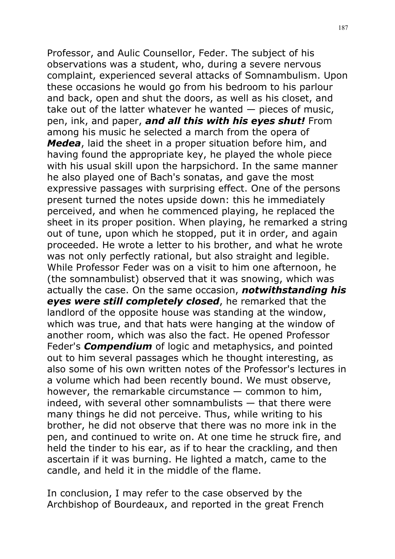Professor, and Aulic Counsellor, Feder. The subject of his observations was a student, who, during a severe nervous complaint, experienced several attacks of Somnambulism. Upon these occasions he would go from his bedroom to his parlour and back, open and shut the doors, as well as his closet, and take out of the latter whatever he wanted  $-$  pieces of music, pen, ink, and paper, and all this with his eves shut! From among his music he selected a march from the opera of Medea, laid the sheet in a proper situation before him, and having found the appropriate key, he played the whole piece with his usual skill upon the harpsichord. In the same manner he also played one of Bach's sonatas, and gave the most expressive passages with surprising effect. One of the persons present turned the notes upside down: this he immediately perceived, and when he commenced playing, he replaced the sheet in its proper position. When playing, he remarked a string out of tune, upon which he stopped, put it in order, and again proceeded. He wrote a letter to his brother, and what he wrote was not only perfectly rational, but also straight and legible. While Professor Feder was on a visit to him one afternoon, he (the somnambulist) observed that it was snowing, which was actually the case. On the same occasion, **notwithstanding his** eves were still completely closed, he remarked that the landlord of the opposite house was standing at the window, which was true, and that hats were hanging at the window of another room, which was also the fact. He opened Professor Feder's **Compendium** of logic and metaphysics, and pointed out to him several passages which he thought interesting, as also some of his own written notes of the Professor's lectures in a volume which had been recently bound. We must observe, however, the remarkable circumstance  $-$  common to him, indeed, with several other somnambulists  $-$  that there were many things he did not perceive. Thus, while writing to his brother, he did not observe that there was no more ink in the pen, and continued to write on. At one time he struck fire, and held the tinder to his ear, as if to hear the crackling, and then ascertain if it was burning. He lighted a match, came to the candle, and held it in the middle of the flame.

In conclusion, I may refer to the case observed by the Archbishop of Bourdeaux, and reported in the great French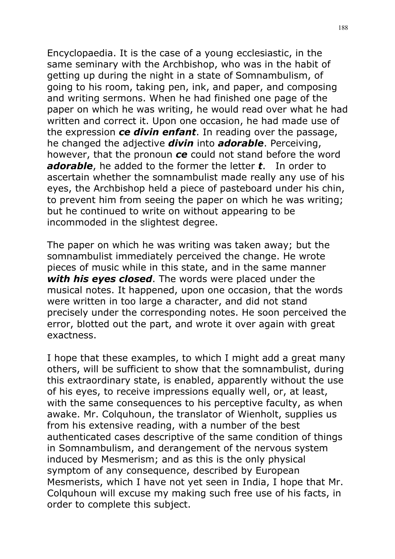Encyclopaedia. It is the case of a young ecclesiastic, in the same seminary with the Archbishop, who was in the habit of getting up during the night in a state of Somnambulism, of going to his room, taking pen, ink, and paper, and composing and writing sermons. When he had finished one page of the paper on which he was writing, he would read over what he had written and correct it. Upon one occasion, he had made use of the expression ce *divin* enfant. In reading over the passage, he changed the adjective *divin* into *adorable*. Perceiving, however, that the pronoun ce could not stand before the word **adorable**, he added to the former the letter **t**. In order to ascertain whether the somnambulist made really any use of his eyes, the Archbishop held a piece of pasteboard under his chin, to prevent him from seeing the paper on which he was writing; but he continued to write on without appearing to be incommoded in the slightest degree.

The paper on which he was writing was taken away; but the somnambulist immediately perceived the change. He wrote pieces of music while in this state, and in the same manner with his eyes closed. The words were placed under the musical notes. It happened, upon one occasion, that the words were written in too large a character, and did not stand precisely under the corresponding notes. He soon perceived the error, blotted out the part, and wrote it over again with great exactness.

I hope that these examples, to which I might add a great many others, will be sufficient to show that the somnambulist, during this extraordinary state, is enabled, apparently without the use of his eyes, to receive impressions equally well, or, at least, with the same consequences to his perceptive faculty, as when awake. Mr. Colguhoun, the translator of Wienholt, supplies us from his extensive reading, with a number of the best authenticated cases descriptive of the same condition of things in Somnambulism, and derangement of the nervous system induced by Mesmerism; and as this is the only physical symptom of any consequence, described by European Mesmerists, which I have not yet seen in India, I hope that Mr. Colguhoun will excuse my making such free use of his facts, in order to complete this subject.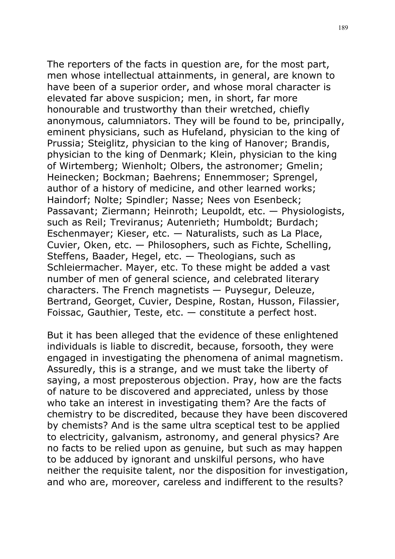The reporters of the facts in question are, for the most part, men whose intellectual attainments, in general, are known to have been of a superior order, and whose moral character is elevated far above suspicion; men, in short, far more honourable and trustworthy than their wretched, chiefly anonymous, calumniators. They will be found to be, principally, eminent physicians, such as Hufeland, physician to the king of Prussia; Steiglitz, physician to the king of Hanover; Brandis, physician to the king of Denmark; Klein, physician to the king of Wirtemberg; Wienholt; Olbers, the astronomer; Gmelin; Heinecken; Bockman; Baehrens; Ennemmoser; Sprengel, author of a history of medicine, and other learned works; Haindorf; Nolte; Spindler; Nasse; Nees von Esenbeck; Passavant; Ziermann; Heinroth; Leupoldt, etc. - Physiologists, such as Reil; Treviranus; Autenrieth; Humboldt; Burdach; Eschenmayer; Kieser, etc. - Naturalists, such as La Place, Cuvier, Oken, etc. - Philosophers, such as Fichte, Schelling, Steffens, Baader, Hegel, etc. - Theologians, such as Schleiermacher. Mayer, etc. To these might be added a vast number of men of general science, and celebrated literary characters. The French magnetists - Puysegur, Deleuze, Bertrand, Georget, Cuvier, Despine, Rostan, Husson, Filassier, Foissac, Gauthier, Teste, etc.  $-$  constitute a perfect host.

But it has been alleged that the evidence of these enlightened individuals is liable to discredit, because, forsooth, they were engaged in investigating the phenomena of animal magnetism. Assuredly, this is a strange, and we must take the liberty of saying, a most preposterous objection. Pray, how are the facts of nature to be discovered and appreciated, unless by those who take an interest in investigating them? Are the facts of chemistry to be discredited, because they have been discovered by chemists? And is the same ultra sceptical test to be applied to electricity, galvanism, astronomy, and general physics? Are no facts to be relied upon as genuine, but such as may happen to be adduced by ignorant and unskilful persons, who have neither the requisite talent, nor the disposition for investigation, and who are, moreover, careless and indifferent to the results?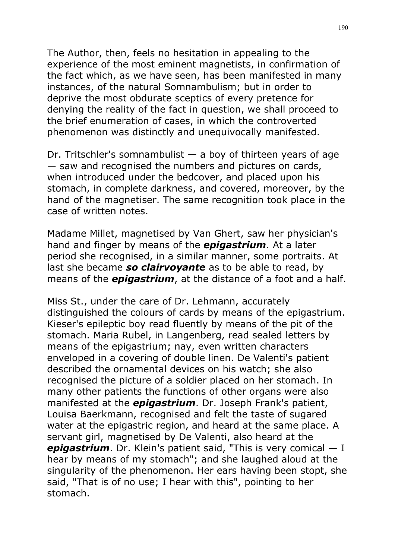The Author, then, feels no hesitation in appealing to the experience of the most eminent magnetists, in confirmation of the fact which, as we have seen, has been manifested in many instances, of the natural Somnambulism; but in order to deprive the most obdurate sceptics of every pretence for denying the reality of the fact in question, we shall proceed to the brief enumeration of cases, in which the controverted phenomenon was distinctly and unequivocally manifested.

Dr. Tritschler's somnambulist  $-$  a boy of thirteen years of age - saw and recognised the numbers and pictures on cards, when introduced under the bedcover, and placed upon his stomach, in complete darkness, and covered, moreover, by the hand of the magnetiser. The same recognition took place in the case of written notes.

Madame Millet, magnetised by Van Ghert, saw her physician's hand and finger by means of the **epigastrium**. At a later period she recognised, in a similar manner, some portraits. At last she became so clairvovante as to be able to read, by means of the **epigastrium**, at the distance of a foot and a half.

Miss St., under the care of Dr. Lehmann, accurately distinguished the colours of cards by means of the epigastrium. Kieser's epileptic boy read fluently by means of the pit of the stomach. Maria Rubel, in Langenberg, read sealed letters by means of the epigastrium; nay, even written characters enveloped in a covering of double linen. De Valenti's patient described the ornamental devices on his watch; she also recognised the picture of a soldier placed on her stomach. In many other patients the functions of other organs were also manifested at the **epigastrium**. Dr. Joseph Frank's patient, Louisa Baerkmann, recognised and felt the taste of sugared water at the epigastric region, and heard at the same place. A servant girl, magnetised by De Valenti, also heard at the epigastrium. Dr. Klein's patient said, "This is very comical - I hear by means of my stomach"; and she laughed aloud at the singularity of the phenomenon. Her ears having been stopt, she said, "That is of no use; I hear with this", pointing to her stomach.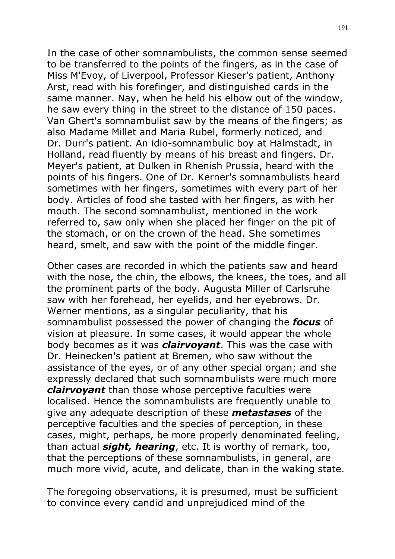In the case of other somnambulists, the common sense seemed to be transferred to the points of the fingers, as in the case of Miss M'Evoy, of Liverpool, Professor Kieser's patient, Anthony Arst, read with his forefinger, and distinguished cards in the same manner. Nay, when he held his elbow out of the window, he saw every thing in the street to the distance of 150 paces. Van Ghert's somnambulist saw by the means of the fingers; as also Madame Millet and Maria Rubel, formerly noticed, and Dr. Durr's patient. An idio-somnambulic boy at Halmstadt, in Holland, read fluently by means of his breast and fingers. Dr. Meyer's patient, at Dulken in Rhenish Prussia, heard with the points of his fingers. One of Dr. Kerner's somnambulists heard sometimes with her fingers, sometimes with every part of her body. Articles of food she tasted with her fingers, as with her mouth. The second somnambulist, mentioned in the work referred to, saw only when she placed her finger on the pit of the stomach, or on the crown of the head. She sometimes heard, smelt, and saw with the point of the middle finger.

Other cases are recorded in which the patients saw and heard with the nose, the chin, the elbows, the knees, the toes, and all the prominent parts of the body. Augusta Miller of Carlsruhe saw with her forehead, her eyelids, and her eyebrows. Dr. Werner mentions, as a singular peculiarity, that his somnambulist possessed the power of changing the **focus** of vision at pleasure. In some cases, it would appear the whole body becomes as it was **clairvoyant**. This was the case with Dr. Heinecken's patient at Bremen, who saw without the assistance of the eyes, or of any other special organ; and she expressly declared that such somnambulists were much more **clairvovant** than those whose perceptive faculties were localised. Hence the somnambulists are frequently unable to give any adequate description of these **metastases** of the perceptive faculties and the species of perception, in these cases, might, perhaps, be more properly denominated feeling, than actual *sight, hearing*, etc. It is worthy of remark, too, that the perceptions of these somnambulists, in general, are much more vivid, acute, and delicate, than in the waking state.

The foregoing observations, it is presumed, must be sufficient to convince every candid and unprejudiced mind of the